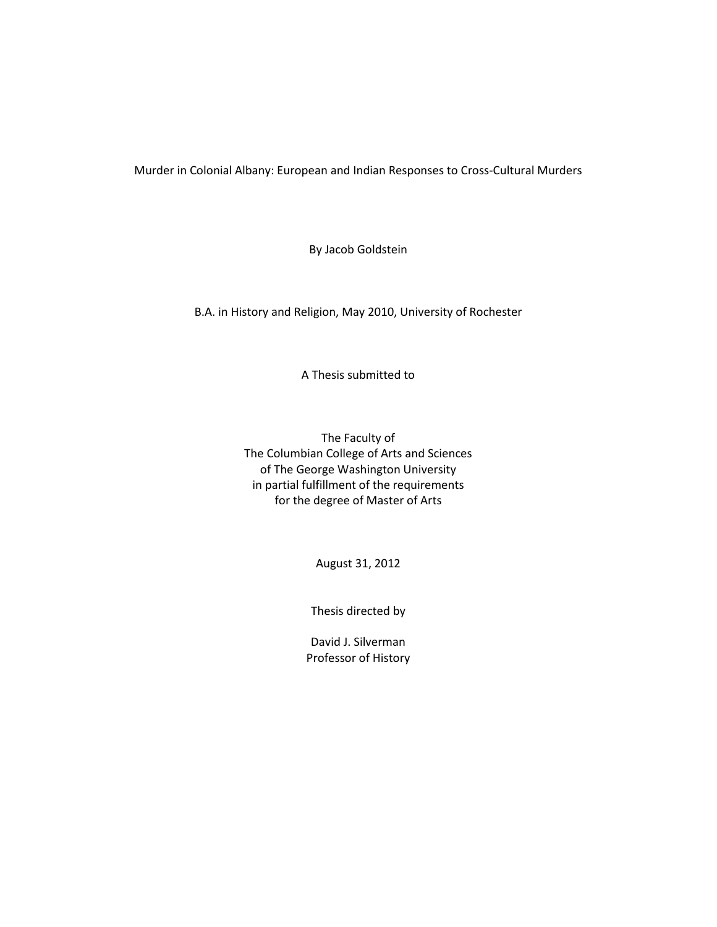Murder in Colonial Albany: European and Indian Responses to Cross-Cultural Murders

By Jacob Goldstein

B.A. in History and Religion, May 2010, University of Rochester

A Thesis submitted to

The Faculty of The Columbian College of Arts and Sciences of The George Washington University in partial fulfillment of the requirements for the degree of Master of Arts

August 31, 2012

Thesis directed by

David J. Silverman Professor of History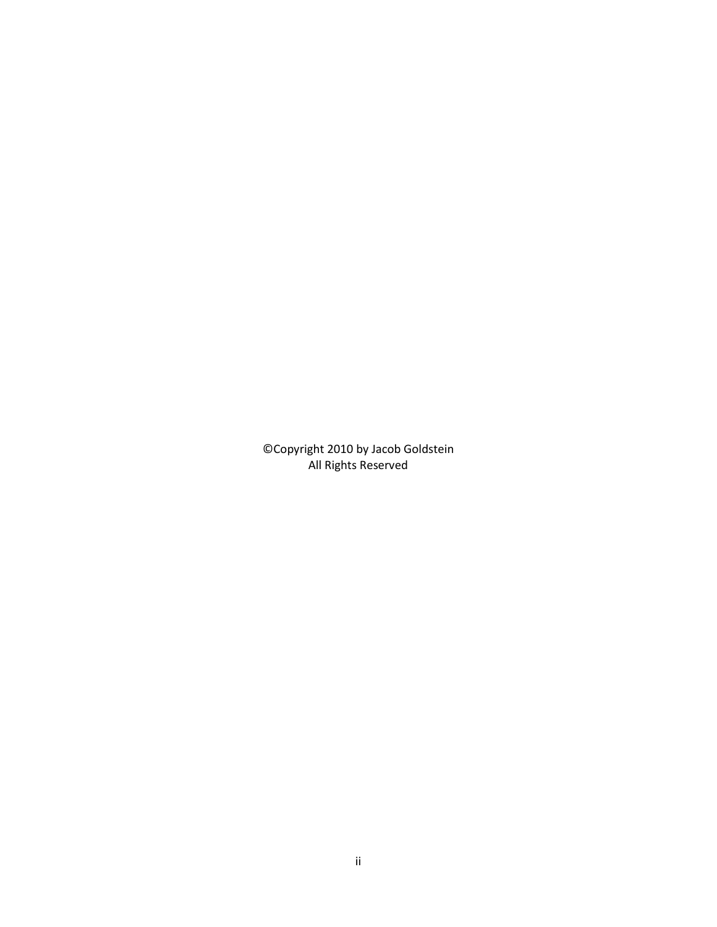©Copyright 2010 by Jacob Goldstein All Rights Reserved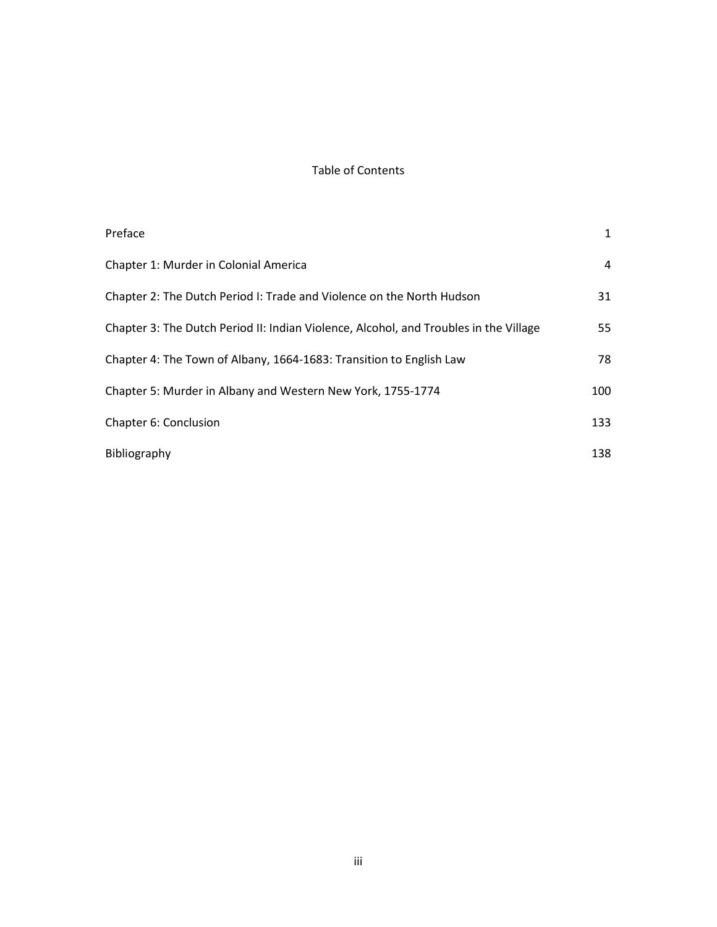# Table of Contents

| Preface                                                                               | 1   |
|---------------------------------------------------------------------------------------|-----|
| Chapter 1: Murder in Colonial America                                                 | 4   |
| Chapter 2: The Dutch Period I: Trade and Violence on the North Hudson                 | 31  |
| Chapter 3: The Dutch Period II: Indian Violence, Alcohol, and Troubles in the Village | 55  |
| Chapter 4: The Town of Albany, 1664-1683: Transition to English Law                   | 78  |
| Chapter 5: Murder in Albany and Western New York, 1755-1774                           | 100 |
| Chapter 6: Conclusion                                                                 | 133 |
| Bibliography                                                                          | 138 |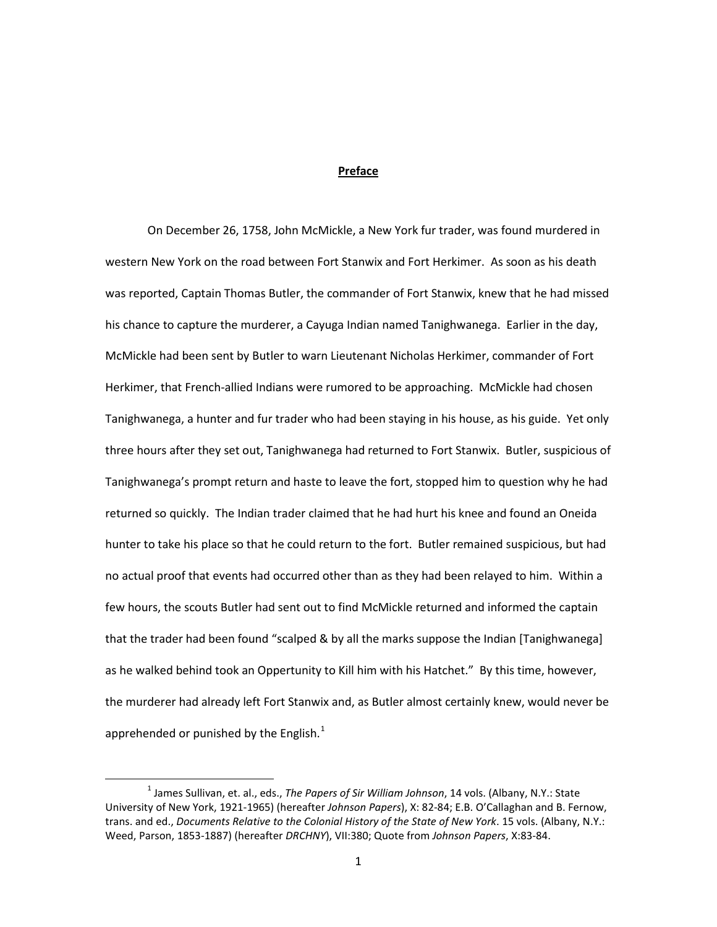## **Preface**

On December 26, 1758, John McMickle, a New York fur trader, was found murdered in western New York on the road between Fort Stanwix and Fort Herkimer. As soon as his death was reported, Captain Thomas Butler, the commander of Fort Stanwix, knew that he had missed his chance to capture the murderer, a Cayuga Indian named Tanighwanega. Earlier in the day, McMickle had been sent by Butler to warn Lieutenant Nicholas Herkimer, commander of Fort Herkimer, that French-allied Indians were rumored to be approaching. McMickle had chosen Tanighwanega, a hunter and fur trader who had been staying in his house, as his guide. Yet only three hours after they set out, Tanighwanega had returned to Fort Stanwix. Butler, suspicious of Tanighwanega's prompt return and haste to leave the fort, stopped him to question why he had returned so quickly. The Indian trader claimed that he had hurt his knee and found an Oneida hunter to take his place so that he could return to the fort. Butler remained suspicious, but had no actual proof that events had occurred other than as they had been relayed to him. Within a few hours, the scouts Butler had sent out to find McMickle returned and informed the captain that the trader had been found "scalped & by all the marks suppose the Indian [Tanighwanega] as he walked behind took an Oppertunity to Kill him with his Hatchet." By this time, however, the murderer had already left Fort Stanwix and, as Butler almost certainly knew, would never be apprehended or punished by the English.<sup>[1](#page-3-0)</sup>

<span id="page-3-0"></span> <sup>1</sup> James Sullivan, et. al., eds., *The Papers of Sir William Johnson*, 14 vols. (Albany, N.Y.: State University of New York, 1921-1965) (hereafter *Johnson Papers*), X: 82-84; E.B. O'Callaghan and B. Fernow, trans. and ed., *Documents Relative to the Colonial History of the State of New York*. 15 vols. (Albany, N.Y.: Weed, Parson, 1853-1887) (hereafter *DRCHNY*), VII:380; Quote from *Johnson Papers*, X:83-84.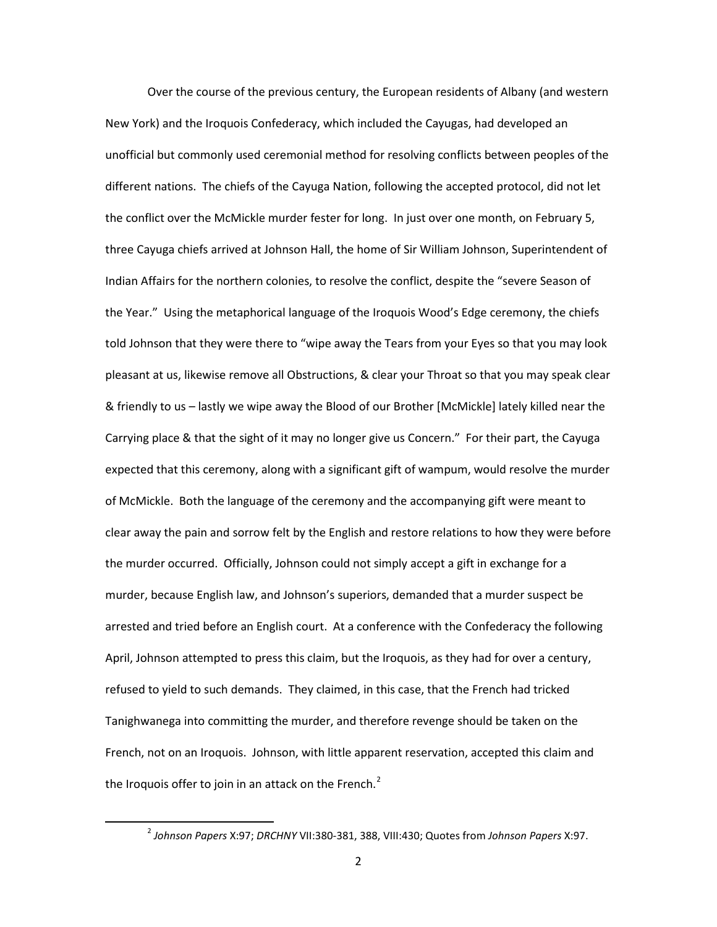Over the course of the previous century, the European residents of Albany (and western New York) and the Iroquois Confederacy, which included the Cayugas, had developed an unofficial but commonly used ceremonial method for resolving conflicts between peoples of the different nations. The chiefs of the Cayuga Nation, following the accepted protocol, did not let the conflict over the McMickle murder fester for long. In just over one month, on February 5, three Cayuga chiefs arrived at Johnson Hall, the home of Sir William Johnson, Superintendent of Indian Affairs for the northern colonies, to resolve the conflict, despite the "severe Season of the Year." Using the metaphorical language of the Iroquois Wood's Edge ceremony, the chiefs told Johnson that they were there to "wipe away the Tears from your Eyes so that you may look pleasant at us, likewise remove all Obstructions, & clear your Throat so that you may speak clear & friendly to us – lastly we wipe away the Blood of our Brother [McMickle] lately killed near the Carrying place & that the sight of it may no longer give us Concern." For their part, the Cayuga expected that this ceremony, along with a significant gift of wampum, would resolve the murder of McMickle. Both the language of the ceremony and the accompanying gift were meant to clear away the pain and sorrow felt by the English and restore relations to how they were before the murder occurred. Officially, Johnson could not simply accept a gift in exchange for a murder, because English law, and Johnson's superiors, demanded that a murder suspect be arrested and tried before an English court. At a conference with the Confederacy the following April, Johnson attempted to press this claim, but the Iroquois, as they had for over a century, refused to yield to such demands. They claimed, in this case, that the French had tricked Tanighwanega into committing the murder, and therefore revenge should be taken on the French, not on an Iroquois. Johnson, with little apparent reservation, accepted this claim and the Iroquois offer to join in an attack on the French. $<sup>2</sup>$  $<sup>2</sup>$  $<sup>2</sup>$ </sup>

<span id="page-4-0"></span> <sup>2</sup> *Johnson Papers* X:97; *DRCHNY* VII:380-381, 388, VIII:430; Quotes from *Johnson Papers* X:97.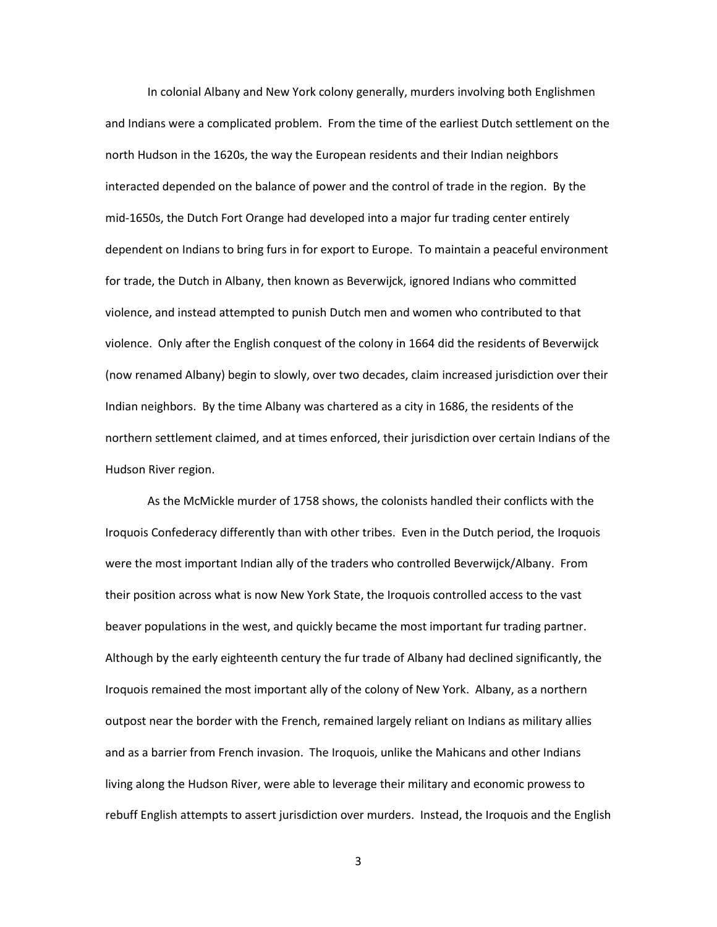In colonial Albany and New York colony generally, murders involving both Englishmen and Indians were a complicated problem. From the time of the earliest Dutch settlement on the north Hudson in the 1620s, the way the European residents and their Indian neighbors interacted depended on the balance of power and the control of trade in the region. By the mid-1650s, the Dutch Fort Orange had developed into a major fur trading center entirely dependent on Indians to bring furs in for export to Europe. To maintain a peaceful environment for trade, the Dutch in Albany, then known as Beverwijck, ignored Indians who committed violence, and instead attempted to punish Dutch men and women who contributed to that violence. Only after the English conquest of the colony in 1664 did the residents of Beverwijck (now renamed Albany) begin to slowly, over two decades, claim increased jurisdiction over their Indian neighbors. By the time Albany was chartered as a city in 1686, the residents of the northern settlement claimed, and at times enforced, their jurisdiction over certain Indians of the Hudson River region.

As the McMickle murder of 1758 shows, the colonists handled their conflicts with the Iroquois Confederacy differently than with other tribes. Even in the Dutch period, the Iroquois were the most important Indian ally of the traders who controlled Beverwijck/Albany. From their position across what is now New York State, the Iroquois controlled access to the vast beaver populations in the west, and quickly became the most important fur trading partner. Although by the early eighteenth century the fur trade of Albany had declined significantly, the Iroquois remained the most important ally of the colony of New York. Albany, as a northern outpost near the border with the French, remained largely reliant on Indians as military allies and as a barrier from French invasion. The Iroquois, unlike the Mahicans and other Indians living along the Hudson River, were able to leverage their military and economic prowess to rebuff English attempts to assert jurisdiction over murders. Instead, the Iroquois and the English

3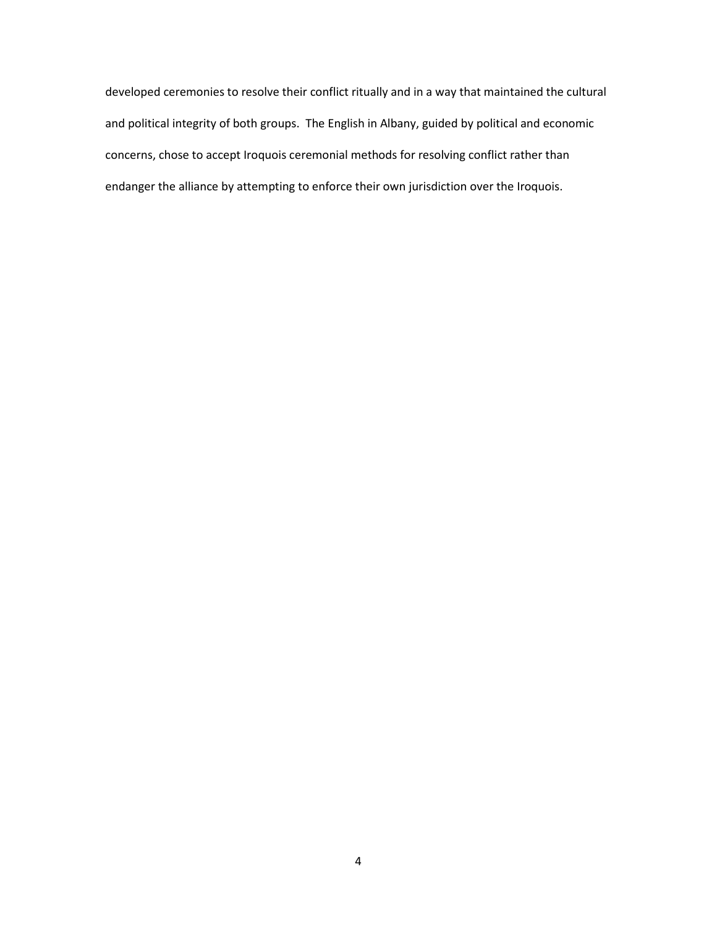developed ceremonies to resolve their conflict ritually and in a way that maintained the cultural and political integrity of both groups. The English in Albany, guided by political and economic concerns, chose to accept Iroquois ceremonial methods for resolving conflict rather than endanger the alliance by attempting to enforce their own jurisdiction over the Iroquois.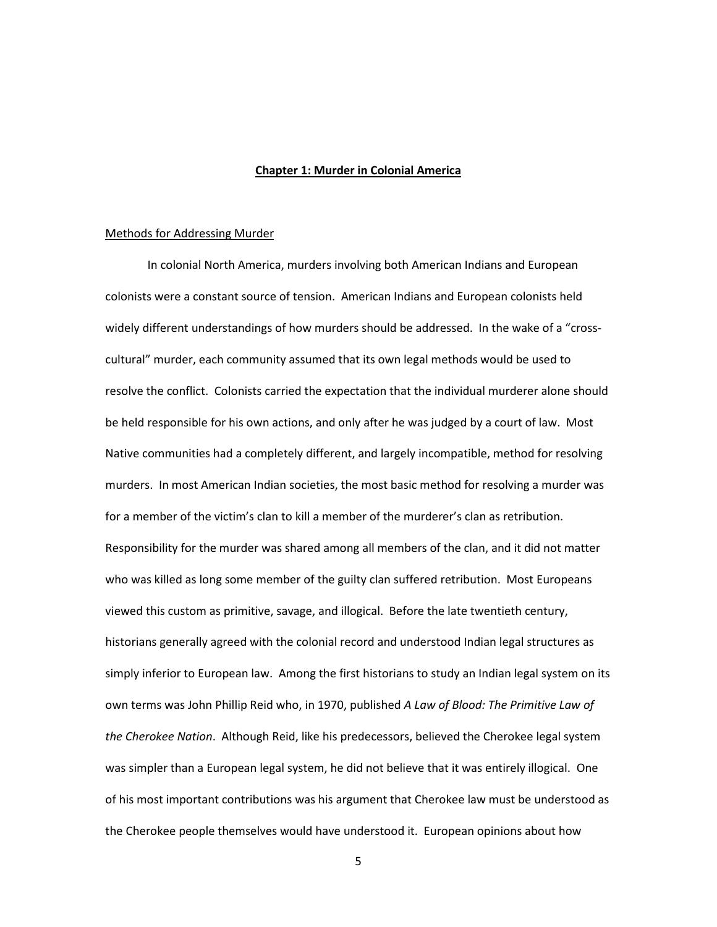## **Chapter 1: Murder in Colonial America**

#### Methods for Addressing Murder

In colonial North America, murders involving both American Indians and European colonists were a constant source of tension. American Indians and European colonists held widely different understandings of how murders should be addressed. In the wake of a "crosscultural" murder, each community assumed that its own legal methods would be used to resolve the conflict. Colonists carried the expectation that the individual murderer alone should be held responsible for his own actions, and only after he was judged by a court of law. Most Native communities had a completely different, and largely incompatible, method for resolving murders. In most American Indian societies, the most basic method for resolving a murder was for a member of the victim's clan to kill a member of the murderer's clan as retribution. Responsibility for the murder was shared among all members of the clan, and it did not matter who was killed as long some member of the guilty clan suffered retribution. Most Europeans viewed this custom as primitive, savage, and illogical. Before the late twentieth century, historians generally agreed with the colonial record and understood Indian legal structures as simply inferior to European law. Among the first historians to study an Indian legal system on its own terms was John Phillip Reid who, in 1970, published *A Law of Blood: The Primitive Law of the Cherokee Nation*. Although Reid, like his predecessors, believed the Cherokee legal system was simpler than a European legal system, he did not believe that it was entirely illogical. One of his most important contributions was his argument that Cherokee law must be understood as the Cherokee people themselves would have understood it. European opinions about how

5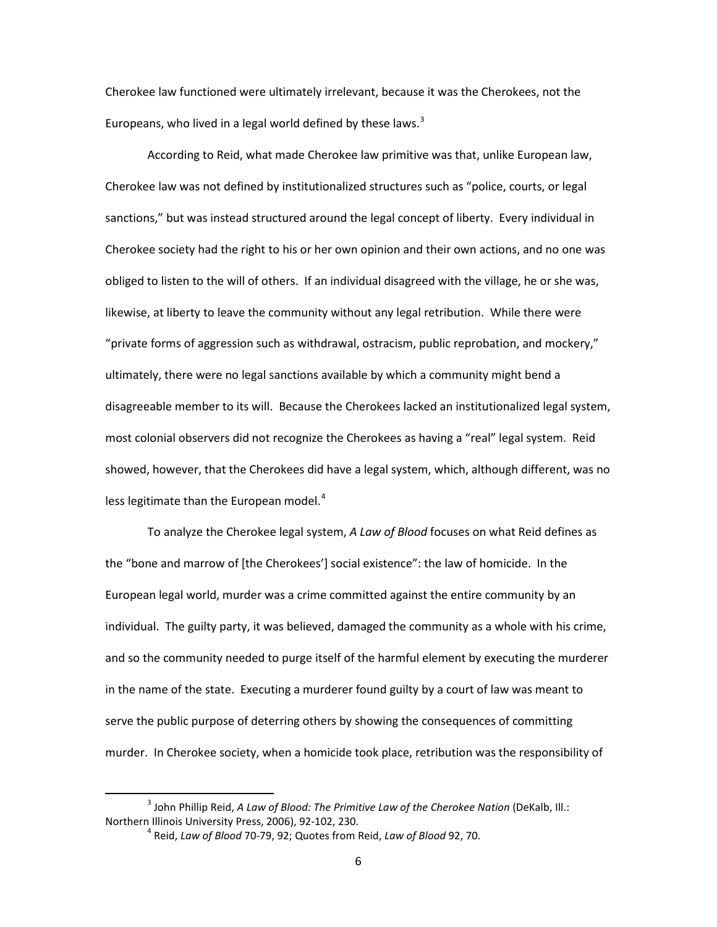Cherokee law functioned were ultimately irrelevant, because it was the Cherokees, not the Europeans, who lived in a legal world defined by these laws. $3$ 

According to Reid, what made Cherokee law primitive was that, unlike European law, Cherokee law was not defined by institutionalized structures such as "police, courts, or legal sanctions," but was instead structured around the legal concept of liberty. Every individual in Cherokee society had the right to his or her own opinion and their own actions, and no one was obliged to listen to the will of others. If an individual disagreed with the village, he or she was, likewise, at liberty to leave the community without any legal retribution. While there were "private forms of aggression such as withdrawal, ostracism, public reprobation, and mockery," ultimately, there were no legal sanctions available by which a community might bend a disagreeable member to its will. Because the Cherokees lacked an institutionalized legal system, most colonial observers did not recognize the Cherokees as having a "real" legal system. Reid showed, however, that the Cherokees did have a legal system, which, although different, was no less legitimate than the European model. $4$ 

To analyze the Cherokee legal system, *A Law of Blood* focuses on what Reid defines as the "bone and marrow of [the Cherokees'] social existence": the law of homicide. In the European legal world, murder was a crime committed against the entire community by an individual. The guilty party, it was believed, damaged the community as a whole with his crime, and so the community needed to purge itself of the harmful element by executing the murderer in the name of the state. Executing a murderer found guilty by a court of law was meant to serve the public purpose of deterring others by showing the consequences of committing murder. In Cherokee society, when a homicide took place, retribution was the responsibility of

<span id="page-8-1"></span><span id="page-8-0"></span><sup>&</sup>lt;sup>3</sup> John Phillip Reid, *A Law of Blood: The Primitive Law of the Cherokee Nation* (DeKalb, Ill.: Northern Illinois University Press, 2006), 92-102, 230.

<sup>4</sup> Reid, *Law of Blood* 70-79, 92; Quotes from Reid, *Law of Blood* 92, 70.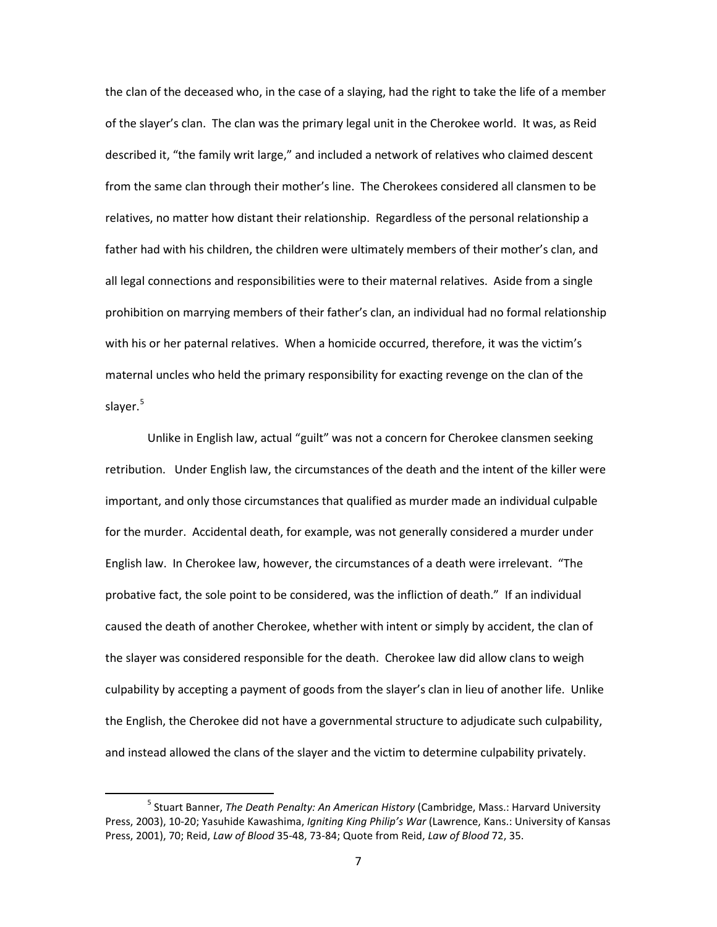the clan of the deceased who, in the case of a slaying, had the right to take the life of a member of the slayer's clan. The clan was the primary legal unit in the Cherokee world. It was, as Reid described it, "the family writ large," and included a network of relatives who claimed descent from the same clan through their mother's line. The Cherokees considered all clansmen to be relatives, no matter how distant their relationship. Regardless of the personal relationship a father had with his children, the children were ultimately members of their mother's clan, and all legal connections and responsibilities were to their maternal relatives. Aside from a single prohibition on marrying members of their father's clan, an individual had no formal relationship with his or her paternal relatives. When a homicide occurred, therefore, it was the victim's maternal uncles who held the primary responsibility for exacting revenge on the clan of the slayer.<sup>[5](#page-9-0)</sup>

Unlike in English law, actual "guilt" was not a concern for Cherokee clansmen seeking retribution. Under English law, the circumstances of the death and the intent of the killer were important, and only those circumstances that qualified as murder made an individual culpable for the murder. Accidental death, for example, was not generally considered a murder under English law. In Cherokee law, however, the circumstances of a death were irrelevant. "The probative fact, the sole point to be considered, was the infliction of death." If an individual caused the death of another Cherokee, whether with intent or simply by accident, the clan of the slayer was considered responsible for the death. Cherokee law did allow clans to weigh culpability by accepting a payment of goods from the slayer's clan in lieu of another life. Unlike the English, the Cherokee did not have a governmental structure to adjudicate such culpability, and instead allowed the clans of the slayer and the victim to determine culpability privately.

<span id="page-9-0"></span> <sup>5</sup> Stuart Banner, *The Death Penalty: An American History* (Cambridge, Mass.: Harvard University Press, 2003), 10-20; Yasuhide Kawashima, *Igniting King Philip's War* (Lawrence, Kans.: University of Kansas Press, 2001), 70; Reid, *Law of Blood* 35-48, 73-84; Quote from Reid, *Law of Blood* 72, 35.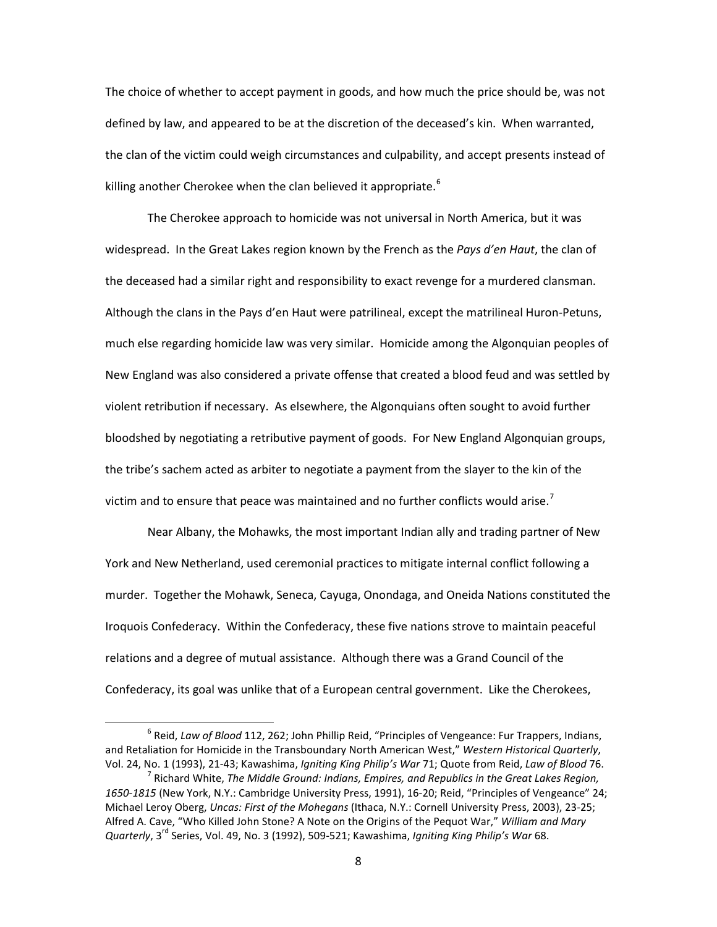The choice of whether to accept payment in goods, and how much the price should be, was not defined by law, and appeared to be at the discretion of the deceased's kin. When warranted, the clan of the victim could weigh circumstances and culpability, and accept presents instead of killing another Cherokee when the clan believed it appropriate.<sup>[6](#page-10-0)</sup>

The Cherokee approach to homicide was not universal in North America, but it was widespread. In the Great Lakes region known by the French as the *Pays d'en Haut*, the clan of the deceased had a similar right and responsibility to exact revenge for a murdered clansman. Although the clans in the Pays d'en Haut were patrilineal, except the matrilineal Huron-Petuns, much else regarding homicide law was very similar. Homicide among the Algonquian peoples of New England was also considered a private offense that created a blood feud and was settled by violent retribution if necessary. As elsewhere, the Algonquians often sought to avoid further bloodshed by negotiating a retributive payment of goods. For New England Algonquian groups, the tribe's sachem acted as arbiter to negotiate a payment from the slayer to the kin of the victim and to ensure that peace was maintained and no further conflicts would arise.<sup>[7](#page-10-1)</sup>

Near Albany, the Mohawks, the most important Indian ally and trading partner of New York and New Netherland, used ceremonial practices to mitigate internal conflict following a murder. Together the Mohawk, Seneca, Cayuga, Onondaga, and Oneida Nations constituted the Iroquois Confederacy. Within the Confederacy, these five nations strove to maintain peaceful relations and a degree of mutual assistance. Although there was a Grand Council of the Confederacy, its goal was unlike that of a European central government. Like the Cherokees,

<span id="page-10-0"></span> <sup>6</sup> Reid, *Law of Blood* 112, 262; John Phillip Reid, "Principles of Vengeance: Fur Trappers, Indians, and Retaliation for Homicide in the Transboundary North American West," *Western Historical Quarterly*, Vol. 24, No. 1 (1993), 21-43; Kawashima, *Igniting King Philip's War* 71; Quote from Reid, *Law of Blood* 76.

<span id="page-10-1"></span><sup>7</sup> Richard White, *The Middle Ground: Indians, Empires, and Republics in the Great Lakes Region, 1650-1815* (New York, N.Y.: Cambridge University Press, 1991), 16-20; Reid, "Principles of Vengeance" 24; Michael Leroy Oberg, *Uncas: First of the Mohegans* (Ithaca, N.Y.: Cornell University Press, 2003), 23-25; Alfred A. Cave, "Who Killed John Stone? A Note on the Origins of the Pequot War," *William and Mary Quarterly*, 3rd Series, Vol. 49, No. 3 (1992), 509-521; Kawashima, *Igniting King Philip's War* 68.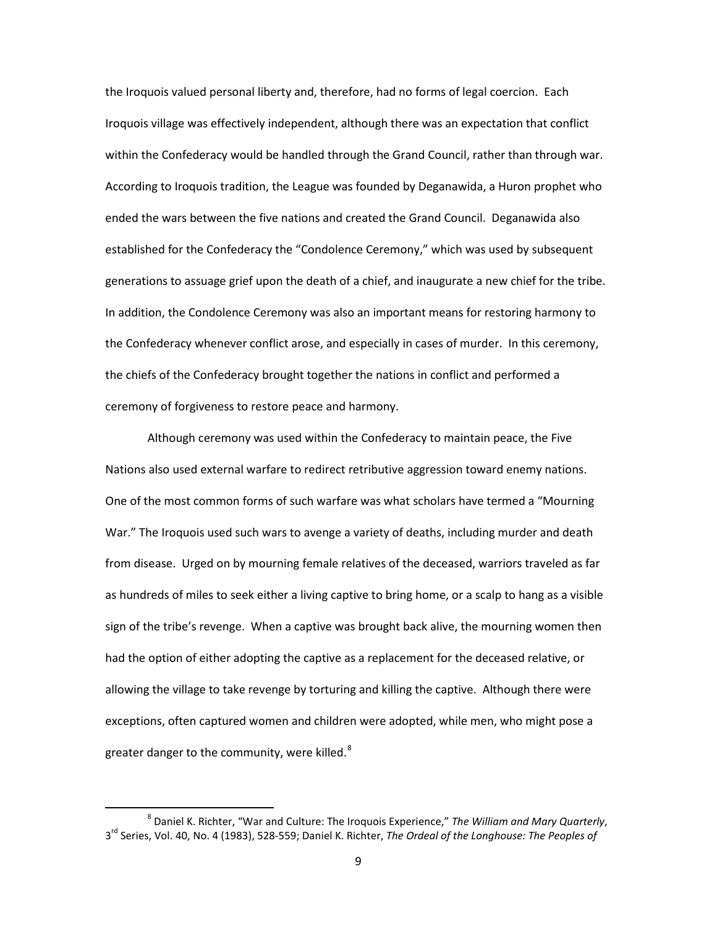the Iroquois valued personal liberty and, therefore, had no forms of legal coercion. Each Iroquois village was effectively independent, although there was an expectation that conflict within the Confederacy would be handled through the Grand Council, rather than through war. According to Iroquois tradition, the League was founded by Deganawida, a Huron prophet who ended the wars between the five nations and created the Grand Council. Deganawida also established for the Confederacy the "Condolence Ceremony," which was used by subsequent generations to assuage grief upon the death of a chief, and inaugurate a new chief for the tribe. In addition, the Condolence Ceremony was also an important means for restoring harmony to the Confederacy whenever conflict arose, and especially in cases of murder. In this ceremony, the chiefs of the Confederacy brought together the nations in conflict and performed a ceremony of forgiveness to restore peace and harmony.

Although ceremony was used within the Confederacy to maintain peace, the Five Nations also used external warfare to redirect retributive aggression toward enemy nations. One of the most common forms of such warfare was what scholars have termed a "Mourning War." The Iroquois used such wars to avenge a variety of deaths, including murder and death from disease. Urged on by mourning female relatives of the deceased, warriors traveled as far as hundreds of miles to seek either a living captive to bring home, or a scalp to hang as a visible sign of the tribe's revenge. When a captive was brought back alive, the mourning women then had the option of either adopting the captive as a replacement for the deceased relative, or allowing the village to take revenge by torturing and killing the captive. Although there were exceptions, often captured women and children were adopted, while men, who might pose a greater danger to the community, were killed.<sup>[8](#page-11-0)</sup>

<span id="page-11-0"></span> <sup>8</sup> Daniel K. Richter, "War and Culture: The Iroquois Experience," *The William and Mary Quarterly*, 3rd Series, Vol. 40, No. 4 (1983), 528-559; Daniel K. Richter, *The Ordeal of the Longhouse: The Peoples of*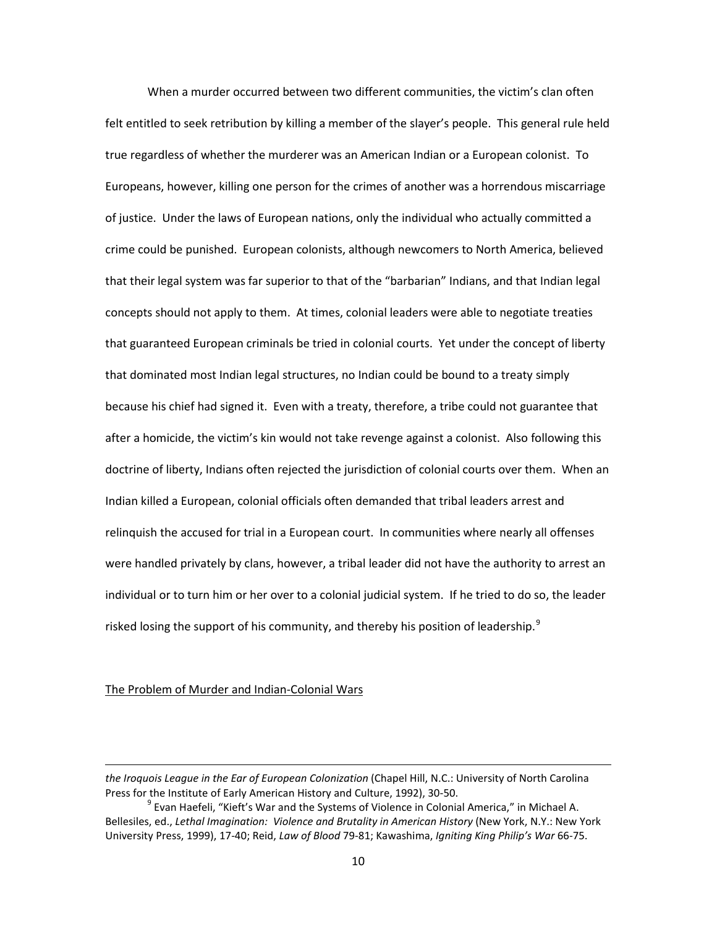When a murder occurred between two different communities, the victim's clan often felt entitled to seek retribution by killing a member of the slayer's people. This general rule held true regardless of whether the murderer was an American Indian or a European colonist. To Europeans, however, killing one person for the crimes of another was a horrendous miscarriage of justice. Under the laws of European nations, only the individual who actually committed a crime could be punished. European colonists, although newcomers to North America, believed that their legal system was far superior to that of the "barbarian" Indians, and that Indian legal concepts should not apply to them. At times, colonial leaders were able to negotiate treaties that guaranteed European criminals be tried in colonial courts. Yet under the concept of liberty that dominated most Indian legal structures, no Indian could be bound to a treaty simply because his chief had signed it. Even with a treaty, therefore, a tribe could not guarantee that after a homicide, the victim's kin would not take revenge against a colonist. Also following this doctrine of liberty, Indians often rejected the jurisdiction of colonial courts over them. When an Indian killed a European, colonial officials often demanded that tribal leaders arrest and relinquish the accused for trial in a European court. In communities where nearly all offenses were handled privately by clans, however, a tribal leader did not have the authority to arrest an individual or to turn him or her over to a colonial judicial system. If he tried to do so, the leader risked losing the support of his community, and thereby his position of leadership. $9$ 

## The Problem of Murder and Indian-Colonial Wars

 $\overline{\phantom{0}}$ 

*the Iroquois League in the Ear of European Colonization* (Chapel Hill, N.C.: University of North Carolina Press for the Institute of Early American History and Culture, 1992), 30-50.

<span id="page-12-0"></span> $9$  Evan Haefeli, "Kieft's War and the Systems of Violence in Colonial America," in Michael A. Bellesiles, ed., *Lethal Imagination: Violence and Brutality in American History* (New York, N.Y.: New York University Press, 1999), 17-40; Reid, *Law of Blood* 79-81; Kawashima, *Igniting King Philip's War* 66-75.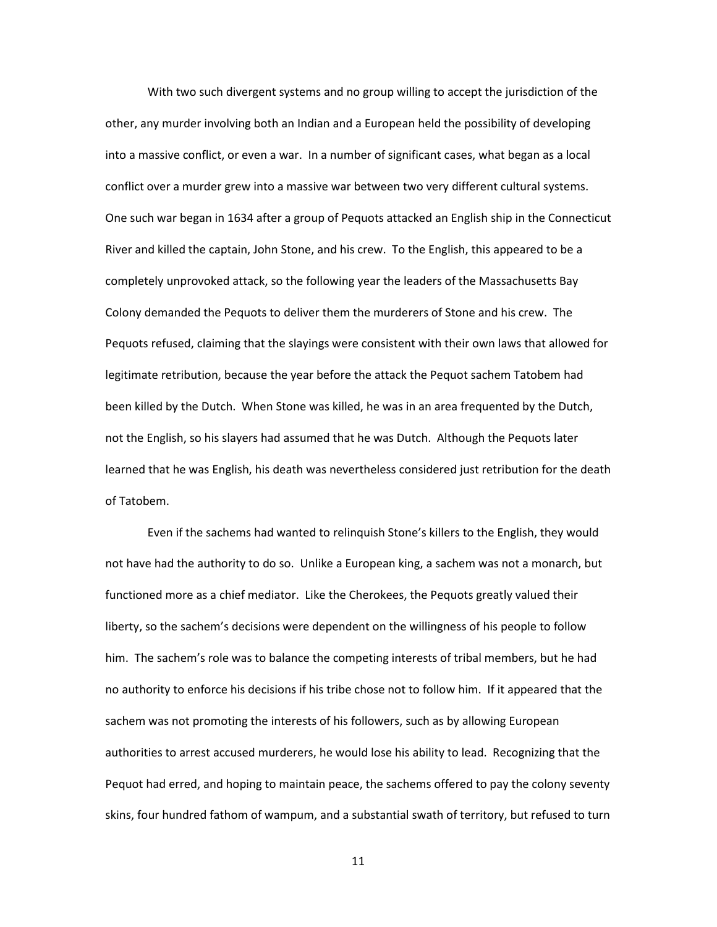With two such divergent systems and no group willing to accept the jurisdiction of the other, any murder involving both an Indian and a European held the possibility of developing into a massive conflict, or even a war. In a number of significant cases, what began as a local conflict over a murder grew into a massive war between two very different cultural systems. One such war began in 1634 after a group of Pequots attacked an English ship in the Connecticut River and killed the captain, John Stone, and his crew. To the English, this appeared to be a completely unprovoked attack, so the following year the leaders of the Massachusetts Bay Colony demanded the Pequots to deliver them the murderers of Stone and his crew. The Pequots refused, claiming that the slayings were consistent with their own laws that allowed for legitimate retribution, because the year before the attack the Pequot sachem Tatobem had been killed by the Dutch. When Stone was killed, he was in an area frequented by the Dutch, not the English, so his slayers had assumed that he was Dutch. Although the Pequots later learned that he was English, his death was nevertheless considered just retribution for the death of Tatobem.

Even if the sachems had wanted to relinquish Stone's killers to the English, they would not have had the authority to do so. Unlike a European king, a sachem was not a monarch, but functioned more as a chief mediator. Like the Cherokees, the Pequots greatly valued their liberty, so the sachem's decisions were dependent on the willingness of his people to follow him. The sachem's role was to balance the competing interests of tribal members, but he had no authority to enforce his decisions if his tribe chose not to follow him. If it appeared that the sachem was not promoting the interests of his followers, such as by allowing European authorities to arrest accused murderers, he would lose his ability to lead. Recognizing that the Pequot had erred, and hoping to maintain peace, the sachems offered to pay the colony seventy skins, four hundred fathom of wampum, and a substantial swath of territory, but refused to turn

11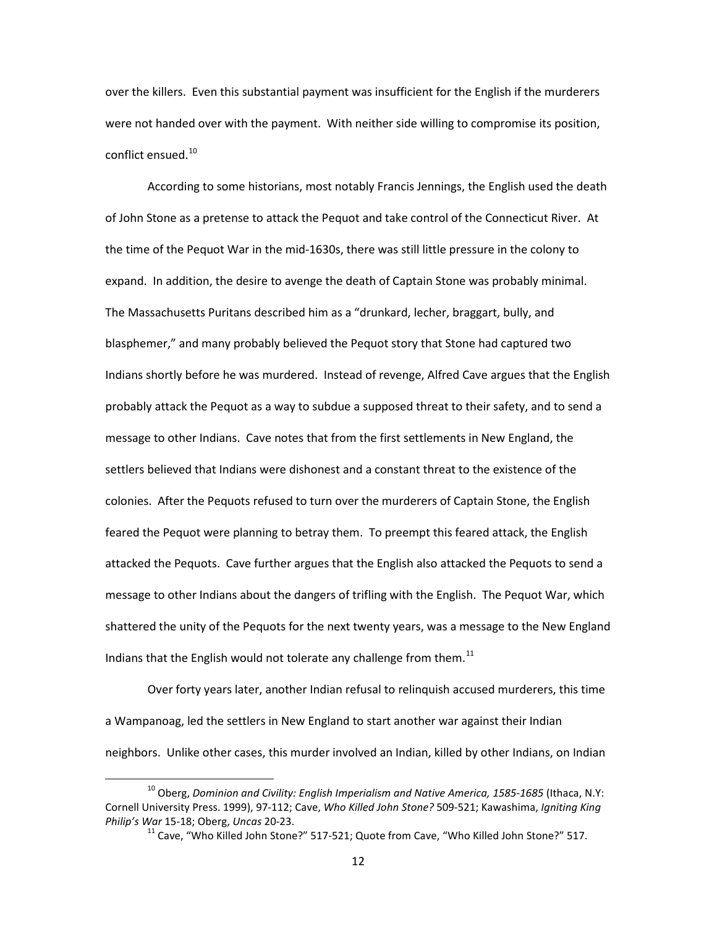over the killers. Even this substantial payment was insufficient for the English if the murderers were not handed over with the payment. With neither side willing to compromise its position, conflict ensued.<sup>[10](#page-14-0)</sup>

According to some historians, most notably Francis Jennings, the English used the death of John Stone as a pretense to attack the Pequot and take control of the Connecticut River. At the time of the Pequot War in the mid-1630s, there was still little pressure in the colony to expand. In addition, the desire to avenge the death of Captain Stone was probably minimal. The Massachusetts Puritans described him as a "drunkard, lecher, braggart, bully, and blasphemer," and many probably believed the Pequot story that Stone had captured two Indians shortly before he was murdered. Instead of revenge, Alfred Cave argues that the English probably attack the Pequot as a way to subdue a supposed threat to their safety, and to send a message to other Indians. Cave notes that from the first settlements in New England, the settlers believed that Indians were dishonest and a constant threat to the existence of the colonies. After the Pequots refused to turn over the murderers of Captain Stone, the English feared the Pequot were planning to betray them. To preempt this feared attack, the English attacked the Pequots. Cave further argues that the English also attacked the Pequots to send a message to other Indians about the dangers of trifling with the English. The Pequot War, which shattered the unity of the Pequots for the next twenty years, was a message to the New England Indians that the English would not tolerate any challenge from them. $^{11}$  $^{11}$  $^{11}$ 

Over forty years later, another Indian refusal to relinquish accused murderers, this time a Wampanoag, led the settlers in New England to start another war against their Indian neighbors. Unlike other cases, this murder involved an Indian, killed by other Indians, on Indian

<span id="page-14-1"></span><span id="page-14-0"></span><sup>&</sup>lt;sup>10</sup> Oberg, *Dominion and Civility: English Imperialism and Native America, 1585-1685* (Ithaca, N.Y: Cornell University Press. 1999), 97-112; Cave, *Who Killed John Stone?* 509-521; Kawashima, *Igniting King Philip's War* 15-18; Oberg, *Uncas* 20-23.

 $11$  Cave, "Who Killed John Stone?" 517-521; Quote from Cave, "Who Killed John Stone?" 517.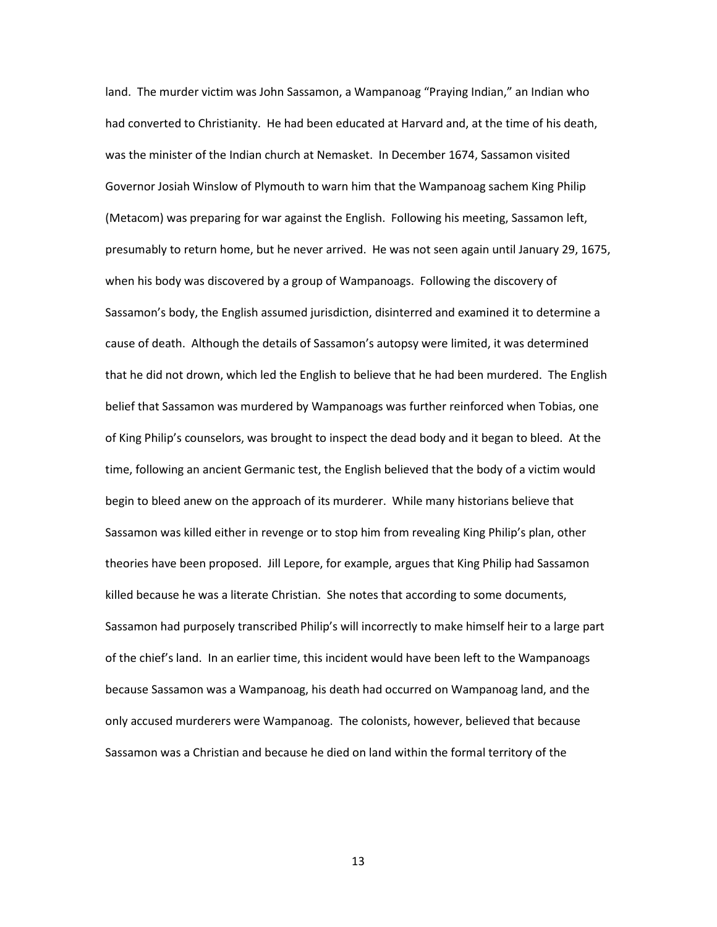land. The murder victim was John Sassamon, a Wampanoag "Praying Indian," an Indian who had converted to Christianity. He had been educated at Harvard and, at the time of his death, was the minister of the Indian church at Nemasket. In December 1674, Sassamon visited Governor Josiah Winslow of Plymouth to warn him that the Wampanoag sachem King Philip (Metacom) was preparing for war against the English. Following his meeting, Sassamon left, presumably to return home, but he never arrived. He was not seen again until January 29, 1675, when his body was discovered by a group of Wampanoags. Following the discovery of Sassamon's body, the English assumed jurisdiction, disinterred and examined it to determine a cause of death. Although the details of Sassamon's autopsy were limited, it was determined that he did not drown, which led the English to believe that he had been murdered. The English belief that Sassamon was murdered by Wampanoags was further reinforced when Tobias, one of King Philip's counselors, was brought to inspect the dead body and it began to bleed. At the time, following an ancient Germanic test, the English believed that the body of a victim would begin to bleed anew on the approach of its murderer. While many historians believe that Sassamon was killed either in revenge or to stop him from revealing King Philip's plan, other theories have been proposed. Jill Lepore, for example, argues that King Philip had Sassamon killed because he was a literate Christian. She notes that according to some documents, Sassamon had purposely transcribed Philip's will incorrectly to make himself heir to a large part of the chief's land. In an earlier time, this incident would have been left to the Wampanoags because Sassamon was a Wampanoag, his death had occurred on Wampanoag land, and the only accused murderers were Wampanoag. The colonists, however, believed that because Sassamon was a Christian and because he died on land within the formal territory of the

13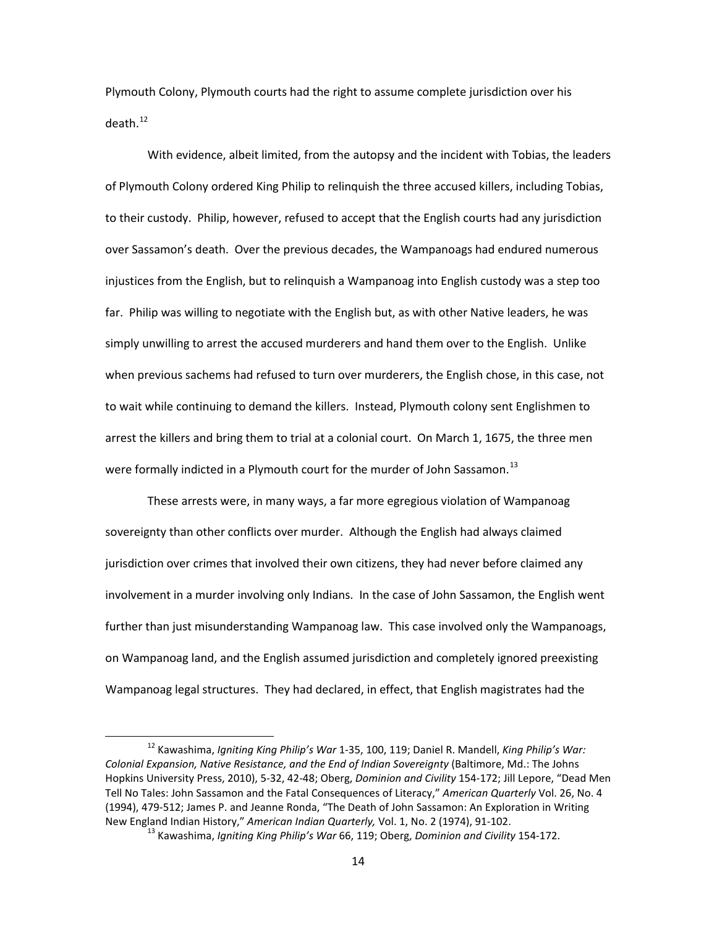Plymouth Colony, Plymouth courts had the right to assume complete jurisdiction over his death.<sup>[12](#page-16-0)</sup>

With evidence, albeit limited, from the autopsy and the incident with Tobias, the leaders of Plymouth Colony ordered King Philip to relinquish the three accused killers, including Tobias, to their custody. Philip, however, refused to accept that the English courts had any jurisdiction over Sassamon's death. Over the previous decades, the Wampanoags had endured numerous injustices from the English, but to relinquish a Wampanoag into English custody was a step too far. Philip was willing to negotiate with the English but, as with other Native leaders, he was simply unwilling to arrest the accused murderers and hand them over to the English. Unlike when previous sachems had refused to turn over murderers, the English chose, in this case, not to wait while continuing to demand the killers. Instead, Plymouth colony sent Englishmen to arrest the killers and bring them to trial at a colonial court. On March 1, 1675, the three men were formally indicted in a Plymouth court for the murder of John Sassamon.<sup>[13](#page-16-1)</sup>

These arrests were, in many ways, a far more egregious violation of Wampanoag sovereignty than other conflicts over murder. Although the English had always claimed jurisdiction over crimes that involved their own citizens, they had never before claimed any involvement in a murder involving only Indians. In the case of John Sassamon, the English went further than just misunderstanding Wampanoag law. This case involved only the Wampanoags, on Wampanoag land, and the English assumed jurisdiction and completely ignored preexisting Wampanoag legal structures. They had declared, in effect, that English magistrates had the

<span id="page-16-1"></span><span id="page-16-0"></span> <sup>12</sup> Kawashima, *Igniting King Philip's War* 1-35, 100, 119; Daniel R. Mandell, *King Philip's War: Colonial Expansion, Native Resistance, and the End of Indian Sovereignty* (Baltimore, Md.: The Johns Hopkins University Press, 2010), 5-32, 42-48; Oberg, *Dominion and Civility* 154-172; Jill Lepore, "Dead Men Tell No Tales: John Sassamon and the Fatal Consequences of Literacy," *American Quarterly* Vol. 26, No. 4 (1994), 479-512; James P. and Jeanne Ronda, "The Death of John Sassamon: An Exploration in Writing New England Indian History," *American Indian Quarterly,* Vol. 1, No. 2 (1974), 91-102.

<sup>13</sup> Kawashima, *Igniting King Philip's War* 66, 119; Oberg, *Dominion and Civility* 154-172.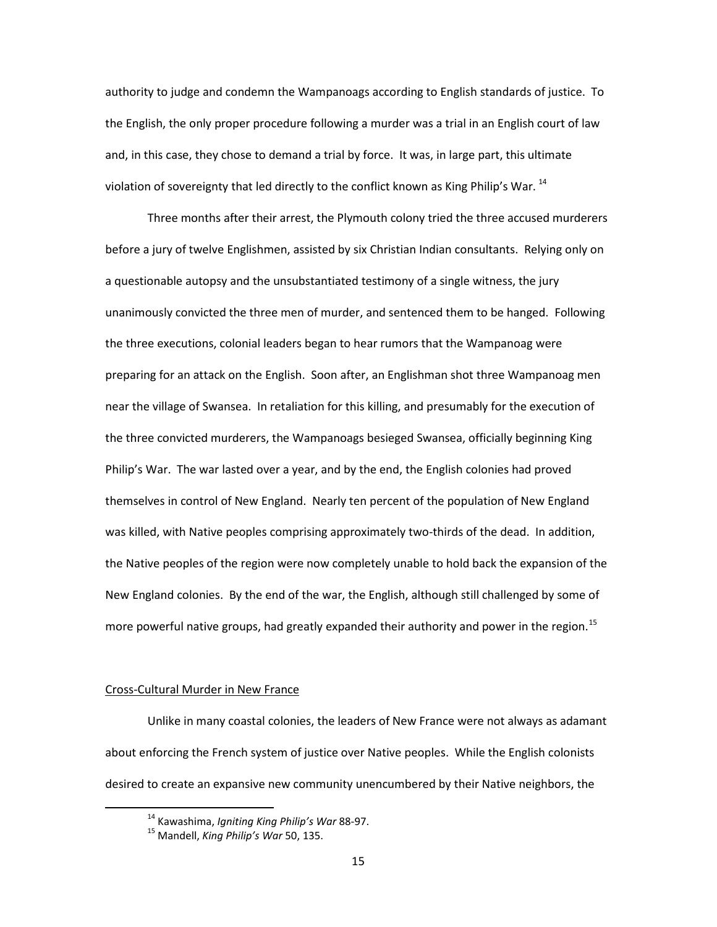authority to judge and condemn the Wampanoags according to English standards of justice. To the English, the only proper procedure following a murder was a trial in an English court of law and, in this case, they chose to demand a trial by force. It was, in large part, this ultimate violation of sovereignty that led directly to the conflict known as King Philip's War.<sup>[14](#page-17-0)</sup>

Three months after their arrest, the Plymouth colony tried the three accused murderers before a jury of twelve Englishmen, assisted by six Christian Indian consultants. Relying only on a questionable autopsy and the unsubstantiated testimony of a single witness, the jury unanimously convicted the three men of murder, and sentenced them to be hanged. Following the three executions, colonial leaders began to hear rumors that the Wampanoag were preparing for an attack on the English. Soon after, an Englishman shot three Wampanoag men near the village of Swansea. In retaliation for this killing, and presumably for the execution of the three convicted murderers, the Wampanoags besieged Swansea, officially beginning King Philip's War. The war lasted over a year, and by the end, the English colonies had proved themselves in control of New England. Nearly ten percent of the population of New England was killed, with Native peoples comprising approximately two-thirds of the dead. In addition, the Native peoples of the region were now completely unable to hold back the expansion of the New England colonies. By the end of the war, the English, although still challenged by some of more powerful native groups, had greatly expanded their authority and power in the region.<sup>[15](#page-17-1)</sup>

# Cross-Cultural Murder in New France

<span id="page-17-0"></span>Unlike in many coastal colonies, the leaders of New France were not always as adamant about enforcing the French system of justice over Native peoples. While the English colonists desired to create an expansive new community unencumbered by their Native neighbors, the

 <sup>14</sup> Kawashima, *Igniting King Philip's War* 88-97.

<span id="page-17-1"></span><sup>15</sup> Mandell, *King Philip's War* 50, 135.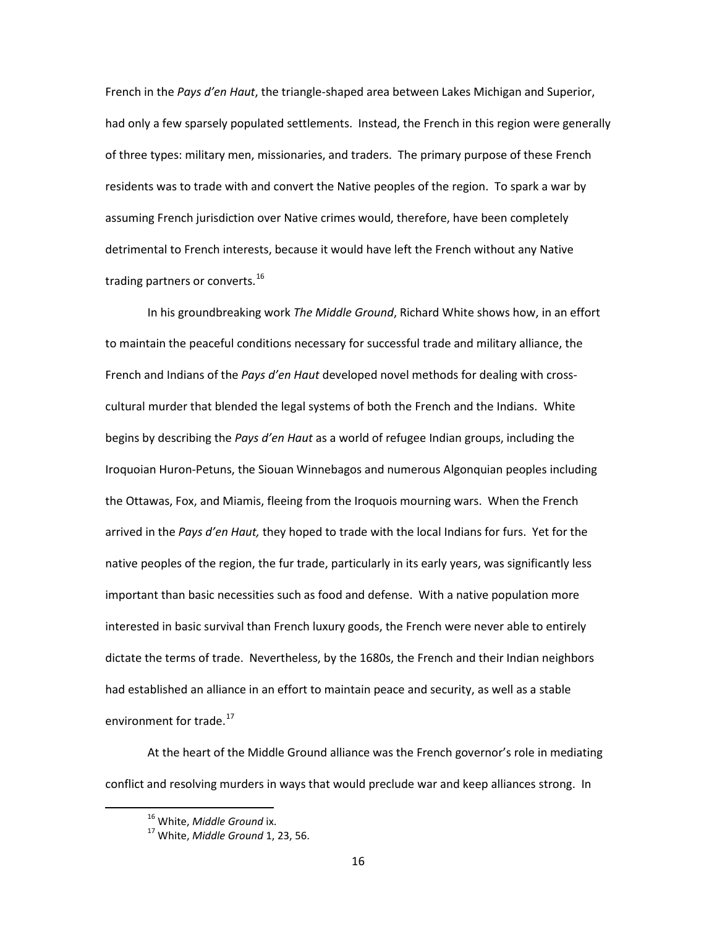French in the *Pays d'en Haut*, the triangle-shaped area between Lakes Michigan and Superior, had only a few sparsely populated settlements. Instead, the French in this region were generally of three types: military men, missionaries, and traders. The primary purpose of these French residents was to trade with and convert the Native peoples of the region. To spark a war by assuming French jurisdiction over Native crimes would, therefore, have been completely detrimental to French interests, because it would have left the French without any Native trading partners or converts.<sup>[16](#page-18-0)</sup>

In his groundbreaking work *The Middle Ground*, Richard White shows how, in an effort to maintain the peaceful conditions necessary for successful trade and military alliance, the French and Indians of the *Pays d'en Haut* developed novel methods for dealing with crosscultural murder that blended the legal systems of both the French and the Indians. White begins by describing the *Pays d'en Haut* as a world of refugee Indian groups, including the Iroquoian Huron-Petuns, the Siouan Winnebagos and numerous Algonquian peoples including the Ottawas, Fox, and Miamis, fleeing from the Iroquois mourning wars. When the French arrived in the *Pays d'en Haut,* they hoped to trade with the local Indians for furs. Yet for the native peoples of the region, the fur trade, particularly in its early years, was significantly less important than basic necessities such as food and defense. With a native population more interested in basic survival than French luxury goods, the French were never able to entirely dictate the terms of trade. Nevertheless, by the 1680s, the French and their Indian neighbors had established an alliance in an effort to maintain peace and security, as well as a stable environment for trade.<sup>[17](#page-18-1)</sup>

<span id="page-18-1"></span><span id="page-18-0"></span>At the heart of the Middle Ground alliance was the French governor's role in mediating conflict and resolving murders in ways that would preclude war and keep alliances strong. In

 <sup>16</sup> White, *Middle Ground* ix.

<sup>17</sup> White, *Middle Ground* 1, 23, 56.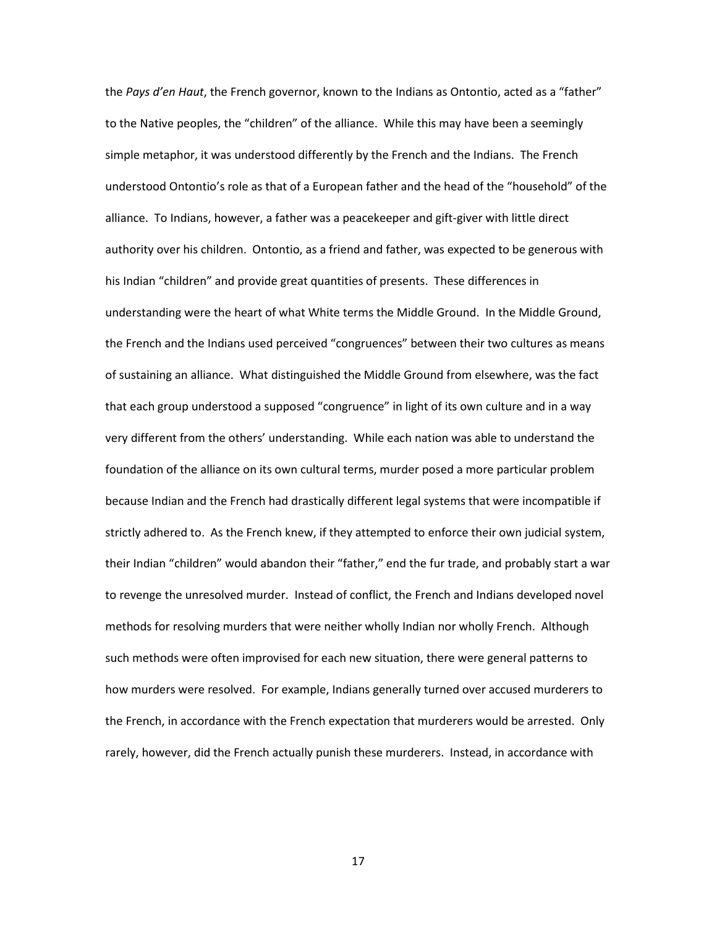the *Pays d'en Haut*, the French governor, known to the Indians as Ontontio, acted as a "father" to the Native peoples, the "children" of the alliance. While this may have been a seemingly simple metaphor, it was understood differently by the French and the Indians. The French understood Ontontio's role as that of a European father and the head of the "household" of the alliance. To Indians, however, a father was a peacekeeper and gift-giver with little direct authority over his children. Ontontio, as a friend and father, was expected to be generous with his Indian "children" and provide great quantities of presents. These differences in understanding were the heart of what White terms the Middle Ground. In the Middle Ground, the French and the Indians used perceived "congruences" between their two cultures as means of sustaining an alliance. What distinguished the Middle Ground from elsewhere, was the fact that each group understood a supposed "congruence" in light of its own culture and in a way very different from the others' understanding. While each nation was able to understand the foundation of the alliance on its own cultural terms, murder posed a more particular problem because Indian and the French had drastically different legal systems that were incompatible if strictly adhered to. As the French knew, if they attempted to enforce their own judicial system, their Indian "children" would abandon their "father," end the fur trade, and probably start a war to revenge the unresolved murder. Instead of conflict, the French and Indians developed novel methods for resolving murders that were neither wholly Indian nor wholly French. Although such methods were often improvised for each new situation, there were general patterns to how murders were resolved. For example, Indians generally turned over accused murderers to the French, in accordance with the French expectation that murderers would be arrested. Only rarely, however, did the French actually punish these murderers. Instead, in accordance with

17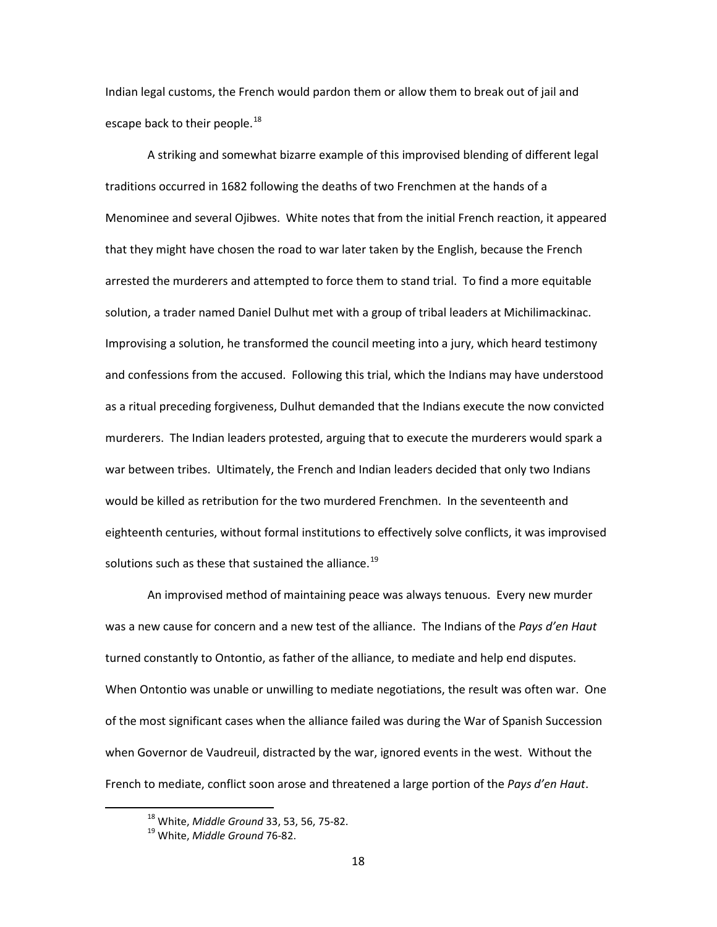Indian legal customs, the French would pardon them or allow them to break out of jail and escape back to their people.<sup>[18](#page-20-0)</sup>

A striking and somewhat bizarre example of this improvised blending of different legal traditions occurred in 1682 following the deaths of two Frenchmen at the hands of a Menominee and several Ojibwes. White notes that from the initial French reaction, it appeared that they might have chosen the road to war later taken by the English, because the French arrested the murderers and attempted to force them to stand trial. To find a more equitable solution, a trader named Daniel Dulhut met with a group of tribal leaders at Michilimackinac. Improvising a solution, he transformed the council meeting into a jury, which heard testimony and confessions from the accused. Following this trial, which the Indians may have understood as a ritual preceding forgiveness, Dulhut demanded that the Indians execute the now convicted murderers. The Indian leaders protested, arguing that to execute the murderers would spark a war between tribes. Ultimately, the French and Indian leaders decided that only two Indians would be killed as retribution for the two murdered Frenchmen. In the seventeenth and eighteenth centuries, without formal institutions to effectively solve conflicts, it was improvised solutions such as these that sustained the alliance.<sup>[19](#page-20-1)</sup>

An improvised method of maintaining peace was always tenuous. Every new murder was a new cause for concern and a new test of the alliance. The Indians of the *Pays d'en Haut*  turned constantly to Ontontio, as father of the alliance, to mediate and help end disputes. When Ontontio was unable or unwilling to mediate negotiations, the result was often war. One of the most significant cases when the alliance failed was during the War of Spanish Succession when Governor de Vaudreuil, distracted by the war, ignored events in the west. Without the French to mediate, conflict soon arose and threatened a large portion of the *Pays d'en Haut*.

<span id="page-20-0"></span> <sup>18</sup> White, *Middle Ground* 33, 53, 56, 75-82.

<span id="page-20-1"></span><sup>19</sup> White, *Middle Ground* 76-82.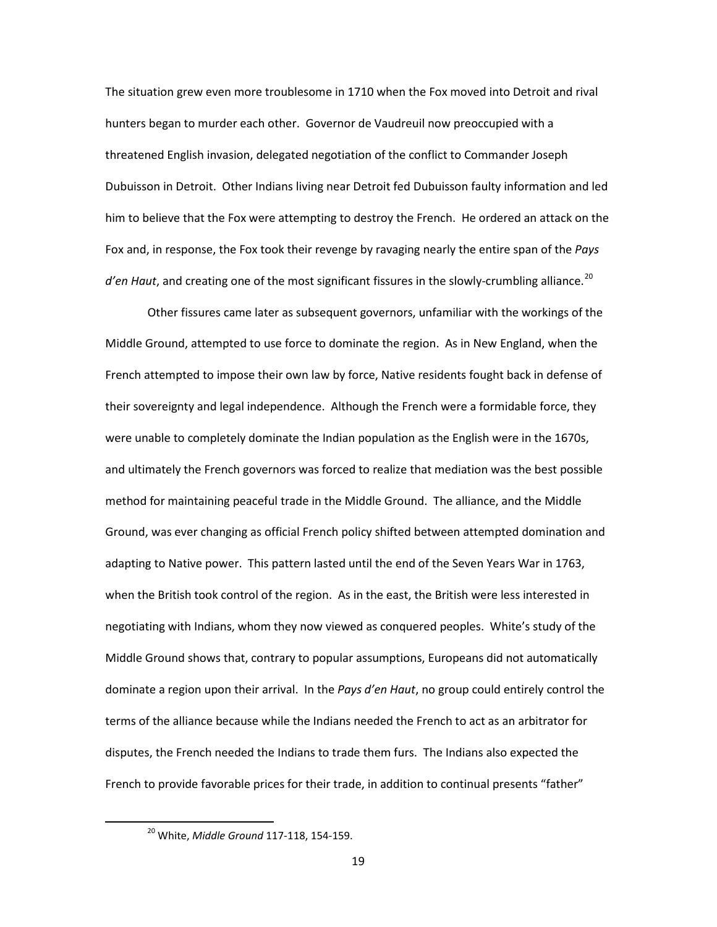The situation grew even more troublesome in 1710 when the Fox moved into Detroit and rival hunters began to murder each other. Governor de Vaudreuil now preoccupied with a threatened English invasion, delegated negotiation of the conflict to Commander Joseph Dubuisson in Detroit. Other Indians living near Detroit fed Dubuisson faulty information and led him to believe that the Fox were attempting to destroy the French. He ordered an attack on the Fox and, in response, the Fox took their revenge by ravaging nearly the entire span of the *Pays d'en Haut*, and creating one of the most significant fissures in the slowly-crumbling alliance.<sup>[20](#page-21-0)</sup>

Other fissures came later as subsequent governors, unfamiliar with the workings of the Middle Ground, attempted to use force to dominate the region. As in New England, when the French attempted to impose their own law by force, Native residents fought back in defense of their sovereignty and legal independence. Although the French were a formidable force, they were unable to completely dominate the Indian population as the English were in the 1670s, and ultimately the French governors was forced to realize that mediation was the best possible method for maintaining peaceful trade in the Middle Ground. The alliance, and the Middle Ground, was ever changing as official French policy shifted between attempted domination and adapting to Native power. This pattern lasted until the end of the Seven Years War in 1763, when the British took control of the region. As in the east, the British were less interested in negotiating with Indians, whom they now viewed as conquered peoples. White's study of the Middle Ground shows that, contrary to popular assumptions, Europeans did not automatically dominate a region upon their arrival. In the *Pays d'en Haut*, no group could entirely control the terms of the alliance because while the Indians needed the French to act as an arbitrator for disputes, the French needed the Indians to trade them furs. The Indians also expected the French to provide favorable prices for their trade, in addition to continual presents "father"

<span id="page-21-0"></span> <sup>20</sup> White, *Middle Ground* 117-118, 154-159.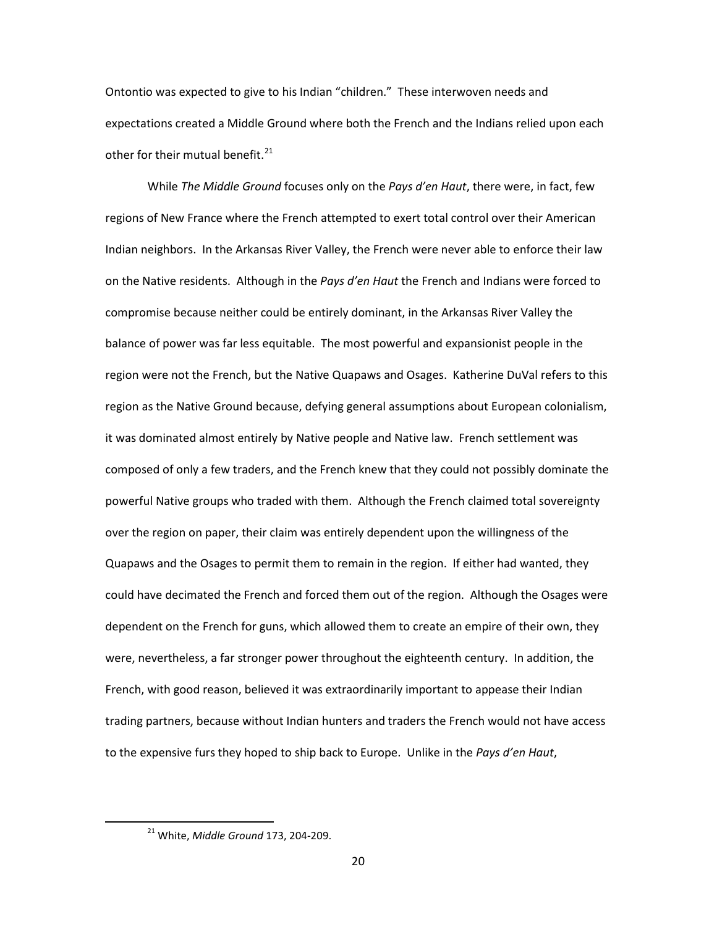Ontontio was expected to give to his Indian "children." These interwoven needs and expectations created a Middle Ground where both the French and the Indians relied upon each other for their mutual benefit. $^{21}$  $^{21}$  $^{21}$ 

While *The Middle Ground* focuses only on the *Pays d'en Haut*, there were, in fact, few regions of New France where the French attempted to exert total control over their American Indian neighbors. In the Arkansas River Valley, the French were never able to enforce their law on the Native residents. Although in the *Pays d'en Haut* the French and Indians were forced to compromise because neither could be entirely dominant, in the Arkansas River Valley the balance of power was far less equitable. The most powerful and expansionist people in the region were not the French, but the Native Quapaws and Osages. Katherine DuVal refers to this region as the Native Ground because, defying general assumptions about European colonialism, it was dominated almost entirely by Native people and Native law. French settlement was composed of only a few traders, and the French knew that they could not possibly dominate the powerful Native groups who traded with them. Although the French claimed total sovereignty over the region on paper, their claim was entirely dependent upon the willingness of the Quapaws and the Osages to permit them to remain in the region. If either had wanted, they could have decimated the French and forced them out of the region. Although the Osages were dependent on the French for guns, which allowed them to create an empire of their own, they were, nevertheless, a far stronger power throughout the eighteenth century. In addition, the French, with good reason, believed it was extraordinarily important to appease their Indian trading partners, because without Indian hunters and traders the French would not have access to the expensive furs they hoped to ship back to Europe. Unlike in the *Pays d'en Haut*,

<span id="page-22-0"></span> <sup>21</sup> White, *Middle Ground* 173, 204-209.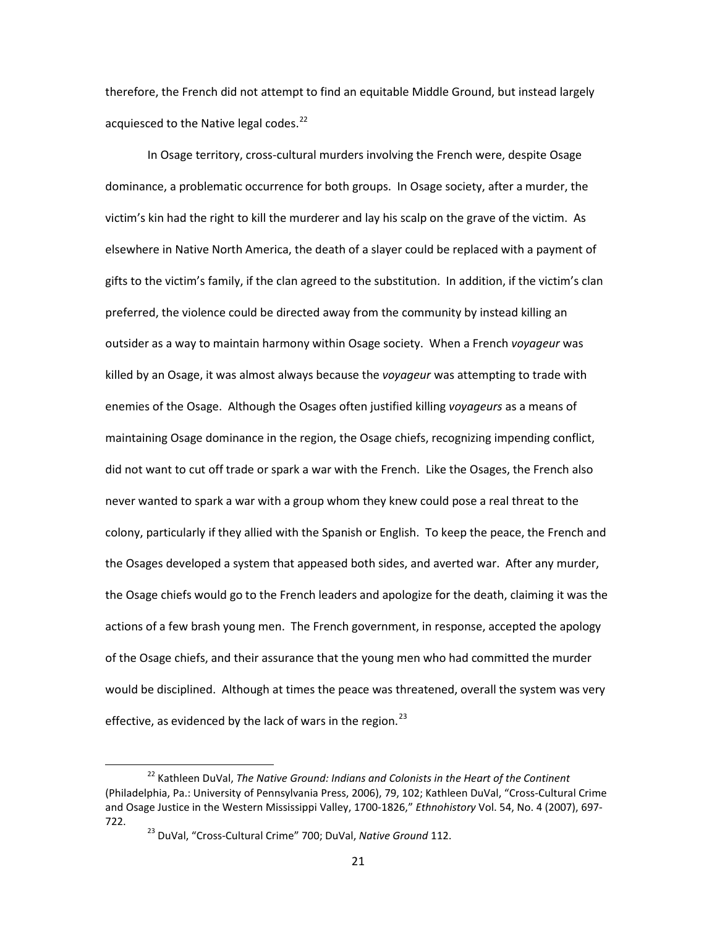therefore, the French did not attempt to find an equitable Middle Ground, but instead largely acquiesced to the Native legal codes.<sup>[22](#page-23-0)</sup>

In Osage territory, cross-cultural murders involving the French were, despite Osage dominance, a problematic occurrence for both groups. In Osage society, after a murder, the victim's kin had the right to kill the murderer and lay his scalp on the grave of the victim. As elsewhere in Native North America, the death of a slayer could be replaced with a payment of gifts to the victim's family, if the clan agreed to the substitution. In addition, if the victim's clan preferred, the violence could be directed away from the community by instead killing an outsider as a way to maintain harmony within Osage society. When a French *voyageur* was killed by an Osage, it was almost always because the *voyageur* was attempting to trade with enemies of the Osage. Although the Osages often justified killing *voyageurs* as a means of maintaining Osage dominance in the region, the Osage chiefs, recognizing impending conflict, did not want to cut off trade or spark a war with the French. Like the Osages, the French also never wanted to spark a war with a group whom they knew could pose a real threat to the colony, particularly if they allied with the Spanish or English. To keep the peace, the French and the Osages developed a system that appeased both sides, and averted war. After any murder, the Osage chiefs would go to the French leaders and apologize for the death, claiming it was the actions of a few brash young men. The French government, in response, accepted the apology of the Osage chiefs, and their assurance that the young men who had committed the murder would be disciplined. Although at times the peace was threatened, overall the system was very effective, as evidenced by the lack of wars in the region.<sup>[23](#page-23-1)</sup>

<span id="page-23-1"></span><span id="page-23-0"></span> <sup>22</sup> Kathleen DuVal, *The Native Ground: Indians and Colonists in the Heart of the Continent* (Philadelphia, Pa.: University of Pennsylvania Press, 2006), 79, 102; Kathleen DuVal, "Cross-Cultural Crime and Osage Justice in the Western Mississippi Valley, 1700-1826," *Ethnohistory* Vol. 54, No. 4 (2007), 697- 722.

<sup>23</sup> DuVal, "Cross-Cultural Crime" 700; DuVal, *Native Ground* 112.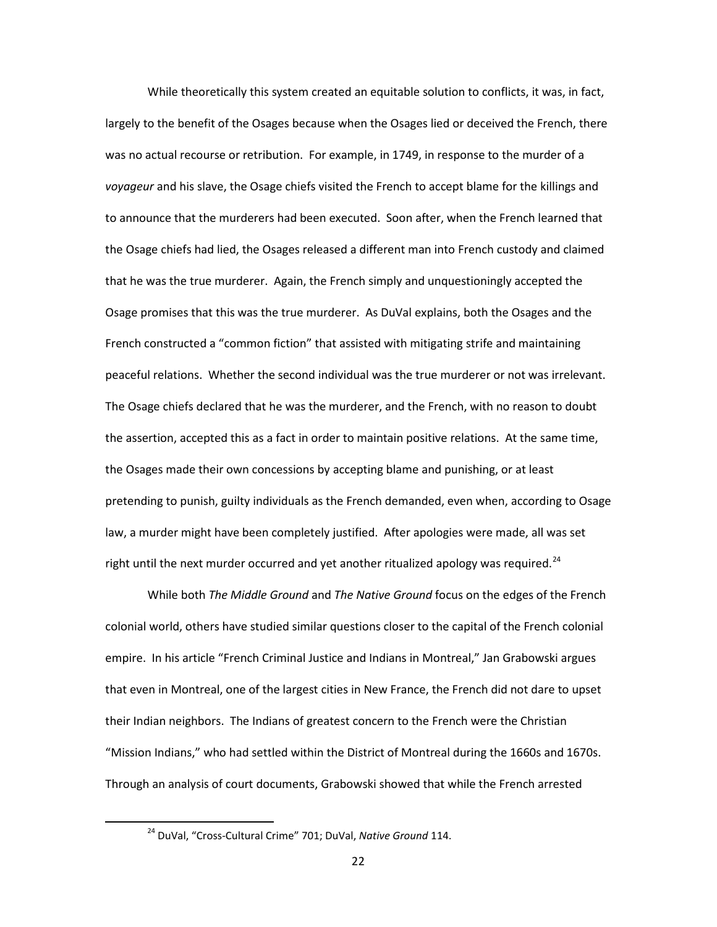While theoretically this system created an equitable solution to conflicts, it was, in fact, largely to the benefit of the Osages because when the Osages lied or deceived the French, there was no actual recourse or retribution. For example, in 1749, in response to the murder of a *voyageur* and his slave, the Osage chiefs visited the French to accept blame for the killings and to announce that the murderers had been executed. Soon after, when the French learned that the Osage chiefs had lied, the Osages released a different man into French custody and claimed that he was the true murderer. Again, the French simply and unquestioningly accepted the Osage promises that this was the true murderer. As DuVal explains, both the Osages and the French constructed a "common fiction" that assisted with mitigating strife and maintaining peaceful relations. Whether the second individual was the true murderer or not was irrelevant. The Osage chiefs declared that he was the murderer, and the French, with no reason to doubt the assertion, accepted this as a fact in order to maintain positive relations. At the same time, the Osages made their own concessions by accepting blame and punishing, or at least pretending to punish, guilty individuals as the French demanded, even when, according to Osage law, a murder might have been completely justified. After apologies were made, all was set right until the next murder occurred and yet another ritualized apology was required.<sup>[24](#page-24-0)</sup>

While both *The Middle Ground* and *The Native Ground* focus on the edges of the French colonial world, others have studied similar questions closer to the capital of the French colonial empire. In his article "French Criminal Justice and Indians in Montreal," Jan Grabowski argues that even in Montreal, one of the largest cities in New France, the French did not dare to upset their Indian neighbors. The Indians of greatest concern to the French were the Christian "Mission Indians," who had settled within the District of Montreal during the 1660s and 1670s. Through an analysis of court documents, Grabowski showed that while the French arrested

<span id="page-24-0"></span> <sup>24</sup> DuVal, "Cross-Cultural Crime" 701; DuVal, *Native Ground* 114.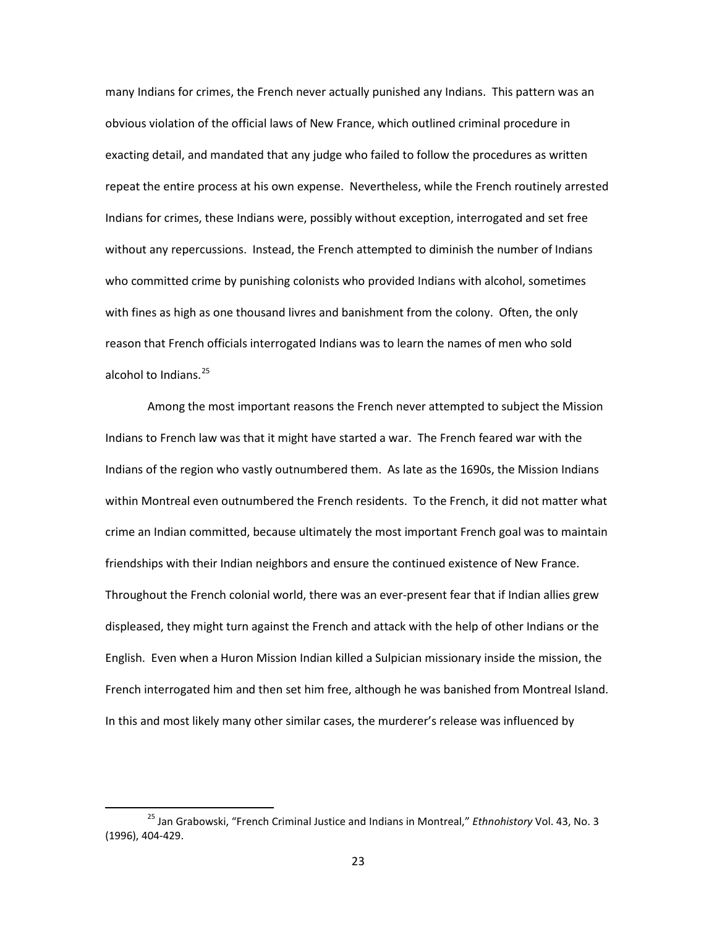many Indians for crimes, the French never actually punished any Indians. This pattern was an obvious violation of the official laws of New France, which outlined criminal procedure in exacting detail, and mandated that any judge who failed to follow the procedures as written repeat the entire process at his own expense. Nevertheless, while the French routinely arrested Indians for crimes, these Indians were, possibly without exception, interrogated and set free without any repercussions. Instead, the French attempted to diminish the number of Indians who committed crime by punishing colonists who provided Indians with alcohol, sometimes with fines as high as one thousand livres and banishment from the colony. Often, the only reason that French officials interrogated Indians was to learn the names of men who sold alcohol to Indians.<sup>[25](#page-25-0)</sup>

Among the most important reasons the French never attempted to subject the Mission Indians to French law was that it might have started a war. The French feared war with the Indians of the region who vastly outnumbered them. As late as the 1690s, the Mission Indians within Montreal even outnumbered the French residents. To the French, it did not matter what crime an Indian committed, because ultimately the most important French goal was to maintain friendships with their Indian neighbors and ensure the continued existence of New France. Throughout the French colonial world, there was an ever-present fear that if Indian allies grew displeased, they might turn against the French and attack with the help of other Indians or the English. Even when a Huron Mission Indian killed a Sulpician missionary inside the mission, the French interrogated him and then set him free, although he was banished from Montreal Island. In this and most likely many other similar cases, the murderer's release was influenced by

<span id="page-25-0"></span> <sup>25</sup> Jan Grabowski, "French Criminal Justice and Indians in Montreal," *Ethnohistory* Vol. 43, No. 3 (1996), 404-429.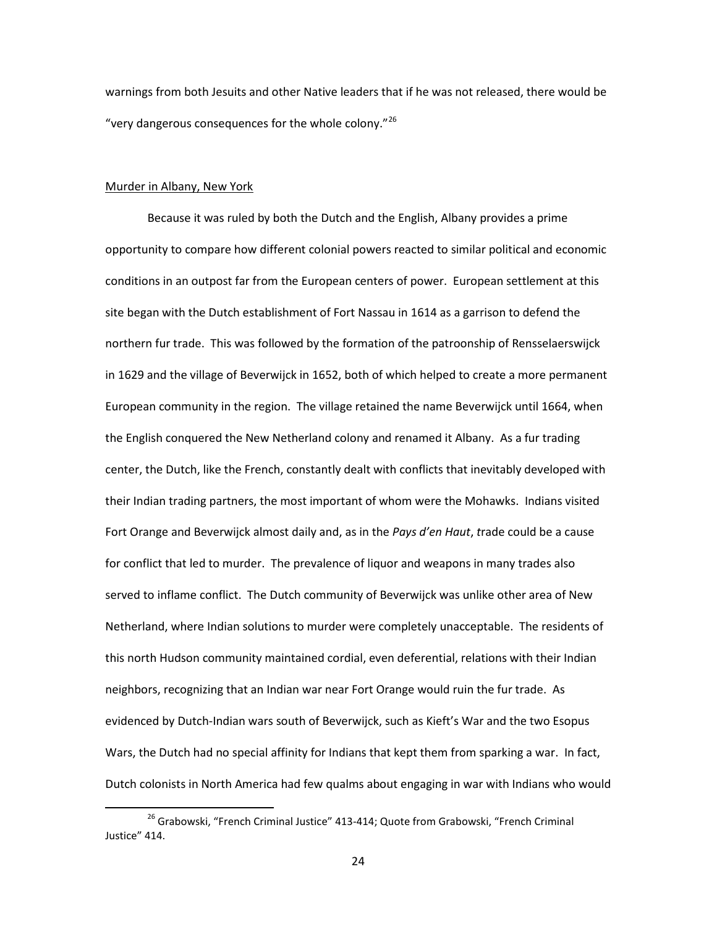warnings from both Jesuits and other Native leaders that if he was not released, there would be "very dangerous consequences for the whole colony."<sup>[26](#page-26-0)</sup>

## Murder in Albany, New York

Because it was ruled by both the Dutch and the English, Albany provides a prime opportunity to compare how different colonial powers reacted to similar political and economic conditions in an outpost far from the European centers of power. European settlement at this site began with the Dutch establishment of Fort Nassau in 1614 as a garrison to defend the northern fur trade. This was followed by the formation of the patroonship of Rensselaerswijck in 1629 and the village of Beverwijck in 1652, both of which helped to create a more permanent European community in the region. The village retained the name Beverwijck until 1664, when the English conquered the New Netherland colony and renamed it Albany. As a fur trading center, the Dutch, like the French, constantly dealt with conflicts that inevitably developed with their Indian trading partners, the most important of whom were the Mohawks. Indians visited Fort Orange and Beverwijck almost daily and, as in the *Pays d'en Haut*, *t*rade could be a cause for conflict that led to murder. The prevalence of liquor and weapons in many trades also served to inflame conflict. The Dutch community of Beverwijck was unlike other area of New Netherland, where Indian solutions to murder were completely unacceptable. The residents of this north Hudson community maintained cordial, even deferential, relations with their Indian neighbors, recognizing that an Indian war near Fort Orange would ruin the fur trade. As evidenced by Dutch-Indian wars south of Beverwijck, such as Kieft's War and the two Esopus Wars, the Dutch had no special affinity for Indians that kept them from sparking a war. In fact, Dutch colonists in North America had few qualms about engaging in war with Indians who would

<span id="page-26-0"></span><sup>&</sup>lt;sup>26</sup> Grabowski, "French Criminal Justice" 413-414; Quote from Grabowski, "French Criminal Justice" 414.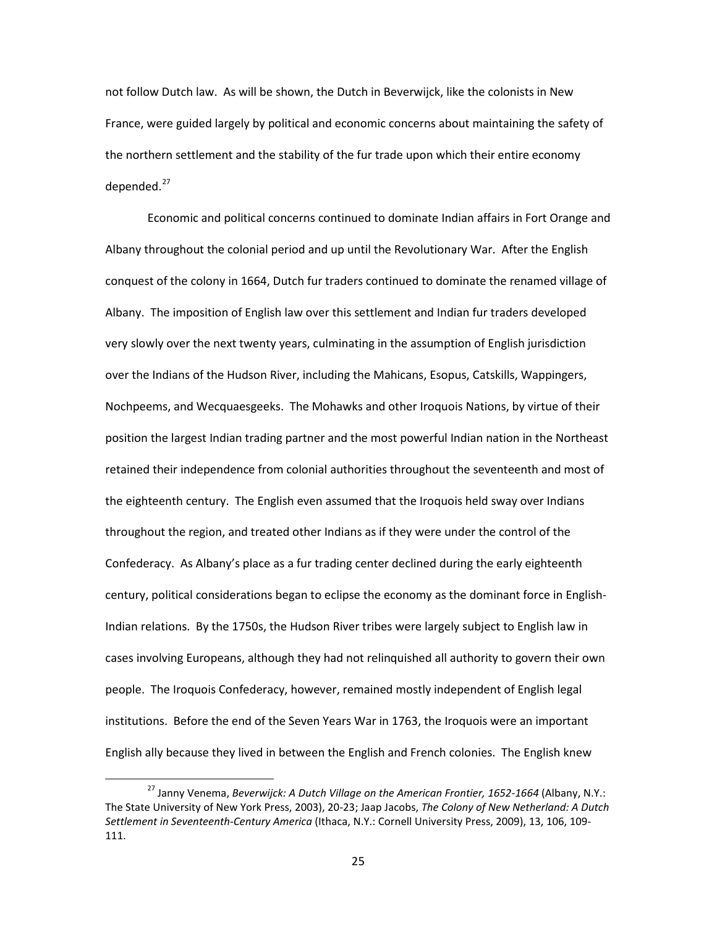not follow Dutch law. As will be shown, the Dutch in Beverwijck, like the colonists in New France, were guided largely by political and economic concerns about maintaining the safety of the northern settlement and the stability of the fur trade upon which their entire economy  $dened.<sup>27</sup>$  $dened.<sup>27</sup>$  $dened.<sup>27</sup>$ 

Economic and political concerns continued to dominate Indian affairs in Fort Orange and Albany throughout the colonial period and up until the Revolutionary War. After the English conquest of the colony in 1664, Dutch fur traders continued to dominate the renamed village of Albany. The imposition of English law over this settlement and Indian fur traders developed very slowly over the next twenty years, culminating in the assumption of English jurisdiction over the Indians of the Hudson River, including the Mahicans, Esopus, Catskills, Wappingers, Nochpeems, and Wecquaesgeeks. The Mohawks and other Iroquois Nations, by virtue of their position the largest Indian trading partner and the most powerful Indian nation in the Northeast retained their independence from colonial authorities throughout the seventeenth and most of the eighteenth century. The English even assumed that the Iroquois held sway over Indians throughout the region, and treated other Indians as if they were under the control of the Confederacy. As Albany's place as a fur trading center declined during the early eighteenth century, political considerations began to eclipse the economy as the dominant force in English-Indian relations. By the 1750s, the Hudson River tribes were largely subject to English law in cases involving Europeans, although they had not relinquished all authority to govern their own people. The Iroquois Confederacy, however, remained mostly independent of English legal institutions. Before the end of the Seven Years War in 1763, the Iroquois were an important English ally because they lived in between the English and French colonies. The English knew

<span id="page-27-0"></span><sup>&</sup>lt;sup>27</sup> Janny Venema, *Beverwijck: A Dutch Village on the American Frontier, 1652-1664* (Albany, N.Y.: The State University of New York Press, 2003), 20-23; Jaap Jacobs, *The Colony of New Netherland: A Dutch Settlement in Seventeenth-Century America* (Ithaca, N.Y.: Cornell University Press, 2009), 13, 106, 109- 111.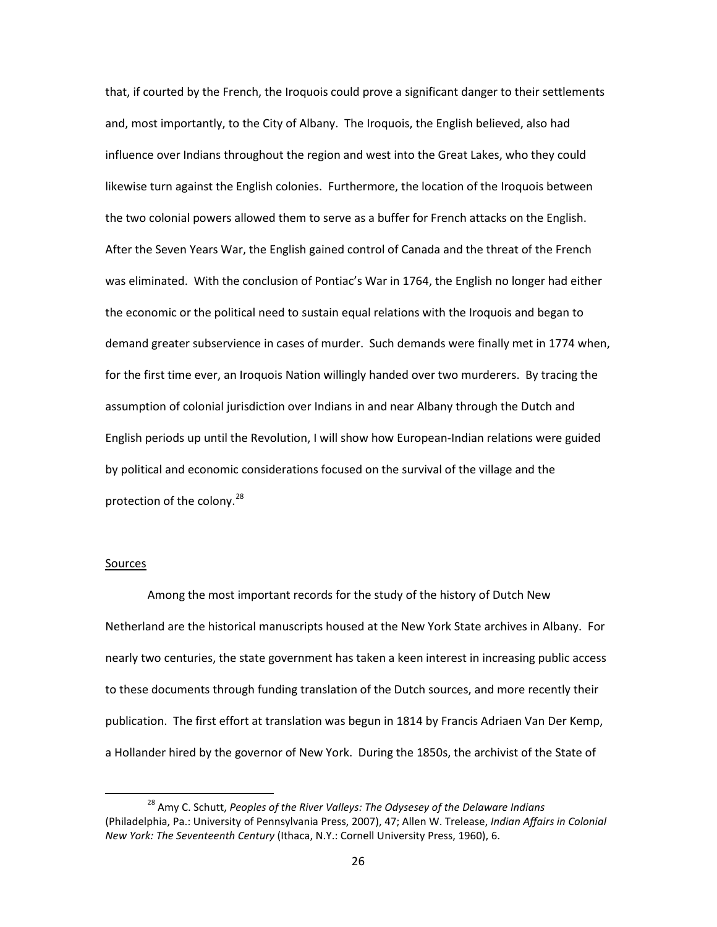that, if courted by the French, the Iroquois could prove a significant danger to their settlements and, most importantly, to the City of Albany. The Iroquois, the English believed, also had influence over Indians throughout the region and west into the Great Lakes, who they could likewise turn against the English colonies. Furthermore, the location of the Iroquois between the two colonial powers allowed them to serve as a buffer for French attacks on the English. After the Seven Years War, the English gained control of Canada and the threat of the French was eliminated. With the conclusion of Pontiac's War in 1764, the English no longer had either the economic or the political need to sustain equal relations with the Iroquois and began to demand greater subservience in cases of murder. Such demands were finally met in 1774 when, for the first time ever, an Iroquois Nation willingly handed over two murderers. By tracing the assumption of colonial jurisdiction over Indians in and near Albany through the Dutch and English periods up until the Revolution, I will show how European-Indian relations were guided by political and economic considerations focused on the survival of the village and the protection of the colony.<sup>[28](#page-28-0)</sup>

#### Sources

Among the most important records for the study of the history of Dutch New Netherland are the historical manuscripts housed at the New York State archives in Albany. For nearly two centuries, the state government has taken a keen interest in increasing public access to these documents through funding translation of the Dutch sources, and more recently their publication. The first effort at translation was begun in 1814 by Francis Adriaen Van Der Kemp, a Hollander hired by the governor of New York. During the 1850s, the archivist of the State of

<span id="page-28-0"></span> <sup>28</sup> Amy C. Schutt, *Peoples of the River Valleys: The Odysesey of the Delaware Indians*  (Philadelphia, Pa.: University of Pennsylvania Press, 2007), 47; Allen W. Trelease, *Indian Affairs in Colonial New York: The Seventeenth Century* (Ithaca, N.Y.: Cornell University Press, 1960), 6.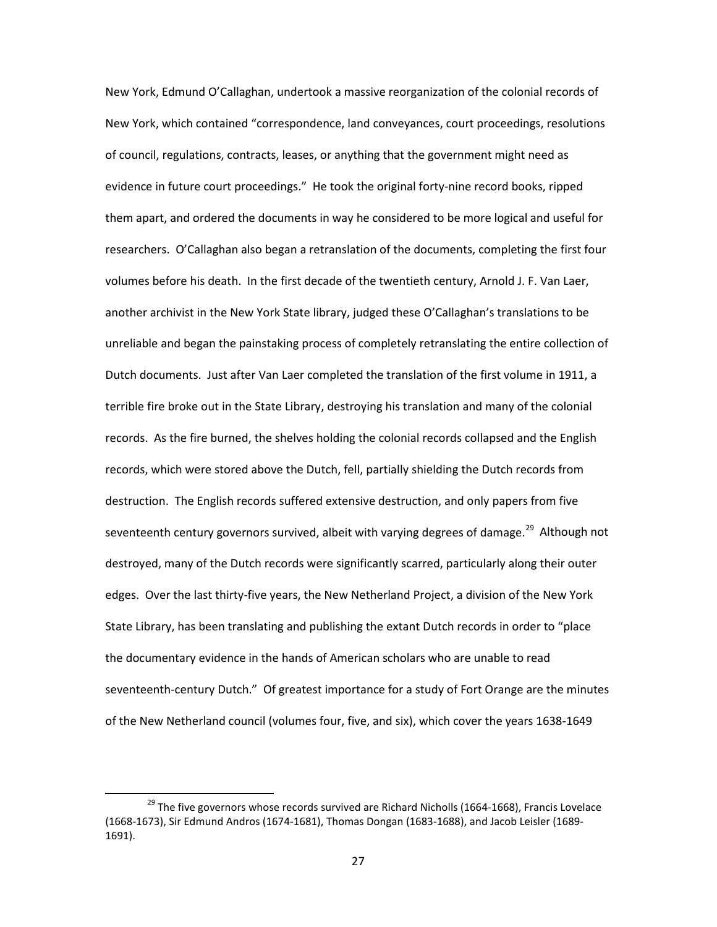New York, Edmund O'Callaghan, undertook a massive reorganization of the colonial records of New York, which contained "correspondence, land conveyances, court proceedings, resolutions of council, regulations, contracts, leases, or anything that the government might need as evidence in future court proceedings." He took the original forty-nine record books, ripped them apart, and ordered the documents in way he considered to be more logical and useful for researchers. O'Callaghan also began a retranslation of the documents, completing the first four volumes before his death. In the first decade of the twentieth century, Arnold J. F. Van Laer, another archivist in the New York State library, judged these O'Callaghan's translations to be unreliable and began the painstaking process of completely retranslating the entire collection of Dutch documents. Just after Van Laer completed the translation of the first volume in 1911, a terrible fire broke out in the State Library, destroying his translation and many of the colonial records. As the fire burned, the shelves holding the colonial records collapsed and the English records, which were stored above the Dutch, fell, partially shielding the Dutch records from destruction. The English records suffered extensive destruction, and only papers from five seventeenth century governors survived, albeit with varying degrees of damage.<sup>[29](#page-29-0)</sup> Although not destroyed, many of the Dutch records were significantly scarred, particularly along their outer edges. Over the last thirty-five years, the New Netherland Project, a division of the New York State Library, has been translating and publishing the extant Dutch records in order to "place the documentary evidence in the hands of American scholars who are unable to read seventeenth-century Dutch." Of greatest importance for a study of Fort Orange are the minutes of the New Netherland council (volumes four, five, and six), which cover the years 1638-1649

<span id="page-29-0"></span> $29$  The five governors whose records survived are Richard Nicholls (1664-1668), Francis Lovelace (1668-1673), Sir Edmund Andros (1674-1681), Thomas Dongan (1683-1688), and Jacob Leisler (1689- 1691).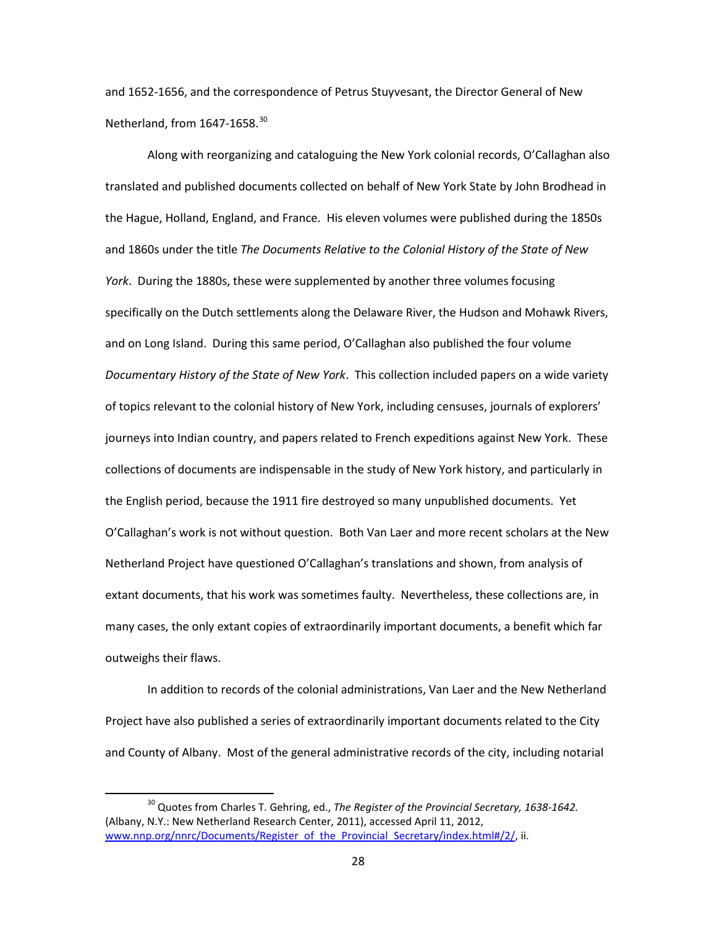and 1652-1656, and the correspondence of Petrus Stuyvesant, the Director General of New Netherland, from 1647-1658.<sup>[30](#page-30-0)</sup>

Along with reorganizing and cataloguing the New York colonial records, O'Callaghan also translated and published documents collected on behalf of New York State by John Brodhead in the Hague, Holland, England, and France. His eleven volumes were published during the 1850s and 1860s under the title *The Documents Relative to the Colonial History of the State of New York*. During the 1880s, these were supplemented by another three volumes focusing specifically on the Dutch settlements along the Delaware River, the Hudson and Mohawk Rivers, and on Long Island. During this same period, O'Callaghan also published the four volume *Documentary History of the State of New York*. This collection included papers on a wide variety of topics relevant to the colonial history of New York, including censuses, journals of explorers' journeys into Indian country, and papers related to French expeditions against New York. These collections of documents are indispensable in the study of New York history, and particularly in the English period, because the 1911 fire destroyed so many unpublished documents. Yet O'Callaghan's work is not without question. Both Van Laer and more recent scholars at the New Netherland Project have questioned O'Callaghan's translations and shown, from analysis of extant documents, that his work was sometimes faulty. Nevertheless, these collections are, in many cases, the only extant copies of extraordinarily important documents, a benefit which far outweighs their flaws.

In addition to records of the colonial administrations, Van Laer and the New Netherland Project have also published a series of extraordinarily important documents related to the City and County of Albany. Most of the general administrative records of the city, including notarial

<span id="page-30-0"></span> <sup>30</sup> Quotes from Charles T. Gehring, ed., *The Register of the Provincial Secretary, 1638-1642.* (Albany, N.Y.: New Netherland Research Center, 2011), accessed April 11, 2012, [www.nnp.org/nnrc/Documents/Register\\_of\\_the\\_Provincial\\_Secretary/index.html#/2/,](http://www.nnp.org/nnrc/Documents/Register_of_the_Provincial_Secretary/index.html#/2/) ii.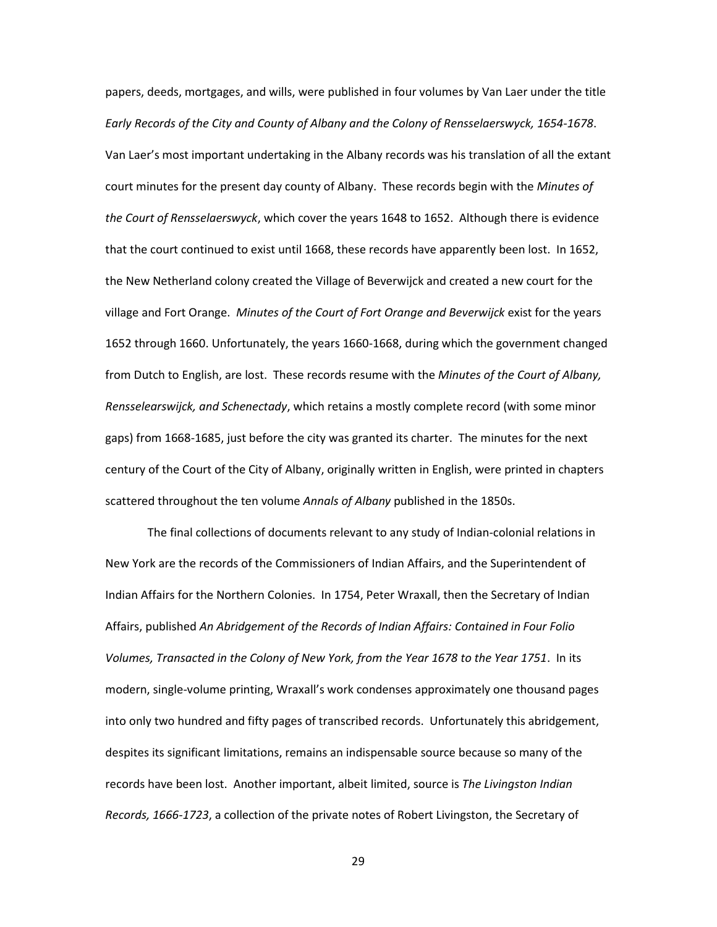papers, deeds, mortgages, and wills, were published in four volumes by Van Laer under the title *Early Records of the City and County of Albany and the Colony of Rensselaerswyck, 1654-1678*. Van Laer's most important undertaking in the Albany records was his translation of all the extant court minutes for the present day county of Albany. These records begin with the *Minutes of the Court of Rensselaerswyck*, which cover the years 1648 to 1652. Although there is evidence that the court continued to exist until 1668, these records have apparently been lost. In 1652, the New Netherland colony created the Village of Beverwijck and created a new court for the village and Fort Orange. *Minutes of the Court of Fort Orange and Beverwijck* exist for the years 1652 through 1660. Unfortunately, the years 1660-1668, during which the government changed from Dutch to English, are lost. These records resume with the *Minutes of the Court of Albany, Rensselearswijck, and Schenectady*, which retains a mostly complete record (with some minor gaps) from 1668-1685, just before the city was granted its charter. The minutes for the next century of the Court of the City of Albany, originally written in English, were printed in chapters scattered throughout the ten volume *Annals of Albany* published in the 1850s.

The final collections of documents relevant to any study of Indian-colonial relations in New York are the records of the Commissioners of Indian Affairs, and the Superintendent of Indian Affairs for the Northern Colonies. In 1754, Peter Wraxall, then the Secretary of Indian Affairs, published *An Abridgement of the Records of Indian Affairs: Contained in Four Folio Volumes, Transacted in the Colony of New York, from the Year 1678 to the Year 1751*. In its modern, single-volume printing, Wraxall's work condenses approximately one thousand pages into only two hundred and fifty pages of transcribed records. Unfortunately this abridgement, despites its significant limitations, remains an indispensable source because so many of the records have been lost. Another important, albeit limited, source is *The Livingston Indian Records, 1666-1723*, a collection of the private notes of Robert Livingston, the Secretary of

29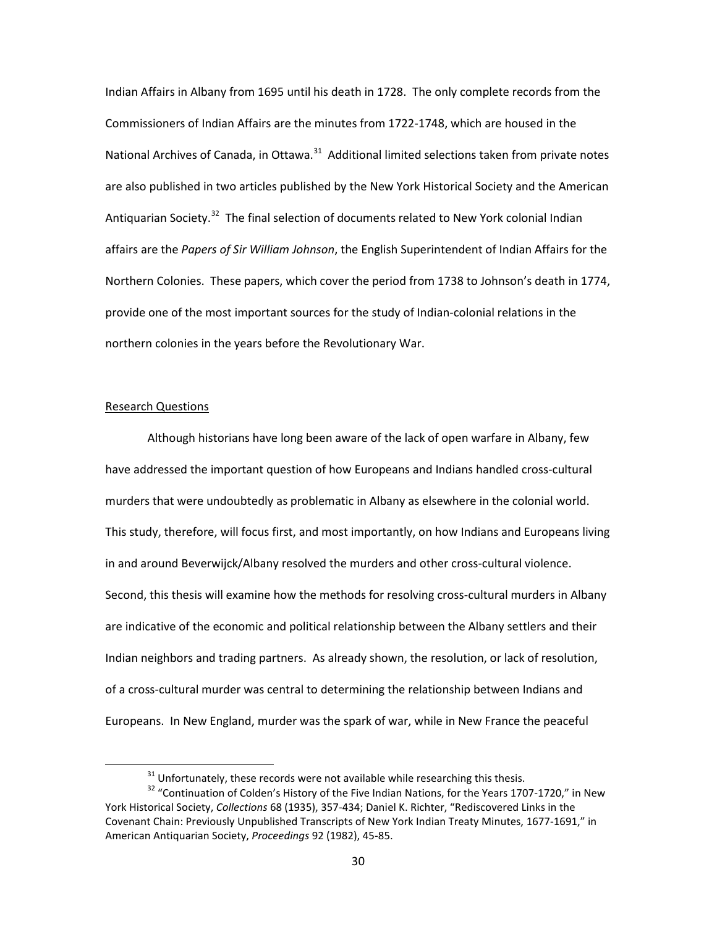Indian Affairs in Albany from 1695 until his death in 1728. The only complete records from the Commissioners of Indian Affairs are the minutes from 1722-1748, which are housed in the National Archives of Canada, in Ottawa.<sup>[31](#page-32-0)</sup> Additional limited selections taken from private notes are also published in two articles published by the New York Historical Society and the American Antiquarian Society.<sup>[32](#page-32-1)</sup> The final selection of documents related to New York colonial Indian affairs are the *Papers of Sir William Johnson*, the English Superintendent of Indian Affairs for the Northern Colonies. These papers, which cover the period from 1738 to Johnson's death in 1774, provide one of the most important sources for the study of Indian-colonial relations in the northern colonies in the years before the Revolutionary War.

#### Research Questions

Although historians have long been aware of the lack of open warfare in Albany, few have addressed the important question of how Europeans and Indians handled cross-cultural murders that were undoubtedly as problematic in Albany as elsewhere in the colonial world. This study, therefore, will focus first, and most importantly, on how Indians and Europeans living in and around Beverwijck/Albany resolved the murders and other cross-cultural violence. Second, this thesis will examine how the methods for resolving cross-cultural murders in Albany are indicative of the economic and political relationship between the Albany settlers and their Indian neighbors and trading partners. As already shown, the resolution, or lack of resolution, of a cross-cultural murder was central to determining the relationship between Indians and Europeans. In New England, murder was the spark of war, while in New France the peaceful

 $31$  Unfortunately, these records were not available while researching this thesis.

<span id="page-32-1"></span><span id="page-32-0"></span><sup>&</sup>lt;sup>32</sup> "Continuation of Colden's History of the Five Indian Nations, for the Years 1707-1720," in New York Historical Society, *Collections* 68 (1935), 357-434; Daniel K. Richter, "Rediscovered Links in the Covenant Chain: Previously Unpublished Transcripts of New York Indian Treaty Minutes, 1677-1691," in American Antiquarian Society, *Proceedings* 92 (1982), 45-85.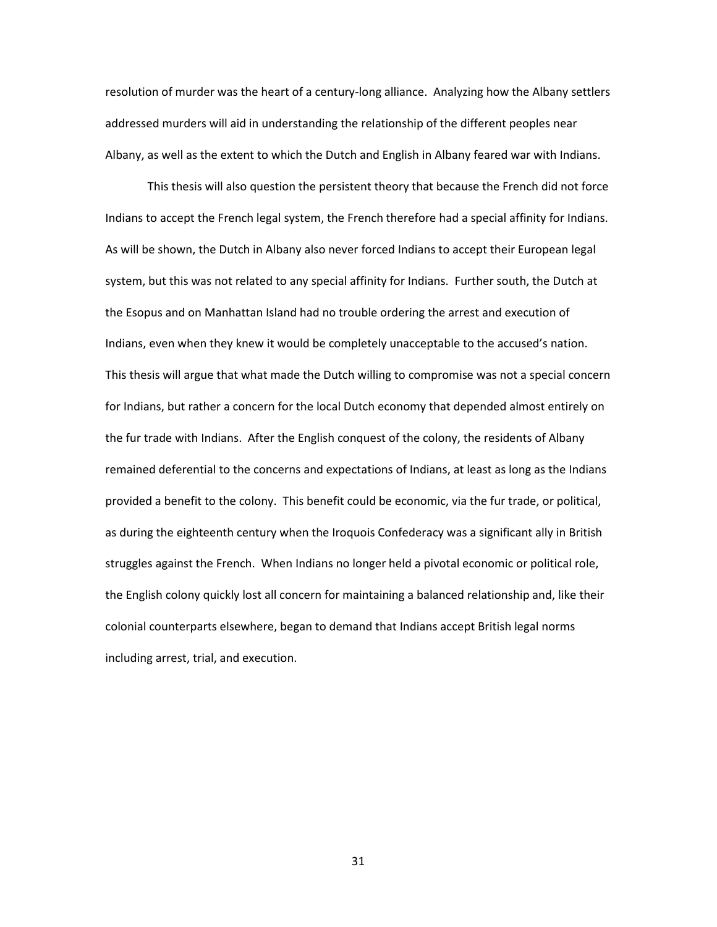resolution of murder was the heart of a century-long alliance. Analyzing how the Albany settlers addressed murders will aid in understanding the relationship of the different peoples near Albany, as well as the extent to which the Dutch and English in Albany feared war with Indians.

This thesis will also question the persistent theory that because the French did not force Indians to accept the French legal system, the French therefore had a special affinity for Indians. As will be shown, the Dutch in Albany also never forced Indians to accept their European legal system, but this was not related to any special affinity for Indians. Further south, the Dutch at the Esopus and on Manhattan Island had no trouble ordering the arrest and execution of Indians, even when they knew it would be completely unacceptable to the accused's nation. This thesis will argue that what made the Dutch willing to compromise was not a special concern for Indians, but rather a concern for the local Dutch economy that depended almost entirely on the fur trade with Indians. After the English conquest of the colony, the residents of Albany remained deferential to the concerns and expectations of Indians, at least as long as the Indians provided a benefit to the colony. This benefit could be economic, via the fur trade, or political, as during the eighteenth century when the Iroquois Confederacy was a significant ally in British struggles against the French. When Indians no longer held a pivotal economic or political role, the English colony quickly lost all concern for maintaining a balanced relationship and, like their colonial counterparts elsewhere, began to demand that Indians accept British legal norms including arrest, trial, and execution.

31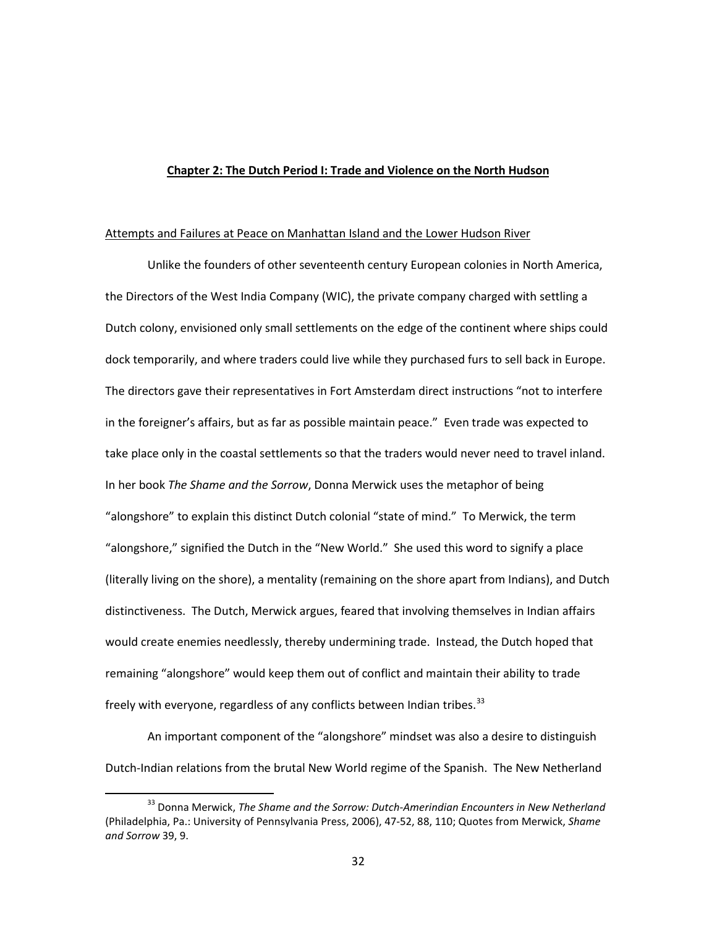## **Chapter 2: The Dutch Period I: Trade and Violence on the North Hudson**

#### Attempts and Failures at Peace on Manhattan Island and the Lower Hudson River

Unlike the founders of other seventeenth century European colonies in North America, the Directors of the West India Company (WIC), the private company charged with settling a Dutch colony, envisioned only small settlements on the edge of the continent where ships could dock temporarily, and where traders could live while they purchased furs to sell back in Europe. The directors gave their representatives in Fort Amsterdam direct instructions "not to interfere in the foreigner's affairs, but as far as possible maintain peace." Even trade was expected to take place only in the coastal settlements so that the traders would never need to travel inland. In her book *The Shame and the Sorrow*, Donna Merwick uses the metaphor of being "alongshore" to explain this distinct Dutch colonial "state of mind." To Merwick, the term "alongshore," signified the Dutch in the "New World." She used this word to signify a place (literally living on the shore), a mentality (remaining on the shore apart from Indians), and Dutch distinctiveness. The Dutch, Merwick argues, feared that involving themselves in Indian affairs would create enemies needlessly, thereby undermining trade. Instead, the Dutch hoped that remaining "alongshore" would keep them out of conflict and maintain their ability to trade freely with everyone, regardless of any conflicts between Indian tribes.<sup>[33](#page-34-0)</sup>

An important component of the "alongshore" mindset was also a desire to distinguish Dutch-Indian relations from the brutal New World regime of the Spanish. The New Netherland

<span id="page-34-0"></span> <sup>33</sup> Donna Merwick, *The Shame and the Sorrow: Dutch-Amerindian Encounters in New Netherland* (Philadelphia, Pa.: University of Pennsylvania Press, 2006), 47-52, 88, 110; Quotes from Merwick, *Shame and Sorrow* 39, 9.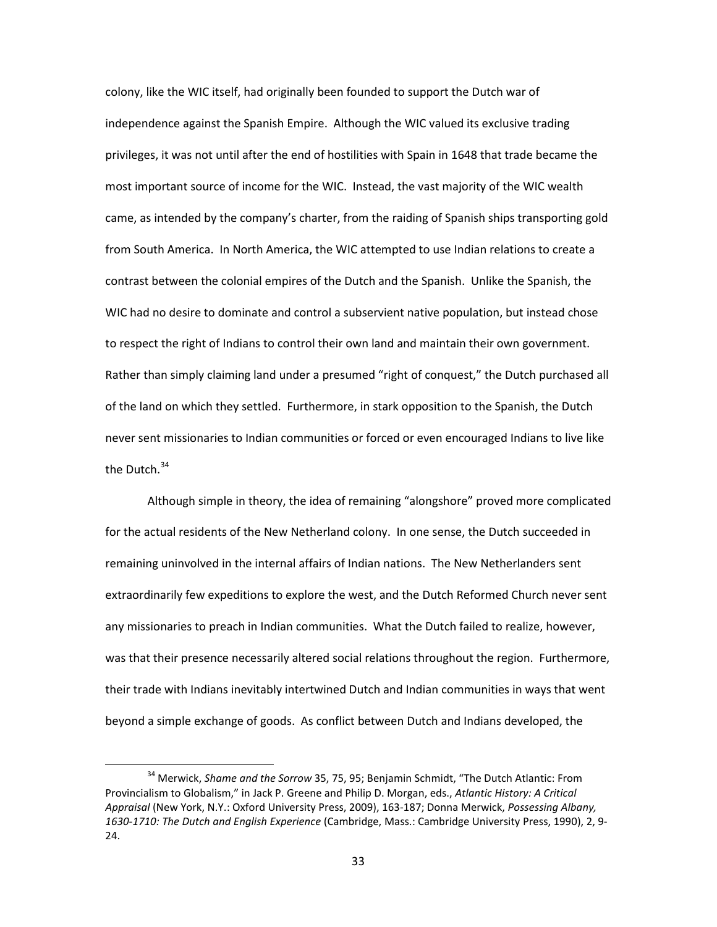colony, like the WIC itself, had originally been founded to support the Dutch war of independence against the Spanish Empire. Although the WIC valued its exclusive trading privileges, it was not until after the end of hostilities with Spain in 1648 that trade became the most important source of income for the WIC. Instead, the vast majority of the WIC wealth came, as intended by the company's charter, from the raiding of Spanish ships transporting gold from South America. In North America, the WIC attempted to use Indian relations to create a contrast between the colonial empires of the Dutch and the Spanish. Unlike the Spanish, the WIC had no desire to dominate and control a subservient native population, but instead chose to respect the right of Indians to control their own land and maintain their own government. Rather than simply claiming land under a presumed "right of conquest," the Dutch purchased all of the land on which they settled. Furthermore, in stark opposition to the Spanish, the Dutch never sent missionaries to Indian communities or forced or even encouraged Indians to live like the Dutch.<sup>[34](#page-35-0)</sup>

Although simple in theory, the idea of remaining "alongshore" proved more complicated for the actual residents of the New Netherland colony. In one sense, the Dutch succeeded in remaining uninvolved in the internal affairs of Indian nations. The New Netherlanders sent extraordinarily few expeditions to explore the west, and the Dutch Reformed Church never sent any missionaries to preach in Indian communities. What the Dutch failed to realize, however, was that their presence necessarily altered social relations throughout the region. Furthermore, their trade with Indians inevitably intertwined Dutch and Indian communities in ways that went beyond a simple exchange of goods. As conflict between Dutch and Indians developed, the

<span id="page-35-0"></span> <sup>34</sup> Merwick, *Shame and the Sorrow* 35, 75, 95; Benjamin Schmidt, "The Dutch Atlantic: From Provincialism to Globalism," in Jack P. Greene and Philip D. Morgan, eds., *Atlantic History: A Critical Appraisal* (New York, N.Y.: Oxford University Press, 2009), 163-187; Donna Merwick, *Possessing Albany, 1630-1710: The Dutch and English Experience* (Cambridge, Mass.: Cambridge University Press, 1990), 2, 9- 24.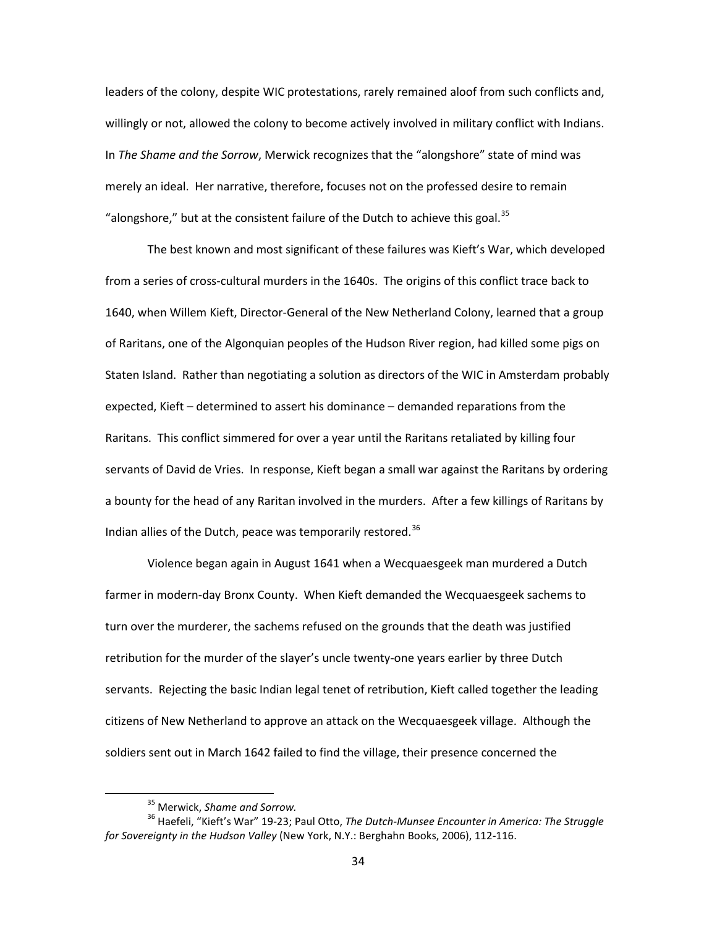leaders of the colony, despite WIC protestations, rarely remained aloof from such conflicts and, willingly or not, allowed the colony to become actively involved in military conflict with Indians. In *The Shame and the Sorrow*, Merwick recognizes that the "alongshore" state of mind was merely an ideal. Her narrative, therefore, focuses not on the professed desire to remain "alongshore," but at the consistent failure of the Dutch to achieve this goal.<sup>[35](#page-36-0)</sup>

The best known and most significant of these failures was Kieft's War, which developed from a series of cross-cultural murders in the 1640s. The origins of this conflict trace back to 1640, when Willem Kieft, Director-General of the New Netherland Colony, learned that a group of Raritans, one of the Algonquian peoples of the Hudson River region, had killed some pigs on Staten Island. Rather than negotiating a solution as directors of the WIC in Amsterdam probably expected, Kieft – determined to assert his dominance – demanded reparations from the Raritans. This conflict simmered for over a year until the Raritans retaliated by killing four servants of David de Vries. In response, Kieft began a small war against the Raritans by ordering a bounty for the head of any Raritan involved in the murders. After a few killings of Raritans by Indian allies of the Dutch, peace was temporarily restored.<sup>[36](#page-36-1)</sup>

Violence began again in August 1641 when a Wecquaesgeek man murdered a Dutch farmer in modern-day Bronx County. When Kieft demanded the Wecquaesgeek sachems to turn over the murderer, the sachems refused on the grounds that the death was justified retribution for the murder of the slayer's uncle twenty-one years earlier by three Dutch servants. Rejecting the basic Indian legal tenet of retribution, Kieft called together the leading citizens of New Netherland to approve an attack on the Wecquaesgeek village. Although the soldiers sent out in March 1642 failed to find the village, their presence concerned the

 <sup>35</sup> Merwick, *Shame and Sorrow.*

<span id="page-36-1"></span><span id="page-36-0"></span><sup>36</sup> Haefeli, "Kieft's War" 19-23; Paul Otto, *The Dutch-Munsee Encounter in America: The Struggle for Sovereignty in the Hudson Valley* (New York, N.Y.: Berghahn Books, 2006), 112-116.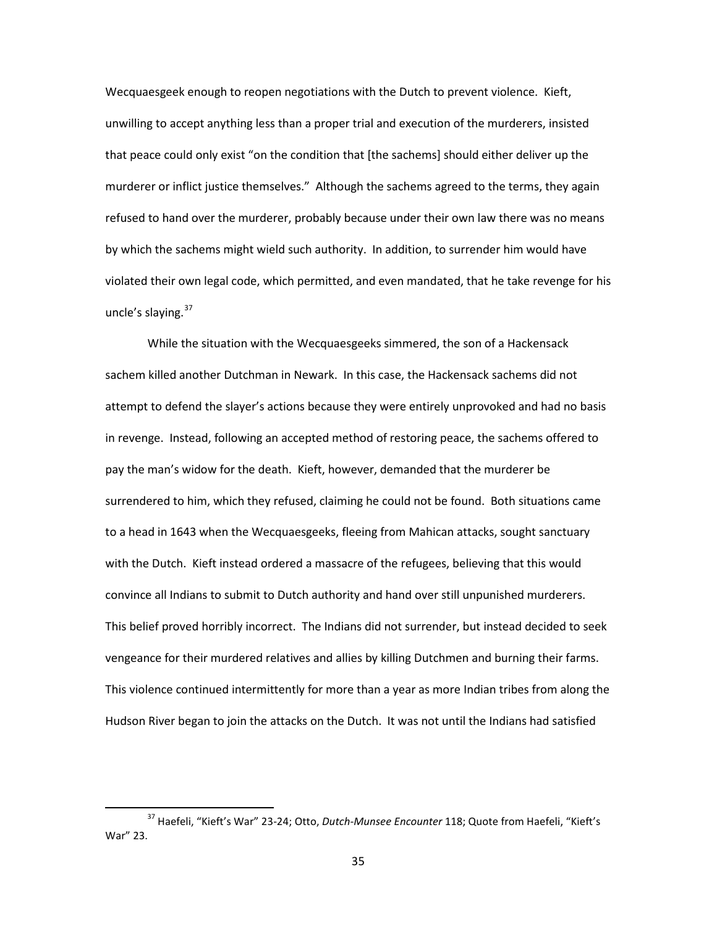Wecquaesgeek enough to reopen negotiations with the Dutch to prevent violence. Kieft, unwilling to accept anything less than a proper trial and execution of the murderers, insisted that peace could only exist "on the condition that [the sachems] should either deliver up the murderer or inflict justice themselves." Although the sachems agreed to the terms, they again refused to hand over the murderer, probably because under their own law there was no means by which the sachems might wield such authority. In addition, to surrender him would have violated their own legal code, which permitted, and even mandated, that he take revenge for his uncle's slaying.<sup>[37](#page-37-0)</sup>

While the situation with the Wecquaesgeeks simmered, the son of a Hackensack sachem killed another Dutchman in Newark. In this case, the Hackensack sachems did not attempt to defend the slayer's actions because they were entirely unprovoked and had no basis in revenge. Instead, following an accepted method of restoring peace, the sachems offered to pay the man's widow for the death. Kieft, however, demanded that the murderer be surrendered to him, which they refused, claiming he could not be found. Both situations came to a head in 1643 when the Wecquaesgeeks, fleeing from Mahican attacks, sought sanctuary with the Dutch. Kieft instead ordered a massacre of the refugees, believing that this would convince all Indians to submit to Dutch authority and hand over still unpunished murderers. This belief proved horribly incorrect. The Indians did not surrender, but instead decided to seek vengeance for their murdered relatives and allies by killing Dutchmen and burning their farms. This violence continued intermittently for more than a year as more Indian tribes from along the Hudson River began to join the attacks on the Dutch. It was not until the Indians had satisfied

<span id="page-37-0"></span> <sup>37</sup> Haefeli, "Kieft's War" 23-24; Otto, *Dutch-Munsee Encounter* 118; Quote from Haefeli, "Kieft's War" 23.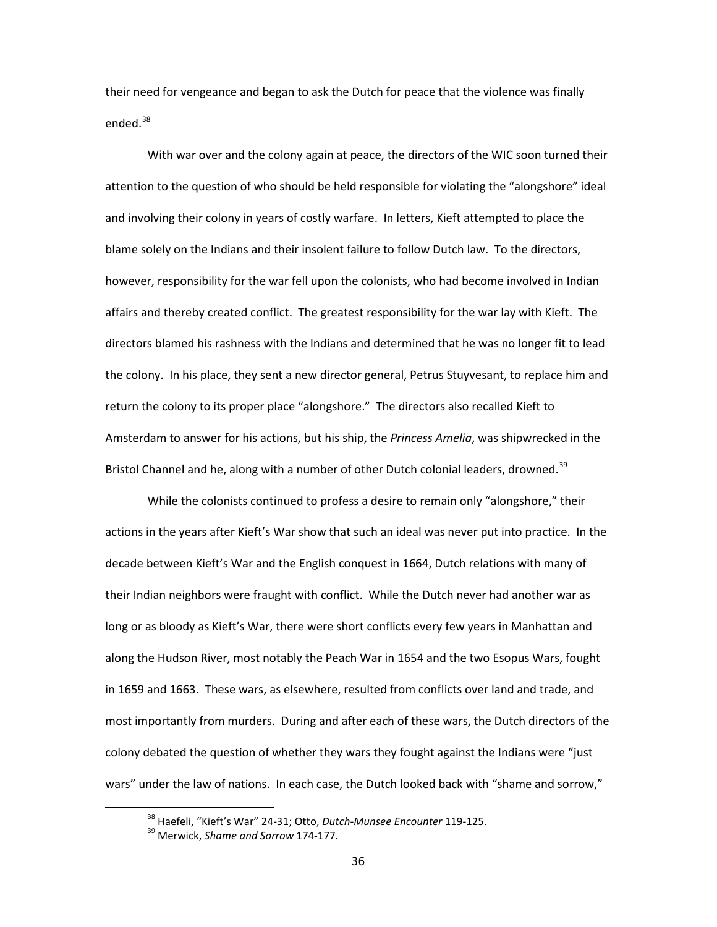their need for vengeance and began to ask the Dutch for peace that the violence was finally ended. $38$ 

With war over and the colony again at peace, the directors of the WIC soon turned their attention to the question of who should be held responsible for violating the "alongshore" ideal and involving their colony in years of costly warfare. In letters, Kieft attempted to place the blame solely on the Indians and their insolent failure to follow Dutch law. To the directors, however, responsibility for the war fell upon the colonists, who had become involved in Indian affairs and thereby created conflict. The greatest responsibility for the war lay with Kieft. The directors blamed his rashness with the Indians and determined that he was no longer fit to lead the colony. In his place, they sent a new director general, Petrus Stuyvesant, to replace him and return the colony to its proper place "alongshore." The directors also recalled Kieft to Amsterdam to answer for his actions, but his ship, the *Princess Amelia*, was shipwrecked in the Bristol Channel and he, along with a number of other Dutch colonial leaders, drowned.<sup>[39](#page-38-1)</sup>

While the colonists continued to profess a desire to remain only "alongshore," their actions in the years after Kieft's War show that such an ideal was never put into practice. In the decade between Kieft's War and the English conquest in 1664, Dutch relations with many of their Indian neighbors were fraught with conflict. While the Dutch never had another war as long or as bloody as Kieft's War, there were short conflicts every few years in Manhattan and along the Hudson River, most notably the Peach War in 1654 and the two Esopus Wars, fought in 1659 and 1663. These wars, as elsewhere, resulted from conflicts over land and trade, and most importantly from murders. During and after each of these wars, the Dutch directors of the colony debated the question of whether they wars they fought against the Indians were "just wars" under the law of nations. In each case, the Dutch looked back with "shame and sorrow,"

 <sup>38</sup> Haefeli, "Kieft's War" 24-31; Otto, *Dutch-Munsee Encounter* 119-125.

<span id="page-38-1"></span><span id="page-38-0"></span><sup>39</sup> Merwick, *Shame and Sorrow* 174-177.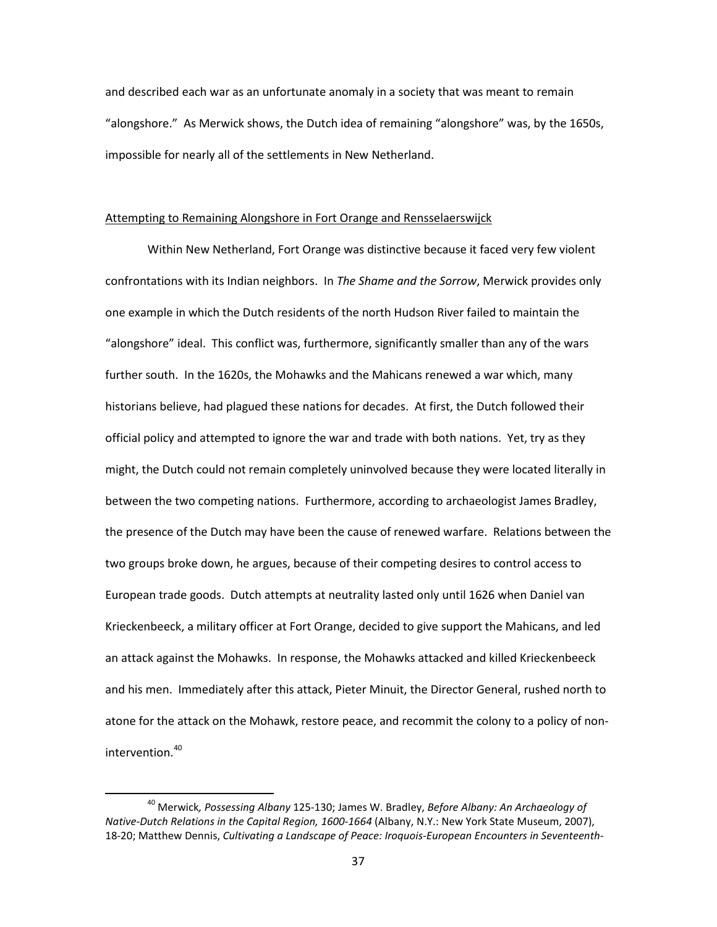and described each war as an unfortunate anomaly in a society that was meant to remain "alongshore." As Merwick shows, the Dutch idea of remaining "alongshore" was, by the 1650s, impossible for nearly all of the settlements in New Netherland.

# Attempting to Remaining Alongshore in Fort Orange and Rensselaerswijck

Within New Netherland, Fort Orange was distinctive because it faced very few violent confrontations with its Indian neighbors. In *The Shame and the Sorrow*, Merwick provides only one example in which the Dutch residents of the north Hudson River failed to maintain the "alongshore" ideal. This conflict was, furthermore, significantly smaller than any of the wars further south. In the 1620s, the Mohawks and the Mahicans renewed a war which, many historians believe, had plagued these nations for decades. At first, the Dutch followed their official policy and attempted to ignore the war and trade with both nations. Yet, try as they might, the Dutch could not remain completely uninvolved because they were located literally in between the two competing nations. Furthermore, according to archaeologist James Bradley, the presence of the Dutch may have been the cause of renewed warfare. Relations between the two groups broke down, he argues, because of their competing desires to control access to European trade goods. Dutch attempts at neutrality lasted only until 1626 when Daniel van Krieckenbeeck, a military officer at Fort Orange, decided to give support the Mahicans, and led an attack against the Mohawks. In response, the Mohawks attacked and killed Krieckenbeeck and his men. Immediately after this attack, Pieter Minuit, the Director General, rushed north to atone for the attack on the Mohawk, restore peace, and recommit the colony to a policy of non-intervention.<sup>[40](#page-39-0)</sup>

<span id="page-39-0"></span> <sup>40</sup> Merwick*, Possessing Albany* 125-130; James W. Bradley, *Before Albany: An Archaeology of Native-Dutch Relations in the Capital Region, 1600-1664* (Albany, N.Y.: New York State Museum, 2007), 18-20; Matthew Dennis, *Cultivating a Landscape of Peace: Iroquois-European Encounters in Seventeenth-*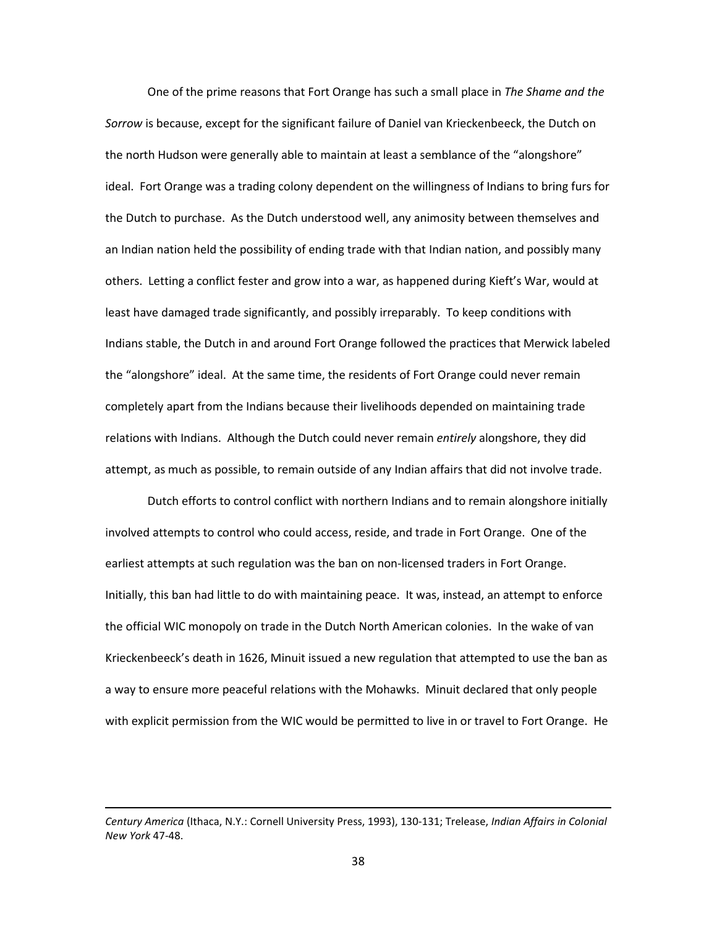One of the prime reasons that Fort Orange has such a small place in *The Shame and the Sorrow* is because, except for the significant failure of Daniel van Krieckenbeeck, the Dutch on the north Hudson were generally able to maintain at least a semblance of the "alongshore" ideal. Fort Orange was a trading colony dependent on the willingness of Indians to bring furs for the Dutch to purchase. As the Dutch understood well, any animosity between themselves and an Indian nation held the possibility of ending trade with that Indian nation, and possibly many others. Letting a conflict fester and grow into a war, as happened during Kieft's War, would at least have damaged trade significantly, and possibly irreparably. To keep conditions with Indians stable, the Dutch in and around Fort Orange followed the practices that Merwick labeled the "alongshore" ideal. At the same time, the residents of Fort Orange could never remain completely apart from the Indians because their livelihoods depended on maintaining trade relations with Indians. Although the Dutch could never remain *entirely* alongshore, they did attempt, as much as possible, to remain outside of any Indian affairs that did not involve trade.

Dutch efforts to control conflict with northern Indians and to remain alongshore initially involved attempts to control who could access, reside, and trade in Fort Orange. One of the earliest attempts at such regulation was the ban on non-licensed traders in Fort Orange. Initially, this ban had little to do with maintaining peace. It was, instead, an attempt to enforce the official WIC monopoly on trade in the Dutch North American colonies. In the wake of van Krieckenbeeck's death in 1626, Minuit issued a new regulation that attempted to use the ban as a way to ensure more peaceful relations with the Mohawks. Minuit declared that only people with explicit permission from the WIC would be permitted to live in or travel to Fort Orange. He

 $\overline{\phantom{0}}$ 

*Century America* (Ithaca, N.Y.: Cornell University Press, 1993), 130-131; Trelease, *Indian Affairs in Colonial New York* 47-48.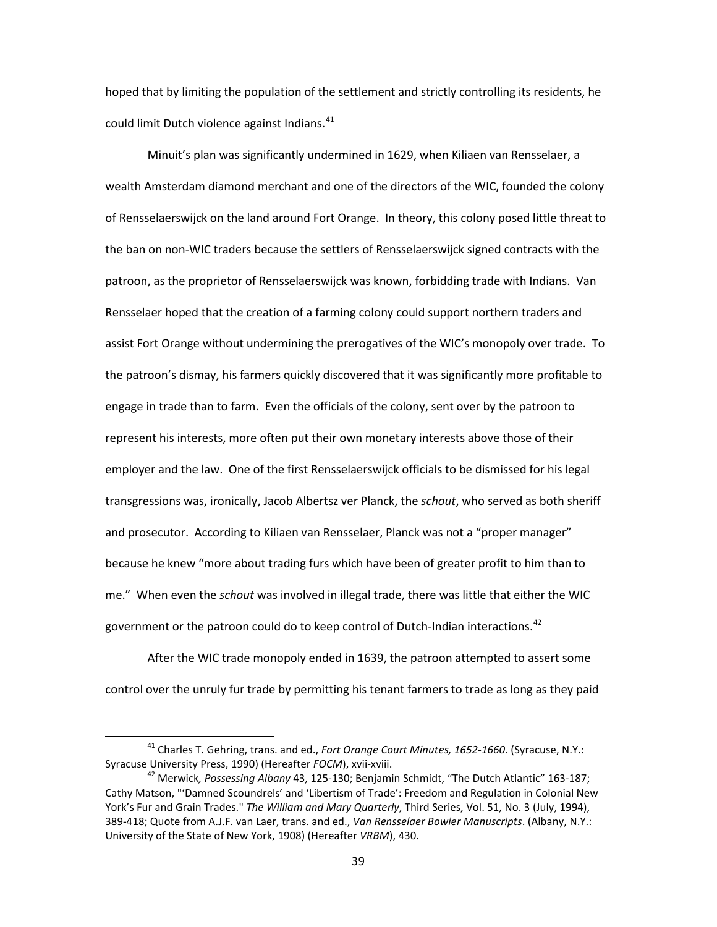hoped that by limiting the population of the settlement and strictly controlling its residents, he could limit Dutch violence against Indians.<sup>[41](#page-41-0)</sup>

Minuit's plan was significantly undermined in 1629, when Kiliaen van Rensselaer, a wealth Amsterdam diamond merchant and one of the directors of the WIC, founded the colony of Rensselaerswijck on the land around Fort Orange. In theory, this colony posed little threat to the ban on non-WIC traders because the settlers of Rensselaerswijck signed contracts with the patroon, as the proprietor of Rensselaerswijck was known, forbidding trade with Indians. Van Rensselaer hoped that the creation of a farming colony could support northern traders and assist Fort Orange without undermining the prerogatives of the WIC's monopoly over trade. To the patroon's dismay, his farmers quickly discovered that it was significantly more profitable to engage in trade than to farm. Even the officials of the colony, sent over by the patroon to represent his interests, more often put their own monetary interests above those of their employer and the law. One of the first Rensselaerswijck officials to be dismissed for his legal transgressions was, ironically, Jacob Albertsz ver Planck, the *schout*, who served as both sheriff and prosecutor. According to Kiliaen van Rensselaer, Planck was not a "proper manager" because he knew "more about trading furs which have been of greater profit to him than to me." When even the *schout* was involved in illegal trade, there was little that either the WIC government or the patroon could do to keep control of Dutch-Indian interactions.<sup>[42](#page-41-1)</sup>

After the WIC trade monopoly ended in 1639, the patroon attempted to assert some control over the unruly fur trade by permitting his tenant farmers to trade as long as they paid

<span id="page-41-0"></span> <sup>41</sup> Charles T. Gehring, trans. and ed., *Fort Orange Court Minutes, 1652-1660.* (Syracuse, N.Y.: Syracuse University Press, 1990) (Hereafter *FOCM*), xvii-xviii.

<span id="page-41-1"></span><sup>42</sup> Merwick*, Possessing Albany* 43, 125-130; Benjamin Schmidt, "The Dutch Atlantic" 163-187; Cathy Matson, "'Damned Scoundrels' and 'Libertism of Trade': Freedom and Regulation in Colonial New York's Fur and Grain Trades." *The William and Mary Quarterly*, Third Series, Vol. 51, No. 3 (July, 1994), 389-418; Quote from A.J.F. van Laer, trans. and ed., *Van Rensselaer Bowier Manuscripts*. (Albany, N.Y.: University of the State of New York, 1908) (Hereafter *VRBM*), 430.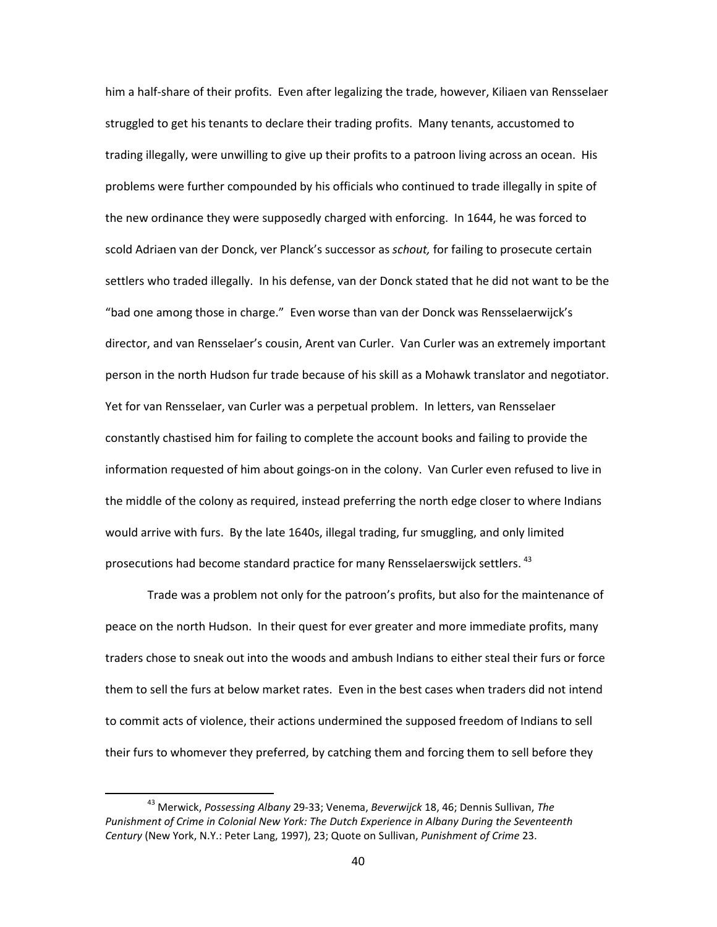him a half-share of their profits. Even after legalizing the trade, however, Kiliaen van Rensselaer struggled to get his tenants to declare their trading profits. Many tenants, accustomed to trading illegally, were unwilling to give up their profits to a patroon living across an ocean. His problems were further compounded by his officials who continued to trade illegally in spite of the new ordinance they were supposedly charged with enforcing. In 1644, he was forced to scold Adriaen van der Donck, ver Planck's successor as *schout,* for failing to prosecute certain settlers who traded illegally. In his defense, van der Donck stated that he did not want to be the "bad one among those in charge." Even worse than van der Donck was Rensselaerwijck's director, and van Rensselaer's cousin, Arent van Curler. Van Curler was an extremely important person in the north Hudson fur trade because of his skill as a Mohawk translator and negotiator. Yet for van Rensselaer, van Curler was a perpetual problem. In letters, van Rensselaer constantly chastised him for failing to complete the account books and failing to provide the information requested of him about goings-on in the colony. Van Curler even refused to live in the middle of the colony as required, instead preferring the north edge closer to where Indians would arrive with furs. By the late 1640s, illegal trading, fur smuggling, and only limited prosecutions had become standard practice for many Rensselaerswijck settlers.<sup>[43](#page-42-0)</sup>

Trade was a problem not only for the patroon's profits, but also for the maintenance of peace on the north Hudson. In their quest for ever greater and more immediate profits, many traders chose to sneak out into the woods and ambush Indians to either steal their furs or force them to sell the furs at below market rates. Even in the best cases when traders did not intend to commit acts of violence, their actions undermined the supposed freedom of Indians to sell their furs to whomever they preferred, by catching them and forcing them to sell before they

<span id="page-42-0"></span> <sup>43</sup> Merwick, *Possessing Albany* 29-33; Venema, *Beverwijck* 18, 46; Dennis Sullivan, *The Punishment of Crime in Colonial New York: The Dutch Experience in Albany During the Seventeenth Century* (New York, N.Y.: Peter Lang, 1997), 23; Quote on Sullivan, *Punishment of Crime* 23.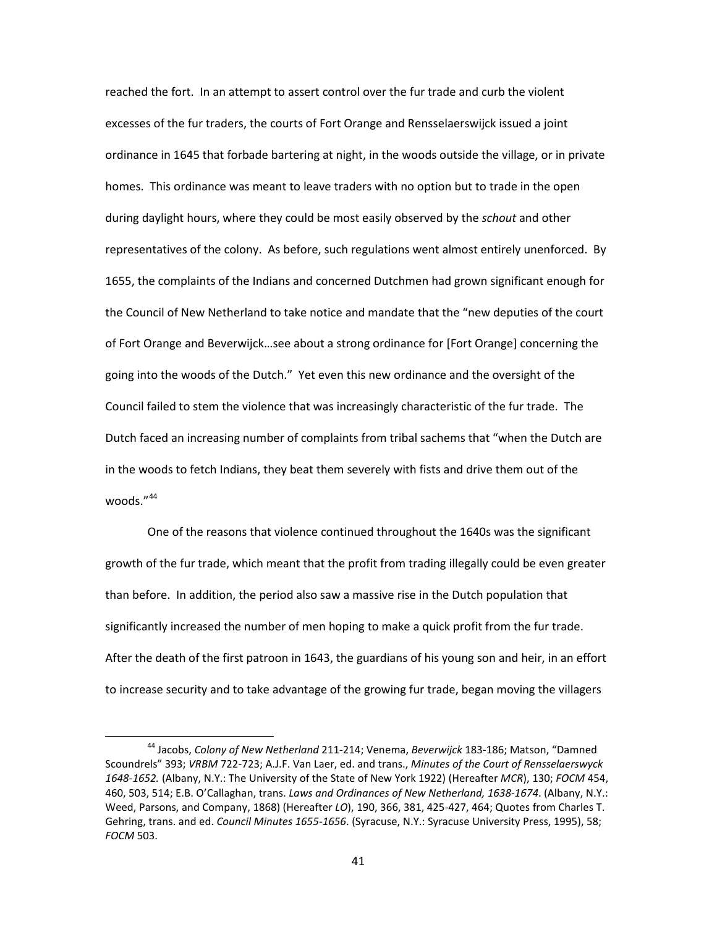reached the fort. In an attempt to assert control over the fur trade and curb the violent excesses of the fur traders, the courts of Fort Orange and Rensselaerswijck issued a joint ordinance in 1645 that forbade bartering at night, in the woods outside the village, or in private homes. This ordinance was meant to leave traders with no option but to trade in the open during daylight hours, where they could be most easily observed by the *schout* and other representatives of the colony. As before, such regulations went almost entirely unenforced. By 1655, the complaints of the Indians and concerned Dutchmen had grown significant enough for the Council of New Netherland to take notice and mandate that the "new deputies of the court of Fort Orange and Beverwijck…see about a strong ordinance for [Fort Orange] concerning the going into the woods of the Dutch." Yet even this new ordinance and the oversight of the Council failed to stem the violence that was increasingly characteristic of the fur trade. The Dutch faced an increasing number of complaints from tribal sachems that "when the Dutch are in the woods to fetch Indians, they beat them severely with fists and drive them out of the woods."<sup>[44](#page-43-0)</sup>

One of the reasons that violence continued throughout the 1640s was the significant growth of the fur trade, which meant that the profit from trading illegally could be even greater than before. In addition, the period also saw a massive rise in the Dutch population that significantly increased the number of men hoping to make a quick profit from the fur trade. After the death of the first patroon in 1643, the guardians of his young son and heir, in an effort to increase security and to take advantage of the growing fur trade, began moving the villagers

<span id="page-43-0"></span> <sup>44</sup> Jacobs, *Colony of New Netherland* 211-214; Venema, *Beverwijck* 183-186; Matson, "Damned Scoundrels" 393; *VRBM* 722-723; A.J.F. Van Laer, ed. and trans., *Minutes of the Court of Rensselaerswyck 1648-1652.* (Albany, N.Y.: The University of the State of New York 1922) (Hereafter *MCR*), 130; *FOCM* 454, 460, 503, 514; E.B. O'Callaghan, trans. *Laws and Ordinances of New Netherland, 1638-1674*. (Albany, N.Y.: Weed, Parsons, and Company, 1868) (Hereafter *LO*), 190, 366, 381, 425-427, 464; Quotes from Charles T. Gehring, trans. and ed. *Council Minutes 1655-1656*. (Syracuse, N.Y.: Syracuse University Press, 1995), 58; *FOCM* 503.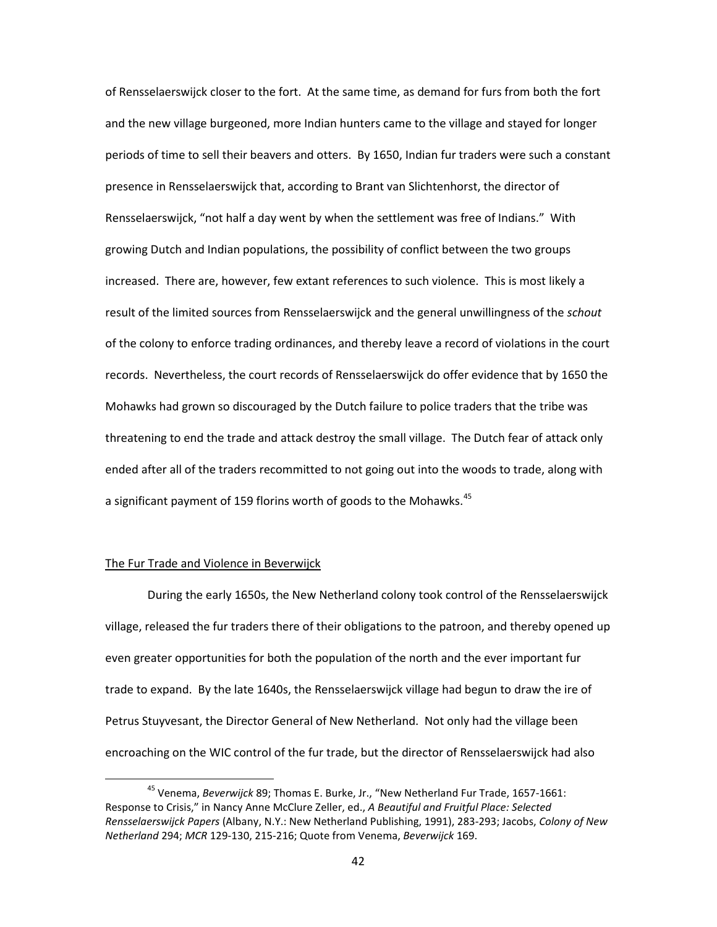of Rensselaerswijck closer to the fort. At the same time, as demand for furs from both the fort and the new village burgeoned, more Indian hunters came to the village and stayed for longer periods of time to sell their beavers and otters. By 1650, Indian fur traders were such a constant presence in Rensselaerswijck that, according to Brant van Slichtenhorst, the director of Rensselaerswijck, "not half a day went by when the settlement was free of Indians." With growing Dutch and Indian populations, the possibility of conflict between the two groups increased. There are, however, few extant references to such violence. This is most likely a result of the limited sources from Rensselaerswijck and the general unwillingness of the *schout* of the colony to enforce trading ordinances, and thereby leave a record of violations in the court records. Nevertheless, the court records of Rensselaerswijck do offer evidence that by 1650 the Mohawks had grown so discouraged by the Dutch failure to police traders that the tribe was threatening to end the trade and attack destroy the small village. The Dutch fear of attack only ended after all of the traders recommitted to not going out into the woods to trade, along with a significant payment of 159 florins worth of goods to the Mohawks.<sup>[45](#page-44-0)</sup>

## The Fur Trade and Violence in Beverwijck

During the early 1650s, the New Netherland colony took control of the Rensselaerswijck village, released the fur traders there of their obligations to the patroon, and thereby opened up even greater opportunities for both the population of the north and the ever important fur trade to expand. By the late 1640s, the Rensselaerswijck village had begun to draw the ire of Petrus Stuyvesant, the Director General of New Netherland. Not only had the village been encroaching on the WIC control of the fur trade, but the director of Rensselaerswijck had also

<span id="page-44-0"></span> <sup>45</sup> Venema, *Beverwijck* 89; Thomas E. Burke, Jr., "New Netherland Fur Trade, 1657-1661: Response to Crisis," in Nancy Anne McClure Zeller, ed., *A Beautiful and Fruitful Place: Selected Rensselaerswijck Papers* (Albany, N.Y.: New Netherland Publishing, 1991), 283-293; Jacobs, *Colony of New Netherland* 294; *MCR* 129-130, 215-216; Quote from Venema, *Beverwijck* 169.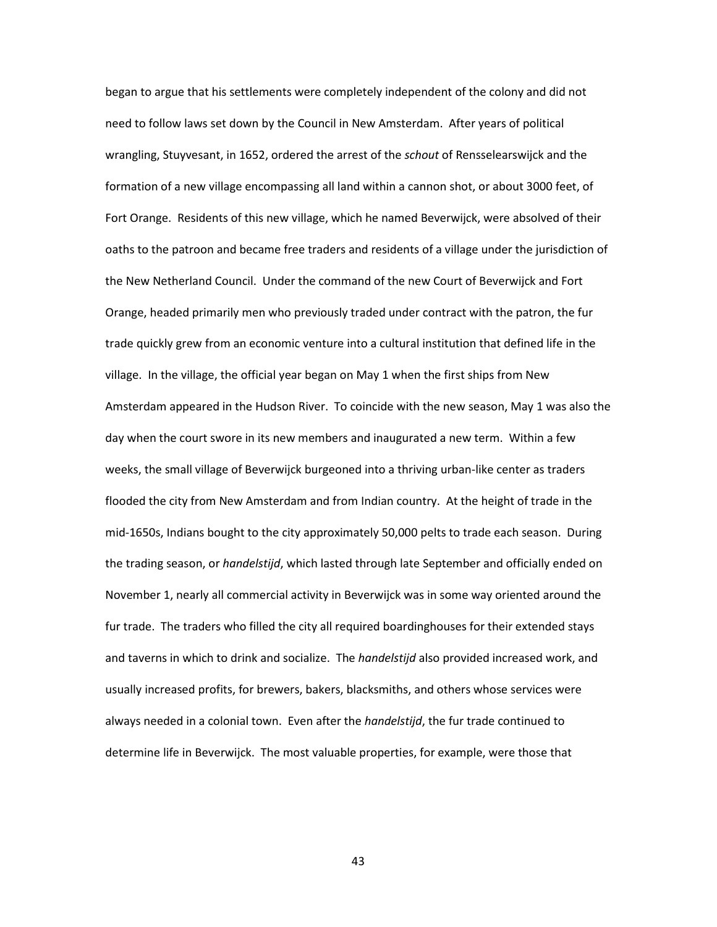began to argue that his settlements were completely independent of the colony and did not need to follow laws set down by the Council in New Amsterdam. After years of political wrangling, Stuyvesant, in 1652, ordered the arrest of the *schout* of Rensselearswijck and the formation of a new village encompassing all land within a cannon shot, or about 3000 feet, of Fort Orange. Residents of this new village, which he named Beverwijck, were absolved of their oaths to the patroon and became free traders and residents of a village under the jurisdiction of the New Netherland Council. Under the command of the new Court of Beverwijck and Fort Orange, headed primarily men who previously traded under contract with the patron, the fur trade quickly grew from an economic venture into a cultural institution that defined life in the village. In the village, the official year began on May 1 when the first ships from New Amsterdam appeared in the Hudson River. To coincide with the new season, May 1 was also the day when the court swore in its new members and inaugurated a new term. Within a few weeks, the small village of Beverwijck burgeoned into a thriving urban-like center as traders flooded the city from New Amsterdam and from Indian country. At the height of trade in the mid-1650s, Indians bought to the city approximately 50,000 pelts to trade each season. During the trading season, or *handelstijd*, which lasted through late September and officially ended on November 1, nearly all commercial activity in Beverwijck was in some way oriented around the fur trade. The traders who filled the city all required boardinghouses for their extended stays and taverns in which to drink and socialize. The *handelstijd* also provided increased work, and usually increased profits, for brewers, bakers, blacksmiths, and others whose services were always needed in a colonial town. Even after the *handelstijd*, the fur trade continued to determine life in Beverwijck. The most valuable properties, for example, were those that

43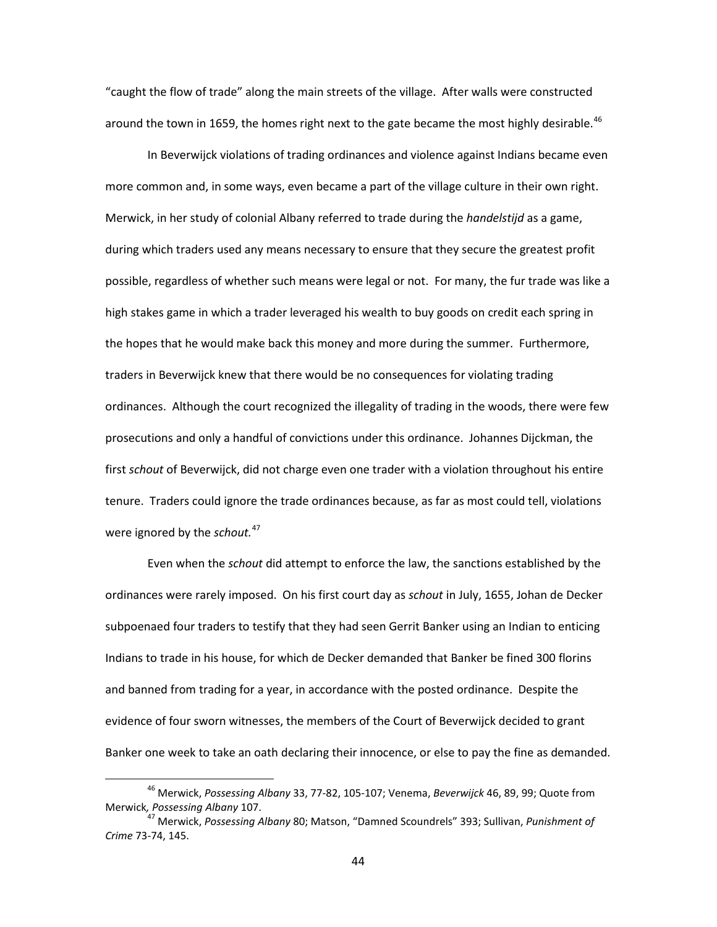"caught the flow of trade" along the main streets of the village. After walls were constructed around the town in 1659, the homes right next to the gate became the most highly desirable.<sup>[46](#page-46-0)</sup>

In Beverwijck violations of trading ordinances and violence against Indians became even more common and, in some ways, even became a part of the village culture in their own right. Merwick, in her study of colonial Albany referred to trade during the *handelstijd* as a game, during which traders used any means necessary to ensure that they secure the greatest profit possible, regardless of whether such means were legal or not. For many, the fur trade was like a high stakes game in which a trader leveraged his wealth to buy goods on credit each spring in the hopes that he would make back this money and more during the summer. Furthermore, traders in Beverwijck knew that there would be no consequences for violating trading ordinances. Although the court recognized the illegality of trading in the woods, there were few prosecutions and only a handful of convictions under this ordinance. Johannes Dijckman, the first *schout* of Beverwijck, did not charge even one trader with a violation throughout his entire tenure. Traders could ignore the trade ordinances because, as far as most could tell, violations were ignored by the *schout.*[47](#page-46-1)

Even when the *schout* did attempt to enforce the law, the sanctions established by the ordinances were rarely imposed. On his first court day as *schout* in July, 1655, Johan de Decker subpoenaed four traders to testify that they had seen Gerrit Banker using an Indian to enticing Indians to trade in his house, for which de Decker demanded that Banker be fined 300 florins and banned from trading for a year, in accordance with the posted ordinance. Despite the evidence of four sworn witnesses, the members of the Court of Beverwijck decided to grant Banker one week to take an oath declaring their innocence, or else to pay the fine as demanded.

<span id="page-46-0"></span> <sup>46</sup> Merwick, *Possessing Albany* 33, 77-82, 105-107; Venema, *Beverwijck* 46, 89, 99; Quote from Merwick*, Possessing Albany* 107.

<span id="page-46-1"></span><sup>47</sup> Merwick, *Possessing Albany* 80; Matson, "Damned Scoundrels" 393; Sullivan, *Punishment of Crime* 73-74, 145.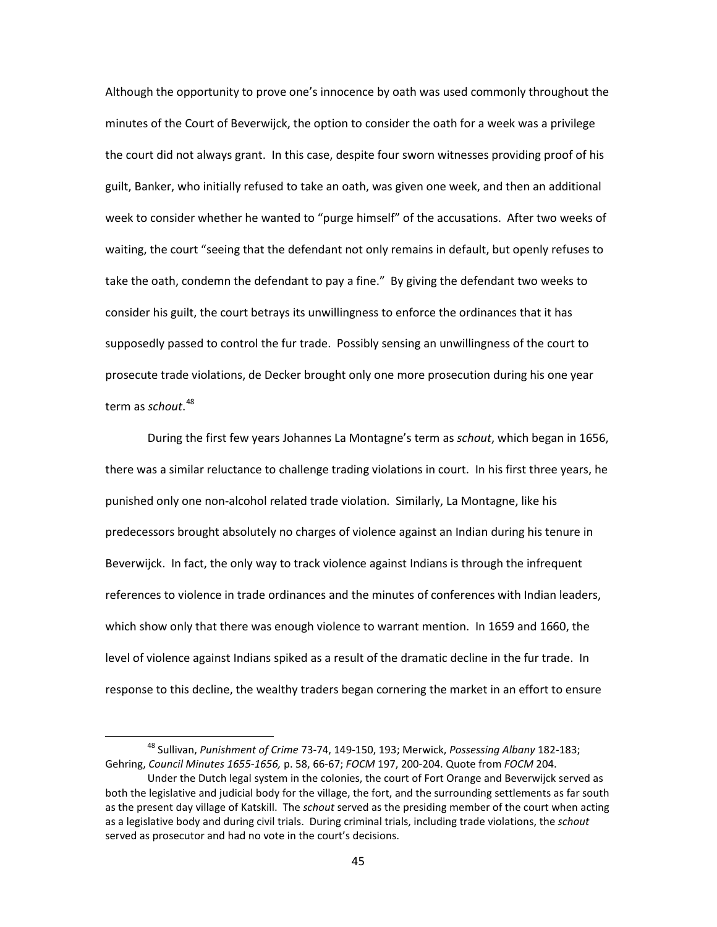Although the opportunity to prove one's innocence by oath was used commonly throughout the minutes of the Court of Beverwijck, the option to consider the oath for a week was a privilege the court did not always grant. In this case, despite four sworn witnesses providing proof of his guilt, Banker, who initially refused to take an oath, was given one week, and then an additional week to consider whether he wanted to "purge himself" of the accusations. After two weeks of waiting, the court "seeing that the defendant not only remains in default, but openly refuses to take the oath, condemn the defendant to pay a fine." By giving the defendant two weeks to consider his guilt, the court betrays its unwillingness to enforce the ordinances that it has supposedly passed to control the fur trade. Possibly sensing an unwillingness of the court to prosecute trade violations, de Decker brought only one more prosecution during his one year term as *schout*. [48](#page-47-0)

During the first few years Johannes La Montagne's term as *schout*, which began in 1656, there was a similar reluctance to challenge trading violations in court. In his first three years, he punished only one non-alcohol related trade violation. Similarly, La Montagne, like his predecessors brought absolutely no charges of violence against an Indian during his tenure in Beverwijck. In fact, the only way to track violence against Indians is through the infrequent references to violence in trade ordinances and the minutes of conferences with Indian leaders, which show only that there was enough violence to warrant mention. In 1659 and 1660, the level of violence against Indians spiked as a result of the dramatic decline in the fur trade. In response to this decline, the wealthy traders began cornering the market in an effort to ensure

<span id="page-47-0"></span> <sup>48</sup> Sullivan, *Punishment of Crime* 73-74, 149-150, 193; Merwick, *Possessing Albany* 182-183; Gehring, *Council Minutes 1655-1656,* p. 58, 66-67; *FOCM* 197, 200-204. Quote from *FOCM* 204. Under the Dutch legal system in the colonies, the court of Fort Orange and Beverwijck served as both the legislative and judicial body for the village, the fort, and the surrounding settlements as far south

as the present day village of Katskill. The *schout* served as the presiding member of the court when acting as a legislative body and during civil trials. During criminal trials, including trade violations, the *schout* served as prosecutor and had no vote in the court's decisions.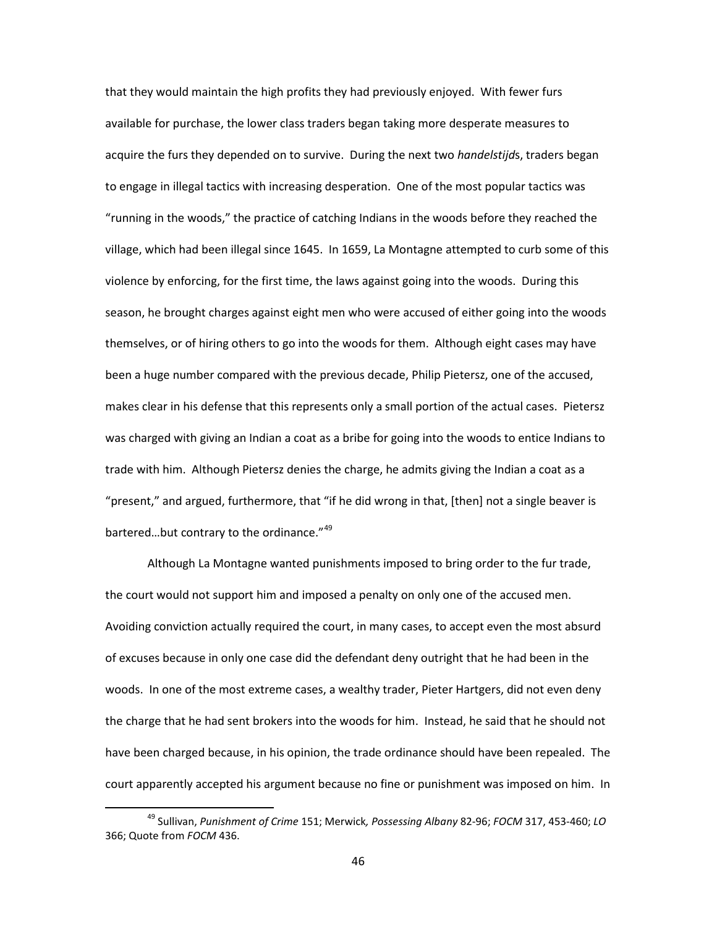that they would maintain the high profits they had previously enjoyed. With fewer furs available for purchase, the lower class traders began taking more desperate measures to acquire the furs they depended on to survive. During the next two *handelstijd*s, traders began to engage in illegal tactics with increasing desperation. One of the most popular tactics was "running in the woods," the practice of catching Indians in the woods before they reached the village, which had been illegal since 1645. In 1659, La Montagne attempted to curb some of this violence by enforcing, for the first time, the laws against going into the woods. During this season, he brought charges against eight men who were accused of either going into the woods themselves, or of hiring others to go into the woods for them. Although eight cases may have been a huge number compared with the previous decade, Philip Pietersz, one of the accused, makes clear in his defense that this represents only a small portion of the actual cases. Pietersz was charged with giving an Indian a coat as a bribe for going into the woods to entice Indians to trade with him. Although Pietersz denies the charge, he admits giving the Indian a coat as a "present," and argued, furthermore, that "if he did wrong in that, [then] not a single beaver is bartered...but contrary to the ordinance."<sup>[49](#page-48-0)</sup>

Although La Montagne wanted punishments imposed to bring order to the fur trade, the court would not support him and imposed a penalty on only one of the accused men. Avoiding conviction actually required the court, in many cases, to accept even the most absurd of excuses because in only one case did the defendant deny outright that he had been in the woods. In one of the most extreme cases, a wealthy trader, Pieter Hartgers, did not even deny the charge that he had sent brokers into the woods for him. Instead, he said that he should not have been charged because, in his opinion, the trade ordinance should have been repealed. The court apparently accepted his argument because no fine or punishment was imposed on him. In

<span id="page-48-0"></span> <sup>49</sup> Sullivan, *Punishment of Crime* 151; Merwick*, Possessing Albany* 82-96; *FOCM* 317, 453-460; *LO* 366; Quote from *FOCM* 436.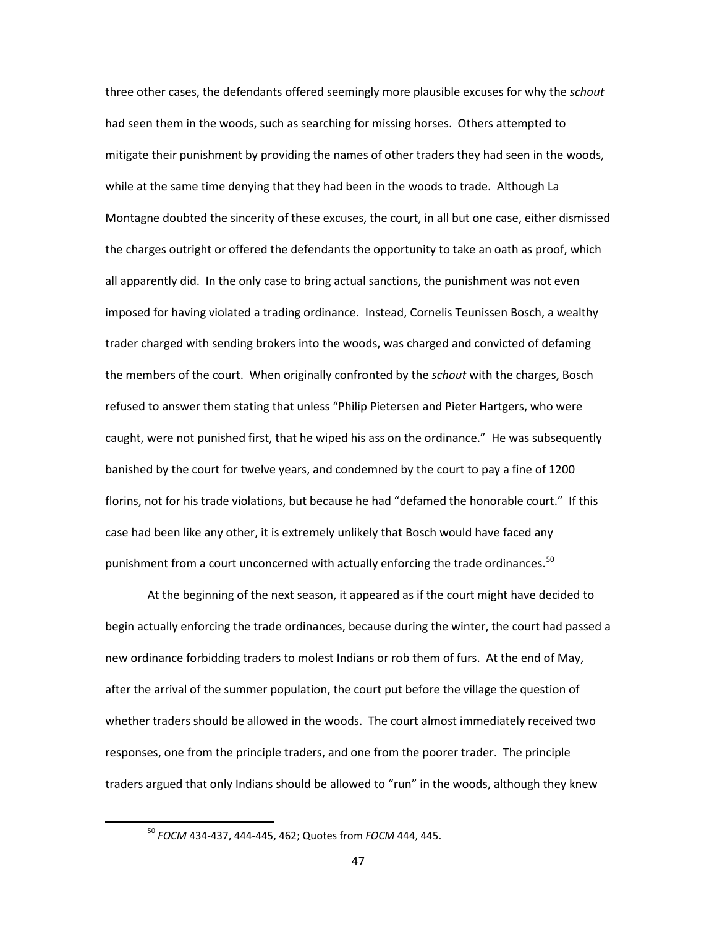three other cases, the defendants offered seemingly more plausible excuses for why the *schout*  had seen them in the woods, such as searching for missing horses. Others attempted to mitigate their punishment by providing the names of other traders they had seen in the woods, while at the same time denying that they had been in the woods to trade. Although La Montagne doubted the sincerity of these excuses, the court, in all but one case, either dismissed the charges outright or offered the defendants the opportunity to take an oath as proof, which all apparently did. In the only case to bring actual sanctions, the punishment was not even imposed for having violated a trading ordinance. Instead, Cornelis Teunissen Bosch, a wealthy trader charged with sending brokers into the woods, was charged and convicted of defaming the members of the court. When originally confronted by the *schout* with the charges, Bosch refused to answer them stating that unless "Philip Pietersen and Pieter Hartgers, who were caught, were not punished first, that he wiped his ass on the ordinance." He was subsequently banished by the court for twelve years, and condemned by the court to pay a fine of 1200 florins, not for his trade violations, but because he had "defamed the honorable court." If this case had been like any other, it is extremely unlikely that Bosch would have faced any punishment from a court unconcerned with actually enforcing the trade ordinances.<sup>[50](#page-49-0)</sup>

At the beginning of the next season, it appeared as if the court might have decided to begin actually enforcing the trade ordinances, because during the winter, the court had passed a new ordinance forbidding traders to molest Indians or rob them of furs. At the end of May, after the arrival of the summer population, the court put before the village the question of whether traders should be allowed in the woods. The court almost immediately received two responses, one from the principle traders, and one from the poorer trader. The principle traders argued that only Indians should be allowed to "run" in the woods, although they knew

<span id="page-49-0"></span> <sup>50</sup> *FOCM* 434-437, 444-445, 462; Quotes from *FOCM* 444, 445.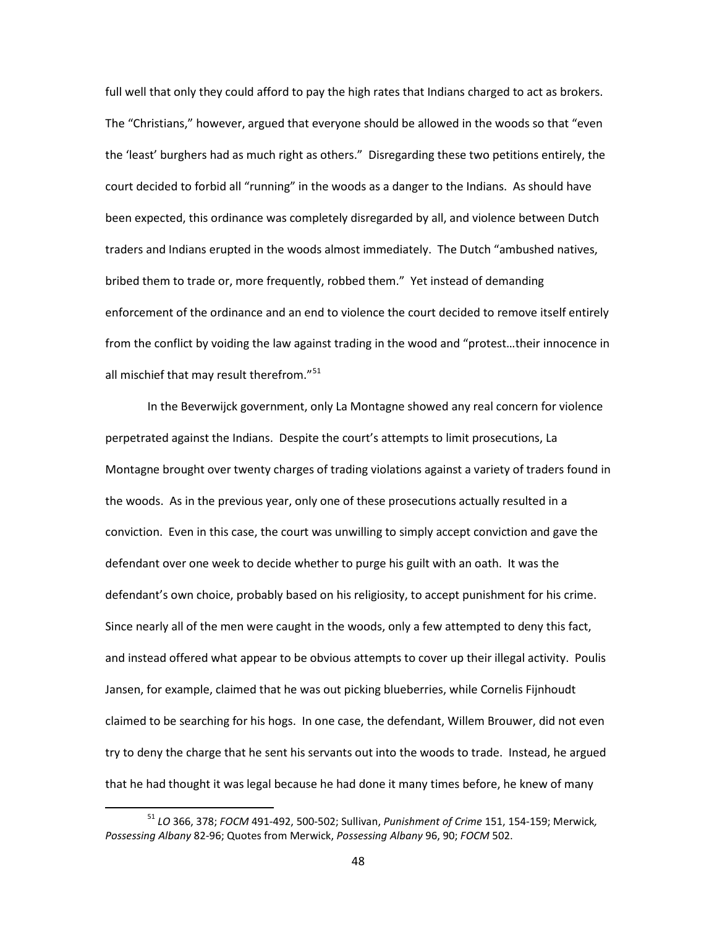full well that only they could afford to pay the high rates that Indians charged to act as brokers. The "Christians," however, argued that everyone should be allowed in the woods so that "even the 'least' burghers had as much right as others." Disregarding these two petitions entirely, the court decided to forbid all "running" in the woods as a danger to the Indians. As should have been expected, this ordinance was completely disregarded by all, and violence between Dutch traders and Indians erupted in the woods almost immediately. The Dutch "ambushed natives, bribed them to trade or, more frequently, robbed them." Yet instead of demanding enforcement of the ordinance and an end to violence the court decided to remove itself entirely from the conflict by voiding the law against trading in the wood and "protest…their innocence in all mischief that may result therefrom."<sup>[51](#page-50-0)</sup>

In the Beverwijck government, only La Montagne showed any real concern for violence perpetrated against the Indians. Despite the court's attempts to limit prosecutions, La Montagne brought over twenty charges of trading violations against a variety of traders found in the woods. As in the previous year, only one of these prosecutions actually resulted in a conviction. Even in this case, the court was unwilling to simply accept conviction and gave the defendant over one week to decide whether to purge his guilt with an oath. It was the defendant's own choice, probably based on his religiosity, to accept punishment for his crime. Since nearly all of the men were caught in the woods, only a few attempted to deny this fact, and instead offered what appear to be obvious attempts to cover up their illegal activity. Poulis Jansen, for example, claimed that he was out picking blueberries, while Cornelis Fijnhoudt claimed to be searching for his hogs. In one case, the defendant, Willem Brouwer, did not even try to deny the charge that he sent his servants out into the woods to trade. Instead, he argued that he had thought it was legal because he had done it many times before, he knew of many

<span id="page-50-0"></span> <sup>51</sup> *LO* 366, 378; *FOCM* 491-492, 500-502; Sullivan, *Punishment of Crime* 151, 154-159; Merwick*, Possessing Albany* 82-96; Quotes from Merwick, *Possessing Albany* 96, 90; *FOCM* 502.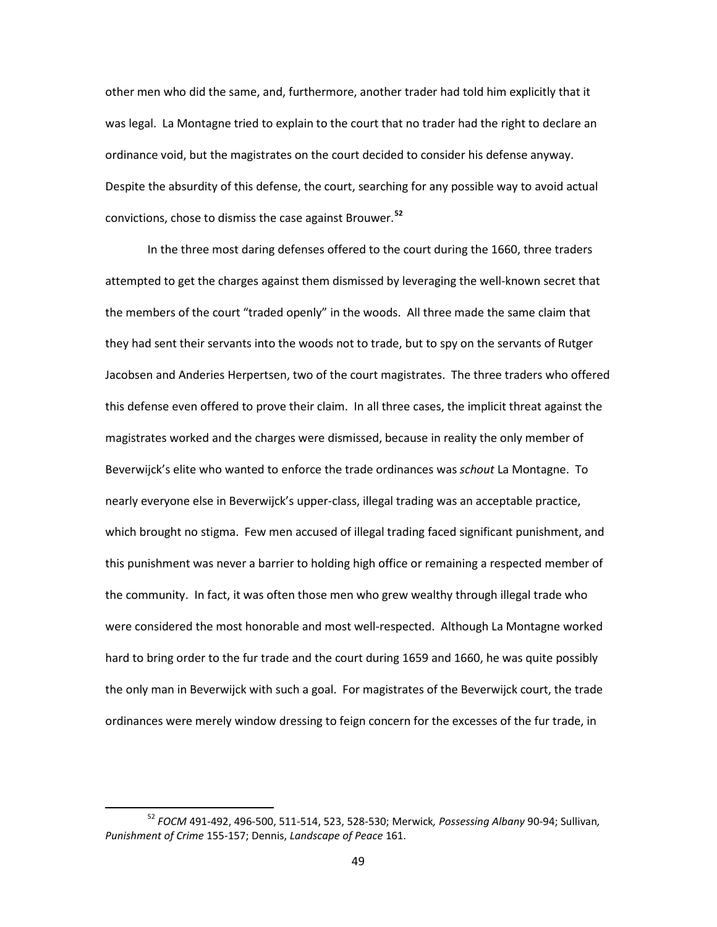other men who did the same, and, furthermore, another trader had told him explicitly that it was legal. La Montagne tried to explain to the court that no trader had the right to declare an ordinance void, but the magistrates on the court decided to consider his defense anyway. Despite the absurdity of this defense, the court, searching for any possible way to avoid actual convictions, chose to dismiss the case against Brouwer.**[52](#page-51-0)**

In the three most daring defenses offered to the court during the 1660, three traders attempted to get the charges against them dismissed by leveraging the well-known secret that the members of the court "traded openly" in the woods. All three made the same claim that they had sent their servants into the woods not to trade, but to spy on the servants of Rutger Jacobsen and Anderies Herpertsen, two of the court magistrates. The three traders who offered this defense even offered to prove their claim. In all three cases, the implicit threat against the magistrates worked and the charges were dismissed, because in reality the only member of Beverwijck's elite who wanted to enforce the trade ordinances was *schout* La Montagne. To nearly everyone else in Beverwijck's upper-class, illegal trading was an acceptable practice, which brought no stigma. Few men accused of illegal trading faced significant punishment, and this punishment was never a barrier to holding high office or remaining a respected member of the community. In fact, it was often those men who grew wealthy through illegal trade who were considered the most honorable and most well-respected. Although La Montagne worked hard to bring order to the fur trade and the court during 1659 and 1660, he was quite possibly the only man in Beverwijck with such a goal. For magistrates of the Beverwijck court, the trade ordinances were merely window dressing to feign concern for the excesses of the fur trade, in

<span id="page-51-0"></span> <sup>52</sup> *FOCM* 491-492, 496-500, 511-514, 523, 528-530; Merwick*, Possessing Albany* 90-94; Sullivan*, Punishment of Crime* 155-157; Dennis, *Landscape of Peace* 161.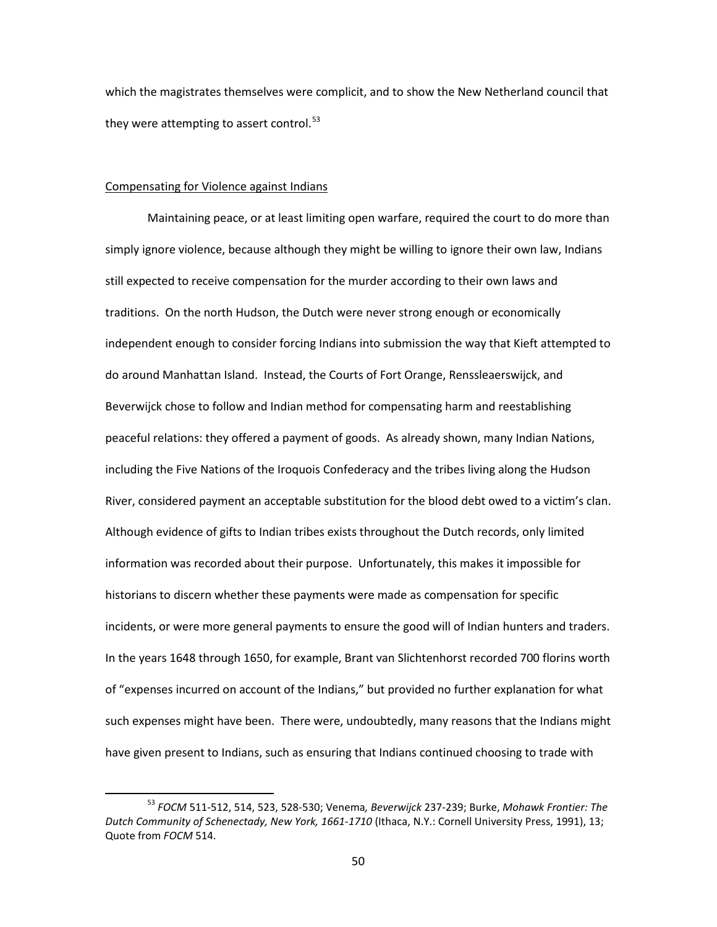which the magistrates themselves were complicit, and to show the New Netherland council that they were attempting to assert control. $53$ 

## Compensating for Violence against Indians

Maintaining peace, or at least limiting open warfare, required the court to do more than simply ignore violence, because although they might be willing to ignore their own law, Indians still expected to receive compensation for the murder according to their own laws and traditions. On the north Hudson, the Dutch were never strong enough or economically independent enough to consider forcing Indians into submission the way that Kieft attempted to do around Manhattan Island. Instead, the Courts of Fort Orange, Renssleaerswijck, and Beverwijck chose to follow and Indian method for compensating harm and reestablishing peaceful relations: they offered a payment of goods. As already shown, many Indian Nations, including the Five Nations of the Iroquois Confederacy and the tribes living along the Hudson River, considered payment an acceptable substitution for the blood debt owed to a victim's clan. Although evidence of gifts to Indian tribes exists throughout the Dutch records, only limited information was recorded about their purpose. Unfortunately, this makes it impossible for historians to discern whether these payments were made as compensation for specific incidents, or were more general payments to ensure the good will of Indian hunters and traders. In the years 1648 through 1650, for example, Brant van Slichtenhorst recorded 700 florins worth of "expenses incurred on account of the Indians," but provided no further explanation for what such expenses might have been. There were, undoubtedly, many reasons that the Indians might have given present to Indians, such as ensuring that Indians continued choosing to trade with

<span id="page-52-0"></span> <sup>53</sup> *FOCM* 511-512, 514, 523, 528-530; Venema*, Beverwijck* 237-239; Burke, *Mohawk Frontier: The Dutch Community of Schenectady, New York, 1661-1710* (Ithaca, N.Y.: Cornell University Press, 1991), 13; Quote from *FOCM* 514.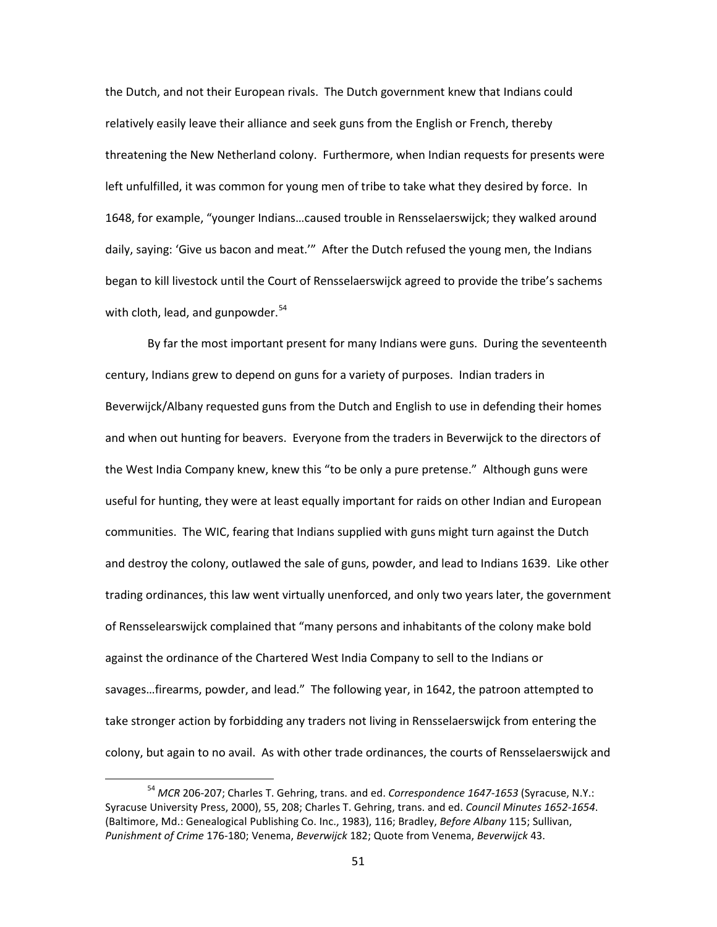the Dutch, and not their European rivals. The Dutch government knew that Indians could relatively easily leave their alliance and seek guns from the English or French, thereby threatening the New Netherland colony. Furthermore, when Indian requests for presents were left unfulfilled, it was common for young men of tribe to take what they desired by force. In 1648, for example, "younger Indians…caused trouble in Rensselaerswijck; they walked around daily, saying: 'Give us bacon and meat.'" After the Dutch refused the young men, the Indians began to kill livestock until the Court of Rensselaerswijck agreed to provide the tribe's sachems with cloth, lead, and gunpowder. $54$ 

By far the most important present for many Indians were guns. During the seventeenth century, Indians grew to depend on guns for a variety of purposes. Indian traders in Beverwijck/Albany requested guns from the Dutch and English to use in defending their homes and when out hunting for beavers. Everyone from the traders in Beverwijck to the directors of the West India Company knew, knew this "to be only a pure pretense." Although guns were useful for hunting, they were at least equally important for raids on other Indian and European communities. The WIC, fearing that Indians supplied with guns might turn against the Dutch and destroy the colony, outlawed the sale of guns, powder, and lead to Indians 1639. Like other trading ordinances, this law went virtually unenforced, and only two years later, the government of Rensselearswijck complained that "many persons and inhabitants of the colony make bold against the ordinance of the Chartered West India Company to sell to the Indians or savages…firearms, powder, and lead." The following year, in 1642, the patroon attempted to take stronger action by forbidding any traders not living in Rensselaerswijck from entering the colony, but again to no avail. As with other trade ordinances, the courts of Rensselaerswijck and

<span id="page-53-0"></span> <sup>54</sup> *MCR* 206-207; Charles T. Gehring, trans. and ed. *Correspondence 1647-1653* (Syracuse, N.Y.: Syracuse University Press, 2000), 55, 208; Charles T. Gehring, trans. and ed. *Council Minutes 1652-1654*. (Baltimore, Md.: Genealogical Publishing Co. Inc., 1983), 116; Bradley, *Before Albany* 115; Sullivan, *Punishment of Crime* 176-180; Venema, *Beverwijck* 182; Quote from Venema, *Beverwijck* 43.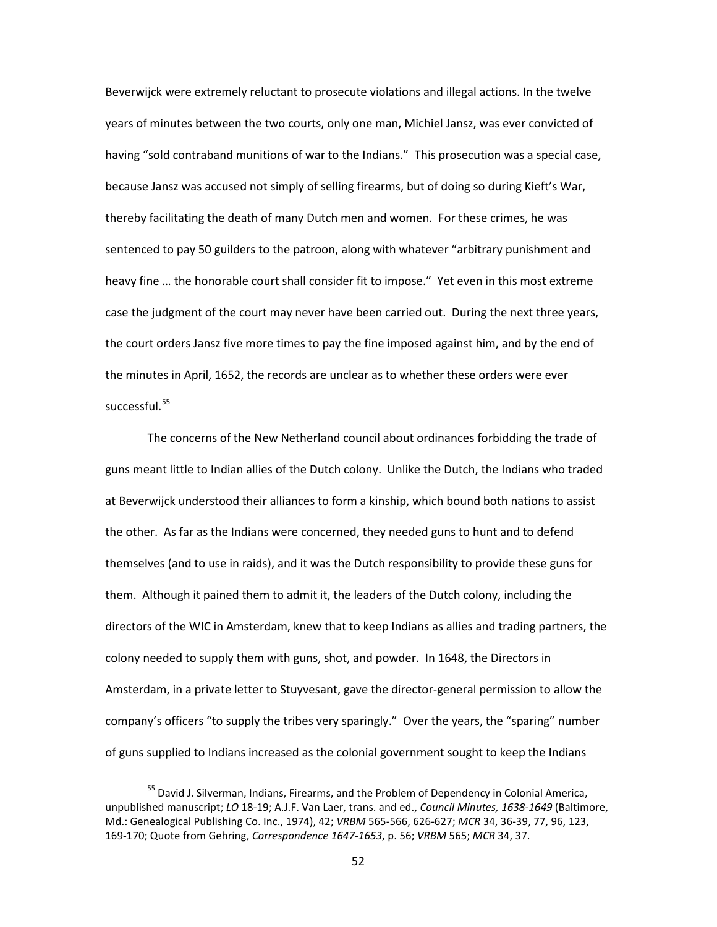Beverwijck were extremely reluctant to prosecute violations and illegal actions. In the twelve years of minutes between the two courts, only one man, Michiel Jansz, was ever convicted of having "sold contraband munitions of war to the Indians." This prosecution was a special case, because Jansz was accused not simply of selling firearms, but of doing so during Kieft's War, thereby facilitating the death of many Dutch men and women. For these crimes, he was sentenced to pay 50 guilders to the patroon, along with whatever "arbitrary punishment and heavy fine … the honorable court shall consider fit to impose." Yet even in this most extreme case the judgment of the court may never have been carried out. During the next three years, the court orders Jansz five more times to pay the fine imposed against him, and by the end of the minutes in April, 1652, the records are unclear as to whether these orders were ever successful.<sup>[55](#page-54-0)</sup>

The concerns of the New Netherland council about ordinances forbidding the trade of guns meant little to Indian allies of the Dutch colony. Unlike the Dutch, the Indians who traded at Beverwijck understood their alliances to form a kinship, which bound both nations to assist the other. As far as the Indians were concerned, they needed guns to hunt and to defend themselves (and to use in raids), and it was the Dutch responsibility to provide these guns for them. Although it pained them to admit it, the leaders of the Dutch colony, including the directors of the WIC in Amsterdam, knew that to keep Indians as allies and trading partners, the colony needed to supply them with guns, shot, and powder. In 1648, the Directors in Amsterdam, in a private letter to Stuyvesant, gave the director-general permission to allow the company's officers "to supply the tribes very sparingly." Over the years, the "sparing" number of guns supplied to Indians increased as the colonial government sought to keep the Indians

<span id="page-54-0"></span><sup>&</sup>lt;sup>55</sup> David J. Silverman, Indians, Firearms, and the Problem of Dependency in Colonial America, unpublished manuscript; *LO* 18-19; A.J.F. Van Laer, trans. and ed., *Council Minutes, 1638-1649* (Baltimore, Md.: Genealogical Publishing Co. Inc., 1974), 42; *VRBM* 565-566, 626-627; *MCR* 34, 36-39, 77, 96, 123, 169-170; Quote from Gehring, *Correspondence 1647-1653*, p. 56; *VRBM* 565; *MCR* 34, 37.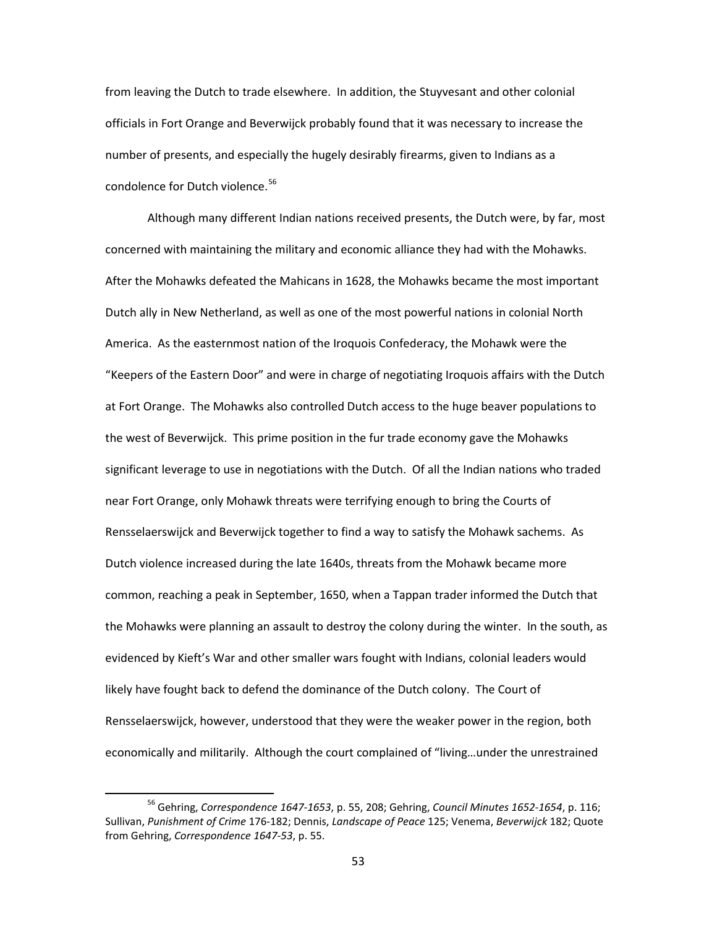from leaving the Dutch to trade elsewhere. In addition, the Stuyvesant and other colonial officials in Fort Orange and Beverwijck probably found that it was necessary to increase the number of presents, and especially the hugely desirably firearms, given to Indians as a condolence for Dutch violence.<sup>[56](#page-55-0)</sup>

Although many different Indian nations received presents, the Dutch were, by far, most concerned with maintaining the military and economic alliance they had with the Mohawks. After the Mohawks defeated the Mahicans in 1628, the Mohawks became the most important Dutch ally in New Netherland, as well as one of the most powerful nations in colonial North America. As the easternmost nation of the Iroquois Confederacy, the Mohawk were the "Keepers of the Eastern Door" and were in charge of negotiating Iroquois affairs with the Dutch at Fort Orange. The Mohawks also controlled Dutch access to the huge beaver populations to the west of Beverwijck. This prime position in the fur trade economy gave the Mohawks significant leverage to use in negotiations with the Dutch. Of all the Indian nations who traded near Fort Orange, only Mohawk threats were terrifying enough to bring the Courts of Rensselaerswijck and Beverwijck together to find a way to satisfy the Mohawk sachems. As Dutch violence increased during the late 1640s, threats from the Mohawk became more common, reaching a peak in September, 1650, when a Tappan trader informed the Dutch that the Mohawks were planning an assault to destroy the colony during the winter. In the south, as evidenced by Kieft's War and other smaller wars fought with Indians, colonial leaders would likely have fought back to defend the dominance of the Dutch colony. The Court of Rensselaerswijck, however, understood that they were the weaker power in the region, both economically and militarily. Although the court complained of "living…under the unrestrained

<span id="page-55-0"></span> <sup>56</sup> Gehring, *Correspondence 1647-1653*, p. 55, 208; Gehring, *Council Minutes 1652-1654*, p. 116; Sullivan, *Punishment of Crime* 176-182; Dennis, *Landscape of Peace* 125; Venema, *Beverwijck* 182; Quote from Gehring, *Correspondence 1647-53*, p. 55.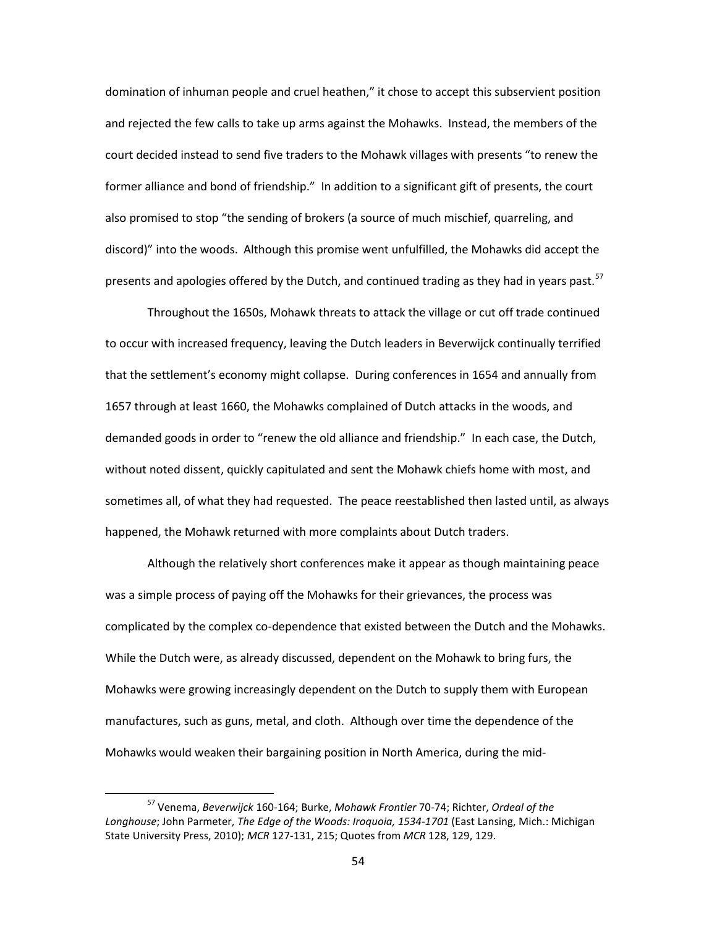domination of inhuman people and cruel heathen," it chose to accept this subservient position and rejected the few calls to take up arms against the Mohawks. Instead, the members of the court decided instead to send five traders to the Mohawk villages with presents "to renew the former alliance and bond of friendship." In addition to a significant gift of presents, the court also promised to stop "the sending of brokers (a source of much mischief, quarreling, and discord)" into the woods. Although this promise went unfulfilled, the Mohawks did accept the presents and apologies offered by the Dutch, and continued trading as they had in years past.<sup>[57](#page-56-0)</sup>

Throughout the 1650s, Mohawk threats to attack the village or cut off trade continued to occur with increased frequency, leaving the Dutch leaders in Beverwijck continually terrified that the settlement's economy might collapse. During conferences in 1654 and annually from 1657 through at least 1660, the Mohawks complained of Dutch attacks in the woods, and demanded goods in order to "renew the old alliance and friendship." In each case, the Dutch, without noted dissent, quickly capitulated and sent the Mohawk chiefs home with most, and sometimes all, of what they had requested. The peace reestablished then lasted until, as always happened, the Mohawk returned with more complaints about Dutch traders.

Although the relatively short conferences make it appear as though maintaining peace was a simple process of paying off the Mohawks for their grievances, the process was complicated by the complex co-dependence that existed between the Dutch and the Mohawks. While the Dutch were, as already discussed, dependent on the Mohawk to bring furs, the Mohawks were growing increasingly dependent on the Dutch to supply them with European manufactures, such as guns, metal, and cloth. Although over time the dependence of the Mohawks would weaken their bargaining position in North America, during the mid-

<span id="page-56-0"></span> <sup>57</sup> Venema, *Beverwijck* 160-164; Burke, *Mohawk Frontier* 70-74; Richter, *Ordeal of the Longhouse*; John Parmeter, *The Edge of the Woods: Iroquoia, 1534-1701* (East Lansing, Mich.: Michigan State University Press, 2010); *MCR* 127-131, 215; Quotes from *MCR* 128, 129, 129.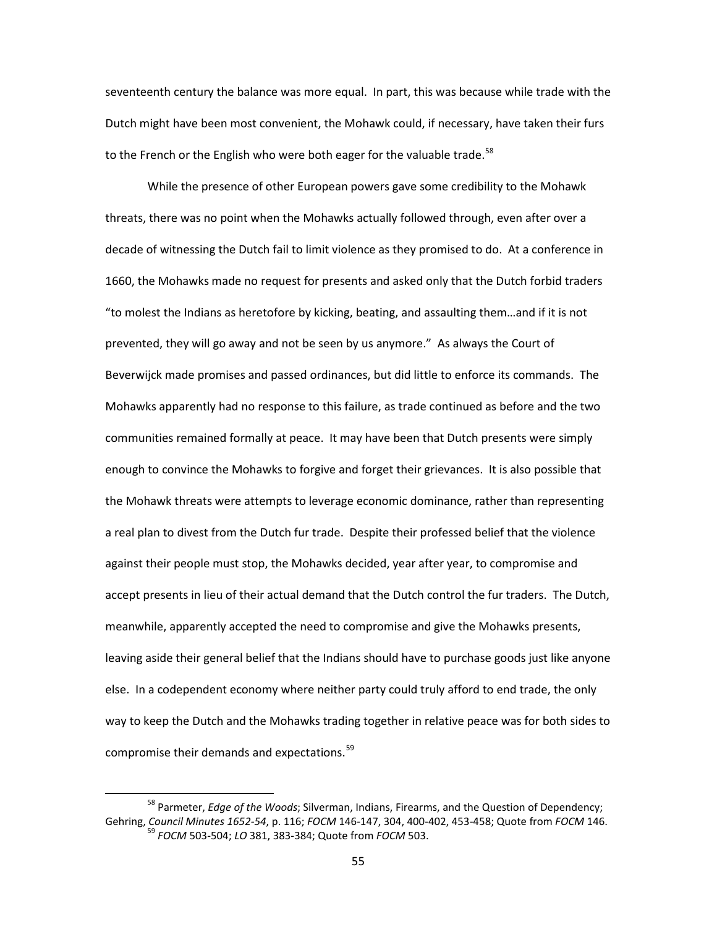seventeenth century the balance was more equal. In part, this was because while trade with the Dutch might have been most convenient, the Mohawk could, if necessary, have taken their furs to the French or the English who were both eager for the valuable trade.<sup>[58](#page-57-0)</sup>

While the presence of other European powers gave some credibility to the Mohawk threats, there was no point when the Mohawks actually followed through, even after over a decade of witnessing the Dutch fail to limit violence as they promised to do. At a conference in 1660, the Mohawks made no request for presents and asked only that the Dutch forbid traders "to molest the Indians as heretofore by kicking, beating, and assaulting them…and if it is not prevented, they will go away and not be seen by us anymore." As always the Court of Beverwijck made promises and passed ordinances, but did little to enforce its commands. The Mohawks apparently had no response to this failure, as trade continued as before and the two communities remained formally at peace. It may have been that Dutch presents were simply enough to convince the Mohawks to forgive and forget their grievances. It is also possible that the Mohawk threats were attempts to leverage economic dominance, rather than representing a real plan to divest from the Dutch fur trade. Despite their professed belief that the violence against their people must stop, the Mohawks decided, year after year, to compromise and accept presents in lieu of their actual demand that the Dutch control the fur traders. The Dutch, meanwhile, apparently accepted the need to compromise and give the Mohawks presents, leaving aside their general belief that the Indians should have to purchase goods just like anyone else. In a codependent economy where neither party could truly afford to end trade, the only way to keep the Dutch and the Mohawks trading together in relative peace was for both sides to compromise their demands and expectations.<sup>[59](#page-57-1)</sup>

<span id="page-57-1"></span><span id="page-57-0"></span> <sup>58</sup> Parmeter, *Edge of the Woods*; Silverman, Indians, Firearms, and the Question of Dependency; Gehring, *Council Minutes 1652-54*, p. 116; *FOCM* 146-147, 304, 400-402, 453-458; Quote from *FOCM* 146. <sup>59</sup> *FOCM* 503-504; *LO* 381, 383-384; Quote from *FOCM* 503.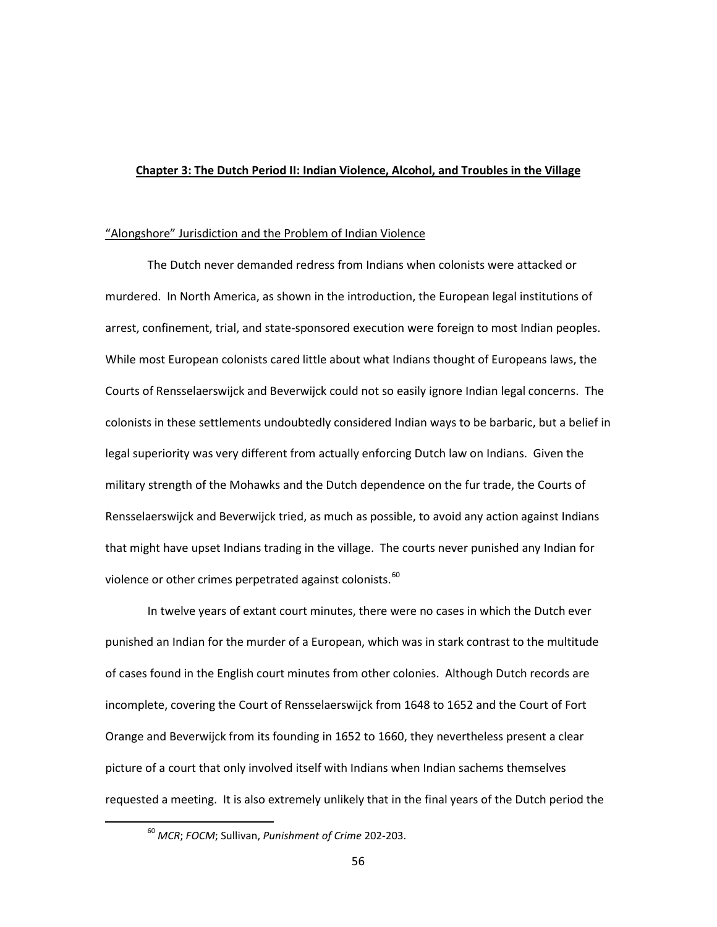## **Chapter 3: The Dutch Period II: Indian Violence, Alcohol, and Troubles in the Village**

### "Alongshore" Jurisdiction and the Problem of Indian Violence

The Dutch never demanded redress from Indians when colonists were attacked or murdered. In North America, as shown in the introduction, the European legal institutions of arrest, confinement, trial, and state-sponsored execution were foreign to most Indian peoples. While most European colonists cared little about what Indians thought of Europeans laws, the Courts of Rensselaerswijck and Beverwijck could not so easily ignore Indian legal concerns. The colonists in these settlements undoubtedly considered Indian ways to be barbaric, but a belief in legal superiority was very different from actually enforcing Dutch law on Indians. Given the military strength of the Mohawks and the Dutch dependence on the fur trade, the Courts of Rensselaerswijck and Beverwijck tried, as much as possible, to avoid any action against Indians that might have upset Indians trading in the village. The courts never punished any Indian for violence or other crimes perpetrated against colonists.<sup>[60](#page-58-0)</sup>

In twelve years of extant court minutes, there were no cases in which the Dutch ever punished an Indian for the murder of a European, which was in stark contrast to the multitude of cases found in the English court minutes from other colonies. Although Dutch records are incomplete, covering the Court of Rensselaerswijck from 1648 to 1652 and the Court of Fort Orange and Beverwijck from its founding in 1652 to 1660, they nevertheless present a clear picture of a court that only involved itself with Indians when Indian sachems themselves requested a meeting. It is also extremely unlikely that in the final years of the Dutch period the

<span id="page-58-0"></span> <sup>60</sup> *MCR*; *FOCM*; Sullivan, *Punishment of Crime* 202-203.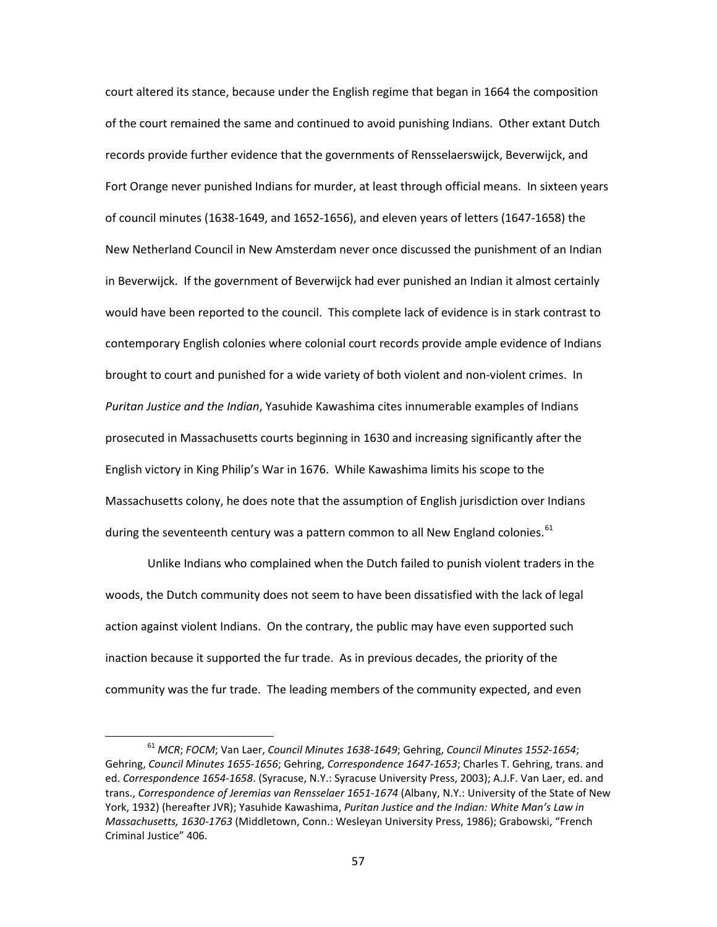court altered its stance, because under the English regime that began in 1664 the composition of the court remained the same and continued to avoid punishing Indians. Other extant Dutch records provide further evidence that the governments of Rensselaerswijck, Beverwijck, and Fort Orange never punished Indians for murder, at least through official means. In sixteen years of council minutes (1638-1649, and 1652-1656), and eleven years of letters (1647-1658) the New Netherland Council in New Amsterdam never once discussed the punishment of an Indian in Beverwijck. If the government of Beverwijck had ever punished an Indian it almost certainly would have been reported to the council. This complete lack of evidence is in stark contrast to contemporary English colonies where colonial court records provide ample evidence of Indians brought to court and punished for a wide variety of both violent and non-violent crimes. In *Puritan Justice and the Indian*, Yasuhide Kawashima cites innumerable examples of Indians prosecuted in Massachusetts courts beginning in 1630 and increasing significantly after the English victory in King Philip's War in 1676. While Kawashima limits his scope to the Massachusetts colony, he does note that the assumption of English jurisdiction over Indians during the seventeenth century was a pattern common to all New England colonies.<sup>[61](#page-59-0)</sup>

Unlike Indians who complained when the Dutch failed to punish violent traders in the woods, the Dutch community does not seem to have been dissatisfied with the lack of legal action against violent Indians. On the contrary, the public may have even supported such inaction because it supported the fur trade. As in previous decades, the priority of the community was the fur trade. The leading members of the community expected, and even

<span id="page-59-0"></span> <sup>61</sup> *MCR*; *FOCM*; Van Laer, *Council Minutes 1638-1649*; Gehring, *Council Minutes 1552-1654*; Gehring, *Council Minutes 1655-1656*; Gehring, *Correspondence 1647-1653*; Charles T. Gehring, trans. and ed. *Correspondence 1654-1658*. (Syracuse, N.Y.: Syracuse University Press, 2003); A.J.F. Van Laer, ed. and trans., *Correspondence of Jeremias van Rensselaer 1651-1674* (Albany, N.Y.: University of the State of New York, 1932) (hereafter JVR); Yasuhide Kawashima, *Puritan Justice and the Indian: White Man's Law in Massachusetts, 1630-1763* (Middletown, Conn.: Wesleyan University Press, 1986); Grabowski, "French Criminal Justice" 406.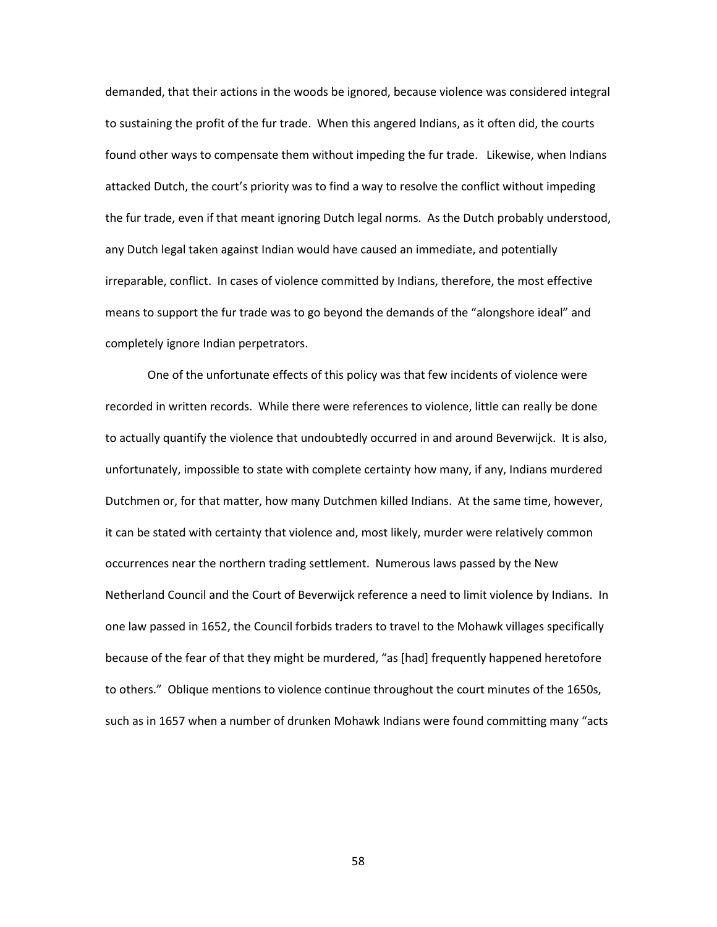demanded, that their actions in the woods be ignored, because violence was considered integral to sustaining the profit of the fur trade. When this angered Indians, as it often did, the courts found other ways to compensate them without impeding the fur trade. Likewise, when Indians attacked Dutch, the court's priority was to find a way to resolve the conflict without impeding the fur trade, even if that meant ignoring Dutch legal norms. As the Dutch probably understood, any Dutch legal taken against Indian would have caused an immediate, and potentially irreparable, conflict. In cases of violence committed by Indians, therefore, the most effective means to support the fur trade was to go beyond the demands of the "alongshore ideal" and completely ignore Indian perpetrators.

One of the unfortunate effects of this policy was that few incidents of violence were recorded in written records. While there were references to violence, little can really be done to actually quantify the violence that undoubtedly occurred in and around Beverwijck. It is also, unfortunately, impossible to state with complete certainty how many, if any, Indians murdered Dutchmen or, for that matter, how many Dutchmen killed Indians. At the same time, however, it can be stated with certainty that violence and, most likely, murder were relatively common occurrences near the northern trading settlement. Numerous laws passed by the New Netherland Council and the Court of Beverwijck reference a need to limit violence by Indians. In one law passed in 1652, the Council forbids traders to travel to the Mohawk villages specifically because of the fear of that they might be murdered, "as [had] frequently happened heretofore to others." Oblique mentions to violence continue throughout the court minutes of the 1650s, such as in 1657 when a number of drunken Mohawk Indians were found committing many "acts

58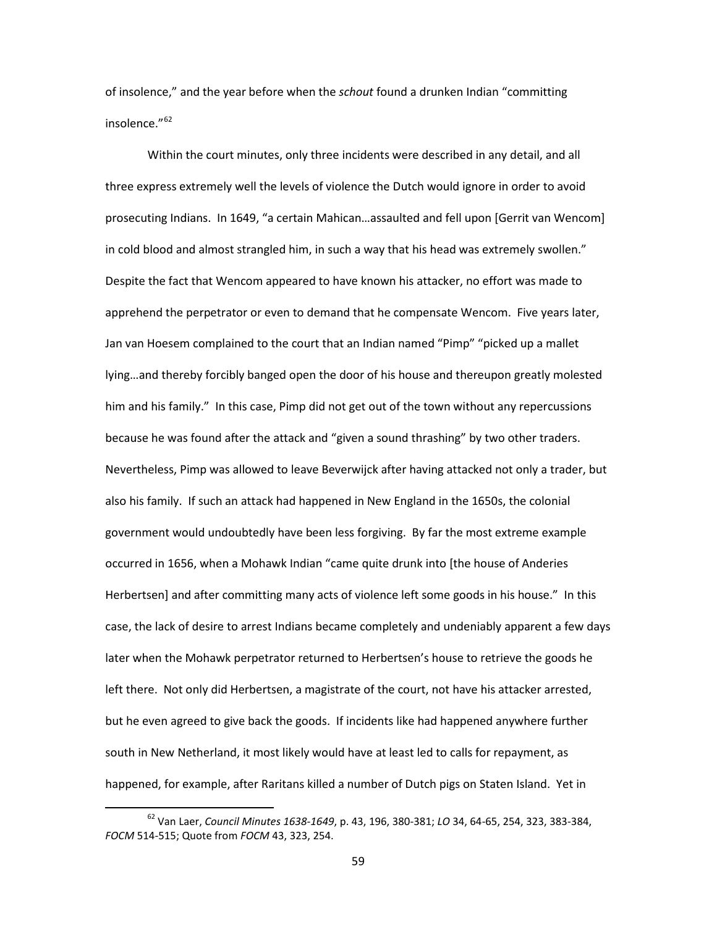of insolence," and the year before when the *schout* found a drunken Indian "committing insolence."<sup>[62](#page-61-0)</sup>

Within the court minutes, only three incidents were described in any detail, and all three express extremely well the levels of violence the Dutch would ignore in order to avoid prosecuting Indians. In 1649, "a certain Mahican…assaulted and fell upon [Gerrit van Wencom] in cold blood and almost strangled him, in such a way that his head was extremely swollen." Despite the fact that Wencom appeared to have known his attacker, no effort was made to apprehend the perpetrator or even to demand that he compensate Wencom. Five years later, Jan van Hoesem complained to the court that an Indian named "Pimp" "picked up a mallet lying…and thereby forcibly banged open the door of his house and thereupon greatly molested him and his family." In this case, Pimp did not get out of the town without any repercussions because he was found after the attack and "given a sound thrashing" by two other traders. Nevertheless, Pimp was allowed to leave Beverwijck after having attacked not only a trader, but also his family. If such an attack had happened in New England in the 1650s, the colonial government would undoubtedly have been less forgiving. By far the most extreme example occurred in 1656, when a Mohawk Indian "came quite drunk into [the house of Anderies Herbertsen] and after committing many acts of violence left some goods in his house." In this case, the lack of desire to arrest Indians became completely and undeniably apparent a few days later when the Mohawk perpetrator returned to Herbertsen's house to retrieve the goods he left there. Not only did Herbertsen, a magistrate of the court, not have his attacker arrested, but he even agreed to give back the goods. If incidents like had happened anywhere further south in New Netherland, it most likely would have at least led to calls for repayment, as happened, for example, after Raritans killed a number of Dutch pigs on Staten Island. Yet in

<span id="page-61-0"></span> <sup>62</sup> Van Laer, *Council Minutes 1638-1649*, p. 43, 196, 380-381; *LO* 34, 64-65, 254, 323, 383-384, *FOCM* 514-515; Quote from *FOCM* 43, 323, 254.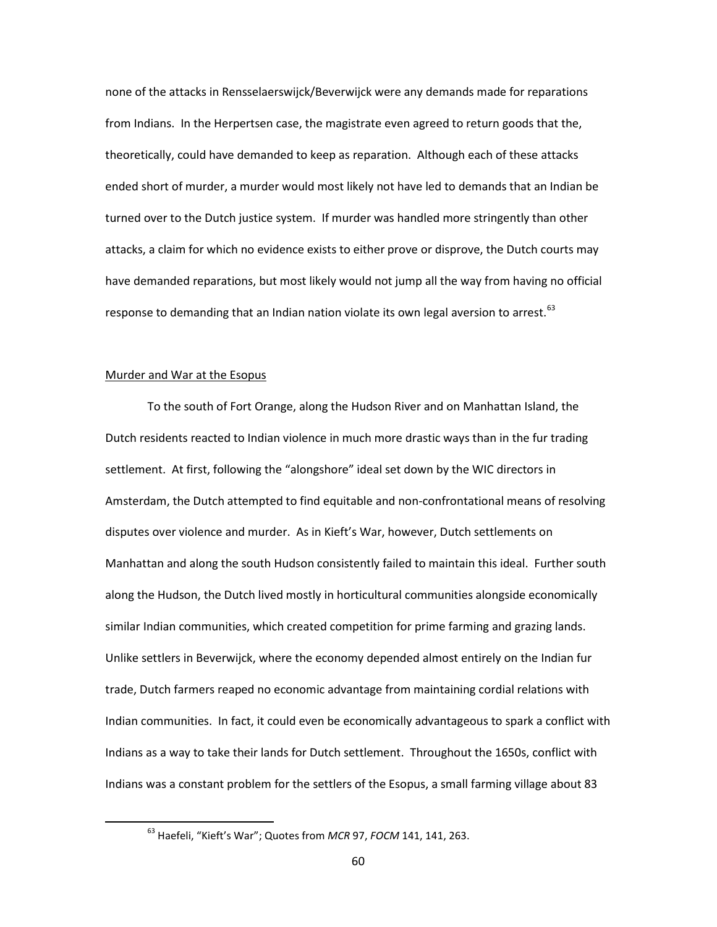none of the attacks in Rensselaerswijck/Beverwijck were any demands made for reparations from Indians. In the Herpertsen case, the magistrate even agreed to return goods that the, theoretically, could have demanded to keep as reparation. Although each of these attacks ended short of murder, a murder would most likely not have led to demands that an Indian be turned over to the Dutch justice system. If murder was handled more stringently than other attacks, a claim for which no evidence exists to either prove or disprove, the Dutch courts may have demanded reparations, but most likely would not jump all the way from having no official response to demanding that an Indian nation violate its own legal aversion to arrest.  $63$ 

#### Murder and War at the Esopus

To the south of Fort Orange, along the Hudson River and on Manhattan Island, the Dutch residents reacted to Indian violence in much more drastic ways than in the fur trading settlement. At first, following the "alongshore" ideal set down by the WIC directors in Amsterdam, the Dutch attempted to find equitable and non-confrontational means of resolving disputes over violence and murder. As in Kieft's War, however, Dutch settlements on Manhattan and along the south Hudson consistently failed to maintain this ideal. Further south along the Hudson, the Dutch lived mostly in horticultural communities alongside economically similar Indian communities, which created competition for prime farming and grazing lands. Unlike settlers in Beverwijck, where the economy depended almost entirely on the Indian fur trade, Dutch farmers reaped no economic advantage from maintaining cordial relations with Indian communities. In fact, it could even be economically advantageous to spark a conflict with Indians as a way to take their lands for Dutch settlement. Throughout the 1650s, conflict with Indians was a constant problem for the settlers of the Esopus, a small farming village about 83

<span id="page-62-0"></span> <sup>63</sup> Haefeli, "Kieft's War"; Quotes from *MCR* 97, *FOCM* 141, 141, 263.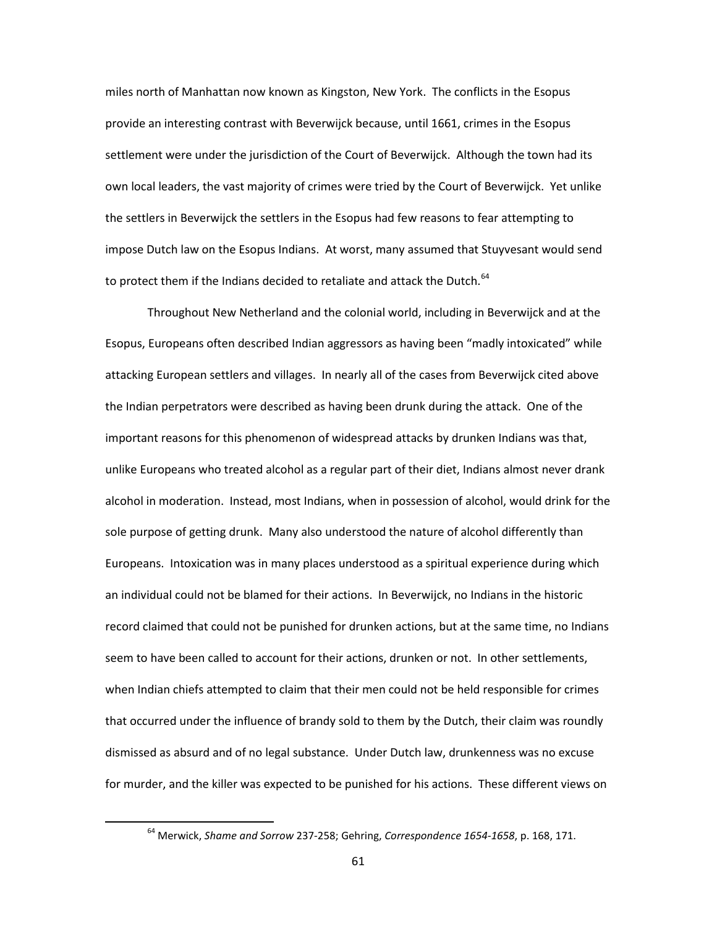miles north of Manhattan now known as Kingston, New York. The conflicts in the Esopus provide an interesting contrast with Beverwijck because, until 1661, crimes in the Esopus settlement were under the jurisdiction of the Court of Beverwijck. Although the town had its own local leaders, the vast majority of crimes were tried by the Court of Beverwijck. Yet unlike the settlers in Beverwijck the settlers in the Esopus had few reasons to fear attempting to impose Dutch law on the Esopus Indians. At worst, many assumed that Stuyvesant would send to protect them if the Indians decided to retaliate and attack the Dutch. $64$ 

Throughout New Netherland and the colonial world, including in Beverwijck and at the Esopus, Europeans often described Indian aggressors as having been "madly intoxicated" while attacking European settlers and villages. In nearly all of the cases from Beverwijck cited above the Indian perpetrators were described as having been drunk during the attack. One of the important reasons for this phenomenon of widespread attacks by drunken Indians was that, unlike Europeans who treated alcohol as a regular part of their diet, Indians almost never drank alcohol in moderation. Instead, most Indians, when in possession of alcohol, would drink for the sole purpose of getting drunk. Many also understood the nature of alcohol differently than Europeans. Intoxication was in many places understood as a spiritual experience during which an individual could not be blamed for their actions. In Beverwijck, no Indians in the historic record claimed that could not be punished for drunken actions, but at the same time, no Indians seem to have been called to account for their actions, drunken or not. In other settlements, when Indian chiefs attempted to claim that their men could not be held responsible for crimes that occurred under the influence of brandy sold to them by the Dutch, their claim was roundly dismissed as absurd and of no legal substance. Under Dutch law, drunkenness was no excuse for murder, and the killer was expected to be punished for his actions. These different views on

<span id="page-63-0"></span> <sup>64</sup> Merwick, *Shame and Sorrow* 237-258; Gehring, *Correspondence 1654-1658*, p. 168, 171.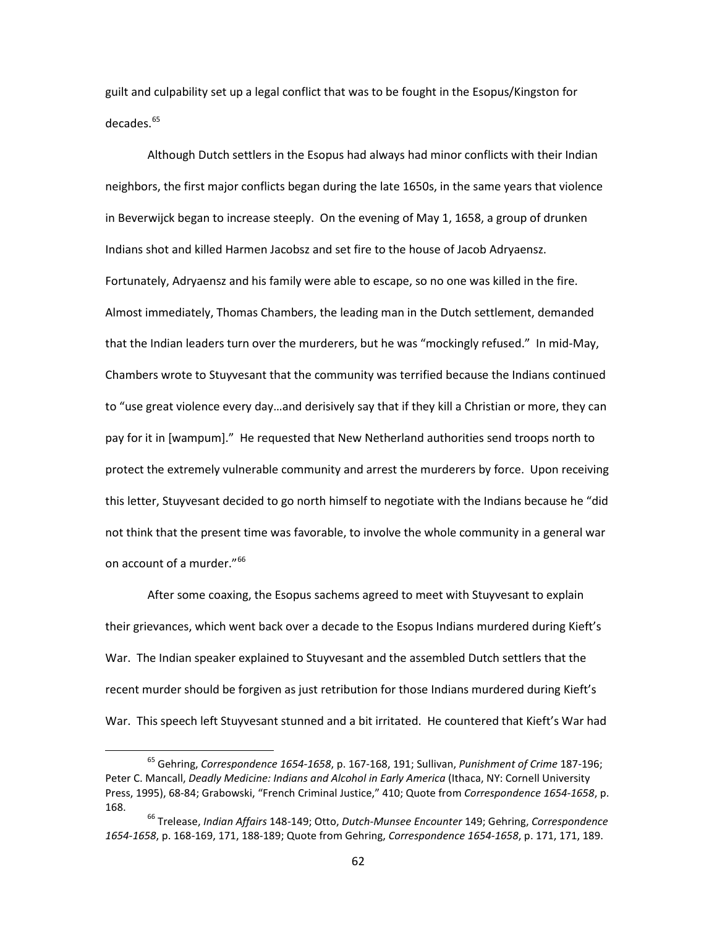guilt and culpability set up a legal conflict that was to be fought in the Esopus/Kingston for decades.<sup>[65](#page-64-0)</sup>

Although Dutch settlers in the Esopus had always had minor conflicts with their Indian neighbors, the first major conflicts began during the late 1650s, in the same years that violence in Beverwijck began to increase steeply. On the evening of May 1, 1658, a group of drunken Indians shot and killed Harmen Jacobsz and set fire to the house of Jacob Adryaensz. Fortunately, Adryaensz and his family were able to escape, so no one was killed in the fire. Almost immediately, Thomas Chambers, the leading man in the Dutch settlement, demanded that the Indian leaders turn over the murderers, but he was "mockingly refused." In mid-May, Chambers wrote to Stuyvesant that the community was terrified because the Indians continued to "use great violence every day…and derisively say that if they kill a Christian or more, they can pay for it in [wampum]." He requested that New Netherland authorities send troops north to protect the extremely vulnerable community and arrest the murderers by force. Upon receiving this letter, Stuyvesant decided to go north himself to negotiate with the Indians because he "did not think that the present time was favorable, to involve the whole community in a general war on account of a murder."<sup>[66](#page-64-1)</sup>

After some coaxing, the Esopus sachems agreed to meet with Stuyvesant to explain their grievances, which went back over a decade to the Esopus Indians murdered during Kieft's War. The Indian speaker explained to Stuyvesant and the assembled Dutch settlers that the recent murder should be forgiven as just retribution for those Indians murdered during Kieft's War. This speech left Stuyvesant stunned and a bit irritated. He countered that Kieft's War had

<span id="page-64-0"></span> <sup>65</sup> Gehring, *Correspondence 1654-1658*, p. 167-168, 191; Sullivan, *Punishment of Crime* 187-196; Peter C. Mancall, *Deadly Medicine: Indians and Alcohol in Early America* (Ithaca, NY: Cornell University Press, 1995), 68-84; Grabowski, "French Criminal Justice," 410; Quote from *Correspondence 1654-1658*, p. 168.

<span id="page-64-1"></span><sup>66</sup> Trelease, *Indian Affairs* 148-149; Otto, *Dutch-Munsee Encounter* 149; Gehring, *Correspondence 1654-1658*, p. 168-169, 171, 188-189; Quote from Gehring, *Correspondence 1654-1658*, p. 171, 171, 189.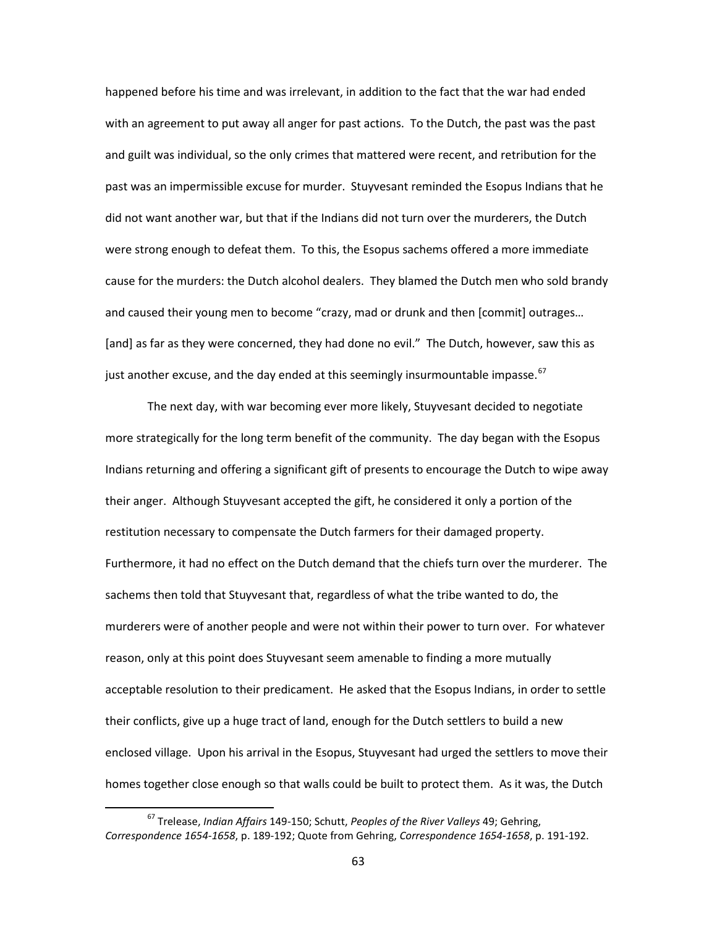happened before his time and was irrelevant, in addition to the fact that the war had ended with an agreement to put away all anger for past actions. To the Dutch, the past was the past and guilt was individual, so the only crimes that mattered were recent, and retribution for the past was an impermissible excuse for murder. Stuyvesant reminded the Esopus Indians that he did not want another war, but that if the Indians did not turn over the murderers, the Dutch were strong enough to defeat them. To this, the Esopus sachems offered a more immediate cause for the murders: the Dutch alcohol dealers. They blamed the Dutch men who sold brandy and caused their young men to become "crazy, mad or drunk and then [commit] outrages… [and] as far as they were concerned, they had done no evil." The Dutch, however, saw this as just another excuse, and the day ended at this seemingly insurmountable impasse.<sup>[67](#page-65-0)</sup>

The next day, with war becoming ever more likely, Stuyvesant decided to negotiate more strategically for the long term benefit of the community. The day began with the Esopus Indians returning and offering a significant gift of presents to encourage the Dutch to wipe away their anger. Although Stuyvesant accepted the gift, he considered it only a portion of the restitution necessary to compensate the Dutch farmers for their damaged property. Furthermore, it had no effect on the Dutch demand that the chiefs turn over the murderer. The sachems then told that Stuyvesant that, regardless of what the tribe wanted to do, the murderers were of another people and were not within their power to turn over. For whatever reason, only at this point does Stuyvesant seem amenable to finding a more mutually acceptable resolution to their predicament. He asked that the Esopus Indians, in order to settle their conflicts, give up a huge tract of land, enough for the Dutch settlers to build a new enclosed village. Upon his arrival in the Esopus, Stuyvesant had urged the settlers to move their homes together close enough so that walls could be built to protect them. As it was, the Dutch

<span id="page-65-0"></span> <sup>67</sup> Trelease, *Indian Affairs* 149-150; Schutt, *Peoples of the River Valleys* 49; Gehring, *Correspondence 1654-1658*, p. 189-192; Quote from Gehring, *Correspondence 1654-1658*, p. 191-192.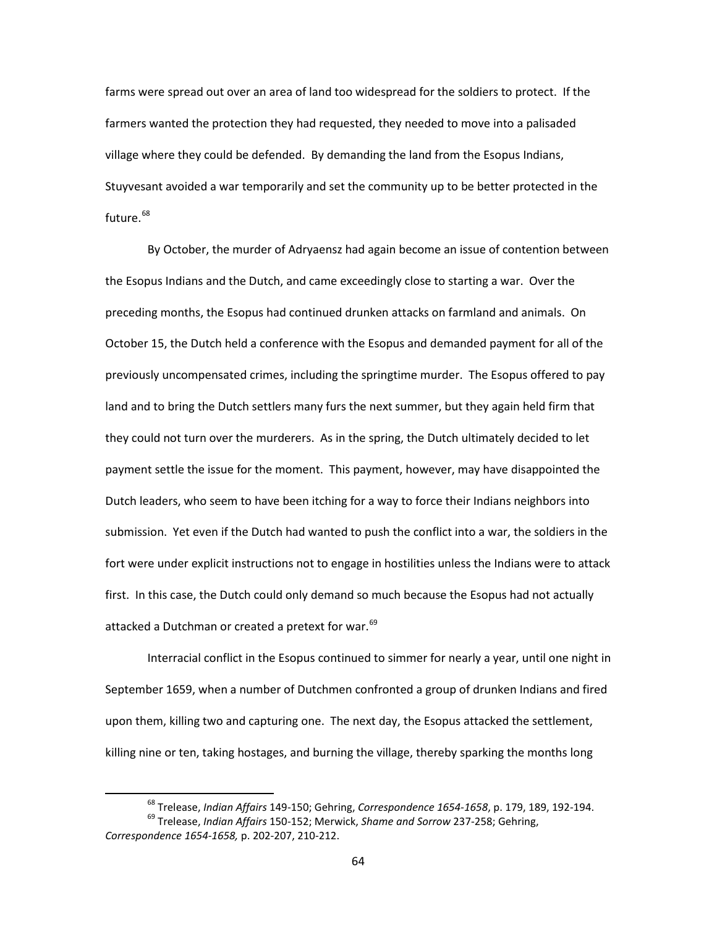farms were spread out over an area of land too widespread for the soldiers to protect. If the farmers wanted the protection they had requested, they needed to move into a palisaded village where they could be defended. By demanding the land from the Esopus Indians, Stuyvesant avoided a war temporarily and set the community up to be better protected in the future.<sup>[68](#page-66-0)</sup>

By October, the murder of Adryaensz had again become an issue of contention between the Esopus Indians and the Dutch, and came exceedingly close to starting a war. Over the preceding months, the Esopus had continued drunken attacks on farmland and animals. On October 15, the Dutch held a conference with the Esopus and demanded payment for all of the previously uncompensated crimes, including the springtime murder. The Esopus offered to pay land and to bring the Dutch settlers many furs the next summer, but they again held firm that they could not turn over the murderers. As in the spring, the Dutch ultimately decided to let payment settle the issue for the moment. This payment, however, may have disappointed the Dutch leaders, who seem to have been itching for a way to force their Indians neighbors into submission. Yet even if the Dutch had wanted to push the conflict into a war, the soldiers in the fort were under explicit instructions not to engage in hostilities unless the Indians were to attack first. In this case, the Dutch could only demand so much because the Esopus had not actually attacked a Dutchman or created a pretext for war.<sup>[69](#page-66-1)</sup>

Interracial conflict in the Esopus continued to simmer for nearly a year, until one night in September 1659, when a number of Dutchmen confronted a group of drunken Indians and fired upon them, killing two and capturing one. The next day, the Esopus attacked the settlement, killing nine or ten, taking hostages, and burning the village, thereby sparking the months long

 <sup>68</sup> Trelease, *Indian Affairs* 149-150; Gehring, *Correspondence 1654-1658*, p. 179, 189, 192-194.

<span id="page-66-1"></span><span id="page-66-0"></span><sup>69</sup> Trelease, *Indian Affairs* 150-152; Merwick, *Shame and Sorrow* 237-258; Gehring, *Correspondence 1654-1658,* p. 202-207, 210-212.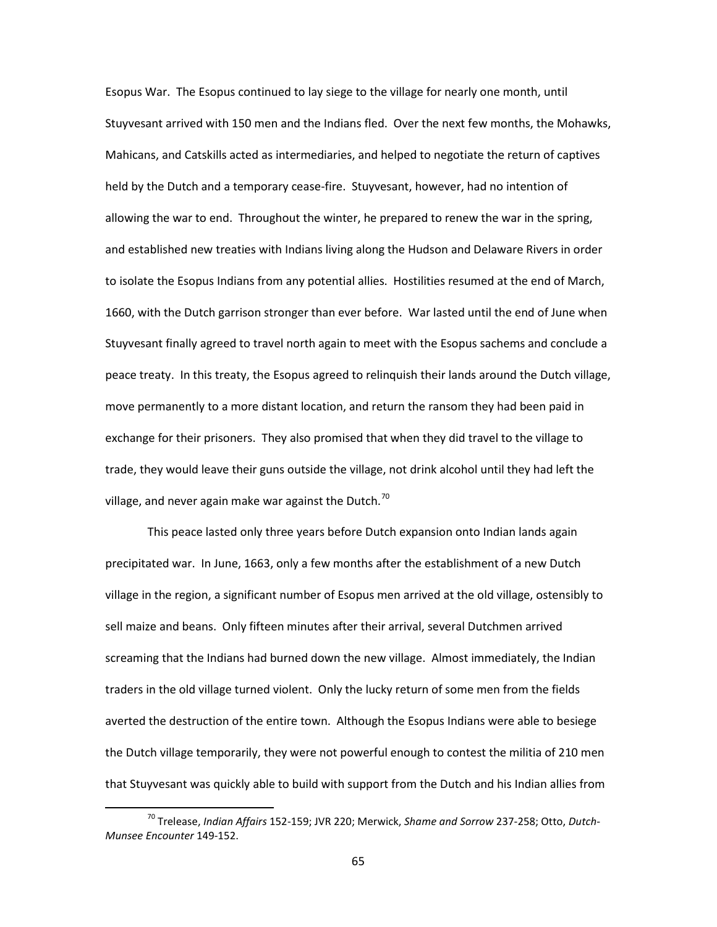Esopus War. The Esopus continued to lay siege to the village for nearly one month, until Stuyvesant arrived with 150 men and the Indians fled. Over the next few months, the Mohawks, Mahicans, and Catskills acted as intermediaries, and helped to negotiate the return of captives held by the Dutch and a temporary cease-fire. Stuyvesant, however, had no intention of allowing the war to end. Throughout the winter, he prepared to renew the war in the spring, and established new treaties with Indians living along the Hudson and Delaware Rivers in order to isolate the Esopus Indians from any potential allies. Hostilities resumed at the end of March, 1660, with the Dutch garrison stronger than ever before. War lasted until the end of June when Stuyvesant finally agreed to travel north again to meet with the Esopus sachems and conclude a peace treaty. In this treaty, the Esopus agreed to relinquish their lands around the Dutch village, move permanently to a more distant location, and return the ransom they had been paid in exchange for their prisoners. They also promised that when they did travel to the village to trade, they would leave their guns outside the village, not drink alcohol until they had left the village, and never again make war against the Dutch.<sup>[70](#page-67-0)</sup>

This peace lasted only three years before Dutch expansion onto Indian lands again precipitated war. In June, 1663, only a few months after the establishment of a new Dutch village in the region, a significant number of Esopus men arrived at the old village, ostensibly to sell maize and beans. Only fifteen minutes after their arrival, several Dutchmen arrived screaming that the Indians had burned down the new village. Almost immediately, the Indian traders in the old village turned violent. Only the lucky return of some men from the fields averted the destruction of the entire town. Although the Esopus Indians were able to besiege the Dutch village temporarily, they were not powerful enough to contest the militia of 210 men that Stuyvesant was quickly able to build with support from the Dutch and his Indian allies from

<span id="page-67-0"></span> <sup>70</sup> Trelease, *Indian Affairs* 152-159; JVR 220; Merwick, *Shame and Sorrow* 237-258; Otto, *Dutch-Munsee Encounter* 149-152.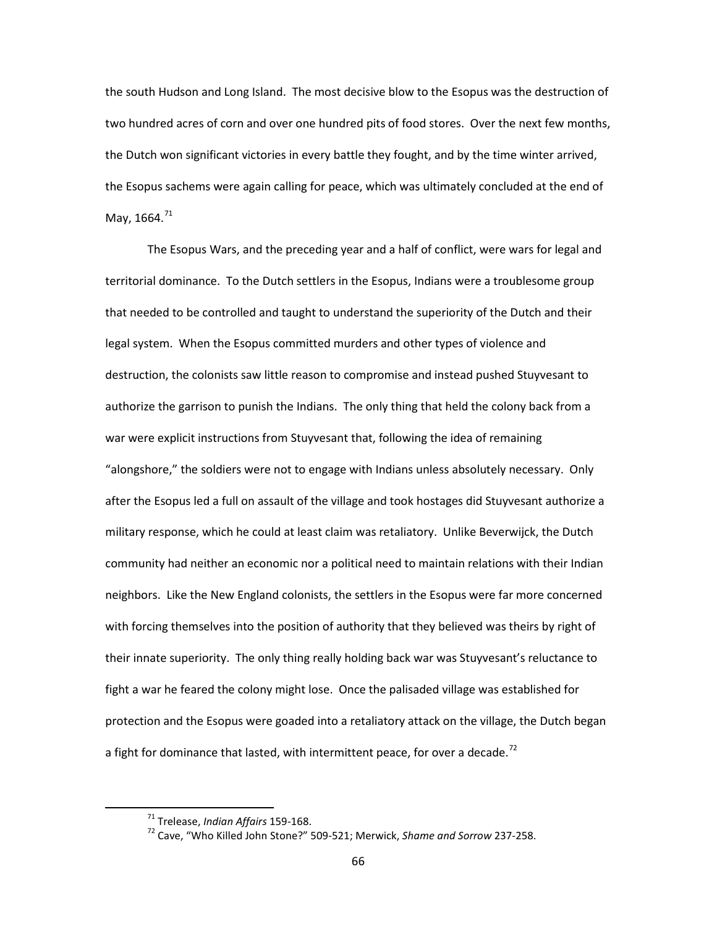the south Hudson and Long Island. The most decisive blow to the Esopus was the destruction of two hundred acres of corn and over one hundred pits of food stores. Over the next few months, the Dutch won significant victories in every battle they fought, and by the time winter arrived, the Esopus sachems were again calling for peace, which was ultimately concluded at the end of May, 1664.<sup>[71](#page-68-0)</sup>

The Esopus Wars, and the preceding year and a half of conflict, were wars for legal and territorial dominance. To the Dutch settlers in the Esopus, Indians were a troublesome group that needed to be controlled and taught to understand the superiority of the Dutch and their legal system. When the Esopus committed murders and other types of violence and destruction, the colonists saw little reason to compromise and instead pushed Stuyvesant to authorize the garrison to punish the Indians. The only thing that held the colony back from a war were explicit instructions from Stuyvesant that, following the idea of remaining "alongshore," the soldiers were not to engage with Indians unless absolutely necessary. Only after the Esopus led a full on assault of the village and took hostages did Stuyvesant authorize a military response, which he could at least claim was retaliatory. Unlike Beverwijck, the Dutch community had neither an economic nor a political need to maintain relations with their Indian neighbors. Like the New England colonists, the settlers in the Esopus were far more concerned with forcing themselves into the position of authority that they believed was theirs by right of their innate superiority. The only thing really holding back war was Stuyvesant's reluctance to fight a war he feared the colony might lose. Once the palisaded village was established for protection and the Esopus were goaded into a retaliatory attack on the village, the Dutch began a fight for dominance that lasted, with intermittent peace, for over a decade.<sup>[72](#page-68-1)</sup>

<span id="page-68-1"></span><span id="page-68-0"></span> <sup>71</sup> Trelease, *Indian Affairs* 159-168.

<sup>72</sup> Cave, "Who Killed John Stone?" 509-521; Merwick, *Shame and Sorrow* 237-258.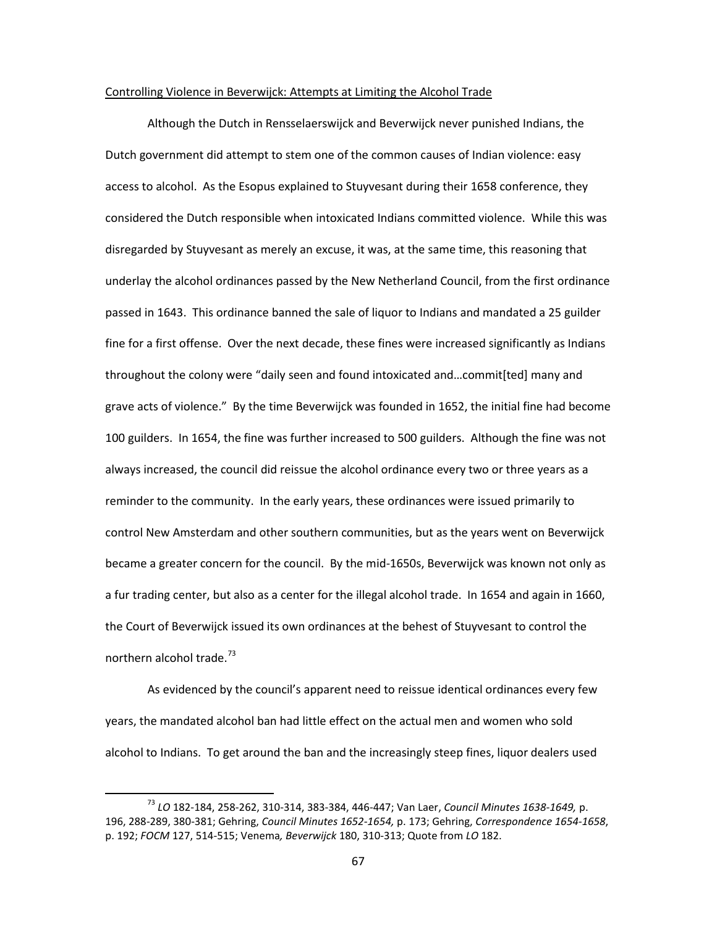## Controlling Violence in Beverwijck: Attempts at Limiting the Alcohol Trade

Although the Dutch in Rensselaerswijck and Beverwijck never punished Indians, the Dutch government did attempt to stem one of the common causes of Indian violence: easy access to alcohol. As the Esopus explained to Stuyvesant during their 1658 conference, they considered the Dutch responsible when intoxicated Indians committed violence. While this was disregarded by Stuyvesant as merely an excuse, it was, at the same time, this reasoning that underlay the alcohol ordinances passed by the New Netherland Council, from the first ordinance passed in 1643. This ordinance banned the sale of liquor to Indians and mandated a 25 guilder fine for a first offense. Over the next decade, these fines were increased significantly as Indians throughout the colony were "daily seen and found intoxicated and…commit[ted] many and grave acts of violence." By the time Beverwijck was founded in 1652, the initial fine had become 100 guilders. In 1654, the fine was further increased to 500 guilders. Although the fine was not always increased, the council did reissue the alcohol ordinance every two or three years as a reminder to the community. In the early years, these ordinances were issued primarily to control New Amsterdam and other southern communities, but as the years went on Beverwijck became a greater concern for the council. By the mid-1650s, Beverwijck was known not only as a fur trading center, but also as a center for the illegal alcohol trade. In 1654 and again in 1660, the Court of Beverwijck issued its own ordinances at the behest of Stuyvesant to control the northern alcohol trade.<sup>[73](#page-69-0)</sup>

As evidenced by the council's apparent need to reissue identical ordinances every few years, the mandated alcohol ban had little effect on the actual men and women who sold alcohol to Indians. To get around the ban and the increasingly steep fines, liquor dealers used

<span id="page-69-0"></span> <sup>73</sup> *LO* 182-184, 258-262, 310-314, 383-384, 446-447; Van Laer, *Council Minutes 1638-1649,* p. 196, 288-289, 380-381; Gehring, *Council Minutes 1652-1654,* p. 173; Gehring, *Correspondence 1654-1658*, p. 192; *FOCM* 127, 514-515; Venema*, Beverwijck* 180, 310-313; Quote from *LO* 182.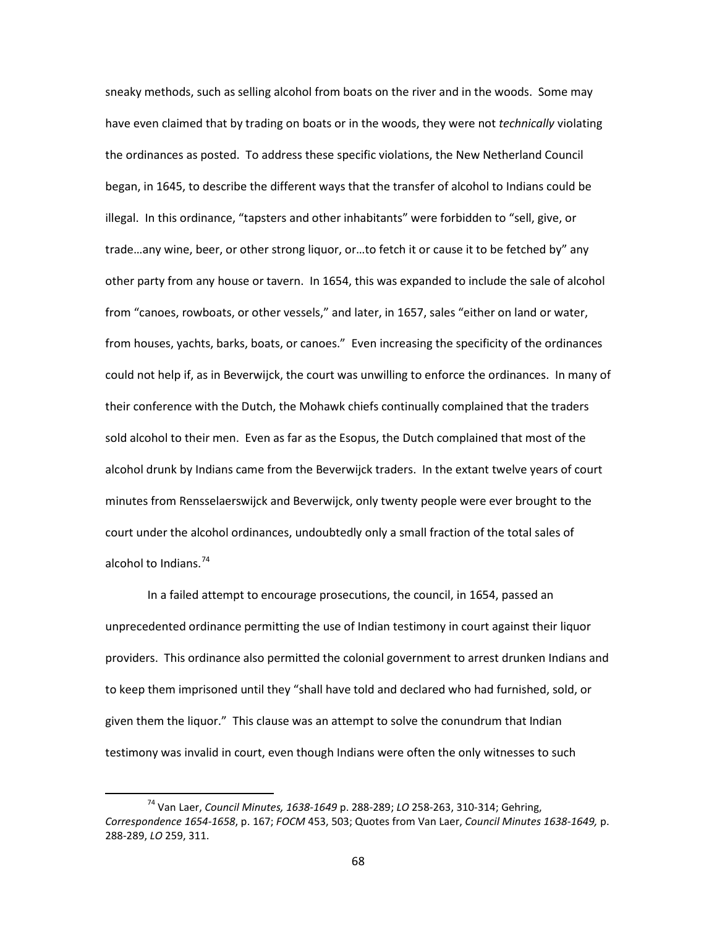sneaky methods, such as selling alcohol from boats on the river and in the woods. Some may have even claimed that by trading on boats or in the woods, they were not *technically* violating the ordinances as posted. To address these specific violations, the New Netherland Council began, in 1645, to describe the different ways that the transfer of alcohol to Indians could be illegal. In this ordinance, "tapsters and other inhabitants" were forbidden to "sell, give, or trade…any wine, beer, or other strong liquor, or…to fetch it or cause it to be fetched by" any other party from any house or tavern. In 1654, this was expanded to include the sale of alcohol from "canoes, rowboats, or other vessels," and later, in 1657, sales "either on land or water, from houses, yachts, barks, boats, or canoes." Even increasing the specificity of the ordinances could not help if, as in Beverwijck, the court was unwilling to enforce the ordinances. In many of their conference with the Dutch, the Mohawk chiefs continually complained that the traders sold alcohol to their men. Even as far as the Esopus, the Dutch complained that most of the alcohol drunk by Indians came from the Beverwijck traders. In the extant twelve years of court minutes from Rensselaerswijck and Beverwijck, only twenty people were ever brought to the court under the alcohol ordinances, undoubtedly only a small fraction of the total sales of alcohol to Indians.  $74$ 

In a failed attempt to encourage prosecutions, the council, in 1654, passed an unprecedented ordinance permitting the use of Indian testimony in court against their liquor providers. This ordinance also permitted the colonial government to arrest drunken Indians and to keep them imprisoned until they "shall have told and declared who had furnished, sold, or given them the liquor." This clause was an attempt to solve the conundrum that Indian testimony was invalid in court, even though Indians were often the only witnesses to such

<span id="page-70-0"></span> <sup>74</sup> Van Laer, *Council Minutes, 1638-1649* p. 288-289; *LO* 258-263, 310-314; Gehring, *Correspondence 1654-1658*, p. 167; *FOCM* 453, 503; Quotes from Van Laer, *Council Minutes 1638-1649,* p. 288-289, *LO* 259, 311.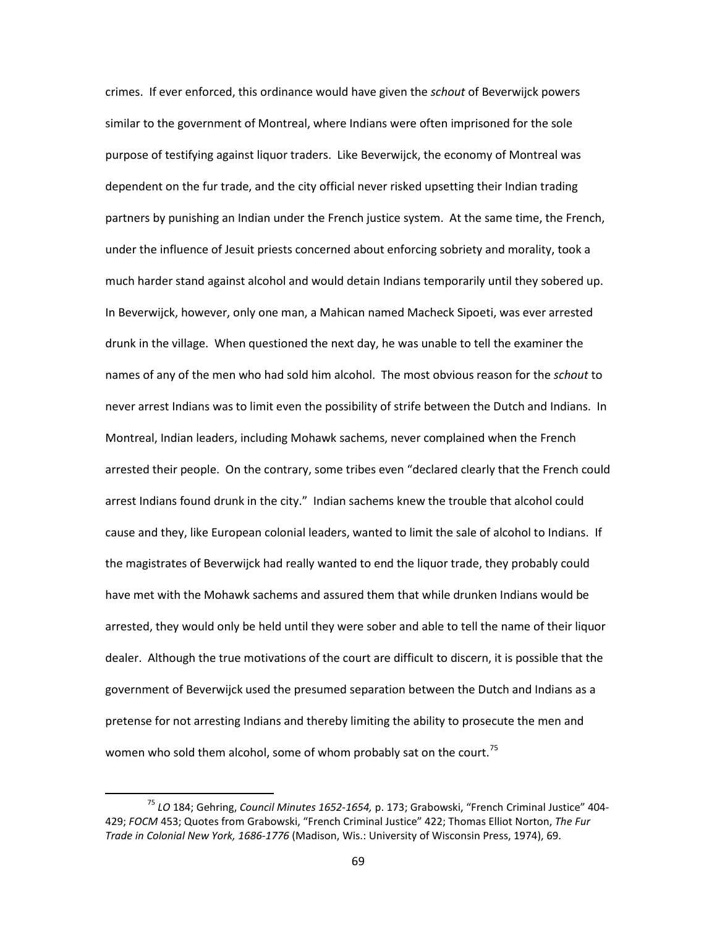crimes. If ever enforced, this ordinance would have given the *schout* of Beverwijck powers similar to the government of Montreal, where Indians were often imprisoned for the sole purpose of testifying against liquor traders. Like Beverwijck, the economy of Montreal was dependent on the fur trade, and the city official never risked upsetting their Indian trading partners by punishing an Indian under the French justice system. At the same time, the French, under the influence of Jesuit priests concerned about enforcing sobriety and morality, took a much harder stand against alcohol and would detain Indians temporarily until they sobered up. In Beverwijck, however, only one man, a Mahican named Macheck Sipoeti, was ever arrested drunk in the village. When questioned the next day, he was unable to tell the examiner the names of any of the men who had sold him alcohol. The most obvious reason for the *schout* to never arrest Indians was to limit even the possibility of strife between the Dutch and Indians. In Montreal, Indian leaders, including Mohawk sachems, never complained when the French arrested their people. On the contrary, some tribes even "declared clearly that the French could arrest Indians found drunk in the city." Indian sachems knew the trouble that alcohol could cause and they, like European colonial leaders, wanted to limit the sale of alcohol to Indians. If the magistrates of Beverwijck had really wanted to end the liquor trade, they probably could have met with the Mohawk sachems and assured them that while drunken Indians would be arrested, they would only be held until they were sober and able to tell the name of their liquor dealer. Although the true motivations of the court are difficult to discern, it is possible that the government of Beverwijck used the presumed separation between the Dutch and Indians as a pretense for not arresting Indians and thereby limiting the ability to prosecute the men and women who sold them alcohol, some of whom probably sat on the court.<sup>[75](#page-71-0)</sup>

<span id="page-71-0"></span> <sup>75</sup> *LO* 184; Gehring, *Council Minutes 1652-1654,* p. 173; Grabowski, "French Criminal Justice" 404- 429; *FOCM* 453; Quotes from Grabowski, "French Criminal Justice" 422; Thomas Elliot Norton, *The Fur Trade in Colonial New York, 1686-1776* (Madison, Wis.: University of Wisconsin Press, 1974), 69.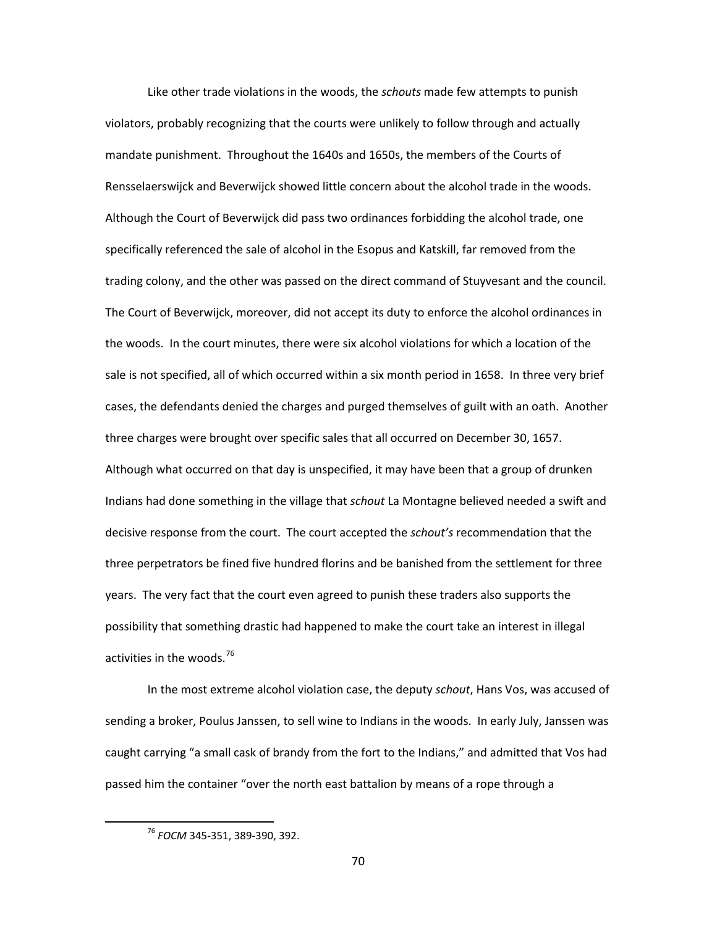Like other trade violations in the woods, the *schouts* made few attempts to punish violators, probably recognizing that the courts were unlikely to follow through and actually mandate punishment. Throughout the 1640s and 1650s, the members of the Courts of Rensselaerswijck and Beverwijck showed little concern about the alcohol trade in the woods. Although the Court of Beverwijck did pass two ordinances forbidding the alcohol trade, one specifically referenced the sale of alcohol in the Esopus and Katskill, far removed from the trading colony, and the other was passed on the direct command of Stuyvesant and the council. The Court of Beverwijck, moreover, did not accept its duty to enforce the alcohol ordinances in the woods. In the court minutes, there were six alcohol violations for which a location of the sale is not specified, all of which occurred within a six month period in 1658. In three very brief cases, the defendants denied the charges and purged themselves of guilt with an oath. Another three charges were brought over specific sales that all occurred on December 30, 1657. Although what occurred on that day is unspecified, it may have been that a group of drunken Indians had done something in the village that *schout* La Montagne believed needed a swift and decisive response from the court. The court accepted the *schout's* recommendation that the three perpetrators be fined five hundred florins and be banished from the settlement for three years. The very fact that the court even agreed to punish these traders also supports the possibility that something drastic had happened to make the court take an interest in illegal activities in the woods.<sup>[76](#page-72-0)</sup>

In the most extreme alcohol violation case, the deputy *schout*, Hans Vos, was accused of sending a broker, Poulus Janssen, to sell wine to Indians in the woods. In early July, Janssen was caught carrying "a small cask of brandy from the fort to the Indians," and admitted that Vos had passed him the container "over the north east battalion by means of a rope through a

<span id="page-72-0"></span> <sup>76</sup> *FOCM* 345-351, 389-390, 392.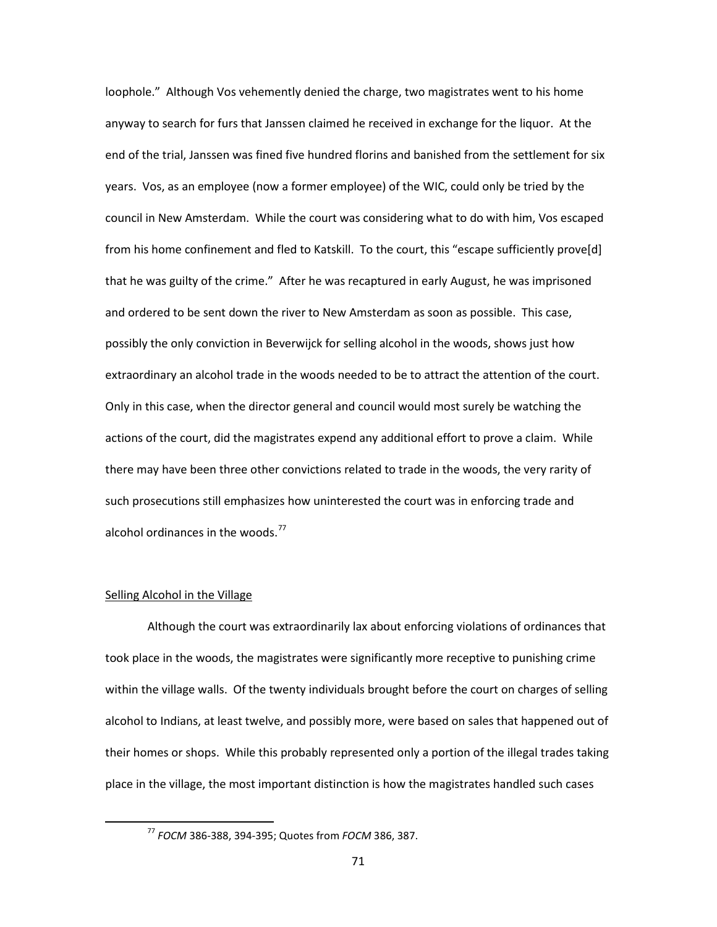loophole." Although Vos vehemently denied the charge, two magistrates went to his home anyway to search for furs that Janssen claimed he received in exchange for the liquor. At the end of the trial, Janssen was fined five hundred florins and banished from the settlement for six years. Vos, as an employee (now a former employee) of the WIC, could only be tried by the council in New Amsterdam. While the court was considering what to do with him, Vos escaped from his home confinement and fled to Katskill. To the court, this "escape sufficiently prove[d] that he was guilty of the crime." After he was recaptured in early August, he was imprisoned and ordered to be sent down the river to New Amsterdam as soon as possible. This case, possibly the only conviction in Beverwijck for selling alcohol in the woods, shows just how extraordinary an alcohol trade in the woods needed to be to attract the attention of the court. Only in this case, when the director general and council would most surely be watching the actions of the court, did the magistrates expend any additional effort to prove a claim. While there may have been three other convictions related to trade in the woods, the very rarity of such prosecutions still emphasizes how uninterested the court was in enforcing trade and alcohol ordinances in the woods. $^{77}$  $^{77}$  $^{77}$ 

### Selling Alcohol in the Village

Although the court was extraordinarily lax about enforcing violations of ordinances that took place in the woods, the magistrates were significantly more receptive to punishing crime within the village walls. Of the twenty individuals brought before the court on charges of selling alcohol to Indians, at least twelve, and possibly more, were based on sales that happened out of their homes or shops. While this probably represented only a portion of the illegal trades taking place in the village, the most important distinction is how the magistrates handled such cases

<span id="page-73-0"></span> <sup>77</sup> *FOCM* 386-388, 394-395; Quotes from *FOCM* 386, 387.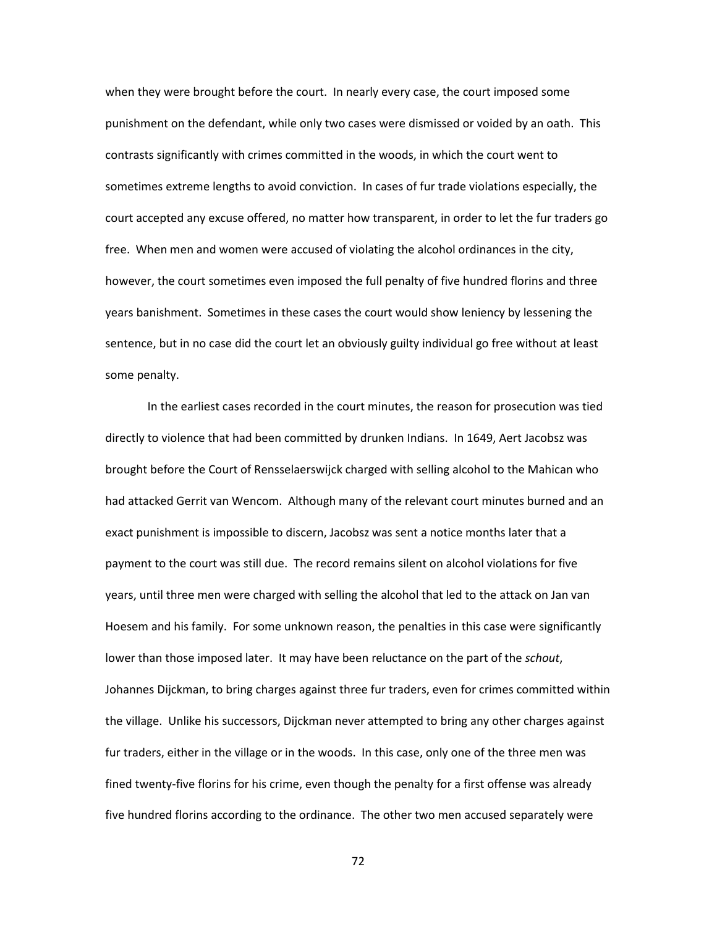when they were brought before the court. In nearly every case, the court imposed some punishment on the defendant, while only two cases were dismissed or voided by an oath. This contrasts significantly with crimes committed in the woods, in which the court went to sometimes extreme lengths to avoid conviction. In cases of fur trade violations especially, the court accepted any excuse offered, no matter how transparent, in order to let the fur traders go free. When men and women were accused of violating the alcohol ordinances in the city, however, the court sometimes even imposed the full penalty of five hundred florins and three years banishment. Sometimes in these cases the court would show leniency by lessening the sentence, but in no case did the court let an obviously guilty individual go free without at least some penalty.

In the earliest cases recorded in the court minutes, the reason for prosecution was tied directly to violence that had been committed by drunken Indians. In 1649, Aert Jacobsz was brought before the Court of Rensselaerswijck charged with selling alcohol to the Mahican who had attacked Gerrit van Wencom. Although many of the relevant court minutes burned and an exact punishment is impossible to discern, Jacobsz was sent a notice months later that a payment to the court was still due. The record remains silent on alcohol violations for five years, until three men were charged with selling the alcohol that led to the attack on Jan van Hoesem and his family. For some unknown reason, the penalties in this case were significantly lower than those imposed later. It may have been reluctance on the part of the *schout*, Johannes Dijckman, to bring charges against three fur traders, even for crimes committed within the village. Unlike his successors, Dijckman never attempted to bring any other charges against fur traders, either in the village or in the woods. In this case, only one of the three men was fined twenty-five florins for his crime, even though the penalty for a first offense was already five hundred florins according to the ordinance. The other two men accused separately were

72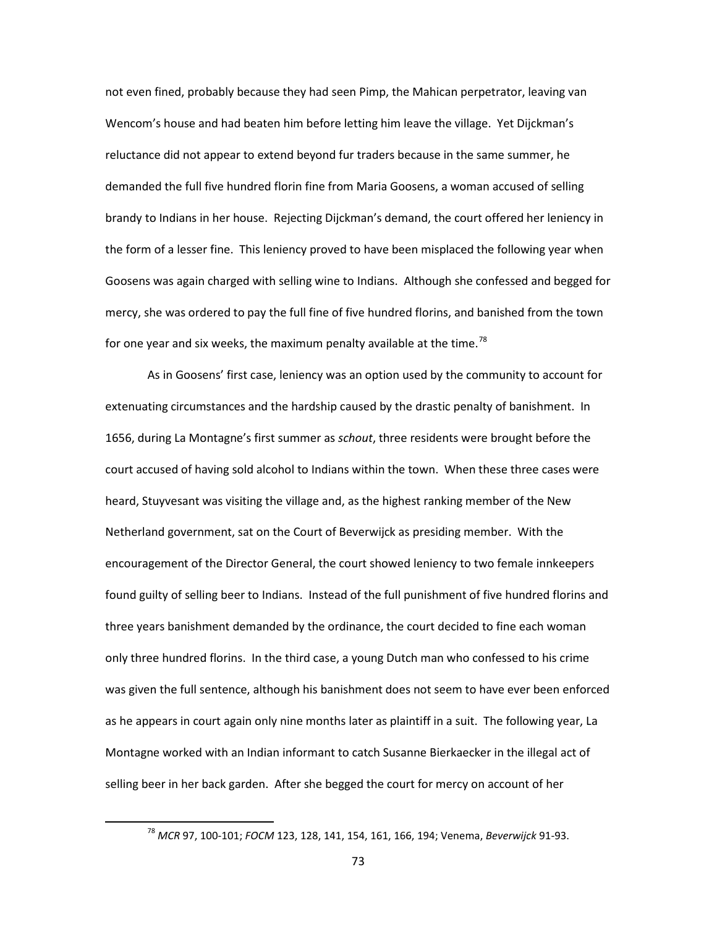not even fined, probably because they had seen Pimp, the Mahican perpetrator, leaving van Wencom's house and had beaten him before letting him leave the village. Yet Dijckman's reluctance did not appear to extend beyond fur traders because in the same summer, he demanded the full five hundred florin fine from Maria Goosens, a woman accused of selling brandy to Indians in her house. Rejecting Dijckman's demand, the court offered her leniency in the form of a lesser fine. This leniency proved to have been misplaced the following year when Goosens was again charged with selling wine to Indians. Although she confessed and begged for mercy, she was ordered to pay the full fine of five hundred florins, and banished from the town for one year and six weeks, the maximum penalty available at the time.<sup>[78](#page-75-0)</sup>

As in Goosens' first case, leniency was an option used by the community to account for extenuating circumstances and the hardship caused by the drastic penalty of banishment. In 1656, during La Montagne's first summer as *schout*, three residents were brought before the court accused of having sold alcohol to Indians within the town. When these three cases were heard, Stuyvesant was visiting the village and, as the highest ranking member of the New Netherland government, sat on the Court of Beverwijck as presiding member. With the encouragement of the Director General, the court showed leniency to two female innkeepers found guilty of selling beer to Indians. Instead of the full punishment of five hundred florins and three years banishment demanded by the ordinance, the court decided to fine each woman only three hundred florins. In the third case, a young Dutch man who confessed to his crime was given the full sentence, although his banishment does not seem to have ever been enforced as he appears in court again only nine months later as plaintiff in a suit. The following year, La Montagne worked with an Indian informant to catch Susanne Bierkaecker in the illegal act of selling beer in her back garden. After she begged the court for mercy on account of her

<span id="page-75-0"></span> <sup>78</sup> *MCR* 97, 100-101; *FOCM* 123, 128, 141, 154, 161, 166, 194; Venema, *Beverwijck* 91-93.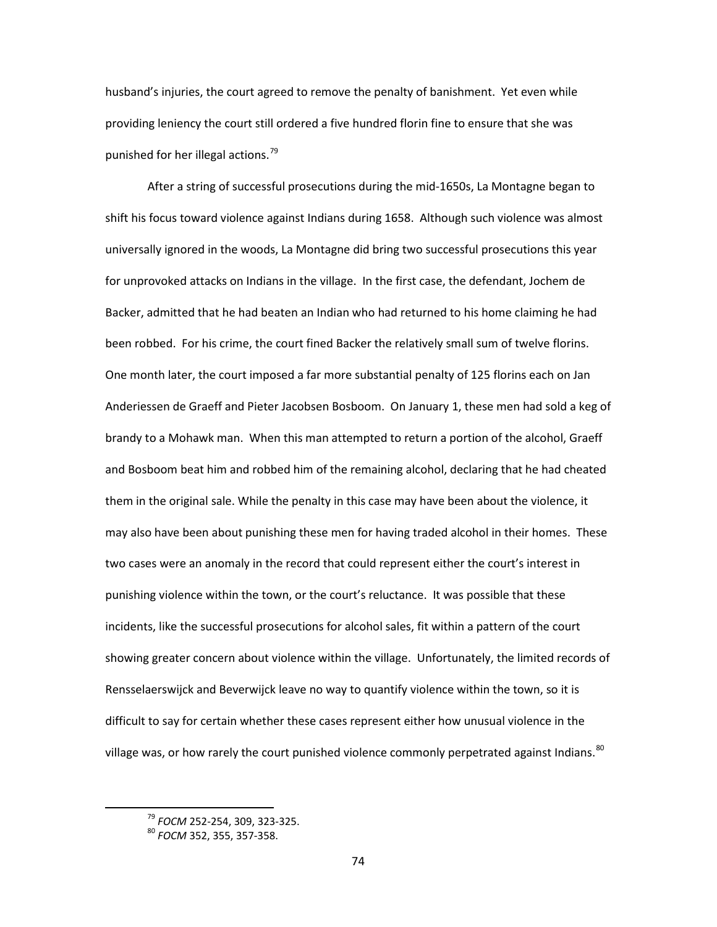husband's injuries, the court agreed to remove the penalty of banishment. Yet even while providing leniency the court still ordered a five hundred florin fine to ensure that she was punished for her illegal actions.<sup>[79](#page-76-0)</sup>

After a string of successful prosecutions during the mid-1650s, La Montagne began to shift his focus toward violence against Indians during 1658. Although such violence was almost universally ignored in the woods, La Montagne did bring two successful prosecutions this year for unprovoked attacks on Indians in the village. In the first case, the defendant, Jochem de Backer, admitted that he had beaten an Indian who had returned to his home claiming he had been robbed. For his crime, the court fined Backer the relatively small sum of twelve florins. One month later, the court imposed a far more substantial penalty of 125 florins each on Jan Anderiessen de Graeff and Pieter Jacobsen Bosboom. On January 1, these men had sold a keg of brandy to a Mohawk man. When this man attempted to return a portion of the alcohol, Graeff and Bosboom beat him and robbed him of the remaining alcohol, declaring that he had cheated them in the original sale. While the penalty in this case may have been about the violence, it may also have been about punishing these men for having traded alcohol in their homes. These two cases were an anomaly in the record that could represent either the court's interest in punishing violence within the town, or the court's reluctance. It was possible that these incidents, like the successful prosecutions for alcohol sales, fit within a pattern of the court showing greater concern about violence within the village. Unfortunately, the limited records of Rensselaerswijck and Beverwijck leave no way to quantify violence within the town, so it is difficult to say for certain whether these cases represent either how unusual violence in the village was, or how rarely the court punished violence commonly perpetrated against Indians.<sup>[80](#page-76-1)</sup>

<span id="page-76-0"></span> <sup>79</sup> *FOCM* 252-254, 309, 323-325.

<span id="page-76-1"></span><sup>80</sup> *FOCM* 352, 355, 357-358.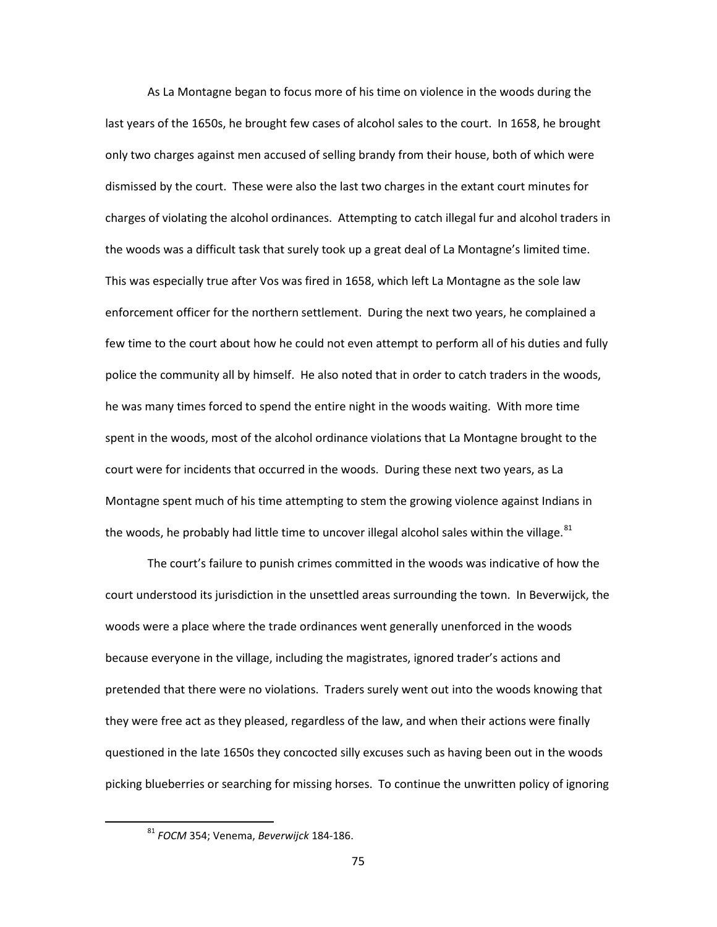As La Montagne began to focus more of his time on violence in the woods during the last years of the 1650s, he brought few cases of alcohol sales to the court. In 1658, he brought only two charges against men accused of selling brandy from their house, both of which were dismissed by the court. These were also the last two charges in the extant court minutes for charges of violating the alcohol ordinances. Attempting to catch illegal fur and alcohol traders in the woods was a difficult task that surely took up a great deal of La Montagne's limited time. This was especially true after Vos was fired in 1658, which left La Montagne as the sole law enforcement officer for the northern settlement. During the next two years, he complained a few time to the court about how he could not even attempt to perform all of his duties and fully police the community all by himself. He also noted that in order to catch traders in the woods, he was many times forced to spend the entire night in the woods waiting. With more time spent in the woods, most of the alcohol ordinance violations that La Montagne brought to the court were for incidents that occurred in the woods. During these next two years, as La Montagne spent much of his time attempting to stem the growing violence against Indians in the woods, he probably had little time to uncover illegal alcohol sales within the village.<sup>[81](#page-77-0)</sup>

The court's failure to punish crimes committed in the woods was indicative of how the court understood its jurisdiction in the unsettled areas surrounding the town. In Beverwijck, the woods were a place where the trade ordinances went generally unenforced in the woods because everyone in the village, including the magistrates, ignored trader's actions and pretended that there were no violations. Traders surely went out into the woods knowing that they were free act as they pleased, regardless of the law, and when their actions were finally questioned in the late 1650s they concocted silly excuses such as having been out in the woods picking blueberries or searching for missing horses. To continue the unwritten policy of ignoring

<span id="page-77-0"></span> <sup>81</sup> *FOCM* 354; Venema, *Beverwijck* 184-186.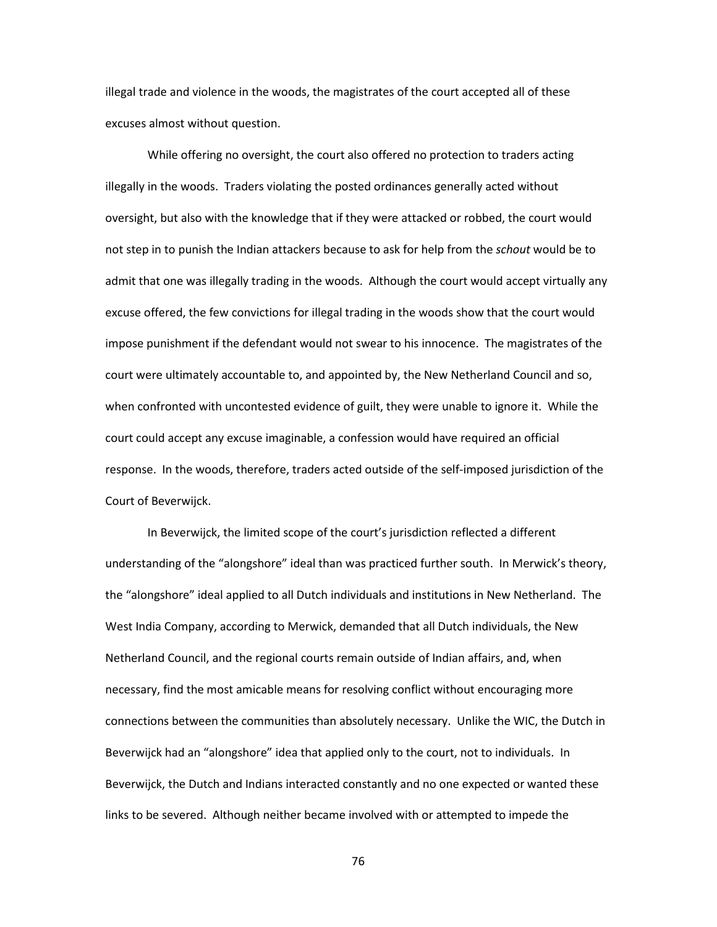illegal trade and violence in the woods, the magistrates of the court accepted all of these excuses almost without question.

While offering no oversight, the court also offered no protection to traders acting illegally in the woods. Traders violating the posted ordinances generally acted without oversight, but also with the knowledge that if they were attacked or robbed, the court would not step in to punish the Indian attackers because to ask for help from the *schout* would be to admit that one was illegally trading in the woods. Although the court would accept virtually any excuse offered, the few convictions for illegal trading in the woods show that the court would impose punishment if the defendant would not swear to his innocence. The magistrates of the court were ultimately accountable to, and appointed by, the New Netherland Council and so, when confronted with uncontested evidence of guilt, they were unable to ignore it. While the court could accept any excuse imaginable, a confession would have required an official response. In the woods, therefore, traders acted outside of the self-imposed jurisdiction of the Court of Beverwijck.

In Beverwijck, the limited scope of the court's jurisdiction reflected a different understanding of the "alongshore" ideal than was practiced further south. In Merwick's theory, the "alongshore" ideal applied to all Dutch individuals and institutions in New Netherland. The West India Company, according to Merwick, demanded that all Dutch individuals, the New Netherland Council, and the regional courts remain outside of Indian affairs, and, when necessary, find the most amicable means for resolving conflict without encouraging more connections between the communities than absolutely necessary. Unlike the WIC, the Dutch in Beverwijck had an "alongshore" idea that applied only to the court, not to individuals. In Beverwijck, the Dutch and Indians interacted constantly and no one expected or wanted these links to be severed. Although neither became involved with or attempted to impede the

76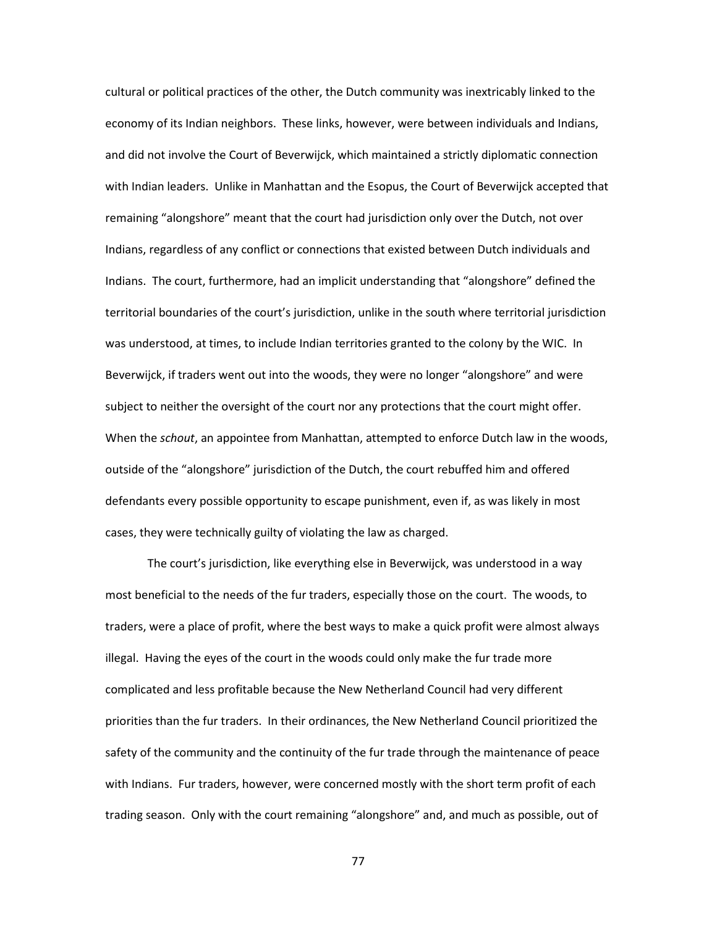cultural or political practices of the other, the Dutch community was inextricably linked to the economy of its Indian neighbors. These links, however, were between individuals and Indians, and did not involve the Court of Beverwijck, which maintained a strictly diplomatic connection with Indian leaders. Unlike in Manhattan and the Esopus, the Court of Beverwijck accepted that remaining "alongshore" meant that the court had jurisdiction only over the Dutch, not over Indians, regardless of any conflict or connections that existed between Dutch individuals and Indians. The court, furthermore, had an implicit understanding that "alongshore" defined the territorial boundaries of the court's jurisdiction, unlike in the south where territorial jurisdiction was understood, at times, to include Indian territories granted to the colony by the WIC. In Beverwijck, if traders went out into the woods, they were no longer "alongshore" and were subject to neither the oversight of the court nor any protections that the court might offer. When the *schout*, an appointee from Manhattan, attempted to enforce Dutch law in the woods, outside of the "alongshore" jurisdiction of the Dutch, the court rebuffed him and offered defendants every possible opportunity to escape punishment, even if, as was likely in most cases, they were technically guilty of violating the law as charged.

The court's jurisdiction, like everything else in Beverwijck, was understood in a way most beneficial to the needs of the fur traders, especially those on the court. The woods, to traders, were a place of profit, where the best ways to make a quick profit were almost always illegal. Having the eyes of the court in the woods could only make the fur trade more complicated and less profitable because the New Netherland Council had very different priorities than the fur traders. In their ordinances, the New Netherland Council prioritized the safety of the community and the continuity of the fur trade through the maintenance of peace with Indians. Fur traders, however, were concerned mostly with the short term profit of each trading season. Only with the court remaining "alongshore" and, and much as possible, out of

77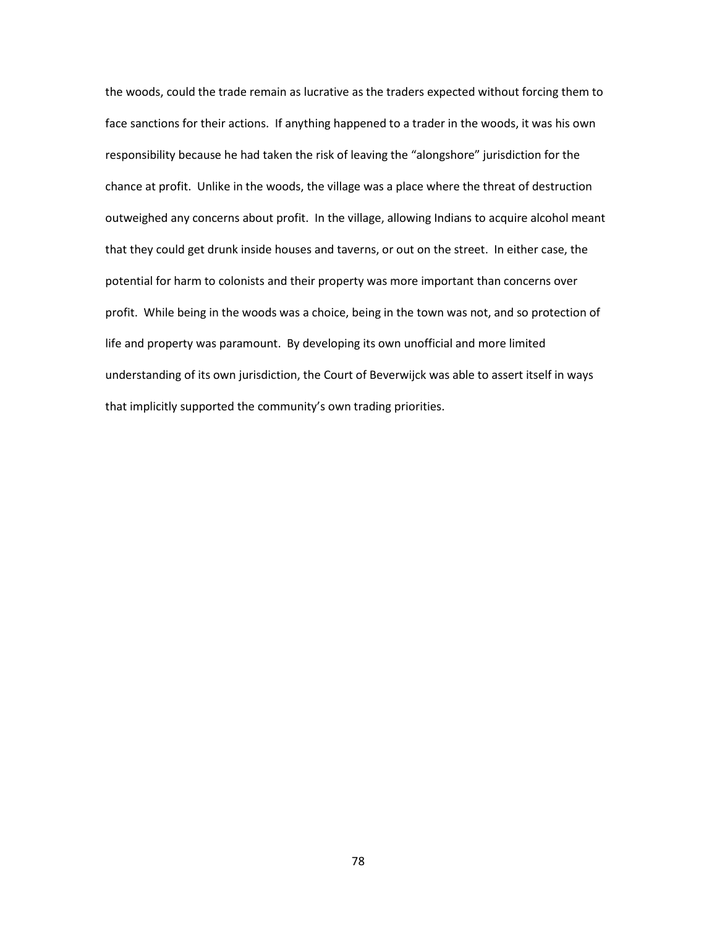the woods, could the trade remain as lucrative as the traders expected without forcing them to face sanctions for their actions. If anything happened to a trader in the woods, it was his own responsibility because he had taken the risk of leaving the "alongshore" jurisdiction for the chance at profit. Unlike in the woods, the village was a place where the threat of destruction outweighed any concerns about profit. In the village, allowing Indians to acquire alcohol meant that they could get drunk inside houses and taverns, or out on the street. In either case, the potential for harm to colonists and their property was more important than concerns over profit. While being in the woods was a choice, being in the town was not, and so protection of life and property was paramount. By developing its own unofficial and more limited understanding of its own jurisdiction, the Court of Beverwijck was able to assert itself in ways that implicitly supported the community's own trading priorities.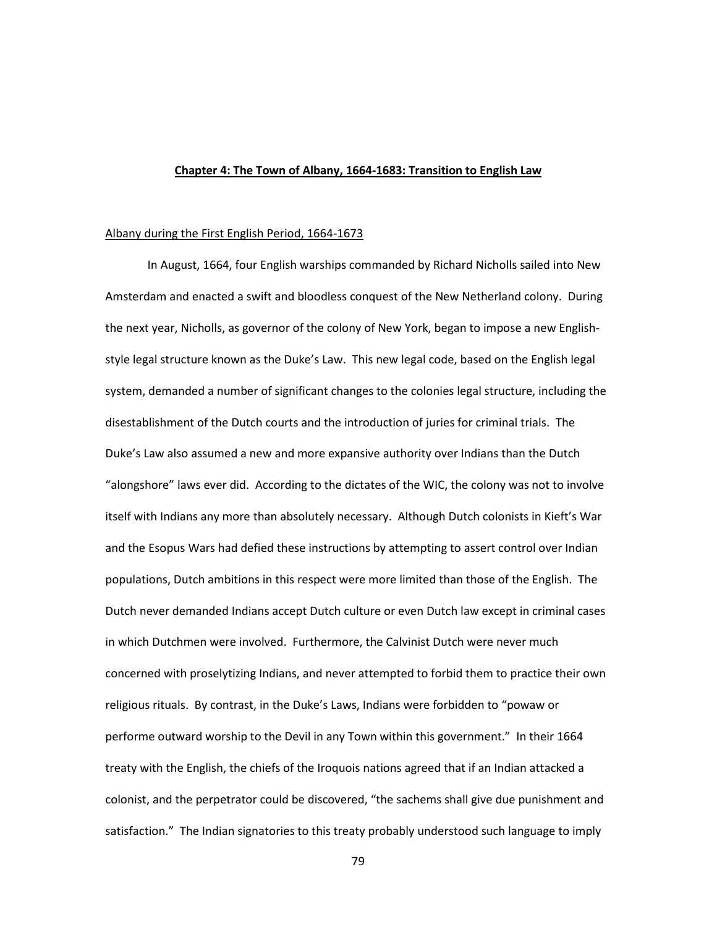## **Chapter 4: The Town of Albany, 1664-1683: Transition to English Law**

#### Albany during the First English Period, 1664-1673

In August, 1664, four English warships commanded by Richard Nicholls sailed into New Amsterdam and enacted a swift and bloodless conquest of the New Netherland colony. During the next year, Nicholls, as governor of the colony of New York, began to impose a new Englishstyle legal structure known as the Duke's Law. This new legal code, based on the English legal system, demanded a number of significant changes to the colonies legal structure, including the disestablishment of the Dutch courts and the introduction of juries for criminal trials. The Duke's Law also assumed a new and more expansive authority over Indians than the Dutch "alongshore" laws ever did. According to the dictates of the WIC, the colony was not to involve itself with Indians any more than absolutely necessary. Although Dutch colonists in Kieft's War and the Esopus Wars had defied these instructions by attempting to assert control over Indian populations, Dutch ambitions in this respect were more limited than those of the English. The Dutch never demanded Indians accept Dutch culture or even Dutch law except in criminal cases in which Dutchmen were involved. Furthermore, the Calvinist Dutch were never much concerned with proselytizing Indians, and never attempted to forbid them to practice their own religious rituals. By contrast, in the Duke's Laws, Indians were forbidden to "powaw or performe outward worship to the Devil in any Town within this government." In their 1664 treaty with the English, the chiefs of the Iroquois nations agreed that if an Indian attacked a colonist, and the perpetrator could be discovered, "the sachems shall give due punishment and satisfaction." The Indian signatories to this treaty probably understood such language to imply

79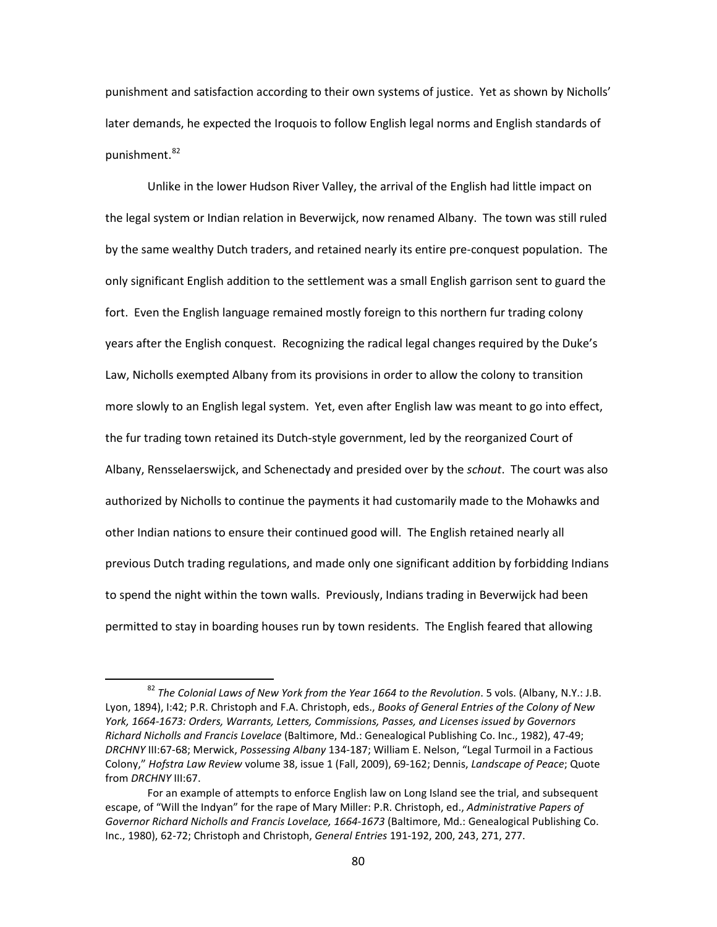punishment and satisfaction according to their own systems of justice. Yet as shown by Nicholls' later demands, he expected the Iroquois to follow English legal norms and English standards of punishment.<sup>[82](#page-82-0)</sup>

Unlike in the lower Hudson River Valley, the arrival of the English had little impact on the legal system or Indian relation in Beverwijck, now renamed Albany. The town was still ruled by the same wealthy Dutch traders, and retained nearly its entire pre-conquest population. The only significant English addition to the settlement was a small English garrison sent to guard the fort. Even the English language remained mostly foreign to this northern fur trading colony years after the English conquest. Recognizing the radical legal changes required by the Duke's Law, Nicholls exempted Albany from its provisions in order to allow the colony to transition more slowly to an English legal system. Yet, even after English law was meant to go into effect, the fur trading town retained its Dutch-style government, led by the reorganized Court of Albany, Rensselaerswijck, and Schenectady and presided over by the *schout*. The court was also authorized by Nicholls to continue the payments it had customarily made to the Mohawks and other Indian nations to ensure their continued good will. The English retained nearly all previous Dutch trading regulations, and made only one significant addition by forbidding Indians to spend the night within the town walls. Previously, Indians trading in Beverwijck had been permitted to stay in boarding houses run by town residents. The English feared that allowing

<span id="page-82-0"></span> <sup>82</sup> *The Colonial Laws of New York from the Year 1664 to the Revolution*. 5 vols. (Albany, N.Y.: J.B. Lyon, 1894), I:42; P.R. Christoph and F.A. Christoph, eds., *Books of General Entries of the Colony of New York, 1664-1673: Orders, Warrants, Letters, Commissions, Passes, and Licenses issued by Governors Richard Nicholls and Francis Lovelace* (Baltimore, Md.: Genealogical Publishing Co. Inc., 1982), 47-49; *DRCHNY* III:67-68; Merwick, *Possessing Albany* 134-187; William E. Nelson, "Legal Turmoil in a Factious Colony," *Hofstra Law Review* volume 38, issue 1 (Fall, 2009), 69-162; Dennis, *Landscape of Peace*; Quote from *DRCHNY* III:67.

For an example of attempts to enforce English law on Long Island see the trial, and subsequent escape, of "Will the Indyan" for the rape of Mary Miller: P.R. Christoph, ed., *Administrative Papers of Governor Richard Nicholls and Francis Lovelace, 1664-1673* (Baltimore, Md.: Genealogical Publishing Co. Inc., 1980), 62-72; Christoph and Christoph, *General Entries* 191-192, 200, 243, 271, 277.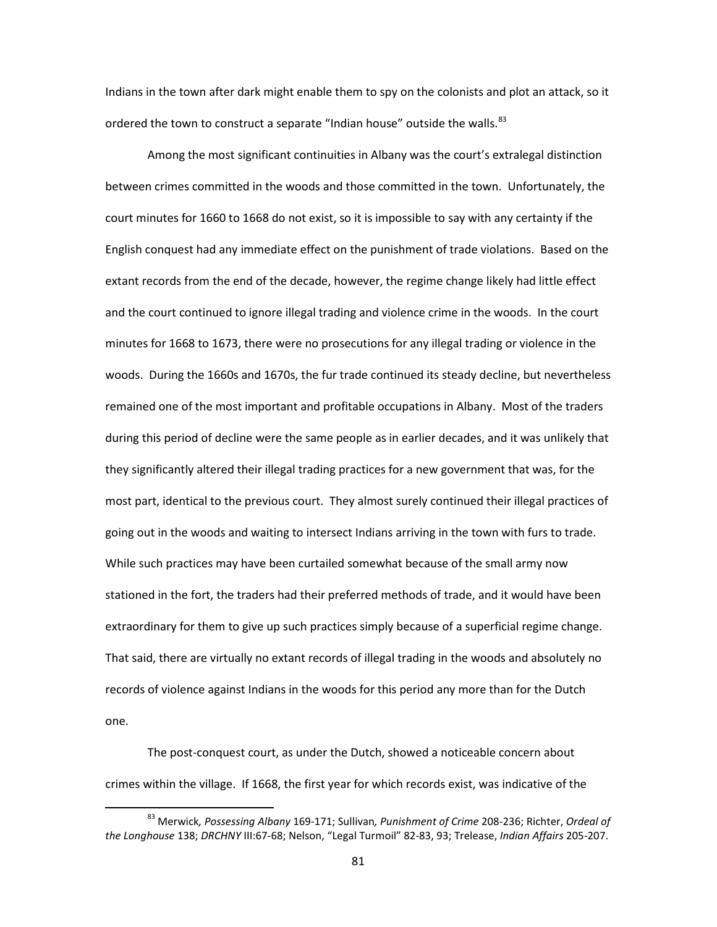Indians in the town after dark might enable them to spy on the colonists and plot an attack, so it ordered the town to construct a separate "Indian house" outside the walls.<sup>[83](#page-83-0)</sup>

Among the most significant continuities in Albany was the court's extralegal distinction between crimes committed in the woods and those committed in the town. Unfortunately, the court minutes for 1660 to 1668 do not exist, so it is impossible to say with any certainty if the English conquest had any immediate effect on the punishment of trade violations. Based on the extant records from the end of the decade, however, the regime change likely had little effect and the court continued to ignore illegal trading and violence crime in the woods. In the court minutes for 1668 to 1673, there were no prosecutions for any illegal trading or violence in the woods. During the 1660s and 1670s, the fur trade continued its steady decline, but nevertheless remained one of the most important and profitable occupations in Albany. Most of the traders during this period of decline were the same people as in earlier decades, and it was unlikely that they significantly altered their illegal trading practices for a new government that was, for the most part, identical to the previous court. They almost surely continued their illegal practices of going out in the woods and waiting to intersect Indians arriving in the town with furs to trade. While such practices may have been curtailed somewhat because of the small army now stationed in the fort, the traders had their preferred methods of trade, and it would have been extraordinary for them to give up such practices simply because of a superficial regime change. That said, there are virtually no extant records of illegal trading in the woods and absolutely no records of violence against Indians in the woods for this period any more than for the Dutch one.

The post-conquest court, as under the Dutch, showed a noticeable concern about crimes within the village. If 1668, the first year for which records exist, was indicative of the

<span id="page-83-0"></span> <sup>83</sup> Merwick*, Possessing Albany* 169-171; Sullivan*, Punishment of Crime* 208-236; Richter, *Ordeal of the Longhouse* 138; *DRCHNY* III:67-68; Nelson, "Legal Turmoil" 82-83, 93; Trelease, *Indian Affairs* 205-207.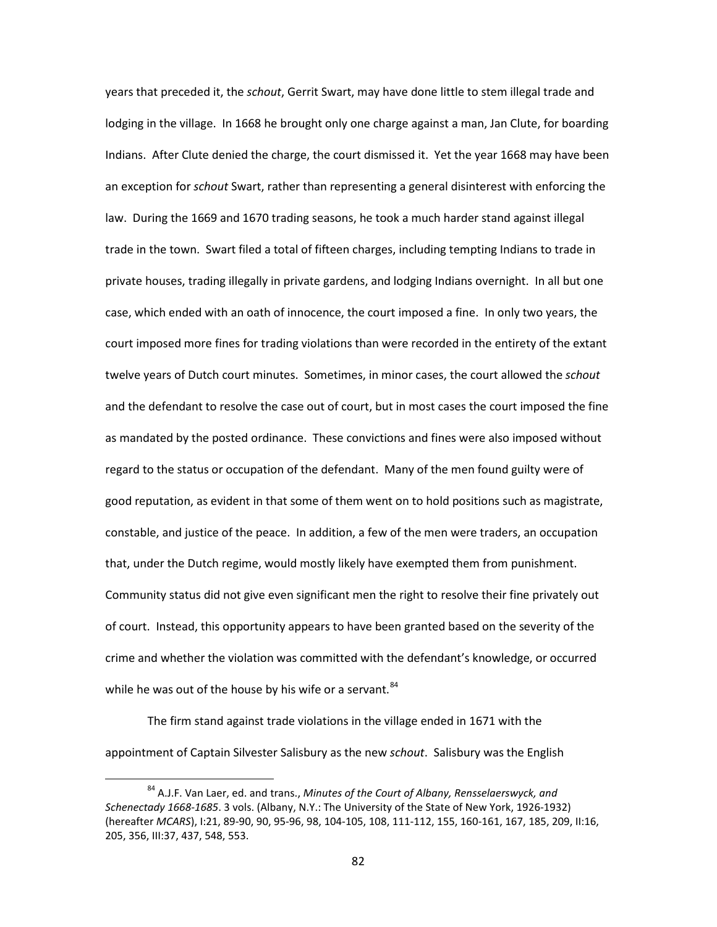years that preceded it, the *schout*, Gerrit Swart, may have done little to stem illegal trade and lodging in the village. In 1668 he brought only one charge against a man, Jan Clute, for boarding Indians. After Clute denied the charge, the court dismissed it. Yet the year 1668 may have been an exception for *schout* Swart, rather than representing a general disinterest with enforcing the law. During the 1669 and 1670 trading seasons, he took a much harder stand against illegal trade in the town. Swart filed a total of fifteen charges, including tempting Indians to trade in private houses, trading illegally in private gardens, and lodging Indians overnight. In all but one case, which ended with an oath of innocence, the court imposed a fine. In only two years, the court imposed more fines for trading violations than were recorded in the entirety of the extant twelve years of Dutch court minutes. Sometimes, in minor cases, the court allowed the *schout* and the defendant to resolve the case out of court, but in most cases the court imposed the fine as mandated by the posted ordinance. These convictions and fines were also imposed without regard to the status or occupation of the defendant. Many of the men found guilty were of good reputation, as evident in that some of them went on to hold positions such as magistrate, constable, and justice of the peace. In addition, a few of the men were traders, an occupation that, under the Dutch regime, would mostly likely have exempted them from punishment. Community status did not give even significant men the right to resolve their fine privately out of court. Instead, this opportunity appears to have been granted based on the severity of the crime and whether the violation was committed with the defendant's knowledge, or occurred while he was out of the house by his wife or a servant.<sup>[84](#page-84-0)</sup>

The firm stand against trade violations in the village ended in 1671 with the appointment of Captain Silvester Salisbury as the new *schout*. Salisbury was the English

<span id="page-84-0"></span> <sup>84</sup> A.J.F. Van Laer, ed. and trans., *Minutes of the Court of Albany, Rensselaerswyck, and Schenectady 1668-1685*. 3 vols. (Albany, N.Y.: The University of the State of New York, 1926-1932) (hereafter *MCARS*), I:21, 89-90, 90, 95-96, 98, 104-105, 108, 111-112, 155, 160-161, 167, 185, 209, II:16, 205, 356, III:37, 437, 548, 553.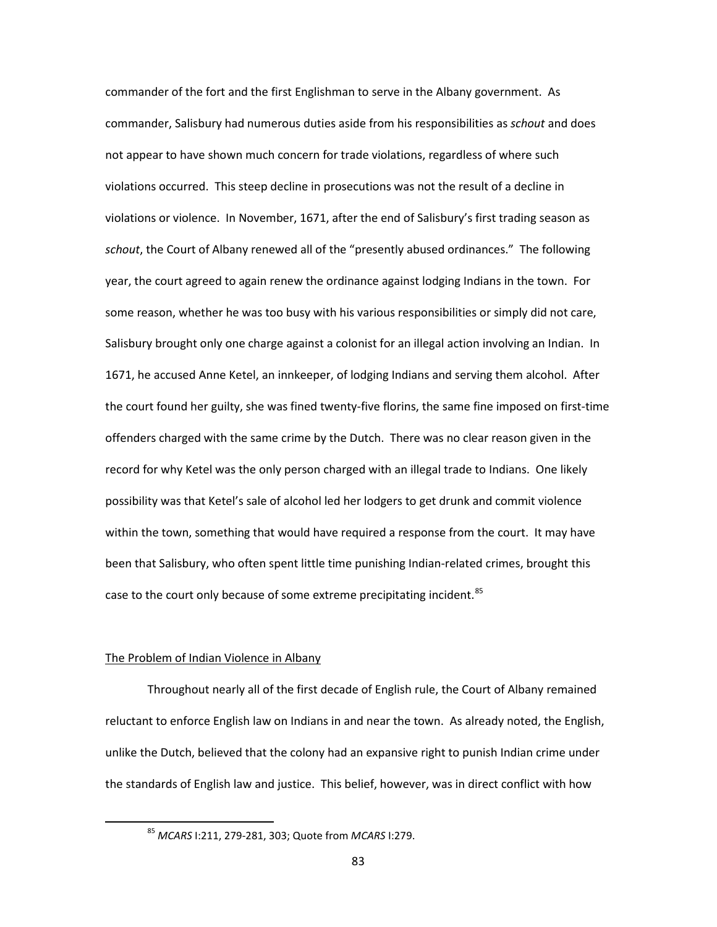commander of the fort and the first Englishman to serve in the Albany government. As commander, Salisbury had numerous duties aside from his responsibilities as *schout* and does not appear to have shown much concern for trade violations, regardless of where such violations occurred. This steep decline in prosecutions was not the result of a decline in violations or violence. In November, 1671, after the end of Salisbury's first trading season as *schout*, the Court of Albany renewed all of the "presently abused ordinances." The following year, the court agreed to again renew the ordinance against lodging Indians in the town. For some reason, whether he was too busy with his various responsibilities or simply did not care, Salisbury brought only one charge against a colonist for an illegal action involving an Indian. In 1671, he accused Anne Ketel, an innkeeper, of lodging Indians and serving them alcohol. After the court found her guilty, she was fined twenty-five florins, the same fine imposed on first-time offenders charged with the same crime by the Dutch. There was no clear reason given in the record for why Ketel was the only person charged with an illegal trade to Indians. One likely possibility was that Ketel's sale of alcohol led her lodgers to get drunk and commit violence within the town, something that would have required a response from the court. It may have been that Salisbury, who often spent little time punishing Indian-related crimes, brought this case to the court only because of some extreme precipitating incident.<sup>[85](#page-85-0)</sup>

## The Problem of Indian Violence in Albany

Throughout nearly all of the first decade of English rule, the Court of Albany remained reluctant to enforce English law on Indians in and near the town. As already noted, the English, unlike the Dutch, believed that the colony had an expansive right to punish Indian crime under the standards of English law and justice. This belief, however, was in direct conflict with how

<span id="page-85-0"></span> <sup>85</sup> *MCARS* I:211, 279-281, 303; Quote from *MCARS* I:279.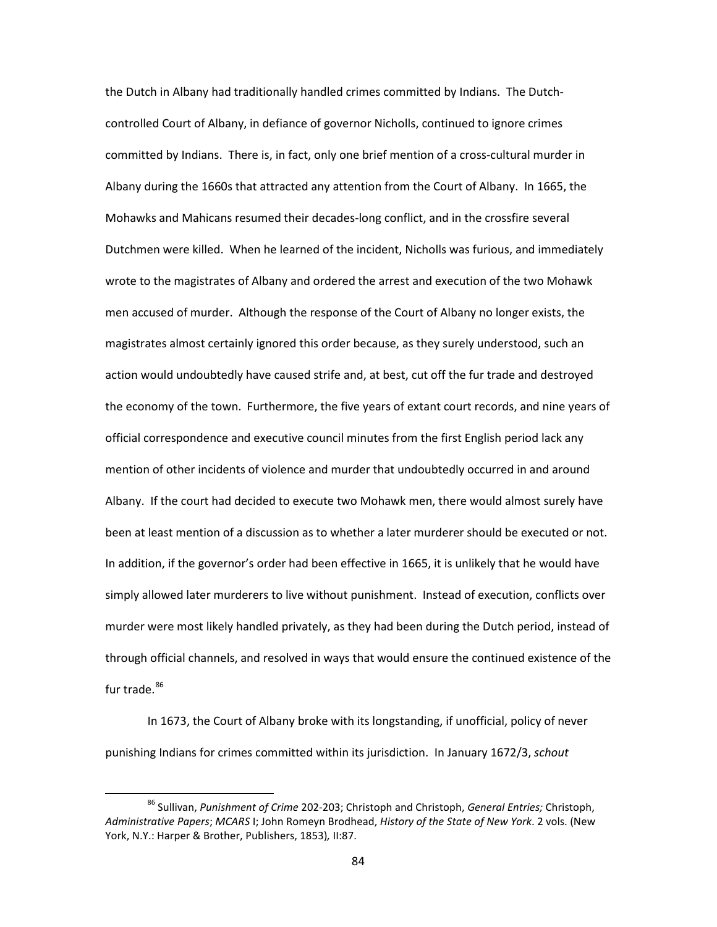the Dutch in Albany had traditionally handled crimes committed by Indians. The Dutchcontrolled Court of Albany, in defiance of governor Nicholls, continued to ignore crimes committed by Indians. There is, in fact, only one brief mention of a cross-cultural murder in Albany during the 1660s that attracted any attention from the Court of Albany. In 1665, the Mohawks and Mahicans resumed their decades-long conflict, and in the crossfire several Dutchmen were killed. When he learned of the incident, Nicholls was furious, and immediately wrote to the magistrates of Albany and ordered the arrest and execution of the two Mohawk men accused of murder. Although the response of the Court of Albany no longer exists, the magistrates almost certainly ignored this order because, as they surely understood, such an action would undoubtedly have caused strife and, at best, cut off the fur trade and destroyed the economy of the town. Furthermore, the five years of extant court records, and nine years of official correspondence and executive council minutes from the first English period lack any mention of other incidents of violence and murder that undoubtedly occurred in and around Albany. If the court had decided to execute two Mohawk men, there would almost surely have been at least mention of a discussion as to whether a later murderer should be executed or not. In addition, if the governor's order had been effective in 1665, it is unlikely that he would have simply allowed later murderers to live without punishment. Instead of execution, conflicts over murder were most likely handled privately, as they had been during the Dutch period, instead of through official channels, and resolved in ways that would ensure the continued existence of the fur trade.<sup>[86](#page-86-0)</sup>

In 1673, the Court of Albany broke with its longstanding, if unofficial, policy of never punishing Indians for crimes committed within its jurisdiction. In January 1672/3, *schout*

<span id="page-86-0"></span> <sup>86</sup> Sullivan, *Punishment of Crime* 202-203; Christoph and Christoph, *General Entries;* Christoph, *Administrative Papers*; *MCARS* I; John Romeyn Brodhead, *History of the State of New York*. 2 vols. (New York, N.Y.: Harper & Brother, Publishers, 1853)*,* II:87.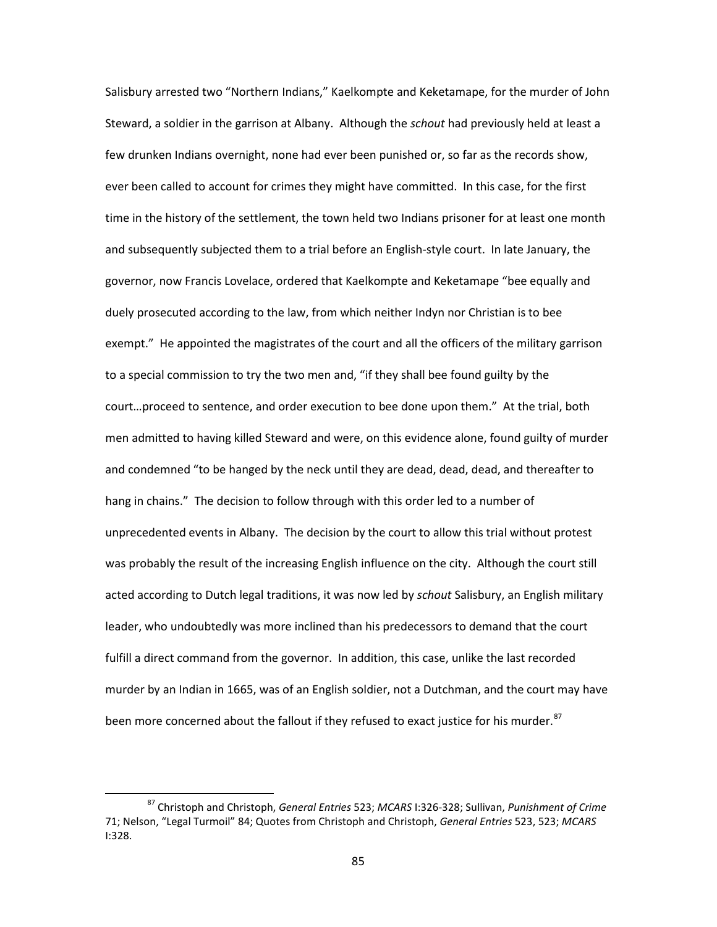Salisbury arrested two "Northern Indians," Kaelkompte and Keketamape, for the murder of John Steward, a soldier in the garrison at Albany. Although the *schout* had previously held at least a few drunken Indians overnight, none had ever been punished or, so far as the records show, ever been called to account for crimes they might have committed. In this case, for the first time in the history of the settlement, the town held two Indians prisoner for at least one month and subsequently subjected them to a trial before an English-style court. In late January, the governor, now Francis Lovelace, ordered that Kaelkompte and Keketamape "bee equally and duely prosecuted according to the law, from which neither Indyn nor Christian is to bee exempt." He appointed the magistrates of the court and all the officers of the military garrison to a special commission to try the two men and, "if they shall bee found guilty by the court…proceed to sentence, and order execution to bee done upon them." At the trial, both men admitted to having killed Steward and were, on this evidence alone, found guilty of murder and condemned "to be hanged by the neck until they are dead, dead, dead, and thereafter to hang in chains." The decision to follow through with this order led to a number of unprecedented events in Albany. The decision by the court to allow this trial without protest was probably the result of the increasing English influence on the city. Although the court still acted according to Dutch legal traditions, it was now led by *schout* Salisbury, an English military leader, who undoubtedly was more inclined than his predecessors to demand that the court fulfill a direct command from the governor. In addition, this case, unlike the last recorded murder by an Indian in 1665, was of an English soldier, not a Dutchman, and the court may have been more concerned about the fallout if they refused to exact justice for his murder.<sup>[87](#page-87-0)</sup>

<span id="page-87-0"></span> <sup>87</sup> Christoph and Christoph, *General Entries* 523; *MCARS* I:326-328; Sullivan, *Punishment of Crime* 71; Nelson, "Legal Turmoil" 84; Quotes from Christoph and Christoph, *General Entries* 523, 523; *MCARS* I:328.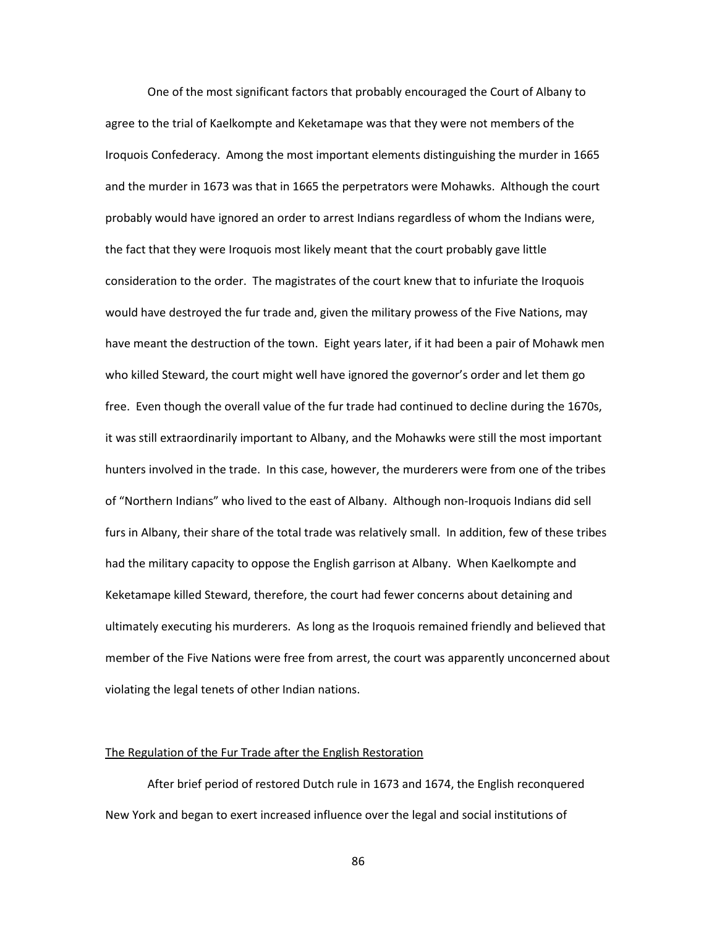One of the most significant factors that probably encouraged the Court of Albany to agree to the trial of Kaelkompte and Keketamape was that they were not members of the Iroquois Confederacy. Among the most important elements distinguishing the murder in 1665 and the murder in 1673 was that in 1665 the perpetrators were Mohawks. Although the court probably would have ignored an order to arrest Indians regardless of whom the Indians were, the fact that they were Iroquois most likely meant that the court probably gave little consideration to the order. The magistrates of the court knew that to infuriate the Iroquois would have destroyed the fur trade and, given the military prowess of the Five Nations, may have meant the destruction of the town. Eight years later, if it had been a pair of Mohawk men who killed Steward, the court might well have ignored the governor's order and let them go free. Even though the overall value of the fur trade had continued to decline during the 1670s, it was still extraordinarily important to Albany, and the Mohawks were still the most important hunters involved in the trade. In this case, however, the murderers were from one of the tribes of "Northern Indians" who lived to the east of Albany. Although non-Iroquois Indians did sell furs in Albany, their share of the total trade was relatively small. In addition, few of these tribes had the military capacity to oppose the English garrison at Albany. When Kaelkompte and Keketamape killed Steward, therefore, the court had fewer concerns about detaining and ultimately executing his murderers. As long as the Iroquois remained friendly and believed that member of the Five Nations were free from arrest, the court was apparently unconcerned about violating the legal tenets of other Indian nations.

# The Regulation of the Fur Trade after the English Restoration

After brief period of restored Dutch rule in 1673 and 1674, the English reconquered New York and began to exert increased influence over the legal and social institutions of

86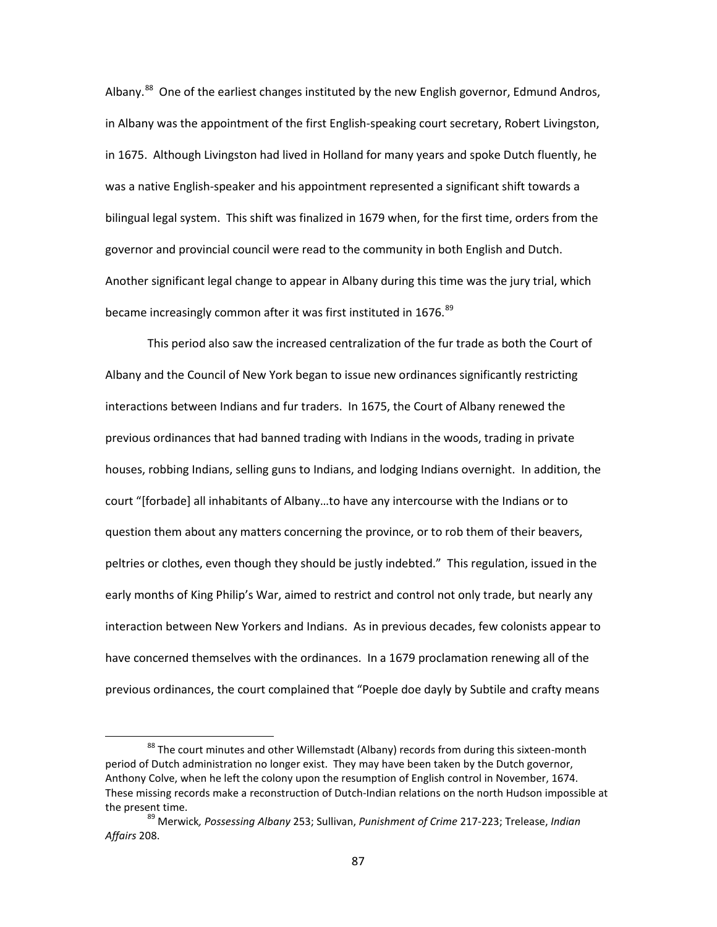Albany.<sup>88</sup> One of the earliest changes instituted by the new English governor, Edmund Andros, in Albany was the appointment of the first English-speaking court secretary, Robert Livingston, in 1675. Although Livingston had lived in Holland for many years and spoke Dutch fluently, he was a native English-speaker and his appointment represented a significant shift towards a bilingual legal system. This shift was finalized in 1679 when, for the first time, orders from the governor and provincial council were read to the community in both English and Dutch. Another significant legal change to appear in Albany during this time was the jury trial, which became increasingly common after it was first instituted in 1676.<sup>[89](#page-89-1)</sup>

This period also saw the increased centralization of the fur trade as both the Court of Albany and the Council of New York began to issue new ordinances significantly restricting interactions between Indians and fur traders. In 1675, the Court of Albany renewed the previous ordinances that had banned trading with Indians in the woods, trading in private houses, robbing Indians, selling guns to Indians, and lodging Indians overnight. In addition, the court "[forbade] all inhabitants of Albany…to have any intercourse with the Indians or to question them about any matters concerning the province, or to rob them of their beavers, peltries or clothes, even though they should be justly indebted." This regulation, issued in the early months of King Philip's War, aimed to restrict and control not only trade, but nearly any interaction between New Yorkers and Indians. As in previous decades, few colonists appear to have concerned themselves with the ordinances. In a 1679 proclamation renewing all of the previous ordinances, the court complained that "Poeple doe dayly by Subtile and crafty means

<span id="page-89-0"></span><sup>&</sup>lt;sup>88</sup> The court minutes and other Willemstadt (Albany) records from during this sixteen-month period of Dutch administration no longer exist. They may have been taken by the Dutch governor, Anthony Colve, when he left the colony upon the resumption of English control in November, 1674. These missing records make a reconstruction of Dutch-Indian relations on the north Hudson impossible at the present time.

<span id="page-89-1"></span><sup>89</sup> Merwick*, Possessing Albany* 253; Sullivan, *Punishment of Crime* 217-223; Trelease, *Indian Affairs* 208.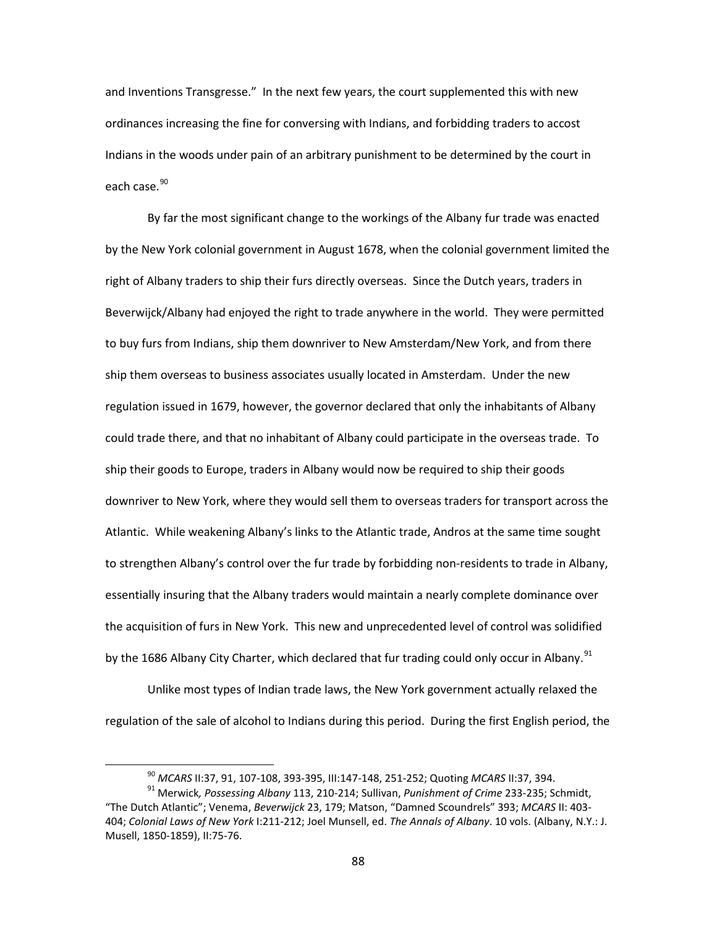and Inventions Transgresse." In the next few years, the court supplemented this with new ordinances increasing the fine for conversing with Indians, and forbidding traders to accost Indians in the woods under pain of an arbitrary punishment to be determined by the court in each case.<sup>[90](#page-90-0)</sup>

By far the most significant change to the workings of the Albany fur trade was enacted by the New York colonial government in August 1678, when the colonial government limited the right of Albany traders to ship their furs directly overseas. Since the Dutch years, traders in Beverwijck/Albany had enjoyed the right to trade anywhere in the world. They were permitted to buy furs from Indians, ship them downriver to New Amsterdam/New York, and from there ship them overseas to business associates usually located in Amsterdam. Under the new regulation issued in 1679, however, the governor declared that only the inhabitants of Albany could trade there, and that no inhabitant of Albany could participate in the overseas trade. To ship their goods to Europe, traders in Albany would now be required to ship their goods downriver to New York, where they would sell them to overseas traders for transport across the Atlantic. While weakening Albany's links to the Atlantic trade, Andros at the same time sought to strengthen Albany's control over the fur trade by forbidding non-residents to trade in Albany, essentially insuring that the Albany traders would maintain a nearly complete dominance over the acquisition of furs in New York. This new and unprecedented level of control was solidified by the 1686 Albany City Charter, which declared that fur trading could only occur in Albany.<sup>[91](#page-90-1)</sup>

Unlike most types of Indian trade laws, the New York government actually relaxed the regulation of the sale of alcohol to Indians during this period. During the first English period, the

 <sup>90</sup> *MCARS* II:37, 91, 107-108, 393-395, III:147-148, 251-252; Quoting *MCARS* II:37, 394.

<span id="page-90-1"></span><span id="page-90-0"></span><sup>91</sup> Merwick*, Possessing Albany* 113, 210-214; Sullivan, *Punishment of Crime* 233-235; Schmidt, "The Dutch Atlantic"; Venema, *Beverwijck* 23, 179; Matson, "Damned Scoundrels" 393; *MCARS* II: 403- 404; *Colonial Laws of New York* I:211-212; Joel Munsell, ed. *The Annals of Albany*. 10 vols. (Albany, N.Y.: J. Musell, 1850-1859), II:75-76.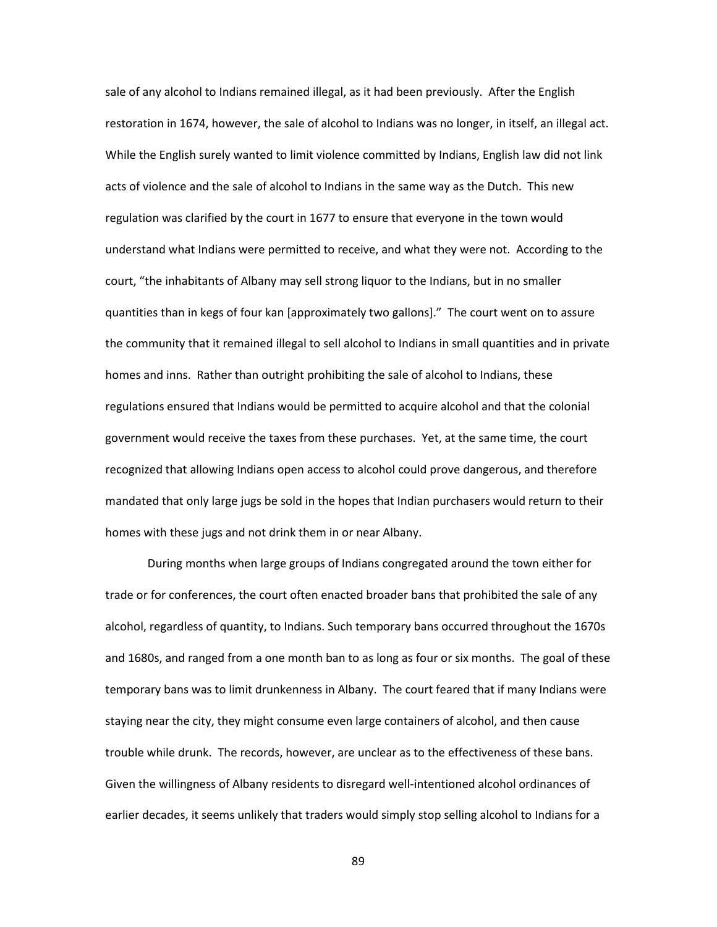sale of any alcohol to Indians remained illegal, as it had been previously. After the English restoration in 1674, however, the sale of alcohol to Indians was no longer, in itself, an illegal act. While the English surely wanted to limit violence committed by Indians, English law did not link acts of violence and the sale of alcohol to Indians in the same way as the Dutch. This new regulation was clarified by the court in 1677 to ensure that everyone in the town would understand what Indians were permitted to receive, and what they were not. According to the court, "the inhabitants of Albany may sell strong liquor to the Indians, but in no smaller quantities than in kegs of four kan [approximately two gallons]." The court went on to assure the community that it remained illegal to sell alcohol to Indians in small quantities and in private homes and inns. Rather than outright prohibiting the sale of alcohol to Indians, these regulations ensured that Indians would be permitted to acquire alcohol and that the colonial government would receive the taxes from these purchases. Yet, at the same time, the court recognized that allowing Indians open access to alcohol could prove dangerous, and therefore mandated that only large jugs be sold in the hopes that Indian purchasers would return to their homes with these jugs and not drink them in or near Albany.

During months when large groups of Indians congregated around the town either for trade or for conferences, the court often enacted broader bans that prohibited the sale of any alcohol, regardless of quantity, to Indians. Such temporary bans occurred throughout the 1670s and 1680s, and ranged from a one month ban to as long as four or six months. The goal of these temporary bans was to limit drunkenness in Albany. The court feared that if many Indians were staying near the city, they might consume even large containers of alcohol, and then cause trouble while drunk. The records, however, are unclear as to the effectiveness of these bans. Given the willingness of Albany residents to disregard well-intentioned alcohol ordinances of earlier decades, it seems unlikely that traders would simply stop selling alcohol to Indians for a

89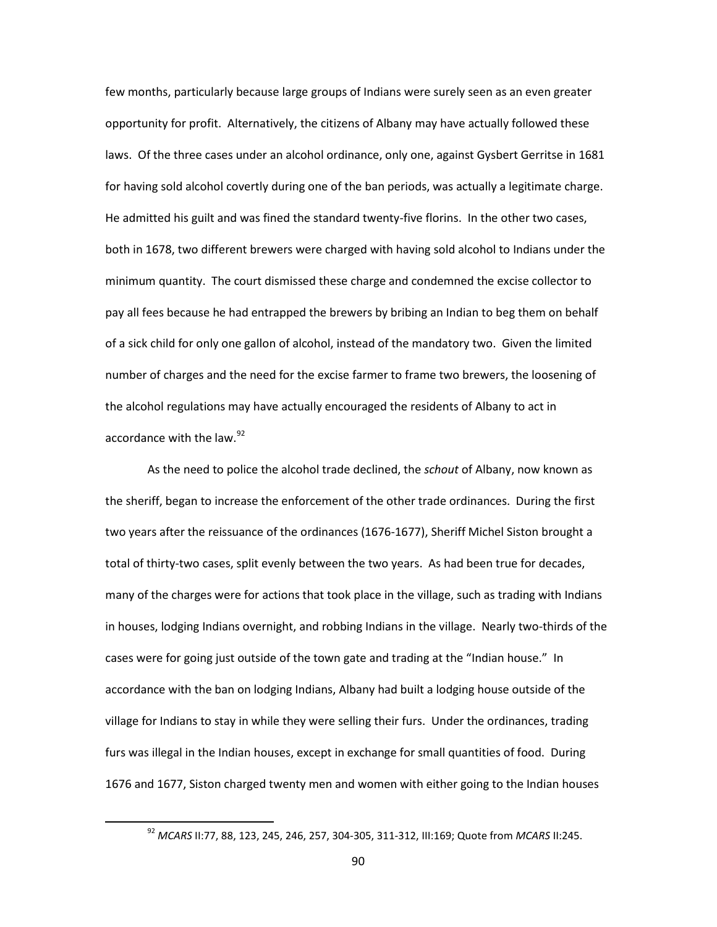few months, particularly because large groups of Indians were surely seen as an even greater opportunity for profit. Alternatively, the citizens of Albany may have actually followed these laws. Of the three cases under an alcohol ordinance, only one, against Gysbert Gerritse in 1681 for having sold alcohol covertly during one of the ban periods, was actually a legitimate charge. He admitted his guilt and was fined the standard twenty-five florins. In the other two cases, both in 1678, two different brewers were charged with having sold alcohol to Indians under the minimum quantity. The court dismissed these charge and condemned the excise collector to pay all fees because he had entrapped the brewers by bribing an Indian to beg them on behalf of a sick child for only one gallon of alcohol, instead of the mandatory two. Given the limited number of charges and the need for the excise farmer to frame two brewers, the loosening of the alcohol regulations may have actually encouraged the residents of Albany to act in accordance with the law.<sup>[92](#page-92-0)</sup>

As the need to police the alcohol trade declined, the *schout* of Albany, now known as the sheriff, began to increase the enforcement of the other trade ordinances. During the first two years after the reissuance of the ordinances (1676-1677), Sheriff Michel Siston brought a total of thirty-two cases, split evenly between the two years. As had been true for decades, many of the charges were for actions that took place in the village, such as trading with Indians in houses, lodging Indians overnight, and robbing Indians in the village. Nearly two-thirds of the cases were for going just outside of the town gate and trading at the "Indian house." In accordance with the ban on lodging Indians, Albany had built a lodging house outside of the village for Indians to stay in while they were selling their furs. Under the ordinances, trading furs was illegal in the Indian houses, except in exchange for small quantities of food. During 1676 and 1677, Siston charged twenty men and women with either going to the Indian houses

<span id="page-92-0"></span> <sup>92</sup> *MCARS* II:77, 88, 123, 245, 246, 257, 304-305, 311-312, III:169; Quote from *MCARS* II:245.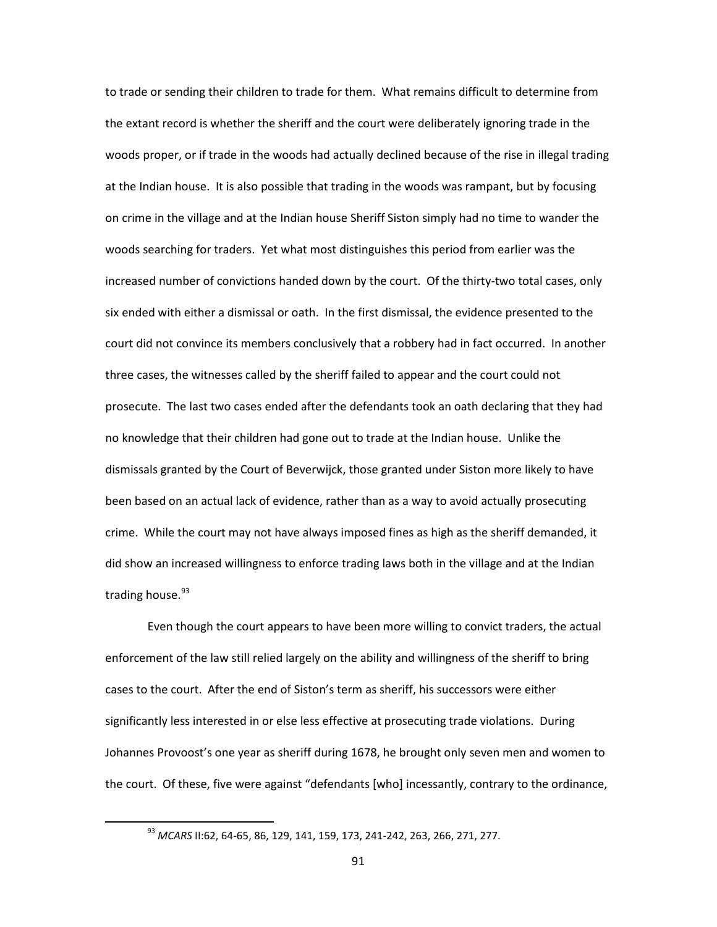to trade or sending their children to trade for them. What remains difficult to determine from the extant record is whether the sheriff and the court were deliberately ignoring trade in the woods proper, or if trade in the woods had actually declined because of the rise in illegal trading at the Indian house. It is also possible that trading in the woods was rampant, but by focusing on crime in the village and at the Indian house Sheriff Siston simply had no time to wander the woods searching for traders. Yet what most distinguishes this period from earlier was the increased number of convictions handed down by the court. Of the thirty-two total cases, only six ended with either a dismissal or oath. In the first dismissal, the evidence presented to the court did not convince its members conclusively that a robbery had in fact occurred. In another three cases, the witnesses called by the sheriff failed to appear and the court could not prosecute. The last two cases ended after the defendants took an oath declaring that they had no knowledge that their children had gone out to trade at the Indian house. Unlike the dismissals granted by the Court of Beverwijck, those granted under Siston more likely to have been based on an actual lack of evidence, rather than as a way to avoid actually prosecuting crime. While the court may not have always imposed fines as high as the sheriff demanded, it did show an increased willingness to enforce trading laws both in the village and at the Indian trading house.<sup>[93](#page-93-0)</sup>

Even though the court appears to have been more willing to convict traders, the actual enforcement of the law still relied largely on the ability and willingness of the sheriff to bring cases to the court. After the end of Siston's term as sheriff, his successors were either significantly less interested in or else less effective at prosecuting trade violations. During Johannes Provoost's one year as sheriff during 1678, he brought only seven men and women to the court. Of these, five were against "defendants [who] incessantly, contrary to the ordinance,

<span id="page-93-0"></span> <sup>93</sup> *MCARS* II:62, 64-65, 86, 129, 141, 159, 173, 241-242, 263, 266, 271, 277.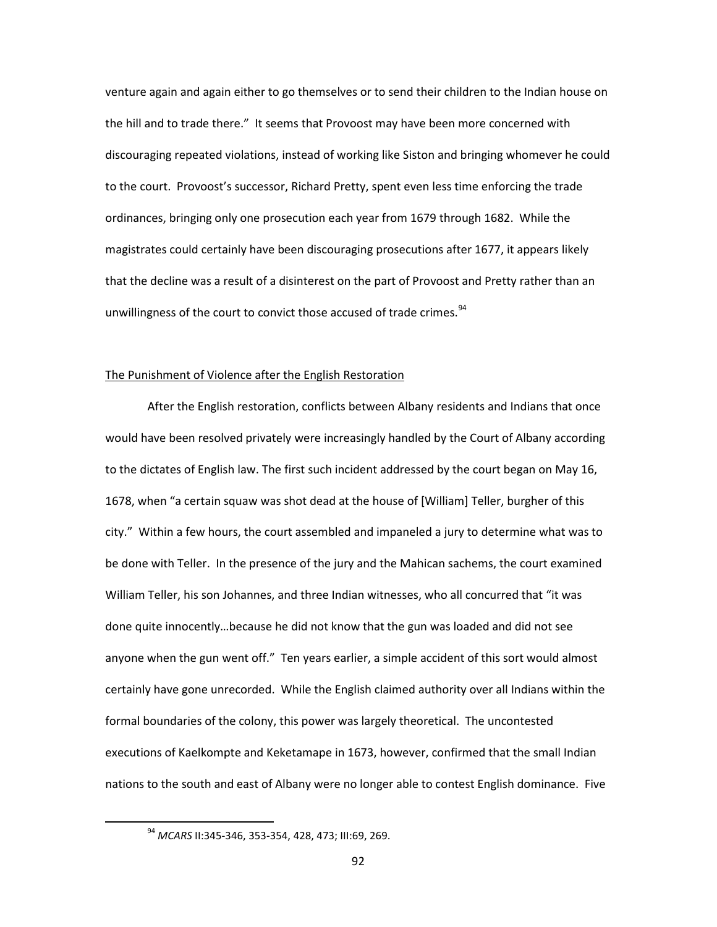venture again and again either to go themselves or to send their children to the Indian house on the hill and to trade there." It seems that Provoost may have been more concerned with discouraging repeated violations, instead of working like Siston and bringing whomever he could to the court. Provoost's successor, Richard Pretty, spent even less time enforcing the trade ordinances, bringing only one prosecution each year from 1679 through 1682. While the magistrates could certainly have been discouraging prosecutions after 1677, it appears likely that the decline was a result of a disinterest on the part of Provoost and Pretty rather than an unwillingness of the court to convict those accused of trade crimes.<sup>[94](#page-94-0)</sup>

### The Punishment of Violence after the English Restoration

After the English restoration, conflicts between Albany residents and Indians that once would have been resolved privately were increasingly handled by the Court of Albany according to the dictates of English law. The first such incident addressed by the court began on May 16, 1678, when "a certain squaw was shot dead at the house of [William] Teller, burgher of this city." Within a few hours, the court assembled and impaneled a jury to determine what was to be done with Teller. In the presence of the jury and the Mahican sachems, the court examined William Teller, his son Johannes, and three Indian witnesses, who all concurred that "it was done quite innocently…because he did not know that the gun was loaded and did not see anyone when the gun went off." Ten years earlier, a simple accident of this sort would almost certainly have gone unrecorded. While the English claimed authority over all Indians within the formal boundaries of the colony, this power was largely theoretical. The uncontested executions of Kaelkompte and Keketamape in 1673, however, confirmed that the small Indian nations to the south and east of Albany were no longer able to contest English dominance. Five

<span id="page-94-0"></span> <sup>94</sup> *MCARS* II:345-346, 353-354, 428, 473; III:69, 269.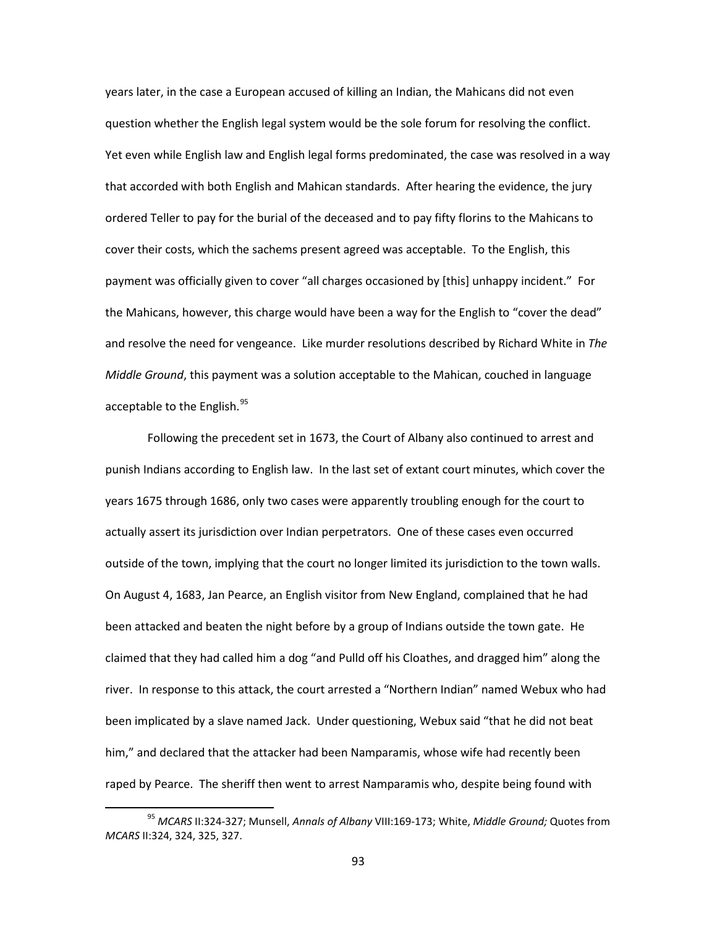years later, in the case a European accused of killing an Indian, the Mahicans did not even question whether the English legal system would be the sole forum for resolving the conflict. Yet even while English law and English legal forms predominated, the case was resolved in a way that accorded with both English and Mahican standards. After hearing the evidence, the jury ordered Teller to pay for the burial of the deceased and to pay fifty florins to the Mahicans to cover their costs, which the sachems present agreed was acceptable. To the English, this payment was officially given to cover "all charges occasioned by [this] unhappy incident." For the Mahicans, however, this charge would have been a way for the English to "cover the dead" and resolve the need for vengeance. Like murder resolutions described by Richard White in *The Middle Ground*, this payment was a solution acceptable to the Mahican, couched in language acceptable to the English.<sup>[95](#page-95-0)</sup>

Following the precedent set in 1673, the Court of Albany also continued to arrest and punish Indians according to English law. In the last set of extant court minutes, which cover the years 1675 through 1686, only two cases were apparently troubling enough for the court to actually assert its jurisdiction over Indian perpetrators. One of these cases even occurred outside of the town, implying that the court no longer limited its jurisdiction to the town walls. On August 4, 1683, Jan Pearce, an English visitor from New England, complained that he had been attacked and beaten the night before by a group of Indians outside the town gate. He claimed that they had called him a dog "and Pulld off his Cloathes, and dragged him" along the river. In response to this attack, the court arrested a "Northern Indian" named Webux who had been implicated by a slave named Jack. Under questioning, Webux said "that he did not beat him," and declared that the attacker had been Namparamis, whose wife had recently been raped by Pearce. The sheriff then went to arrest Namparamis who, despite being found with

<span id="page-95-0"></span> <sup>95</sup> *MCARS* II:324-327; Munsell, *Annals of Albany* VIII:169-173; White, *Middle Ground;* Quotes from *MCARS* II:324, 324, 325, 327.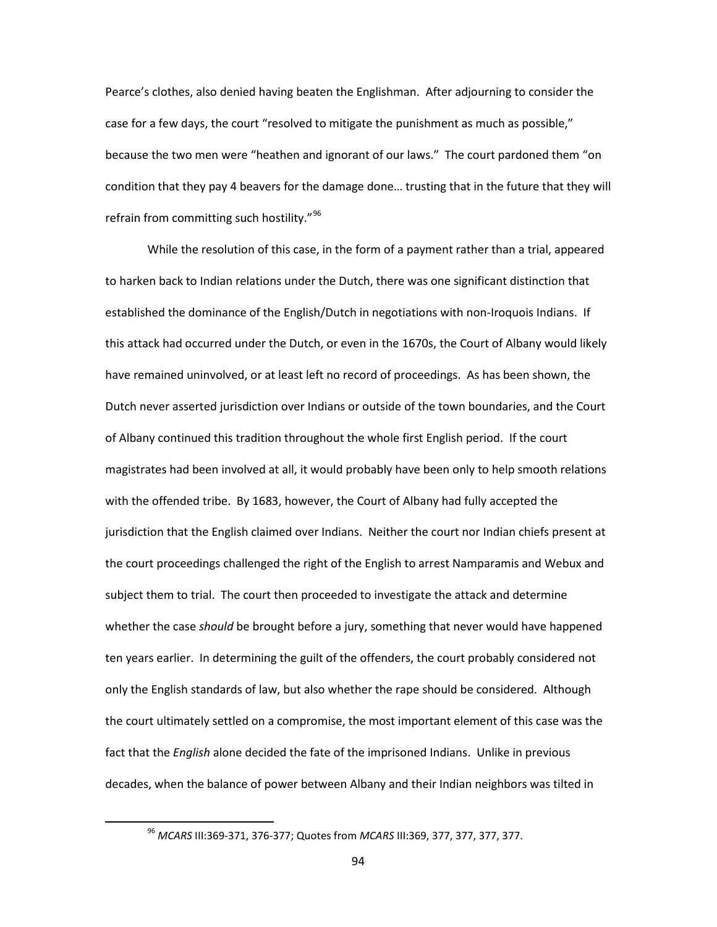Pearce's clothes, also denied having beaten the Englishman. After adjourning to consider the case for a few days, the court "resolved to mitigate the punishment as much as possible," because the two men were "heathen and ignorant of our laws." The court pardoned them "on condition that they pay 4 beavers for the damage done… trusting that in the future that they will refrain from committing such hostility."[96](#page-96-0)

While the resolution of this case, in the form of a payment rather than a trial, appeared to harken back to Indian relations under the Dutch, there was one significant distinction that established the dominance of the English/Dutch in negotiations with non-Iroquois Indians. If this attack had occurred under the Dutch, or even in the 1670s, the Court of Albany would likely have remained uninvolved, or at least left no record of proceedings. As has been shown, the Dutch never asserted jurisdiction over Indians or outside of the town boundaries, and the Court of Albany continued this tradition throughout the whole first English period. If the court magistrates had been involved at all, it would probably have been only to help smooth relations with the offended tribe. By 1683, however, the Court of Albany had fully accepted the jurisdiction that the English claimed over Indians. Neither the court nor Indian chiefs present at the court proceedings challenged the right of the English to arrest Namparamis and Webux and subject them to trial. The court then proceeded to investigate the attack and determine whether the case *should* be brought before a jury, something that never would have happened ten years earlier. In determining the guilt of the offenders, the court probably considered not only the English standards of law, but also whether the rape should be considered. Although the court ultimately settled on a compromise, the most important element of this case was the fact that the *English* alone decided the fate of the imprisoned Indians. Unlike in previous decades, when the balance of power between Albany and their Indian neighbors was tilted in

<span id="page-96-0"></span> <sup>96</sup> *MCARS* III:369-371, 376-377; Quotes from *MCARS* III:369, 377, 377, 377, 377.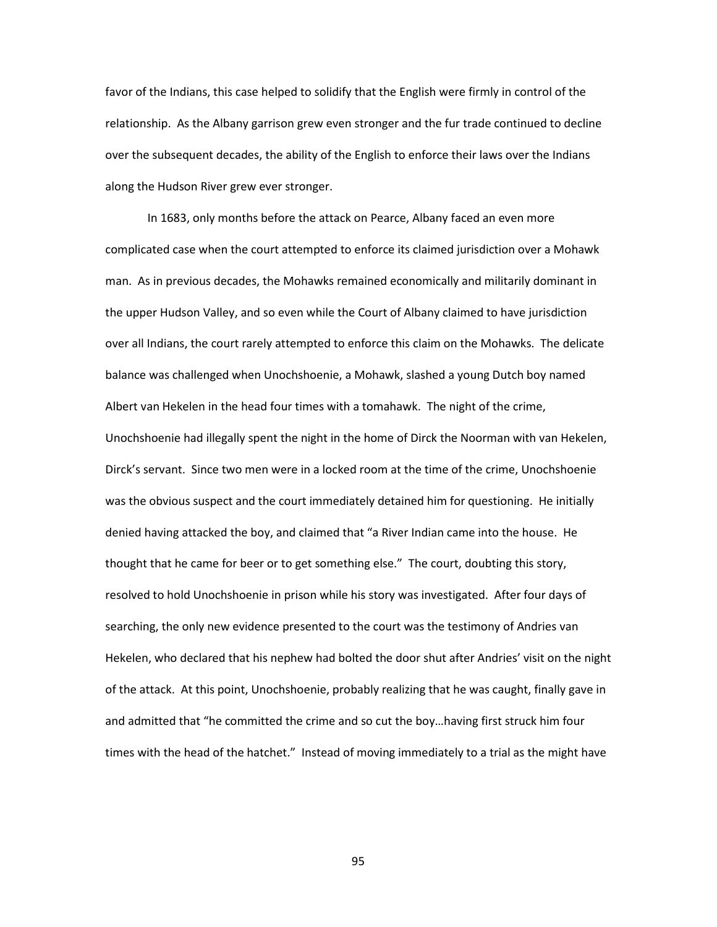favor of the Indians, this case helped to solidify that the English were firmly in control of the relationship. As the Albany garrison grew even stronger and the fur trade continued to decline over the subsequent decades, the ability of the English to enforce their laws over the Indians along the Hudson River grew ever stronger.

In 1683, only months before the attack on Pearce, Albany faced an even more complicated case when the court attempted to enforce its claimed jurisdiction over a Mohawk man. As in previous decades, the Mohawks remained economically and militarily dominant in the upper Hudson Valley, and so even while the Court of Albany claimed to have jurisdiction over all Indians, the court rarely attempted to enforce this claim on the Mohawks. The delicate balance was challenged when Unochshoenie, a Mohawk, slashed a young Dutch boy named Albert van Hekelen in the head four times with a tomahawk. The night of the crime, Unochshoenie had illegally spent the night in the home of Dirck the Noorman with van Hekelen, Dirck's servant. Since two men were in a locked room at the time of the crime, Unochshoenie was the obvious suspect and the court immediately detained him for questioning. He initially denied having attacked the boy, and claimed that "a River Indian came into the house. He thought that he came for beer or to get something else." The court, doubting this story, resolved to hold Unochshoenie in prison while his story was investigated. After four days of searching, the only new evidence presented to the court was the testimony of Andries van Hekelen, who declared that his nephew had bolted the door shut after Andries' visit on the night of the attack. At this point, Unochshoenie, probably realizing that he was caught, finally gave in and admitted that "he committed the crime and so cut the boy…having first struck him four times with the head of the hatchet." Instead of moving immediately to a trial as the might have

95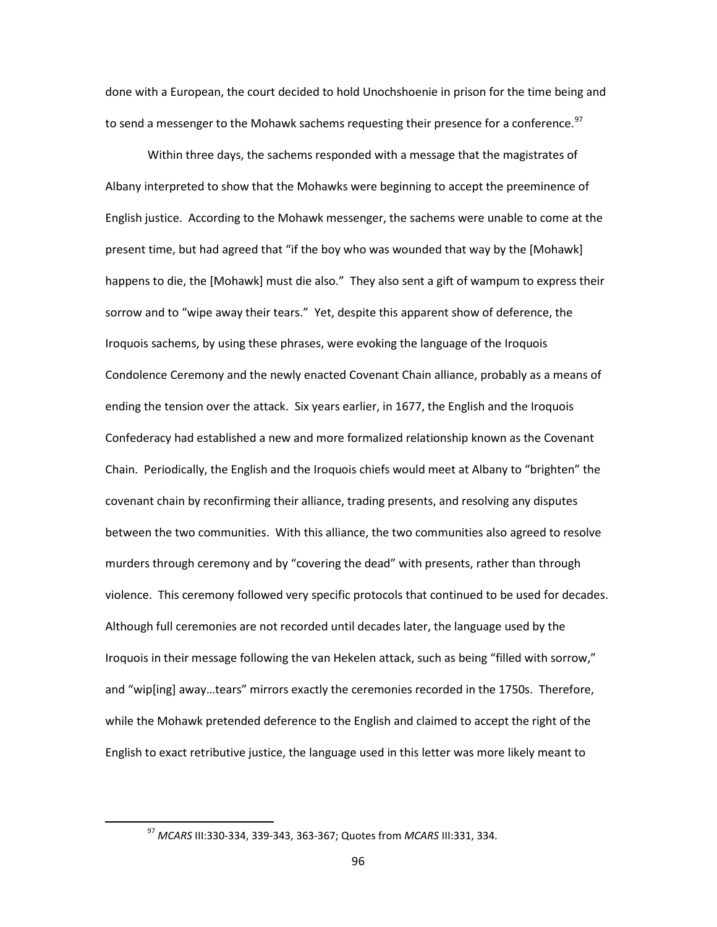done with a European, the court decided to hold Unochshoenie in prison for the time being and to send a messenger to the Mohawk sachems requesting their presence for a conference.<sup>[97](#page-98-0)</sup>

Within three days, the sachems responded with a message that the magistrates of Albany interpreted to show that the Mohawks were beginning to accept the preeminence of English justice. According to the Mohawk messenger, the sachems were unable to come at the present time, but had agreed that "if the boy who was wounded that way by the [Mohawk] happens to die, the [Mohawk] must die also." They also sent a gift of wampum to express their sorrow and to "wipe away their tears." Yet, despite this apparent show of deference, the Iroquois sachems, by using these phrases, were evoking the language of the Iroquois Condolence Ceremony and the newly enacted Covenant Chain alliance, probably as a means of ending the tension over the attack. Six years earlier, in 1677, the English and the Iroquois Confederacy had established a new and more formalized relationship known as the Covenant Chain. Periodically, the English and the Iroquois chiefs would meet at Albany to "brighten" the covenant chain by reconfirming their alliance, trading presents, and resolving any disputes between the two communities. With this alliance, the two communities also agreed to resolve murders through ceremony and by "covering the dead" with presents, rather than through violence. This ceremony followed very specific protocols that continued to be used for decades. Although full ceremonies are not recorded until decades later, the language used by the Iroquois in their message following the van Hekelen attack, such as being "filled with sorrow," and "wip[ing] away…tears" mirrors exactly the ceremonies recorded in the 1750s. Therefore, while the Mohawk pretended deference to the English and claimed to accept the right of the English to exact retributive justice, the language used in this letter was more likely meant to

<span id="page-98-0"></span> <sup>97</sup> *MCARS* III:330-334, 339-343, 363-367; Quotes from *MCARS* III:331, 334.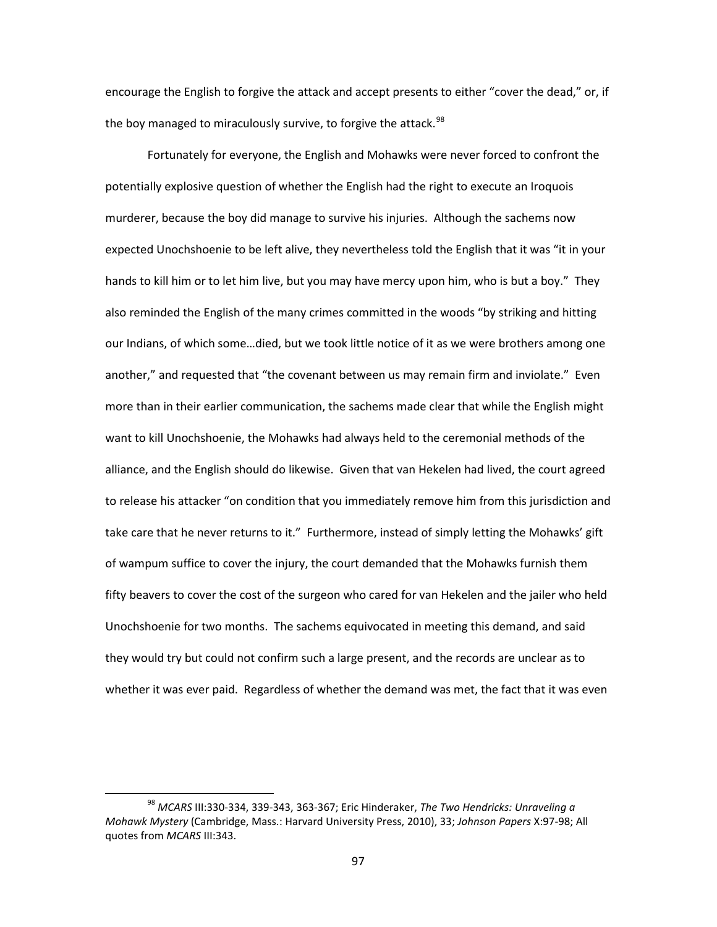encourage the English to forgive the attack and accept presents to either "cover the dead," or, if the boy managed to miraculously survive, to forgive the attack.<sup>[98](#page-99-0)</sup>

Fortunately for everyone, the English and Mohawks were never forced to confront the potentially explosive question of whether the English had the right to execute an Iroquois murderer, because the boy did manage to survive his injuries. Although the sachems now expected Unochshoenie to be left alive, they nevertheless told the English that it was "it in your hands to kill him or to let him live, but you may have mercy upon him, who is but a boy." They also reminded the English of the many crimes committed in the woods "by striking and hitting our Indians, of which some…died, but we took little notice of it as we were brothers among one another," and requested that "the covenant between us may remain firm and inviolate." Even more than in their earlier communication, the sachems made clear that while the English might want to kill Unochshoenie, the Mohawks had always held to the ceremonial methods of the alliance, and the English should do likewise. Given that van Hekelen had lived, the court agreed to release his attacker "on condition that you immediately remove him from this jurisdiction and take care that he never returns to it." Furthermore, instead of simply letting the Mohawks' gift of wampum suffice to cover the injury, the court demanded that the Mohawks furnish them fifty beavers to cover the cost of the surgeon who cared for van Hekelen and the jailer who held Unochshoenie for two months. The sachems equivocated in meeting this demand, and said they would try but could not confirm such a large present, and the records are unclear as to whether it was ever paid. Regardless of whether the demand was met, the fact that it was even

<span id="page-99-0"></span> <sup>98</sup> *MCARS* III:330-334, 339-343, 363-367; Eric Hinderaker, *The Two Hendricks: Unraveling a Mohawk Mystery* (Cambridge, Mass.: Harvard University Press, 2010), 33; *Johnson Papers* X:97-98; All quotes from *MCARS* III:343.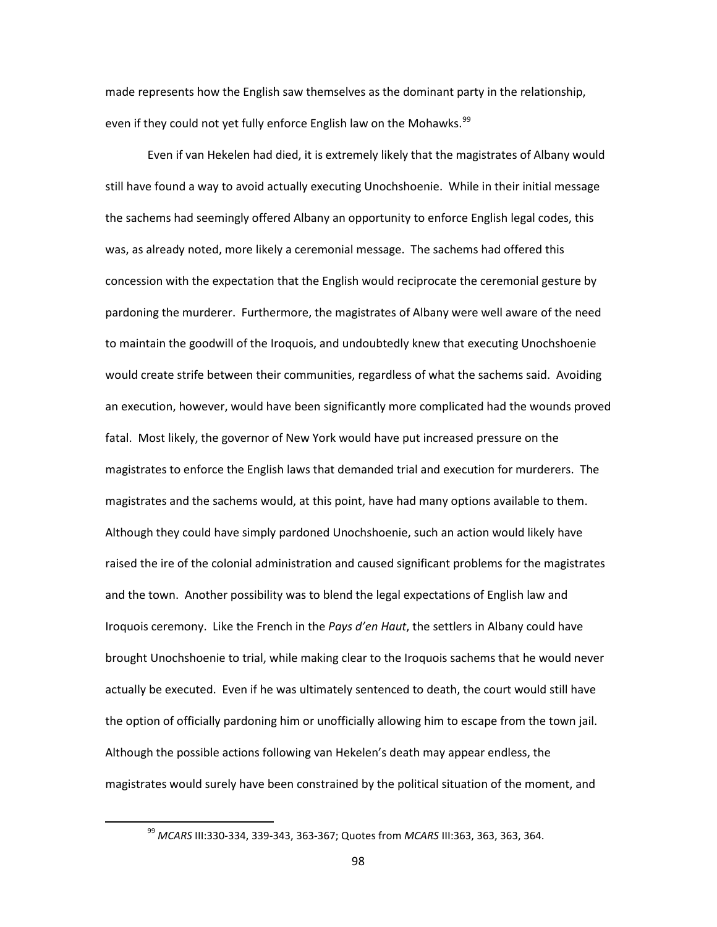made represents how the English saw themselves as the dominant party in the relationship, even if they could not yet fully enforce English law on the Mohawks.<sup>[99](#page-100-0)</sup>

Even if van Hekelen had died, it is extremely likely that the magistrates of Albany would still have found a way to avoid actually executing Unochshoenie. While in their initial message the sachems had seemingly offered Albany an opportunity to enforce English legal codes, this was, as already noted, more likely a ceremonial message. The sachems had offered this concession with the expectation that the English would reciprocate the ceremonial gesture by pardoning the murderer. Furthermore, the magistrates of Albany were well aware of the need to maintain the goodwill of the Iroquois, and undoubtedly knew that executing Unochshoenie would create strife between their communities, regardless of what the sachems said. Avoiding an execution, however, would have been significantly more complicated had the wounds proved fatal. Most likely, the governor of New York would have put increased pressure on the magistrates to enforce the English laws that demanded trial and execution for murderers. The magistrates and the sachems would, at this point, have had many options available to them. Although they could have simply pardoned Unochshoenie, such an action would likely have raised the ire of the colonial administration and caused significant problems for the magistrates and the town. Another possibility was to blend the legal expectations of English law and Iroquois ceremony. Like the French in the *Pays d'en Haut*, the settlers in Albany could have brought Unochshoenie to trial, while making clear to the Iroquois sachems that he would never actually be executed. Even if he was ultimately sentenced to death, the court would still have the option of officially pardoning him or unofficially allowing him to escape from the town jail. Although the possible actions following van Hekelen's death may appear endless, the magistrates would surely have been constrained by the political situation of the moment, and

<span id="page-100-0"></span> <sup>99</sup> *MCARS* III:330-334, 339-343, 363-367; Quotes from *MCARS* III:363, 363, 363, 364.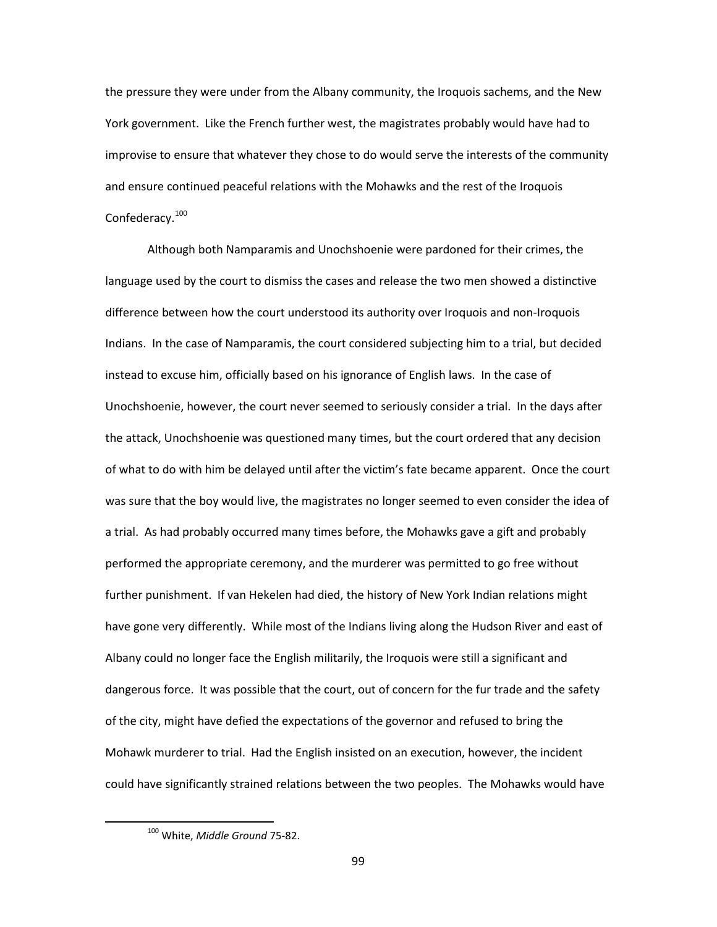the pressure they were under from the Albany community, the Iroquois sachems, and the New York government. Like the French further west, the magistrates probably would have had to improvise to ensure that whatever they chose to do would serve the interests of the community and ensure continued peaceful relations with the Mohawks and the rest of the Iroquois Confederacy.<sup>[100](#page-101-0)</sup>

Although both Namparamis and Unochshoenie were pardoned for their crimes, the language used by the court to dismiss the cases and release the two men showed a distinctive difference between how the court understood its authority over Iroquois and non-Iroquois Indians. In the case of Namparamis, the court considered subjecting him to a trial, but decided instead to excuse him, officially based on his ignorance of English laws. In the case of Unochshoenie, however, the court never seemed to seriously consider a trial. In the days after the attack, Unochshoenie was questioned many times, but the court ordered that any decision of what to do with him be delayed until after the victim's fate became apparent. Once the court was sure that the boy would live, the magistrates no longer seemed to even consider the idea of a trial. As had probably occurred many times before, the Mohawks gave a gift and probably performed the appropriate ceremony, and the murderer was permitted to go free without further punishment. If van Hekelen had died, the history of New York Indian relations might have gone very differently. While most of the Indians living along the Hudson River and east of Albany could no longer face the English militarily, the Iroquois were still a significant and dangerous force. It was possible that the court, out of concern for the fur trade and the safety of the city, might have defied the expectations of the governor and refused to bring the Mohawk murderer to trial. Had the English insisted on an execution, however, the incident could have significantly strained relations between the two peoples. The Mohawks would have

<span id="page-101-0"></span> <sup>100</sup> White, *Middle Ground* 75-82.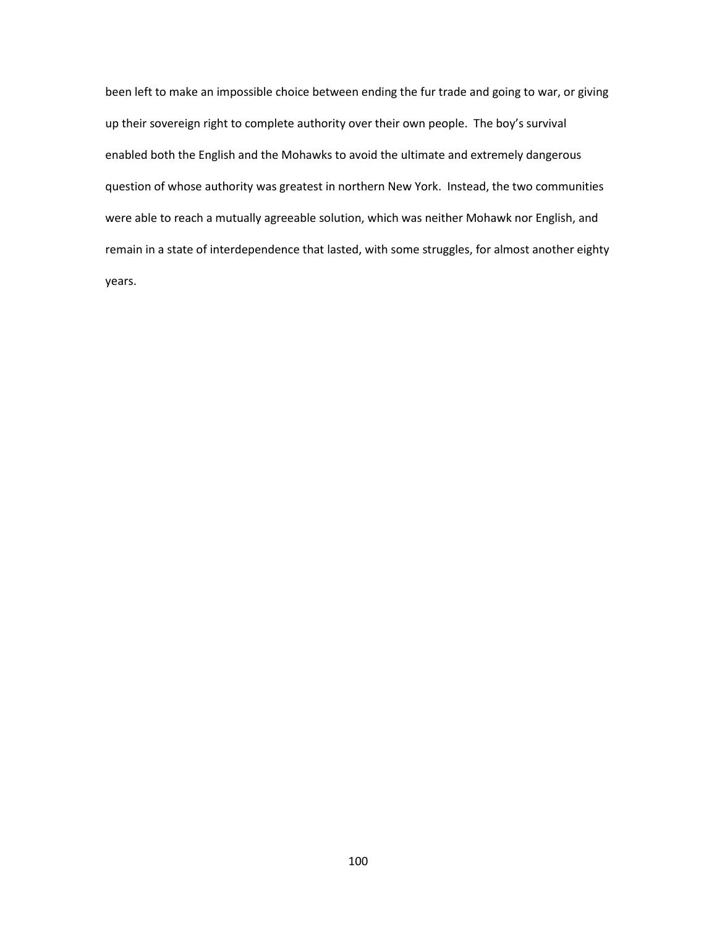been left to make an impossible choice between ending the fur trade and going to war, or giving up their sovereign right to complete authority over their own people. The boy's survival enabled both the English and the Mohawks to avoid the ultimate and extremely dangerous question of whose authority was greatest in northern New York. Instead, the two communities were able to reach a mutually agreeable solution, which was neither Mohawk nor English, and remain in a state of interdependence that lasted, with some struggles, for almost another eighty years.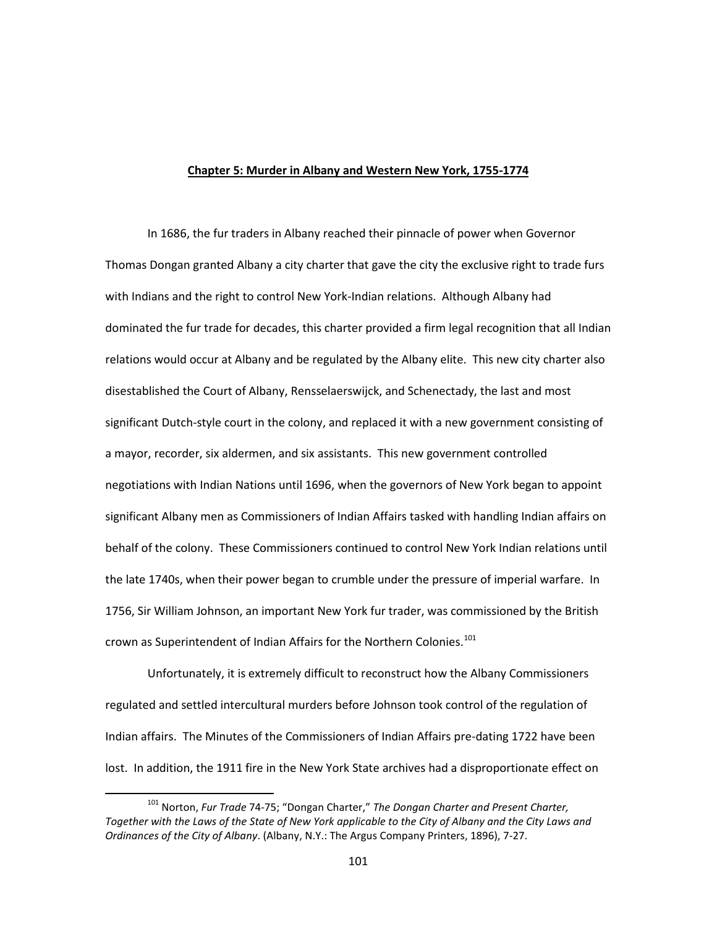## **Chapter 5: Murder in Albany and Western New York, 1755-1774**

In 1686, the fur traders in Albany reached their pinnacle of power when Governor Thomas Dongan granted Albany a city charter that gave the city the exclusive right to trade furs with Indians and the right to control New York-Indian relations. Although Albany had dominated the fur trade for decades, this charter provided a firm legal recognition that all Indian relations would occur at Albany and be regulated by the Albany elite. This new city charter also disestablished the Court of Albany, Rensselaerswijck, and Schenectady, the last and most significant Dutch-style court in the colony, and replaced it with a new government consisting of a mayor, recorder, six aldermen, and six assistants. This new government controlled negotiations with Indian Nations until 1696, when the governors of New York began to appoint significant Albany men as Commissioners of Indian Affairs tasked with handling Indian affairs on behalf of the colony. These Commissioners continued to control New York Indian relations until the late 1740s, when their power began to crumble under the pressure of imperial warfare. In 1756, Sir William Johnson, an important New York fur trader, was commissioned by the British crown as Superintendent of Indian Affairs for the Northern Colonies.<sup>[101](#page-103-0)</sup>

Unfortunately, it is extremely difficult to reconstruct how the Albany Commissioners regulated and settled intercultural murders before Johnson took control of the regulation of Indian affairs. The Minutes of the Commissioners of Indian Affairs pre-dating 1722 have been lost. In addition, the 1911 fire in the New York State archives had a disproportionate effect on

<span id="page-103-0"></span> <sup>101</sup> Norton, *Fur Trade* 74-75; "Dongan Charter," *The Dongan Charter and Present Charter, Together with the Laws of the State of New York applicable to the City of Albany and the City Laws and Ordinances of the City of Albany*. (Albany, N.Y.: The Argus Company Printers, 1896), 7-27.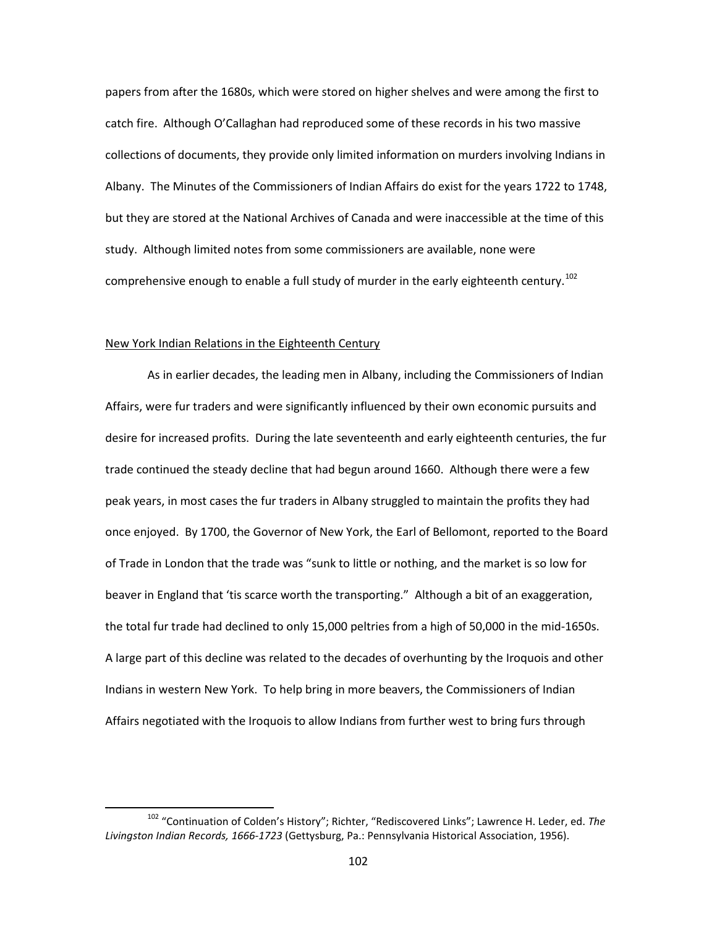papers from after the 1680s, which were stored on higher shelves and were among the first to catch fire. Although O'Callaghan had reproduced some of these records in his two massive collections of documents, they provide only limited information on murders involving Indians in Albany. The Minutes of the Commissioners of Indian Affairs do exist for the years 1722 to 1748, but they are stored at the National Archives of Canada and were inaccessible at the time of this study. Although limited notes from some commissioners are available, none were comprehensive enough to enable a full study of murder in the early eighteenth century.<sup>[102](#page-104-0)</sup>

## New York Indian Relations in the Eighteenth Century

As in earlier decades, the leading men in Albany, including the Commissioners of Indian Affairs, were fur traders and were significantly influenced by their own economic pursuits and desire for increased profits. During the late seventeenth and early eighteenth centuries, the fur trade continued the steady decline that had begun around 1660. Although there were a few peak years, in most cases the fur traders in Albany struggled to maintain the profits they had once enjoyed. By 1700, the Governor of New York, the Earl of Bellomont, reported to the Board of Trade in London that the trade was "sunk to little or nothing, and the market is so low for beaver in England that 'tis scarce worth the transporting." Although a bit of an exaggeration, the total fur trade had declined to only 15,000 peltries from a high of 50,000 in the mid-1650s. A large part of this decline was related to the decades of overhunting by the Iroquois and other Indians in western New York. To help bring in more beavers, the Commissioners of Indian Affairs negotiated with the Iroquois to allow Indians from further west to bring furs through

<span id="page-104-0"></span> <sup>102</sup> "Continuation of Colden's History"; Richter, "Rediscovered Links"; Lawrence H. Leder, ed. *The Livingston Indian Records, 1666-1723* (Gettysburg, Pa.: Pennsylvania Historical Association, 1956).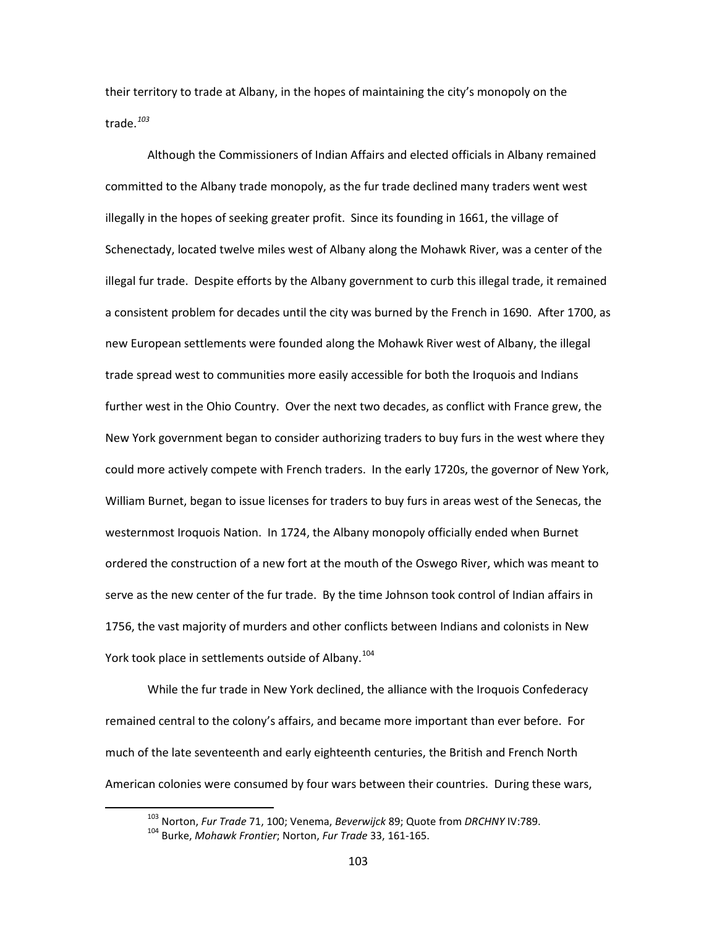their territory to trade at Albany, in the hopes of maintaining the city's monopoly on the trade.*[103](#page-105-0)*

Although the Commissioners of Indian Affairs and elected officials in Albany remained committed to the Albany trade monopoly, as the fur trade declined many traders went west illegally in the hopes of seeking greater profit. Since its founding in 1661, the village of Schenectady, located twelve miles west of Albany along the Mohawk River, was a center of the illegal fur trade. Despite efforts by the Albany government to curb this illegal trade, it remained a consistent problem for decades until the city was burned by the French in 1690. After 1700, as new European settlements were founded along the Mohawk River west of Albany, the illegal trade spread west to communities more easily accessible for both the Iroquois and Indians further west in the Ohio Country. Over the next two decades, as conflict with France grew, the New York government began to consider authorizing traders to buy furs in the west where they could more actively compete with French traders. In the early 1720s, the governor of New York, William Burnet, began to issue licenses for traders to buy furs in areas west of the Senecas, the westernmost Iroquois Nation. In 1724, the Albany monopoly officially ended when Burnet ordered the construction of a new fort at the mouth of the Oswego River, which was meant to serve as the new center of the fur trade. By the time Johnson took control of Indian affairs in 1756, the vast majority of murders and other conflicts between Indians and colonists in New York took place in settlements outside of Albany.<sup>[104](#page-105-1)</sup>

While the fur trade in New York declined, the alliance with the Iroquois Confederacy remained central to the colony's affairs, and became more important than ever before. For much of the late seventeenth and early eighteenth centuries, the British and French North American colonies were consumed by four wars between their countries. During these wars,

 <sup>103</sup> Norton, *Fur Trade* 71, 100; Venema, *Beverwijck* 89; Quote from *DRCHNY* IV:789.

<span id="page-105-1"></span><span id="page-105-0"></span><sup>104</sup> Burke, *Mohawk Frontier*; Norton, *Fur Trade* 33, 161-165.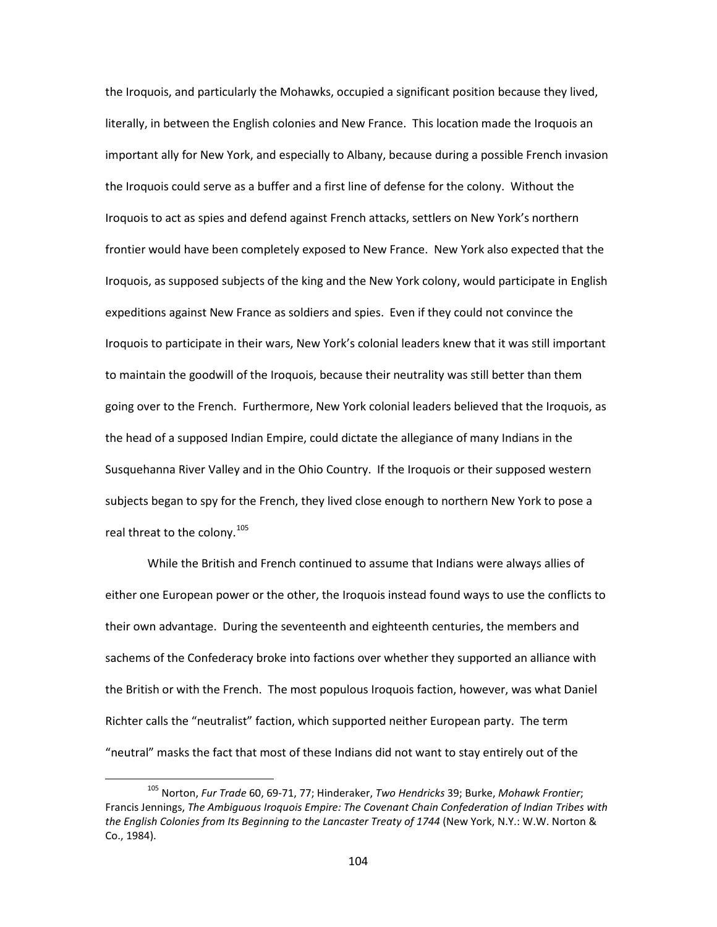the Iroquois, and particularly the Mohawks, occupied a significant position because they lived, literally, in between the English colonies and New France. This location made the Iroquois an important ally for New York, and especially to Albany, because during a possible French invasion the Iroquois could serve as a buffer and a first line of defense for the colony. Without the Iroquois to act as spies and defend against French attacks, settlers on New York's northern frontier would have been completely exposed to New France. New York also expected that the Iroquois, as supposed subjects of the king and the New York colony, would participate in English expeditions against New France as soldiers and spies. Even if they could not convince the Iroquois to participate in their wars, New York's colonial leaders knew that it was still important to maintain the goodwill of the Iroquois, because their neutrality was still better than them going over to the French. Furthermore, New York colonial leaders believed that the Iroquois, as the head of a supposed Indian Empire, could dictate the allegiance of many Indians in the Susquehanna River Valley and in the Ohio Country. If the Iroquois or their supposed western subjects began to spy for the French, they lived close enough to northern New York to pose a real threat to the colony.<sup>[105](#page-106-0)</sup>

While the British and French continued to assume that Indians were always allies of either one European power or the other, the Iroquois instead found ways to use the conflicts to their own advantage. During the seventeenth and eighteenth centuries, the members and sachems of the Confederacy broke into factions over whether they supported an alliance with the British or with the French. The most populous Iroquois faction, however, was what Daniel Richter calls the "neutralist" faction, which supported neither European party. The term "neutral" masks the fact that most of these Indians did not want to stay entirely out of the

<span id="page-106-0"></span> <sup>105</sup> Norton, *Fur Trade* 60, 69-71, 77; Hinderaker, *Two Hendricks* 39; Burke, *Mohawk Frontier*; Francis Jennings, *The Ambiguous Iroquois Empire: The Covenant Chain Confederation of Indian Tribes with the English Colonies from Its Beginning to the Lancaster Treaty of 1744* (New York, N.Y.: W.W. Norton & Co., 1984).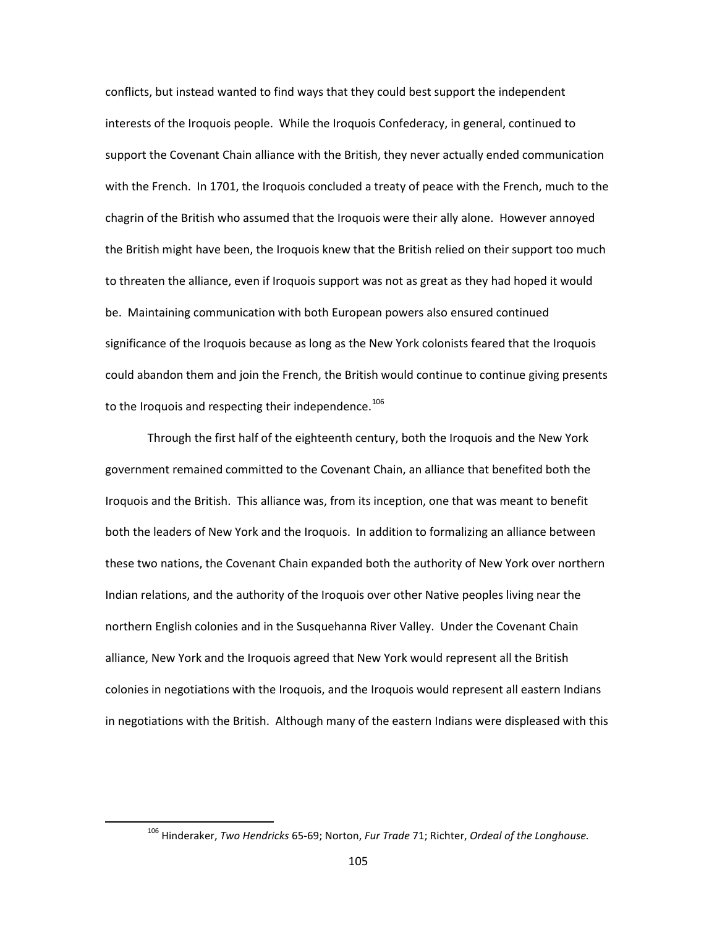conflicts, but instead wanted to find ways that they could best support the independent interests of the Iroquois people. While the Iroquois Confederacy, in general, continued to support the Covenant Chain alliance with the British, they never actually ended communication with the French. In 1701, the Iroquois concluded a treaty of peace with the French, much to the chagrin of the British who assumed that the Iroquois were their ally alone. However annoyed the British might have been, the Iroquois knew that the British relied on their support too much to threaten the alliance, even if Iroquois support was not as great as they had hoped it would be. Maintaining communication with both European powers also ensured continued significance of the Iroquois because as long as the New York colonists feared that the Iroquois could abandon them and join the French, the British would continue to continue giving presents to the Iroquois and respecting their independence.<sup>[106](#page-107-0)</sup>

Through the first half of the eighteenth century, both the Iroquois and the New York government remained committed to the Covenant Chain, an alliance that benefited both the Iroquois and the British. This alliance was, from its inception, one that was meant to benefit both the leaders of New York and the Iroquois. In addition to formalizing an alliance between these two nations, the Covenant Chain expanded both the authority of New York over northern Indian relations, and the authority of the Iroquois over other Native peoples living near the northern English colonies and in the Susquehanna River Valley. Under the Covenant Chain alliance, New York and the Iroquois agreed that New York would represent all the British colonies in negotiations with the Iroquois, and the Iroquois would represent all eastern Indians in negotiations with the British. Although many of the eastern Indians were displeased with this

<span id="page-107-0"></span> <sup>106</sup> Hinderaker, *Two Hendricks* 65-69; Norton, *Fur Trade* 71; Richter, *Ordeal of the Longhouse.*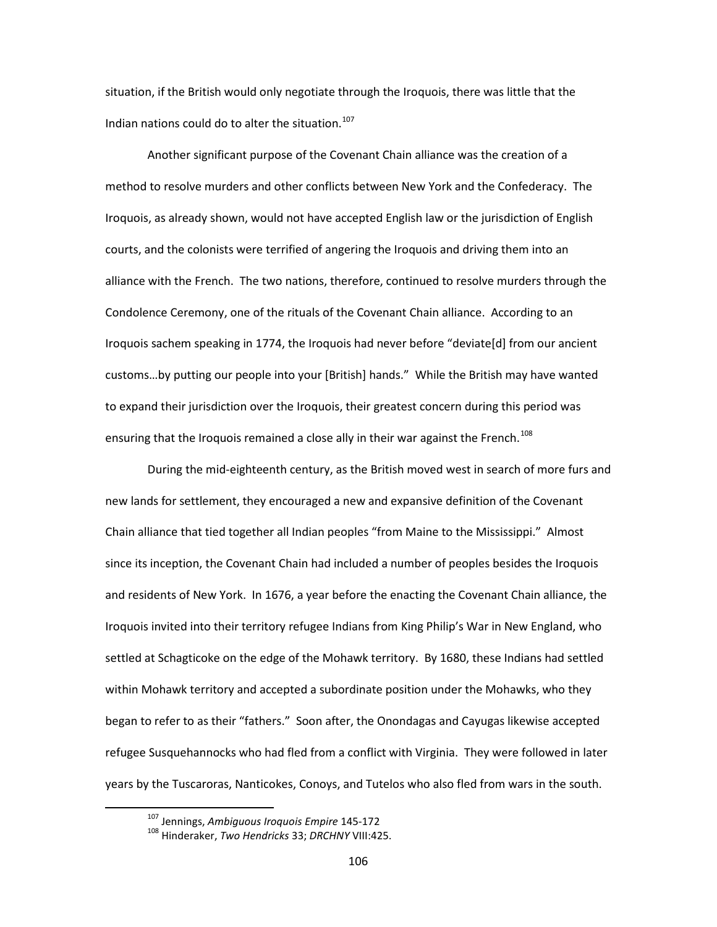situation, if the British would only negotiate through the Iroquois, there was little that the Indian nations could do to alter the situation.<sup>[107](#page-108-0)</sup>

Another significant purpose of the Covenant Chain alliance was the creation of a method to resolve murders and other conflicts between New York and the Confederacy. The Iroquois, as already shown, would not have accepted English law or the jurisdiction of English courts, and the colonists were terrified of angering the Iroquois and driving them into an alliance with the French. The two nations, therefore, continued to resolve murders through the Condolence Ceremony, one of the rituals of the Covenant Chain alliance. According to an Iroquois sachem speaking in 1774, the Iroquois had never before "deviate[d] from our ancient customs…by putting our people into your [British] hands." While the British may have wanted to expand their jurisdiction over the Iroquois, their greatest concern during this period was ensuring that the Iroquois remained a close ally in their war against the French.<sup>[108](#page-108-1)</sup>

During the mid-eighteenth century, as the British moved west in search of more furs and new lands for settlement, they encouraged a new and expansive definition of the Covenant Chain alliance that tied together all Indian peoples "from Maine to the Mississippi." Almost since its inception, the Covenant Chain had included a number of peoples besides the Iroquois and residents of New York. In 1676, a year before the enacting the Covenant Chain alliance, the Iroquois invited into their territory refugee Indians from King Philip's War in New England, who settled at Schagticoke on the edge of the Mohawk territory. By 1680, these Indians had settled within Mohawk territory and accepted a subordinate position under the Mohawks, who they began to refer to as their "fathers." Soon after, the Onondagas and Cayugas likewise accepted refugee Susquehannocks who had fled from a conflict with Virginia. They were followed in later years by the Tuscaroras, Nanticokes, Conoys, and Tutelos who also fled from wars in the south.

<span id="page-108-0"></span> <sup>107</sup> Jennings, *Ambiguous Iroquois Empire* 145-172

<span id="page-108-1"></span><sup>108</sup> Hinderaker, *Two Hendricks* 33; *DRCHNY* VIII:425.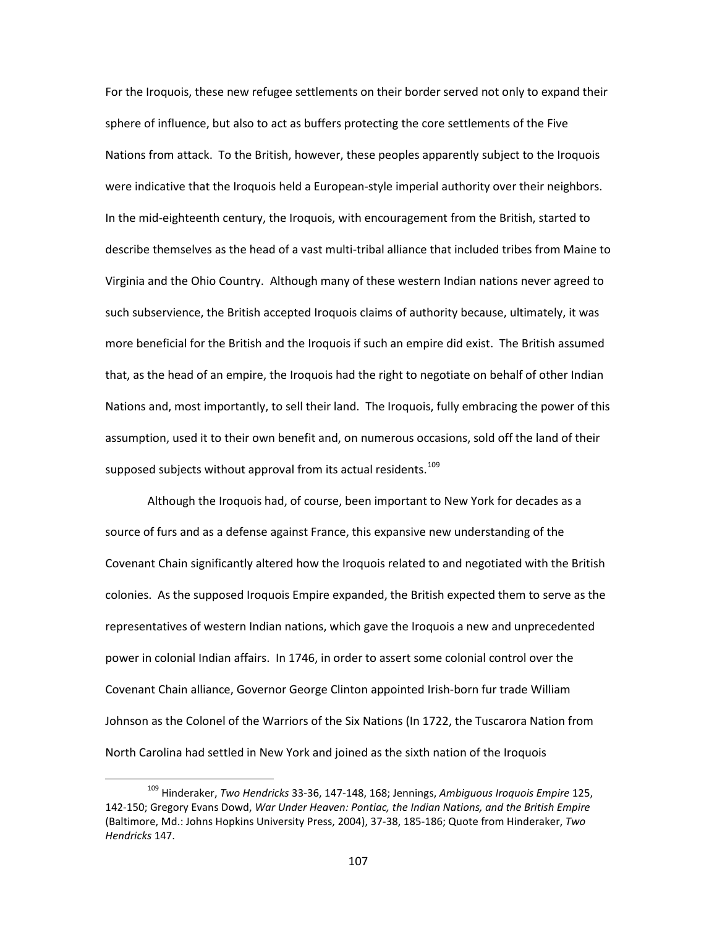For the Iroquois, these new refugee settlements on their border served not only to expand their sphere of influence, but also to act as buffers protecting the core settlements of the Five Nations from attack. To the British, however, these peoples apparently subject to the Iroquois were indicative that the Iroquois held a European-style imperial authority over their neighbors. In the mid-eighteenth century, the Iroquois, with encouragement from the British, started to describe themselves as the head of a vast multi-tribal alliance that included tribes from Maine to Virginia and the Ohio Country. Although many of these western Indian nations never agreed to such subservience, the British accepted Iroquois claims of authority because, ultimately, it was more beneficial for the British and the Iroquois if such an empire did exist. The British assumed that, as the head of an empire, the Iroquois had the right to negotiate on behalf of other Indian Nations and, most importantly, to sell their land. The Iroquois, fully embracing the power of this assumption, used it to their own benefit and, on numerous occasions, sold off the land of their supposed subjects without approval from its actual residents.<sup>[109](#page-109-0)</sup>

Although the Iroquois had, of course, been important to New York for decades as a source of furs and as a defense against France, this expansive new understanding of the Covenant Chain significantly altered how the Iroquois related to and negotiated with the British colonies. As the supposed Iroquois Empire expanded, the British expected them to serve as the representatives of western Indian nations, which gave the Iroquois a new and unprecedented power in colonial Indian affairs. In 1746, in order to assert some colonial control over the Covenant Chain alliance, Governor George Clinton appointed Irish-born fur trade William Johnson as the Colonel of the Warriors of the Six Nations (In 1722, the Tuscarora Nation from North Carolina had settled in New York and joined as the sixth nation of the Iroquois

<span id="page-109-0"></span> <sup>109</sup> Hinderaker, *Two Hendricks* 33-36, 147-148, 168; Jennings, *Ambiguous Iroquois Empire* 125, 142-150; Gregory Evans Dowd, *War Under Heaven: Pontiac, the Indian Nations, and the British Empire*  (Baltimore, Md.: Johns Hopkins University Press, 2004), 37-38, 185-186; Quote from Hinderaker, *Two Hendricks* 147.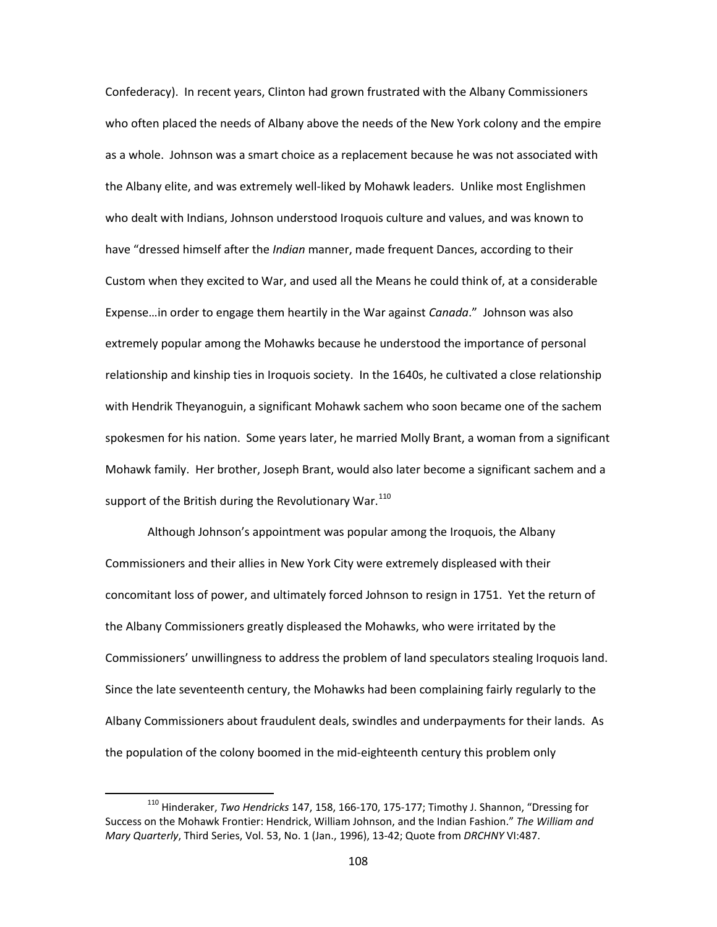Confederacy). In recent years, Clinton had grown frustrated with the Albany Commissioners who often placed the needs of Albany above the needs of the New York colony and the empire as a whole. Johnson was a smart choice as a replacement because he was not associated with the Albany elite, and was extremely well-liked by Mohawk leaders. Unlike most Englishmen who dealt with Indians, Johnson understood Iroquois culture and values, and was known to have "dressed himself after the *Indian* manner, made frequent Dances, according to their Custom when they excited to War, and used all the Means he could think of, at a considerable Expense…in order to engage them heartily in the War against *Canada*." Johnson was also extremely popular among the Mohawks because he understood the importance of personal relationship and kinship ties in Iroquois society. In the 1640s, he cultivated a close relationship with Hendrik Theyanoguin, a significant Mohawk sachem who soon became one of the sachem spokesmen for his nation. Some years later, he married Molly Brant, a woman from a significant Mohawk family. Her brother, Joseph Brant, would also later become a significant sachem and a support of the British during the Revolutionary War. $110$ 

Although Johnson's appointment was popular among the Iroquois, the Albany Commissioners and their allies in New York City were extremely displeased with their concomitant loss of power, and ultimately forced Johnson to resign in 1751. Yet the return of the Albany Commissioners greatly displeased the Mohawks, who were irritated by the Commissioners' unwillingness to address the problem of land speculators stealing Iroquois land. Since the late seventeenth century, the Mohawks had been complaining fairly regularly to the Albany Commissioners about fraudulent deals, swindles and underpayments for their lands. As the population of the colony boomed in the mid-eighteenth century this problem only

<span id="page-110-0"></span> <sup>110</sup> Hinderaker, *Two Hendricks* 147, 158, 166-170, 175-177; Timothy J. Shannon, "Dressing for Success on the Mohawk Frontier: Hendrick, William Johnson, and the Indian Fashion." *The William and Mary Quarterly*, Third Series, Vol. 53, No. 1 (Jan., 1996), 13-42; Quote from *DRCHNY* VI:487.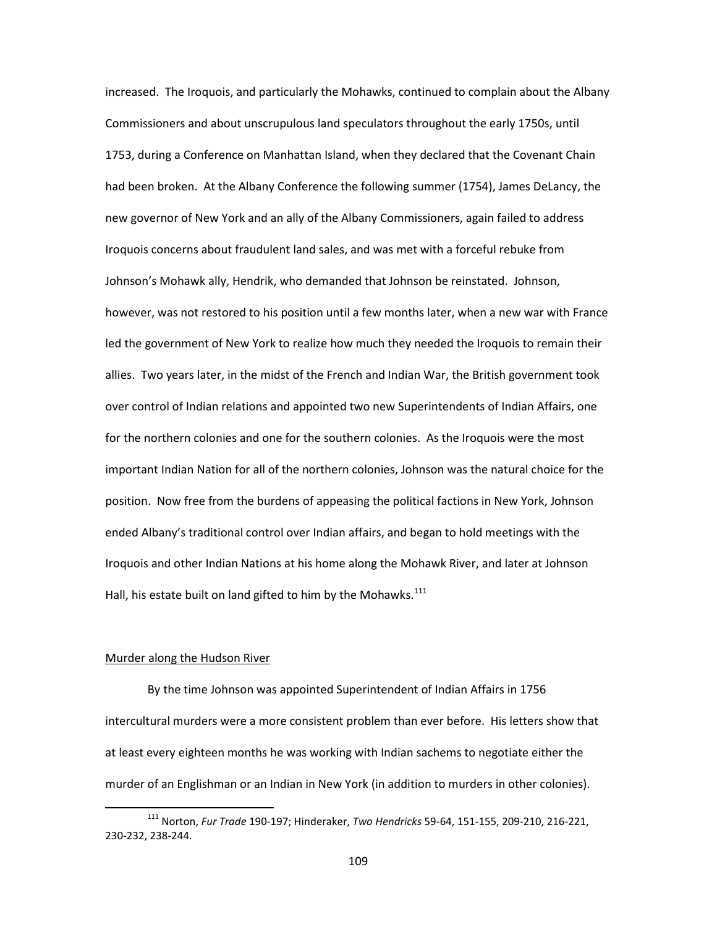increased. The Iroquois, and particularly the Mohawks, continued to complain about the Albany Commissioners and about unscrupulous land speculators throughout the early 1750s, until 1753, during a Conference on Manhattan Island, when they declared that the Covenant Chain had been broken. At the Albany Conference the following summer (1754), James DeLancy, the new governor of New York and an ally of the Albany Commissioners, again failed to address Iroquois concerns about fraudulent land sales, and was met with a forceful rebuke from Johnson's Mohawk ally, Hendrik, who demanded that Johnson be reinstated. Johnson, however, was not restored to his position until a few months later, when a new war with France led the government of New York to realize how much they needed the Iroquois to remain their allies. Two years later, in the midst of the French and Indian War, the British government took over control of Indian relations and appointed two new Superintendents of Indian Affairs, one for the northern colonies and one for the southern colonies. As the Iroquois were the most important Indian Nation for all of the northern colonies, Johnson was the natural choice for the position. Now free from the burdens of appeasing the political factions in New York, Johnson ended Albany's traditional control over Indian affairs, and began to hold meetings with the Iroquois and other Indian Nations at his home along the Mohawk River, and later at Johnson Hall, his estate built on land gifted to him by the Mohawks. $111$ 

#### Murder along the Hudson River

By the time Johnson was appointed Superintendent of Indian Affairs in 1756 intercultural murders were a more consistent problem than ever before. His letters show that at least every eighteen months he was working with Indian sachems to negotiate either the murder of an Englishman or an Indian in New York (in addition to murders in other colonies).

<span id="page-111-0"></span> <sup>111</sup> Norton, *Fur Trade* 190-197; Hinderaker, *Two Hendricks* 59-64, 151-155, 209-210, 216-221, 230-232, 238-244.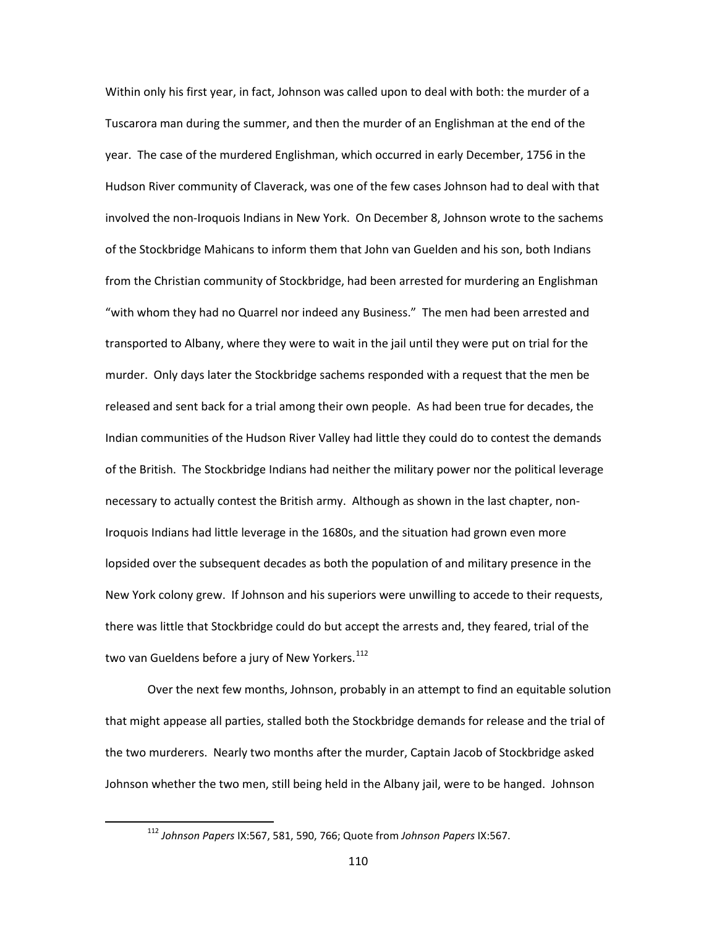Within only his first year, in fact, Johnson was called upon to deal with both: the murder of a Tuscarora man during the summer, and then the murder of an Englishman at the end of the year. The case of the murdered Englishman, which occurred in early December, 1756 in the Hudson River community of Claverack, was one of the few cases Johnson had to deal with that involved the non-Iroquois Indians in New York. On December 8, Johnson wrote to the sachems of the Stockbridge Mahicans to inform them that John van Guelden and his son, both Indians from the Christian community of Stockbridge, had been arrested for murdering an Englishman "with whom they had no Quarrel nor indeed any Business." The men had been arrested and transported to Albany, where they were to wait in the jail until they were put on trial for the murder. Only days later the Stockbridge sachems responded with a request that the men be released and sent back for a trial among their own people. As had been true for decades, the Indian communities of the Hudson River Valley had little they could do to contest the demands of the British. The Stockbridge Indians had neither the military power nor the political leverage necessary to actually contest the British army. Although as shown in the last chapter, non-Iroquois Indians had little leverage in the 1680s, and the situation had grown even more lopsided over the subsequent decades as both the population of and military presence in the New York colony grew. If Johnson and his superiors were unwilling to accede to their requests, there was little that Stockbridge could do but accept the arrests and, they feared, trial of the two van Gueldens before a jury of New Yorkers. $^{112}$  $^{112}$  $^{112}$ 

Over the next few months, Johnson, probably in an attempt to find an equitable solution that might appease all parties, stalled both the Stockbridge demands for release and the trial of the two murderers. Nearly two months after the murder, Captain Jacob of Stockbridge asked Johnson whether the two men, still being held in the Albany jail, were to be hanged. Johnson

<span id="page-112-0"></span> <sup>112</sup> *Johnson Papers* IX:567, 581, 590, 766; Quote from *Johnson Papers* IX:567.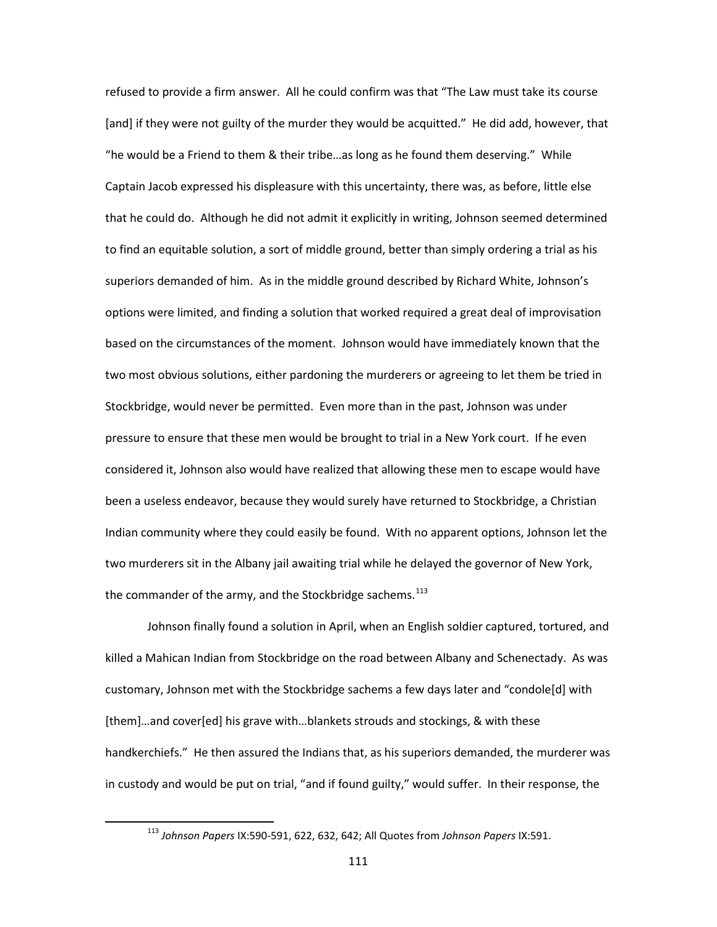refused to provide a firm answer. All he could confirm was that "The Law must take its course [and] if they were not guilty of the murder they would be acquitted." He did add, however, that "he would be a Friend to them & their tribe…as long as he found them deserving." While Captain Jacob expressed his displeasure with this uncertainty, there was, as before, little else that he could do. Although he did not admit it explicitly in writing, Johnson seemed determined to find an equitable solution, a sort of middle ground, better than simply ordering a trial as his superiors demanded of him. As in the middle ground described by Richard White, Johnson's options were limited, and finding a solution that worked required a great deal of improvisation based on the circumstances of the moment. Johnson would have immediately known that the two most obvious solutions, either pardoning the murderers or agreeing to let them be tried in Stockbridge, would never be permitted. Even more than in the past, Johnson was under pressure to ensure that these men would be brought to trial in a New York court. If he even considered it, Johnson also would have realized that allowing these men to escape would have been a useless endeavor, because they would surely have returned to Stockbridge, a Christian Indian community where they could easily be found. With no apparent options, Johnson let the two murderers sit in the Albany jail awaiting trial while he delayed the governor of New York, the commander of the army, and the Stockbridge sachems. $113$ 

Johnson finally found a solution in April, when an English soldier captured, tortured, and killed a Mahican Indian from Stockbridge on the road between Albany and Schenectady. As was customary, Johnson met with the Stockbridge sachems a few days later and "condole[d] with [them]…and cover[ed] his grave with…blankets strouds and stockings, & with these handkerchiefs." He then assured the Indians that, as his superiors demanded, the murderer was in custody and would be put on trial, "and if found guilty," would suffer. In their response, the

<span id="page-113-0"></span> <sup>113</sup> *Johnson Papers* IX:590-591, 622, 632, 642; All Quotes from *Johnson Papers* IX:591.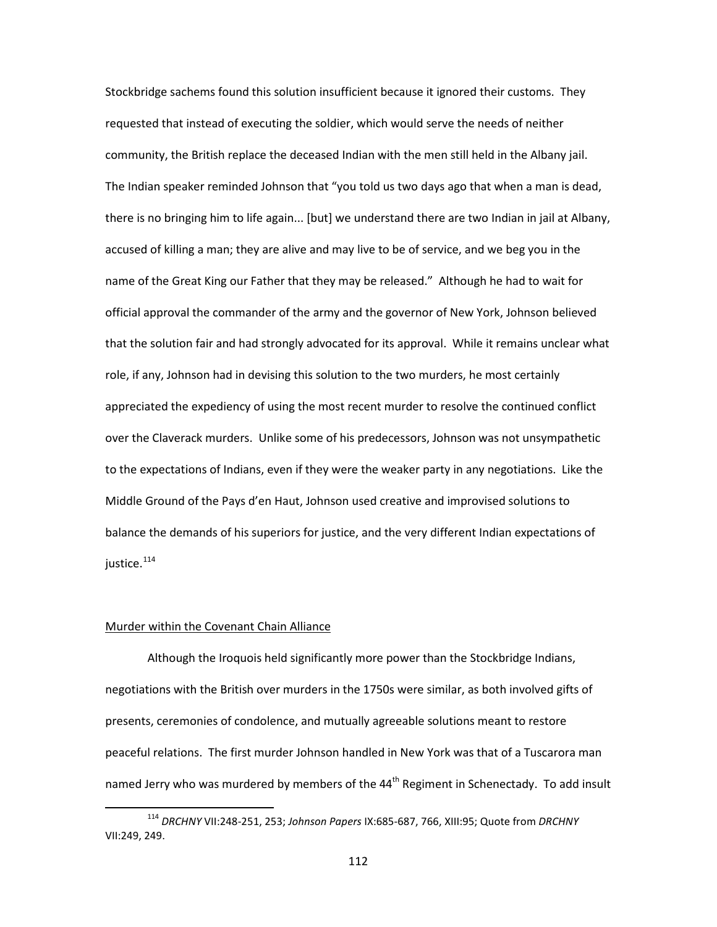Stockbridge sachems found this solution insufficient because it ignored their customs. They requested that instead of executing the soldier, which would serve the needs of neither community, the British replace the deceased Indian with the men still held in the Albany jail. The Indian speaker reminded Johnson that "you told us two days ago that when a man is dead, there is no bringing him to life again... [but] we understand there are two Indian in jail at Albany, accused of killing a man; they are alive and may live to be of service, and we beg you in the name of the Great King our Father that they may be released." Although he had to wait for official approval the commander of the army and the governor of New York, Johnson believed that the solution fair and had strongly advocated for its approval. While it remains unclear what role, if any, Johnson had in devising this solution to the two murders, he most certainly appreciated the expediency of using the most recent murder to resolve the continued conflict over the Claverack murders. Unlike some of his predecessors, Johnson was not unsympathetic to the expectations of Indians, even if they were the weaker party in any negotiations. Like the Middle Ground of the Pays d'en Haut, Johnson used creative and improvised solutions to balance the demands of his superiors for justice, and the very different Indian expectations of justice.<sup>[114](#page-114-0)</sup>

# Murder within the Covenant Chain Alliance

Although the Iroquois held significantly more power than the Stockbridge Indians, negotiations with the British over murders in the 1750s were similar, as both involved gifts of presents, ceremonies of condolence, and mutually agreeable solutions meant to restore peaceful relations. The first murder Johnson handled in New York was that of a Tuscarora man named Jerry who was murdered by members of the  $44<sup>th</sup>$  Regiment in Schenectady. To add insult

<span id="page-114-0"></span> <sup>114</sup> *DRCHNY* VII:248-251, 253; *Johnson Papers* IX:685-687, 766, XIII:95; Quote from *DRCHNY* VII:249, 249.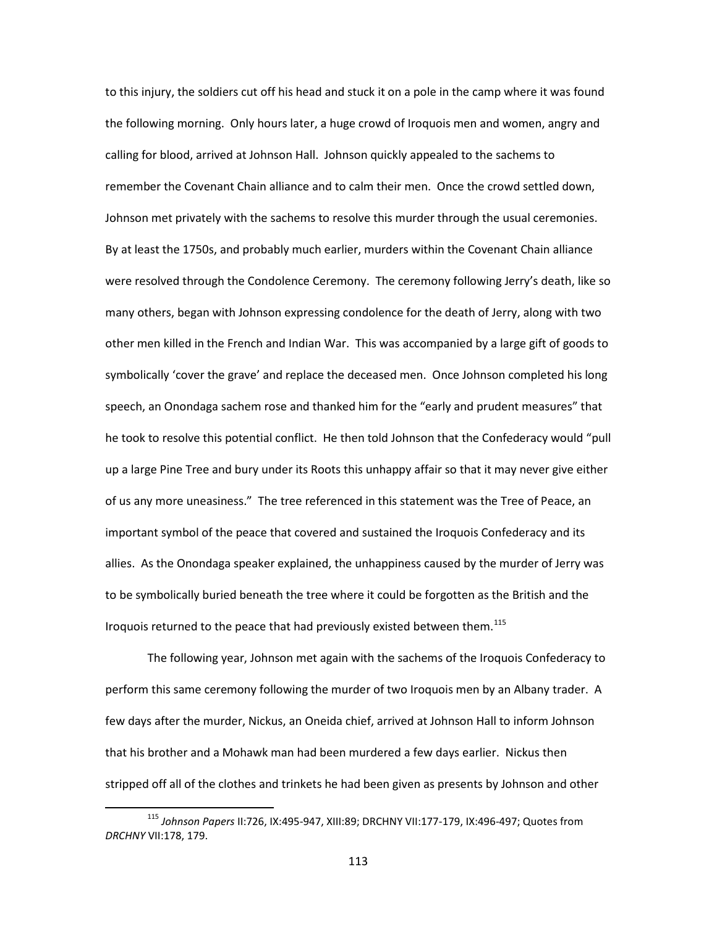to this injury, the soldiers cut off his head and stuck it on a pole in the camp where it was found the following morning. Only hours later, a huge crowd of Iroquois men and women, angry and calling for blood, arrived at Johnson Hall. Johnson quickly appealed to the sachems to remember the Covenant Chain alliance and to calm their men. Once the crowd settled down, Johnson met privately with the sachems to resolve this murder through the usual ceremonies. By at least the 1750s, and probably much earlier, murders within the Covenant Chain alliance were resolved through the Condolence Ceremony. The ceremony following Jerry's death, like so many others, began with Johnson expressing condolence for the death of Jerry, along with two other men killed in the French and Indian War. This was accompanied by a large gift of goods to symbolically 'cover the grave' and replace the deceased men. Once Johnson completed his long speech, an Onondaga sachem rose and thanked him for the "early and prudent measures" that he took to resolve this potential conflict. He then told Johnson that the Confederacy would "pull up a large Pine Tree and bury under its Roots this unhappy affair so that it may never give either of us any more uneasiness." The tree referenced in this statement was the Tree of Peace, an important symbol of the peace that covered and sustained the Iroquois Confederacy and its allies. As the Onondaga speaker explained, the unhappiness caused by the murder of Jerry was to be symbolically buried beneath the tree where it could be forgotten as the British and the Iroquois returned to the peace that had previously existed between them.<sup>[115](#page-115-0)</sup>

The following year, Johnson met again with the sachems of the Iroquois Confederacy to perform this same ceremony following the murder of two Iroquois men by an Albany trader. A few days after the murder, Nickus, an Oneida chief, arrived at Johnson Hall to inform Johnson that his brother and a Mohawk man had been murdered a few days earlier. Nickus then stripped off all of the clothes and trinkets he had been given as presents by Johnson and other

<span id="page-115-0"></span> <sup>115</sup> *Johnson Papers* II:726, IX:495-947, XIII:89; DRCHNY VII:177-179, IX:496-497; Quotes from *DRCHNY* VII:178, 179.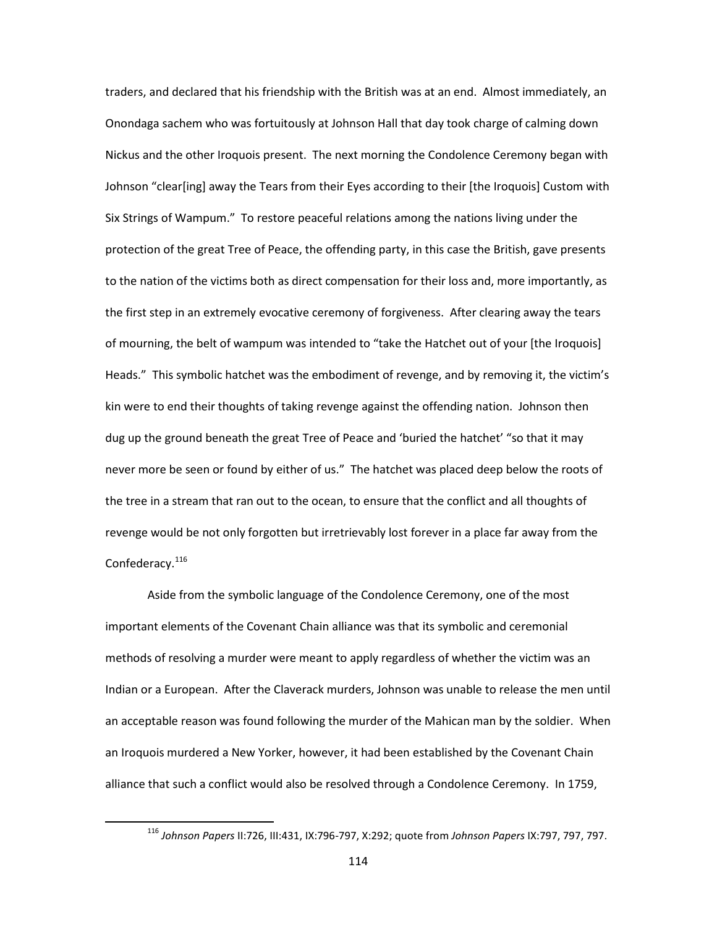traders, and declared that his friendship with the British was at an end. Almost immediately, an Onondaga sachem who was fortuitously at Johnson Hall that day took charge of calming down Nickus and the other Iroquois present. The next morning the Condolence Ceremony began with Johnson "clear[ing] away the Tears from their Eyes according to their [the Iroquois] Custom with Six Strings of Wampum." To restore peaceful relations among the nations living under the protection of the great Tree of Peace, the offending party, in this case the British, gave presents to the nation of the victims both as direct compensation for their loss and, more importantly, as the first step in an extremely evocative ceremony of forgiveness. After clearing away the tears of mourning, the belt of wampum was intended to "take the Hatchet out of your [the Iroquois] Heads." This symbolic hatchet was the embodiment of revenge, and by removing it, the victim's kin were to end their thoughts of taking revenge against the offending nation. Johnson then dug up the ground beneath the great Tree of Peace and 'buried the hatchet' "so that it may never more be seen or found by either of us." The hatchet was placed deep below the roots of the tree in a stream that ran out to the ocean, to ensure that the conflict and all thoughts of revenge would be not only forgotten but irretrievably lost forever in a place far away from the Confederacy.<sup>[116](#page-116-0)</sup>

Aside from the symbolic language of the Condolence Ceremony, one of the most important elements of the Covenant Chain alliance was that its symbolic and ceremonial methods of resolving a murder were meant to apply regardless of whether the victim was an Indian or a European. After the Claverack murders, Johnson was unable to release the men until an acceptable reason was found following the murder of the Mahican man by the soldier. When an Iroquois murdered a New Yorker, however, it had been established by the Covenant Chain alliance that such a conflict would also be resolved through a Condolence Ceremony. In 1759,

<span id="page-116-0"></span> <sup>116</sup> *Johnson Papers* II:726, III:431, IX:796-797, X:292; quote from *Johnson Papers* IX:797, 797, 797.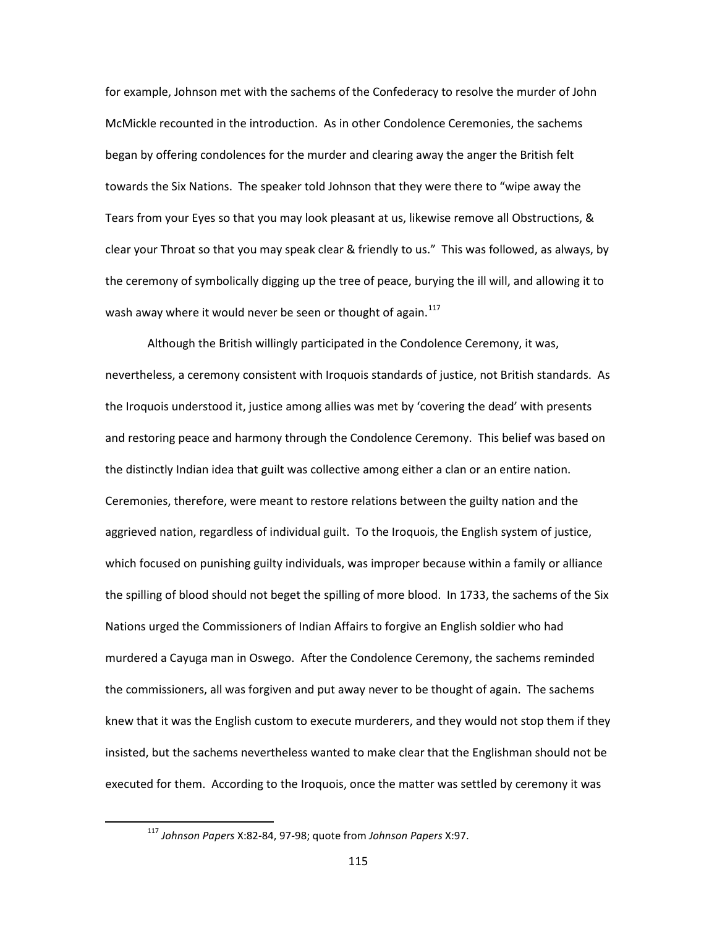for example, Johnson met with the sachems of the Confederacy to resolve the murder of John McMickle recounted in the introduction. As in other Condolence Ceremonies, the sachems began by offering condolences for the murder and clearing away the anger the British felt towards the Six Nations. The speaker told Johnson that they were there to "wipe away the Tears from your Eyes so that you may look pleasant at us, likewise remove all Obstructions, & clear your Throat so that you may speak clear & friendly to us." This was followed, as always, by the ceremony of symbolically digging up the tree of peace, burying the ill will, and allowing it to wash away where it would never be seen or thought of again. $117$ 

Although the British willingly participated in the Condolence Ceremony, it was, nevertheless, a ceremony consistent with Iroquois standards of justice, not British standards. As the Iroquois understood it, justice among allies was met by 'covering the dead' with presents and restoring peace and harmony through the Condolence Ceremony. This belief was based on the distinctly Indian idea that guilt was collective among either a clan or an entire nation. Ceremonies, therefore, were meant to restore relations between the guilty nation and the aggrieved nation, regardless of individual guilt. To the Iroquois, the English system of justice, which focused on punishing guilty individuals, was improper because within a family or alliance the spilling of blood should not beget the spilling of more blood. In 1733, the sachems of the Six Nations urged the Commissioners of Indian Affairs to forgive an English soldier who had murdered a Cayuga man in Oswego. After the Condolence Ceremony, the sachems reminded the commissioners, all was forgiven and put away never to be thought of again. The sachems knew that it was the English custom to execute murderers, and they would not stop them if they insisted, but the sachems nevertheless wanted to make clear that the Englishman should not be executed for them. According to the Iroquois, once the matter was settled by ceremony it was

<span id="page-117-0"></span> <sup>117</sup> *Johnson Papers* X:82-84, 97-98; quote from *Johnson Papers* X:97.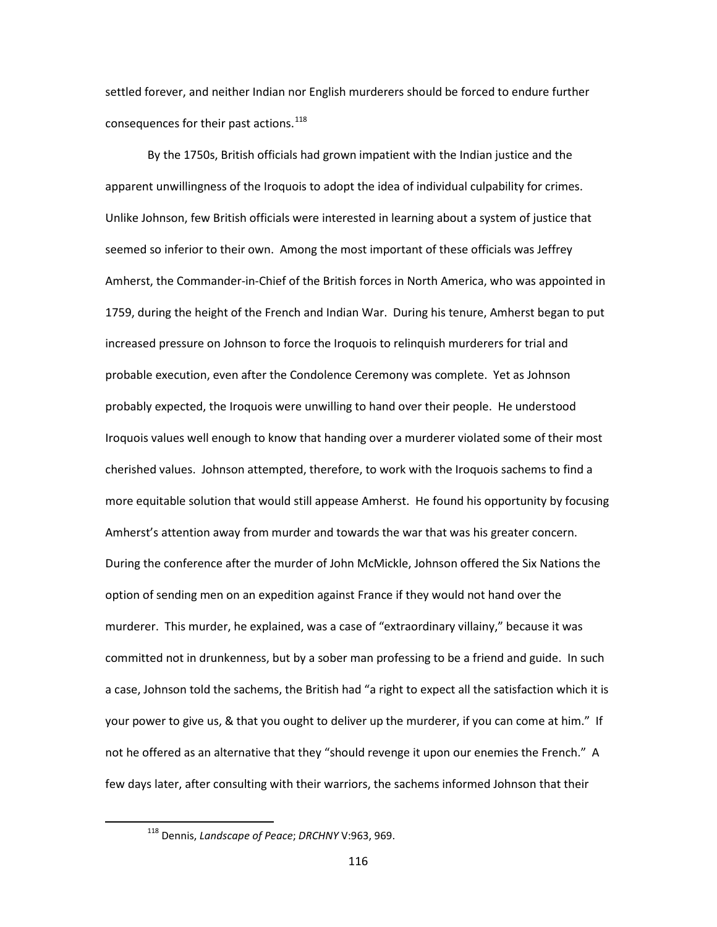settled forever, and neither Indian nor English murderers should be forced to endure further consequences for their past actions.<sup>[118](#page-118-0)</sup>

By the 1750s, British officials had grown impatient with the Indian justice and the apparent unwillingness of the Iroquois to adopt the idea of individual culpability for crimes. Unlike Johnson, few British officials were interested in learning about a system of justice that seemed so inferior to their own. Among the most important of these officials was Jeffrey Amherst, the Commander-in-Chief of the British forces in North America, who was appointed in 1759, during the height of the French and Indian War. During his tenure, Amherst began to put increased pressure on Johnson to force the Iroquois to relinquish murderers for trial and probable execution, even after the Condolence Ceremony was complete. Yet as Johnson probably expected, the Iroquois were unwilling to hand over their people. He understood Iroquois values well enough to know that handing over a murderer violated some of their most cherished values. Johnson attempted, therefore, to work with the Iroquois sachems to find a more equitable solution that would still appease Amherst. He found his opportunity by focusing Amherst's attention away from murder and towards the war that was his greater concern. During the conference after the murder of John McMickle, Johnson offered the Six Nations the option of sending men on an expedition against France if they would not hand over the murderer. This murder, he explained, was a case of "extraordinary villainy," because it was committed not in drunkenness, but by a sober man professing to be a friend and guide. In such a case, Johnson told the sachems, the British had "a right to expect all the satisfaction which it is your power to give us, & that you ought to deliver up the murderer, if you can come at him." If not he offered as an alternative that they "should revenge it upon our enemies the French." A few days later, after consulting with their warriors, the sachems informed Johnson that their

<span id="page-118-0"></span> <sup>118</sup> Dennis, *Landscape of Peace*; *DRCHNY* V:963, 969.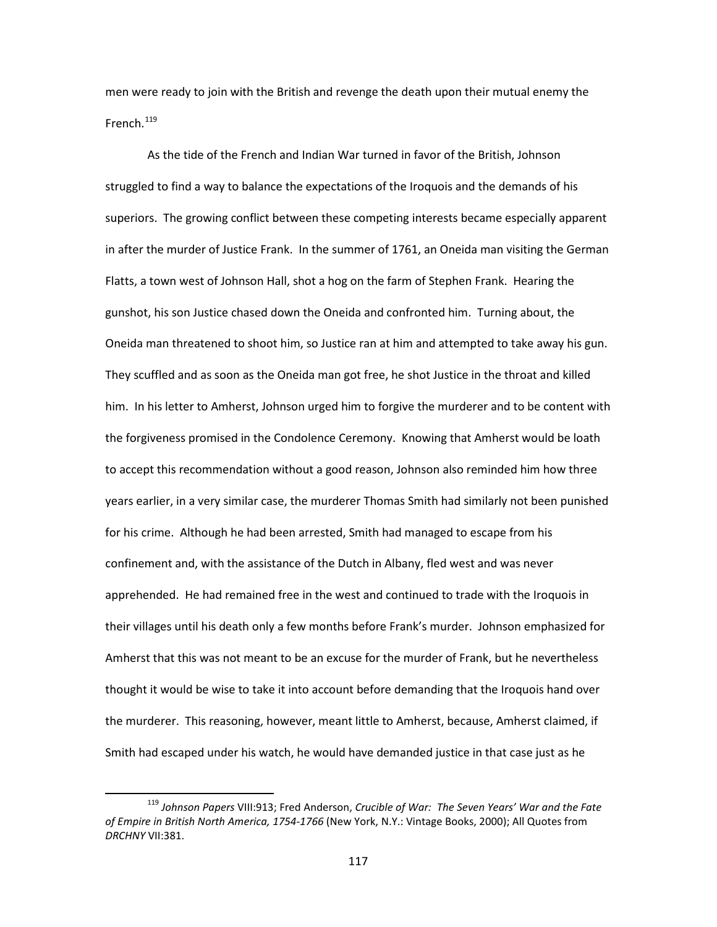men were ready to join with the British and revenge the death upon their mutual enemy the French. $119$ 

As the tide of the French and Indian War turned in favor of the British, Johnson struggled to find a way to balance the expectations of the Iroquois and the demands of his superiors. The growing conflict between these competing interests became especially apparent in after the murder of Justice Frank. In the summer of 1761, an Oneida man visiting the German Flatts, a town west of Johnson Hall, shot a hog on the farm of Stephen Frank. Hearing the gunshot, his son Justice chased down the Oneida and confronted him. Turning about, the Oneida man threatened to shoot him, so Justice ran at him and attempted to take away his gun. They scuffled and as soon as the Oneida man got free, he shot Justice in the throat and killed him. In his letter to Amherst, Johnson urged him to forgive the murderer and to be content with the forgiveness promised in the Condolence Ceremony. Knowing that Amherst would be loath to accept this recommendation without a good reason, Johnson also reminded him how three years earlier, in a very similar case, the murderer Thomas Smith had similarly not been punished for his crime. Although he had been arrested, Smith had managed to escape from his confinement and, with the assistance of the Dutch in Albany, fled west and was never apprehended. He had remained free in the west and continued to trade with the Iroquois in their villages until his death only a few months before Frank's murder. Johnson emphasized for Amherst that this was not meant to be an excuse for the murder of Frank, but he nevertheless thought it would be wise to take it into account before demanding that the Iroquois hand over the murderer. This reasoning, however, meant little to Amherst, because, Amherst claimed, if Smith had escaped under his watch, he would have demanded justice in that case just as he

<span id="page-119-0"></span> <sup>119</sup> *Johnson Papers* VIII:913; Fred Anderson, *Crucible of War: The Seven Years' War and the Fate of Empire in British North America, 1754-1766* (New York, N.Y.: Vintage Books, 2000); All Quotes from *DRCHNY* VII:381.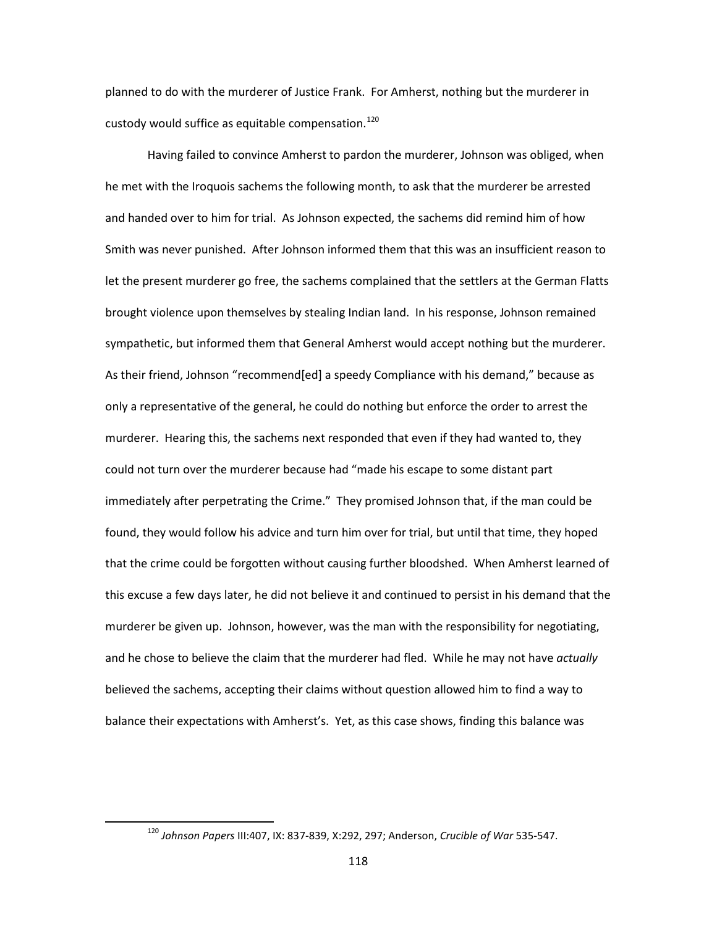planned to do with the murderer of Justice Frank. For Amherst, nothing but the murderer in custody would suffice as equitable compensation.<sup>[120](#page-120-0)</sup>

Having failed to convince Amherst to pardon the murderer, Johnson was obliged, when he met with the Iroquois sachems the following month, to ask that the murderer be arrested and handed over to him for trial. As Johnson expected, the sachems did remind him of how Smith was never punished. After Johnson informed them that this was an insufficient reason to let the present murderer go free, the sachems complained that the settlers at the German Flatts brought violence upon themselves by stealing Indian land. In his response, Johnson remained sympathetic, but informed them that General Amherst would accept nothing but the murderer. As their friend, Johnson "recommend[ed] a speedy Compliance with his demand," because as only a representative of the general, he could do nothing but enforce the order to arrest the murderer. Hearing this, the sachems next responded that even if they had wanted to, they could not turn over the murderer because had "made his escape to some distant part immediately after perpetrating the Crime." They promised Johnson that, if the man could be found, they would follow his advice and turn him over for trial, but until that time, they hoped that the crime could be forgotten without causing further bloodshed. When Amherst learned of this excuse a few days later, he did not believe it and continued to persist in his demand that the murderer be given up. Johnson, however, was the man with the responsibility for negotiating, and he chose to believe the claim that the murderer had fled. While he may not have *actually* believed the sachems, accepting their claims without question allowed him to find a way to balance their expectations with Amherst's. Yet, as this case shows, finding this balance was

<span id="page-120-0"></span> <sup>120</sup> *Johnson Papers* III:407, IX: 837-839, X:292, 297; Anderson, *Crucible of War* 535-547.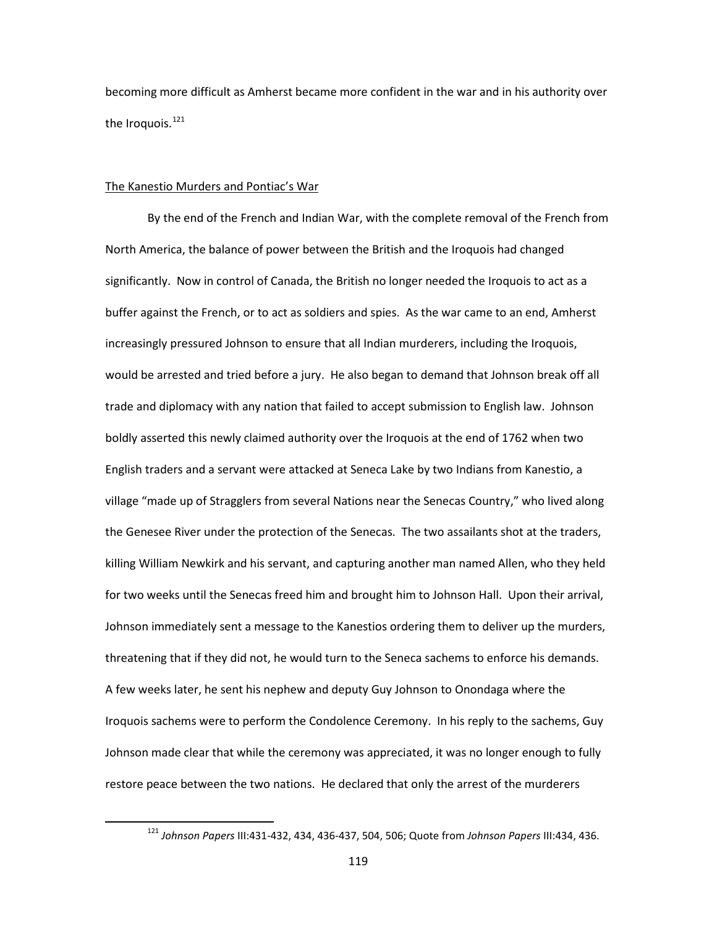becoming more difficult as Amherst became more confident in the war and in his authority over the Iroquois.<sup>[121](#page-121-0)</sup>

### The Kanestio Murders and Pontiac's War

By the end of the French and Indian War, with the complete removal of the French from North America, the balance of power between the British and the Iroquois had changed significantly. Now in control of Canada, the British no longer needed the Iroquois to act as a buffer against the French, or to act as soldiers and spies. As the war came to an end, Amherst increasingly pressured Johnson to ensure that all Indian murderers, including the Iroquois, would be arrested and tried before a jury. He also began to demand that Johnson break off all trade and diplomacy with any nation that failed to accept submission to English law. Johnson boldly asserted this newly claimed authority over the Iroquois at the end of 1762 when two English traders and a servant were attacked at Seneca Lake by two Indians from Kanestio, a village "made up of Stragglers from several Nations near the Senecas Country," who lived along the Genesee River under the protection of the Senecas. The two assailants shot at the traders, killing William Newkirk and his servant, and capturing another man named Allen, who they held for two weeks until the Senecas freed him and brought him to Johnson Hall. Upon their arrival, Johnson immediately sent a message to the Kanestios ordering them to deliver up the murders, threatening that if they did not, he would turn to the Seneca sachems to enforce his demands. A few weeks later, he sent his nephew and deputy Guy Johnson to Onondaga where the Iroquois sachems were to perform the Condolence Ceremony. In his reply to the sachems, Guy Johnson made clear that while the ceremony was appreciated, it was no longer enough to fully restore peace between the two nations. He declared that only the arrest of the murderers

<span id="page-121-0"></span> <sup>121</sup> *Johnson Papers* III:431-432, 434, 436-437, 504, 506; Quote from *Johnson Papers* III:434, 436.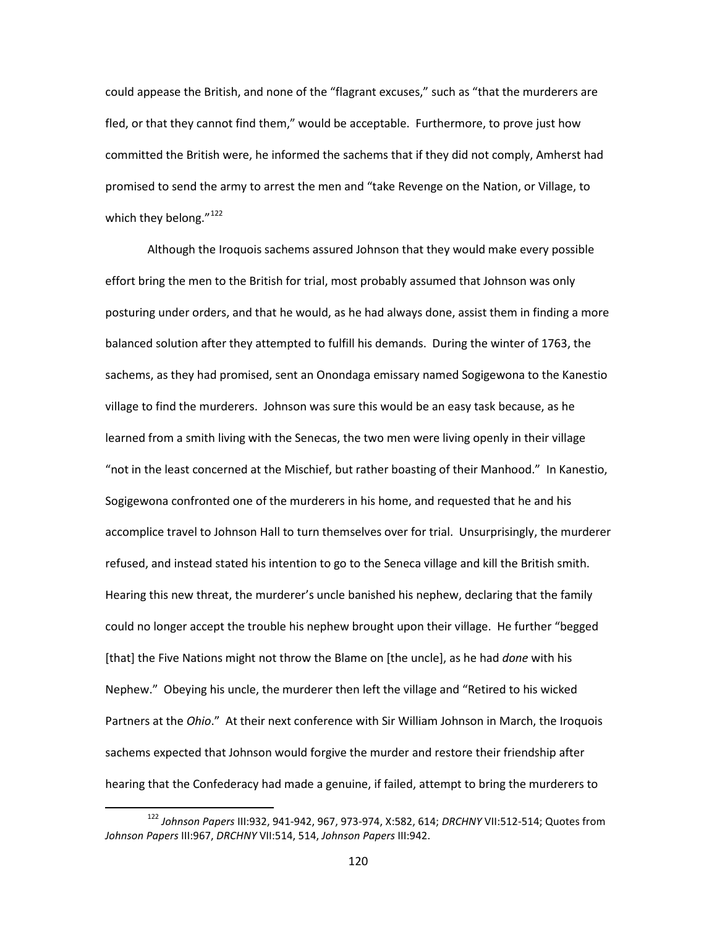could appease the British, and none of the "flagrant excuses," such as "that the murderers are fled, or that they cannot find them," would be acceptable. Furthermore, to prove just how committed the British were, he informed the sachems that if they did not comply, Amherst had promised to send the army to arrest the men and "take Revenge on the Nation, or Village, to which they belong." $122$ 

Although the Iroquois sachems assured Johnson that they would make every possible effort bring the men to the British for trial, most probably assumed that Johnson was only posturing under orders, and that he would, as he had always done, assist them in finding a more balanced solution after they attempted to fulfill his demands. During the winter of 1763, the sachems, as they had promised, sent an Onondaga emissary named Sogigewona to the Kanestio village to find the murderers. Johnson was sure this would be an easy task because, as he learned from a smith living with the Senecas, the two men were living openly in their village "not in the least concerned at the Mischief, but rather boasting of their Manhood." In Kanestio, Sogigewona confronted one of the murderers in his home, and requested that he and his accomplice travel to Johnson Hall to turn themselves over for trial. Unsurprisingly, the murderer refused, and instead stated his intention to go to the Seneca village and kill the British smith. Hearing this new threat, the murderer's uncle banished his nephew, declaring that the family could no longer accept the trouble his nephew brought upon their village. He further "begged [that] the Five Nations might not throw the Blame on [the uncle], as he had *done* with his Nephew." Obeying his uncle, the murderer then left the village and "Retired to his wicked Partners at the *Ohio*." At their next conference with Sir William Johnson in March, the Iroquois sachems expected that Johnson would forgive the murder and restore their friendship after hearing that the Confederacy had made a genuine, if failed, attempt to bring the murderers to

<span id="page-122-0"></span> <sup>122</sup> *Johnson Papers* III:932, 941-942, 967, 973-974, X:582, 614; *DRCHNY* VII:512-514; Quotes from *Johnson Papers* III:967, *DRCHNY* VII:514, 514, *Johnson Papers* III:942.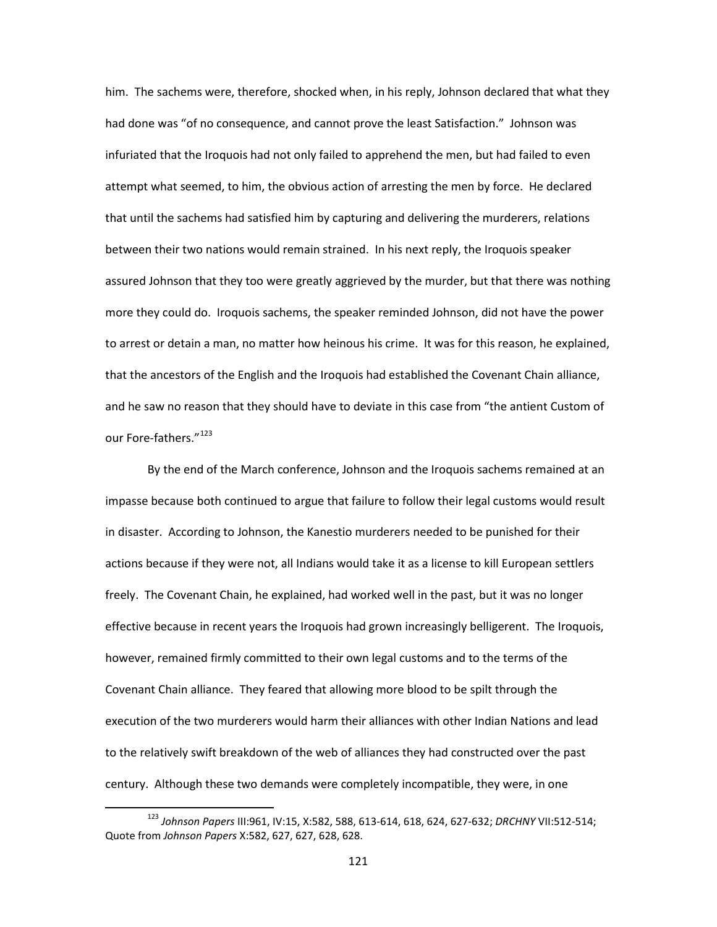him. The sachems were, therefore, shocked when, in his reply, Johnson declared that what they had done was "of no consequence, and cannot prove the least Satisfaction." Johnson was infuriated that the Iroquois had not only failed to apprehend the men, but had failed to even attempt what seemed, to him, the obvious action of arresting the men by force. He declared that until the sachems had satisfied him by capturing and delivering the murderers, relations between their two nations would remain strained. In his next reply, the Iroquois speaker assured Johnson that they too were greatly aggrieved by the murder, but that there was nothing more they could do. Iroquois sachems, the speaker reminded Johnson, did not have the power to arrest or detain a man, no matter how heinous his crime. It was for this reason, he explained, that the ancestors of the English and the Iroquois had established the Covenant Chain alliance, and he saw no reason that they should have to deviate in this case from "the antient Custom of our Fore-fathers."<sup>[123](#page-123-0)</sup>

By the end of the March conference, Johnson and the Iroquois sachems remained at an impasse because both continued to argue that failure to follow their legal customs would result in disaster. According to Johnson, the Kanestio murderers needed to be punished for their actions because if they were not, all Indians would take it as a license to kill European settlers freely. The Covenant Chain, he explained, had worked well in the past, but it was no longer effective because in recent years the Iroquois had grown increasingly belligerent. The Iroquois, however, remained firmly committed to their own legal customs and to the terms of the Covenant Chain alliance. They feared that allowing more blood to be spilt through the execution of the two murderers would harm their alliances with other Indian Nations and lead to the relatively swift breakdown of the web of alliances they had constructed over the past century. Although these two demands were completely incompatible, they were, in one

<span id="page-123-0"></span> <sup>123</sup> *Johnson Papers* III:961, IV:15, X:582, 588, 613-614, 618, 624, 627-632; *DRCHNY* VII:512-514; Quote from *Johnson Papers* X:582, 627, 627, 628, 628.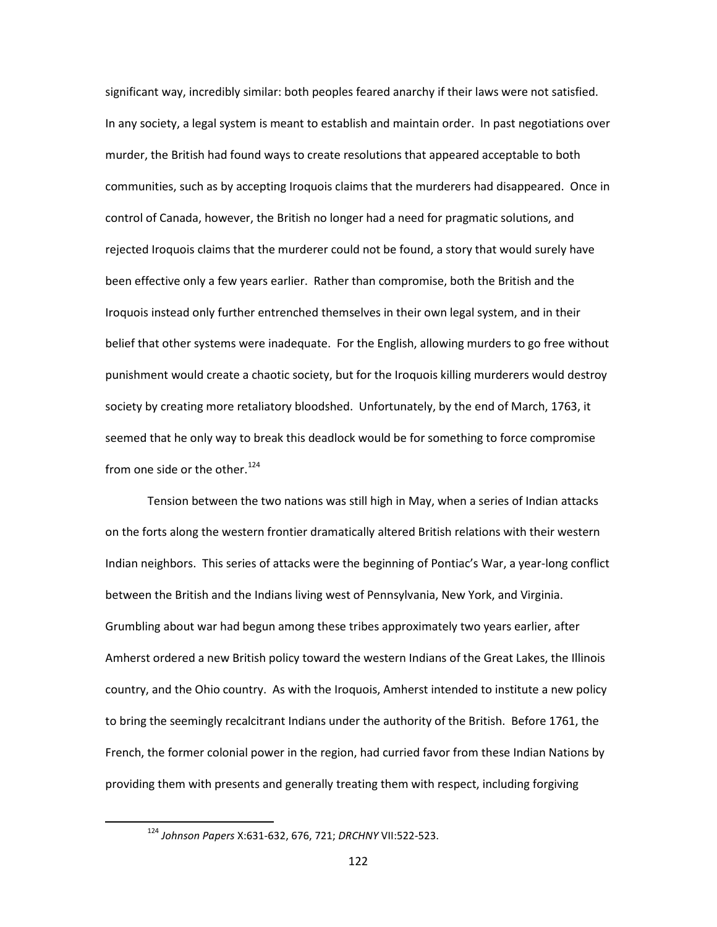significant way, incredibly similar: both peoples feared anarchy if their laws were not satisfied. In any society, a legal system is meant to establish and maintain order. In past negotiations over murder, the British had found ways to create resolutions that appeared acceptable to both communities, such as by accepting Iroquois claims that the murderers had disappeared. Once in control of Canada, however, the British no longer had a need for pragmatic solutions, and rejected Iroquois claims that the murderer could not be found, a story that would surely have been effective only a few years earlier. Rather than compromise, both the British and the Iroquois instead only further entrenched themselves in their own legal system, and in their belief that other systems were inadequate. For the English, allowing murders to go free without punishment would create a chaotic society, but for the Iroquois killing murderers would destroy society by creating more retaliatory bloodshed. Unfortunately, by the end of March, 1763, it seemed that he only way to break this deadlock would be for something to force compromise from one side or the other.<sup>[124](#page-124-0)</sup>

Tension between the two nations was still high in May, when a series of Indian attacks on the forts along the western frontier dramatically altered British relations with their western Indian neighbors. This series of attacks were the beginning of Pontiac's War, a year-long conflict between the British and the Indians living west of Pennsylvania, New York, and Virginia. Grumbling about war had begun among these tribes approximately two years earlier, after Amherst ordered a new British policy toward the western Indians of the Great Lakes, the Illinois country, and the Ohio country. As with the Iroquois, Amherst intended to institute a new policy to bring the seemingly recalcitrant Indians under the authority of the British. Before 1761, the French, the former colonial power in the region, had curried favor from these Indian Nations by providing them with presents and generally treating them with respect, including forgiving

<span id="page-124-0"></span> <sup>124</sup> *Johnson Papers* X:631-632, 676, 721; *DRCHNY* VII:522-523.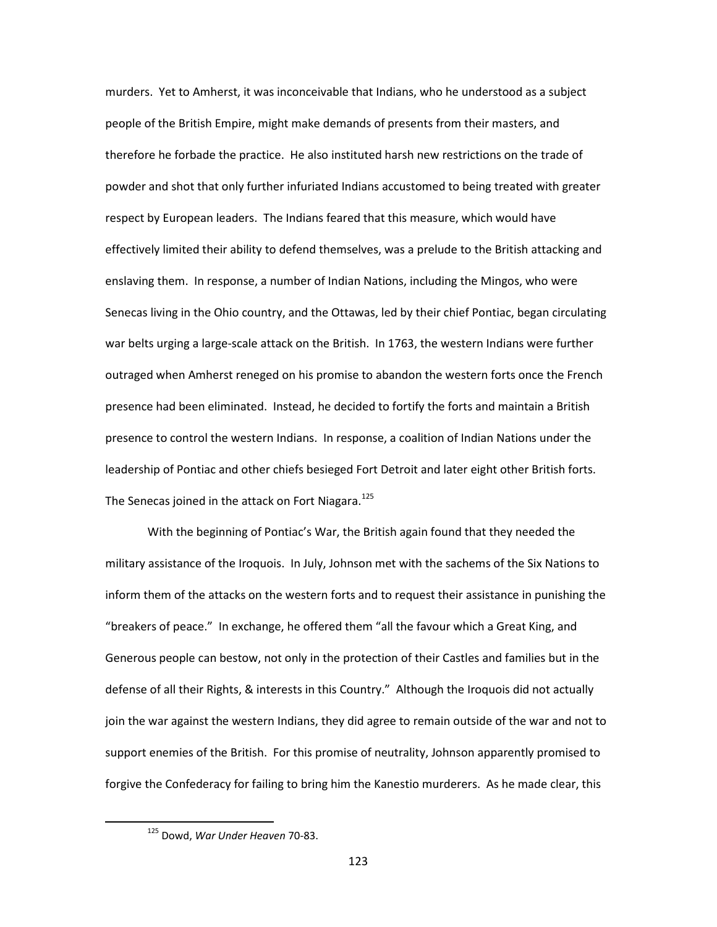murders. Yet to Amherst, it was inconceivable that Indians, who he understood as a subject people of the British Empire, might make demands of presents from their masters, and therefore he forbade the practice. He also instituted harsh new restrictions on the trade of powder and shot that only further infuriated Indians accustomed to being treated with greater respect by European leaders. The Indians feared that this measure, which would have effectively limited their ability to defend themselves, was a prelude to the British attacking and enslaving them. In response, a number of Indian Nations, including the Mingos, who were Senecas living in the Ohio country, and the Ottawas, led by their chief Pontiac, began circulating war belts urging a large-scale attack on the British. In 1763, the western Indians were further outraged when Amherst reneged on his promise to abandon the western forts once the French presence had been eliminated. Instead, he decided to fortify the forts and maintain a British presence to control the western Indians. In response, a coalition of Indian Nations under the leadership of Pontiac and other chiefs besieged Fort Detroit and later eight other British forts. The Senecas joined in the attack on Fort Niagara.<sup>[125](#page-125-0)</sup>

With the beginning of Pontiac's War, the British again found that they needed the military assistance of the Iroquois. In July, Johnson met with the sachems of the Six Nations to inform them of the attacks on the western forts and to request their assistance in punishing the "breakers of peace." In exchange, he offered them "all the favour which a Great King, and Generous people can bestow, not only in the protection of their Castles and families but in the defense of all their Rights, & interests in this Country." Although the Iroquois did not actually join the war against the western Indians, they did agree to remain outside of the war and not to support enemies of the British. For this promise of neutrality, Johnson apparently promised to forgive the Confederacy for failing to bring him the Kanestio murderers. As he made clear, this

<span id="page-125-0"></span> <sup>125</sup> Dowd, *War Under Heaven* 70-83.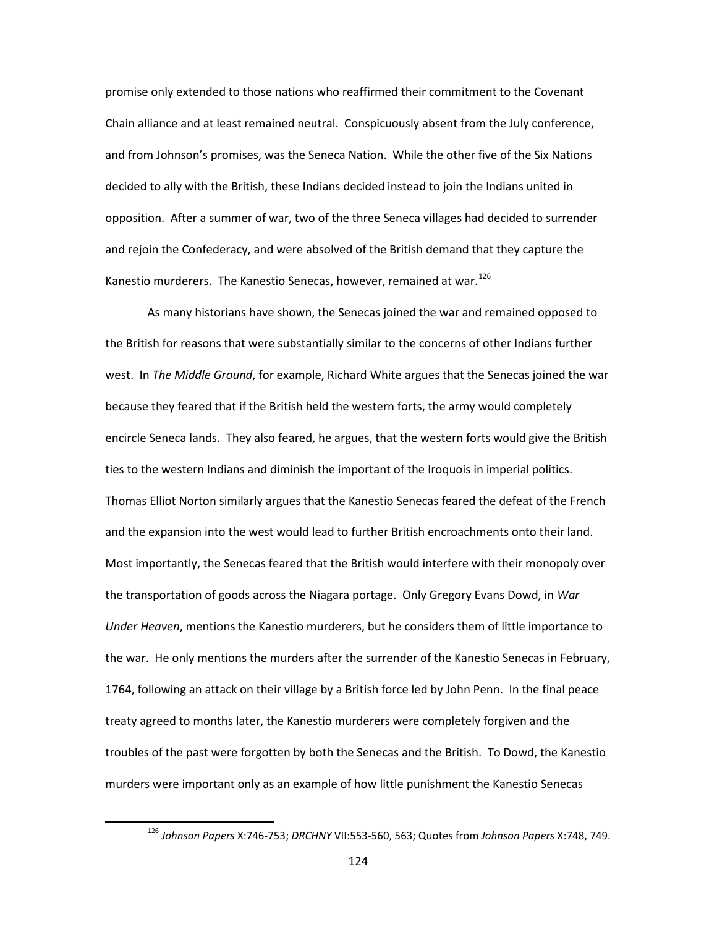promise only extended to those nations who reaffirmed their commitment to the Covenant Chain alliance and at least remained neutral. Conspicuously absent from the July conference, and from Johnson's promises, was the Seneca Nation. While the other five of the Six Nations decided to ally with the British, these Indians decided instead to join the Indians united in opposition. After a summer of war, two of the three Seneca villages had decided to surrender and rejoin the Confederacy, and were absolved of the British demand that they capture the Kanestio murderers. The Kanestio Senecas, however, remained at war.<sup>[126](#page-126-0)</sup>

As many historians have shown, the Senecas joined the war and remained opposed to the British for reasons that were substantially similar to the concerns of other Indians further west. In *The Middle Ground*, for example, Richard White argues that the Senecas joined the war because they feared that if the British held the western forts, the army would completely encircle Seneca lands. They also feared, he argues, that the western forts would give the British ties to the western Indians and diminish the important of the Iroquois in imperial politics. Thomas Elliot Norton similarly argues that the Kanestio Senecas feared the defeat of the French and the expansion into the west would lead to further British encroachments onto their land. Most importantly, the Senecas feared that the British would interfere with their monopoly over the transportation of goods across the Niagara portage. Only Gregory Evans Dowd, in *War Under Heaven*, mentions the Kanestio murderers, but he considers them of little importance to the war. He only mentions the murders after the surrender of the Kanestio Senecas in February, 1764, following an attack on their village by a British force led by John Penn. In the final peace treaty agreed to months later, the Kanestio murderers were completely forgiven and the troubles of the past were forgotten by both the Senecas and the British. To Dowd, the Kanestio murders were important only as an example of how little punishment the Kanestio Senecas

<span id="page-126-0"></span> <sup>126</sup> *Johnson Papers* X:746-753; *DRCHNY* VII:553-560, 563; Quotes from *Johnson Papers* X:748, 749.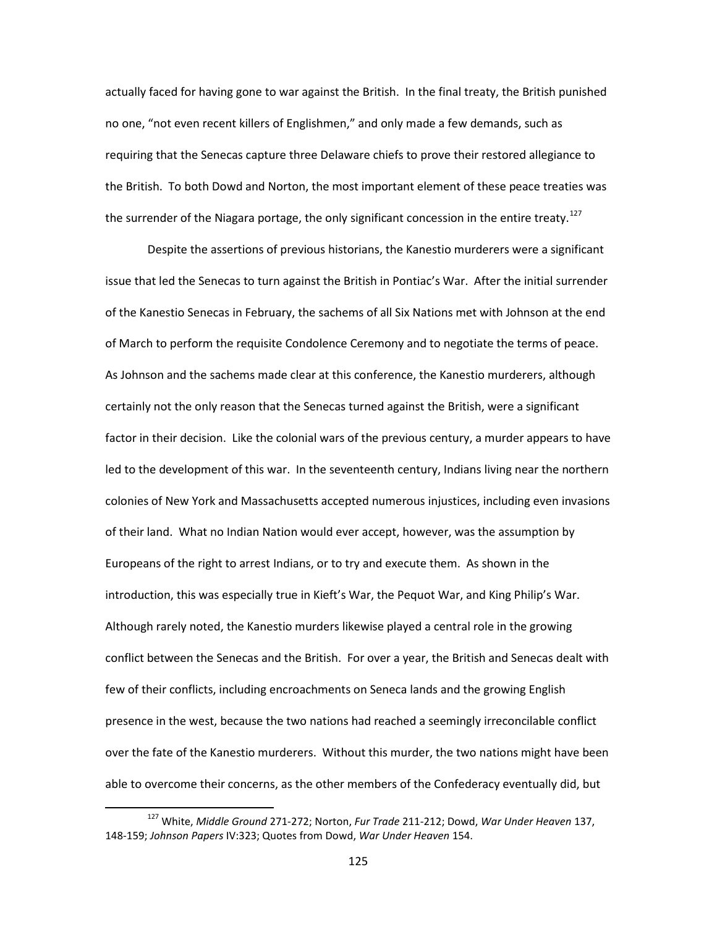actually faced for having gone to war against the British. In the final treaty, the British punished no one, "not even recent killers of Englishmen," and only made a few demands, such as requiring that the Senecas capture three Delaware chiefs to prove their restored allegiance to the British. To both Dowd and Norton, the most important element of these peace treaties was the surrender of the Niagara portage, the only significant concession in the entire treaty.<sup>[127](#page-127-0)</sup>

Despite the assertions of previous historians, the Kanestio murderers were a significant issue that led the Senecas to turn against the British in Pontiac's War. After the initial surrender of the Kanestio Senecas in February, the sachems of all Six Nations met with Johnson at the end of March to perform the requisite Condolence Ceremony and to negotiate the terms of peace. As Johnson and the sachems made clear at this conference, the Kanestio murderers, although certainly not the only reason that the Senecas turned against the British, were a significant factor in their decision. Like the colonial wars of the previous century, a murder appears to have led to the development of this war. In the seventeenth century, Indians living near the northern colonies of New York and Massachusetts accepted numerous injustices, including even invasions of their land. What no Indian Nation would ever accept, however, was the assumption by Europeans of the right to arrest Indians, or to try and execute them. As shown in the introduction, this was especially true in Kieft's War, the Pequot War, and King Philip's War. Although rarely noted, the Kanestio murders likewise played a central role in the growing conflict between the Senecas and the British. For over a year, the British and Senecas dealt with few of their conflicts, including encroachments on Seneca lands and the growing English presence in the west, because the two nations had reached a seemingly irreconcilable conflict over the fate of the Kanestio murderers. Without this murder, the two nations might have been able to overcome their concerns, as the other members of the Confederacy eventually did, but

<span id="page-127-0"></span> <sup>127</sup> White, *Middle Ground* 271-272; Norton, *Fur Trade* 211-212; Dowd, *War Under Heaven* 137, 148-159; *Johnson Papers* IV:323; Quotes from Dowd, *War Under Heaven* 154.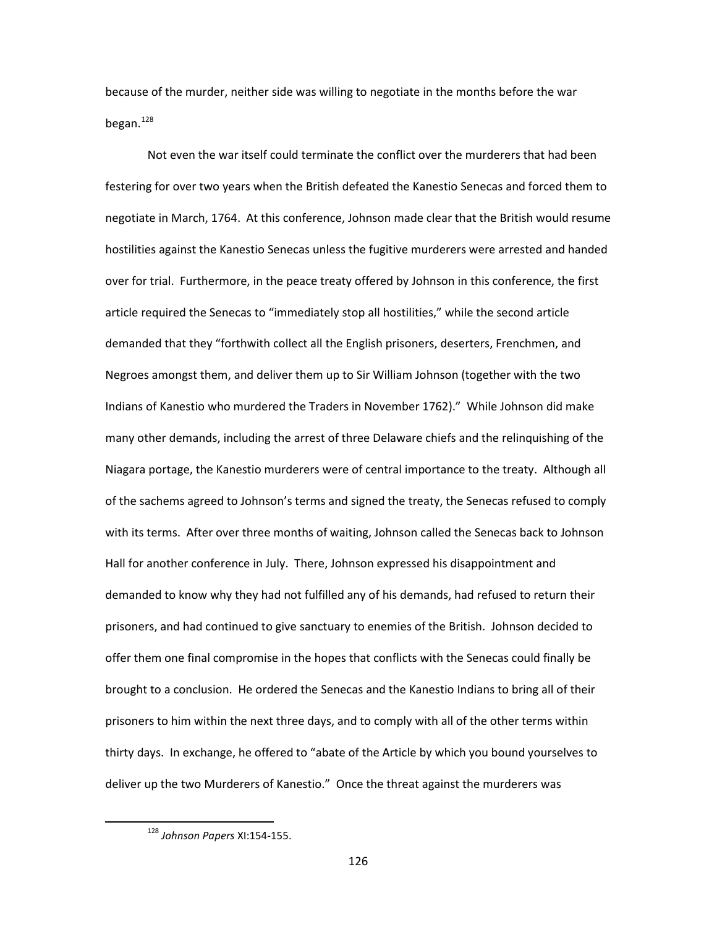because of the murder, neither side was willing to negotiate in the months before the war began.<sup>[128](#page-128-0)</sup>

Not even the war itself could terminate the conflict over the murderers that had been festering for over two years when the British defeated the Kanestio Senecas and forced them to negotiate in March, 1764. At this conference, Johnson made clear that the British would resume hostilities against the Kanestio Senecas unless the fugitive murderers were arrested and handed over for trial. Furthermore, in the peace treaty offered by Johnson in this conference, the first article required the Senecas to "immediately stop all hostilities," while the second article demanded that they "forthwith collect all the English prisoners, deserters, Frenchmen, and Negroes amongst them, and deliver them up to Sir William Johnson (together with the two Indians of Kanestio who murdered the Traders in November 1762)." While Johnson did make many other demands, including the arrest of three Delaware chiefs and the relinquishing of the Niagara portage, the Kanestio murderers were of central importance to the treaty. Although all of the sachems agreed to Johnson's terms and signed the treaty, the Senecas refused to comply with its terms. After over three months of waiting, Johnson called the Senecas back to Johnson Hall for another conference in July. There, Johnson expressed his disappointment and demanded to know why they had not fulfilled any of his demands, had refused to return their prisoners, and had continued to give sanctuary to enemies of the British. Johnson decided to offer them one final compromise in the hopes that conflicts with the Senecas could finally be brought to a conclusion. He ordered the Senecas and the Kanestio Indians to bring all of their prisoners to him within the next three days, and to comply with all of the other terms within thirty days. In exchange, he offered to "abate of the Article by which you bound yourselves to deliver up the two Murderers of Kanestio." Once the threat against the murderers was

<span id="page-128-0"></span> <sup>128</sup> *Johnson Papers* XI:154-155.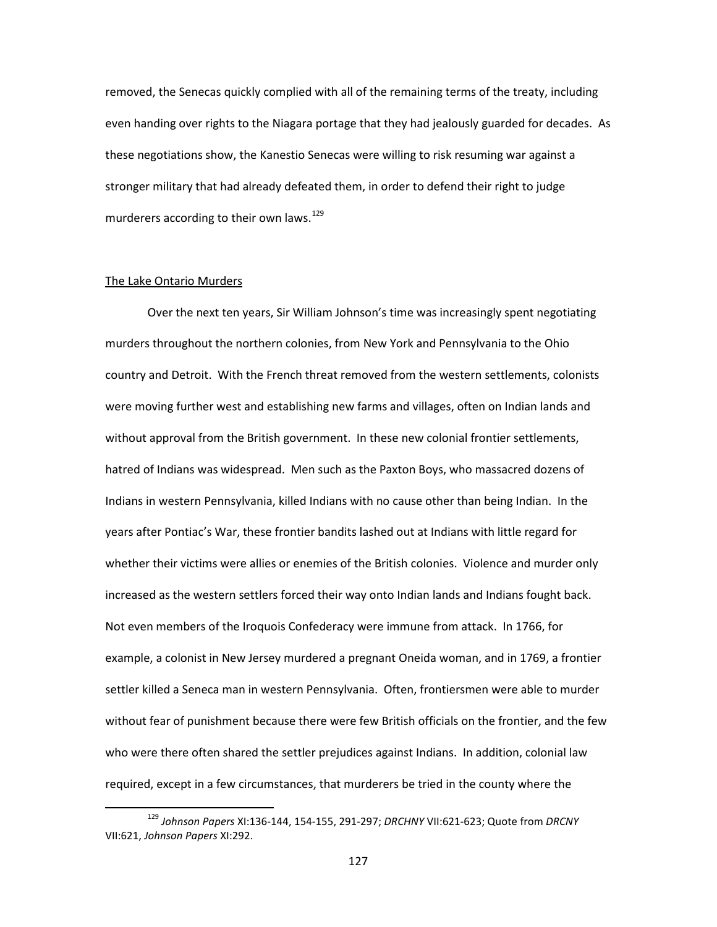removed, the Senecas quickly complied with all of the remaining terms of the treaty, including even handing over rights to the Niagara portage that they had jealously guarded for decades. As these negotiations show, the Kanestio Senecas were willing to risk resuming war against a stronger military that had already defeated them, in order to defend their right to judge murderers according to their own laws.<sup>[129](#page-129-0)</sup>

### The Lake Ontario Murders

Over the next ten years, Sir William Johnson's time was increasingly spent negotiating murders throughout the northern colonies, from New York and Pennsylvania to the Ohio country and Detroit. With the French threat removed from the western settlements, colonists were moving further west and establishing new farms and villages, often on Indian lands and without approval from the British government. In these new colonial frontier settlements, hatred of Indians was widespread. Men such as the Paxton Boys, who massacred dozens of Indians in western Pennsylvania, killed Indians with no cause other than being Indian. In the years after Pontiac's War, these frontier bandits lashed out at Indians with little regard for whether their victims were allies or enemies of the British colonies. Violence and murder only increased as the western settlers forced their way onto Indian lands and Indians fought back. Not even members of the Iroquois Confederacy were immune from attack. In 1766, for example, a colonist in New Jersey murdered a pregnant Oneida woman, and in 1769, a frontier settler killed a Seneca man in western Pennsylvania. Often, frontiersmen were able to murder without fear of punishment because there were few British officials on the frontier, and the few who were there often shared the settler prejudices against Indians. In addition, colonial law required, except in a few circumstances, that murderers be tried in the county where the

<span id="page-129-0"></span> <sup>129</sup> *Johnson Papers* XI:136-144, 154-155, 291-297; *DRCHNY* VII:621-623; Quote from *DRCNY* VII:621, *Johnson Papers* XI:292.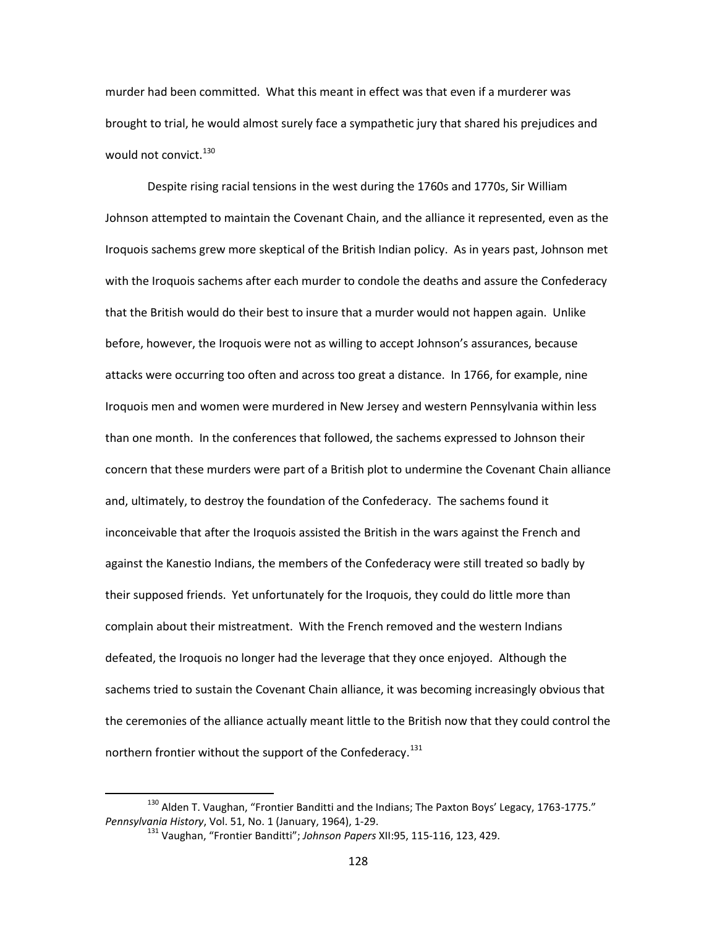murder had been committed. What this meant in effect was that even if a murderer was brought to trial, he would almost surely face a sympathetic jury that shared his prejudices and would not convict.<sup>[130](#page-130-0)</sup>

Despite rising racial tensions in the west during the 1760s and 1770s, Sir William Johnson attempted to maintain the Covenant Chain, and the alliance it represented, even as the Iroquois sachems grew more skeptical of the British Indian policy. As in years past, Johnson met with the Iroquois sachems after each murder to condole the deaths and assure the Confederacy that the British would do their best to insure that a murder would not happen again. Unlike before, however, the Iroquois were not as willing to accept Johnson's assurances, because attacks were occurring too often and across too great a distance. In 1766, for example, nine Iroquois men and women were murdered in New Jersey and western Pennsylvania within less than one month. In the conferences that followed, the sachems expressed to Johnson their concern that these murders were part of a British plot to undermine the Covenant Chain alliance and, ultimately, to destroy the foundation of the Confederacy. The sachems found it inconceivable that after the Iroquois assisted the British in the wars against the French and against the Kanestio Indians, the members of the Confederacy were still treated so badly by their supposed friends. Yet unfortunately for the Iroquois, they could do little more than complain about their mistreatment. With the French removed and the western Indians defeated, the Iroquois no longer had the leverage that they once enjoyed. Although the sachems tried to sustain the Covenant Chain alliance, it was becoming increasingly obvious that the ceremonies of the alliance actually meant little to the British now that they could control the northern frontier without the support of the Confederacy.<sup>[131](#page-130-1)</sup>

<span id="page-130-1"></span><span id="page-130-0"></span><sup>&</sup>lt;sup>130</sup> Alden T. Vaughan, "Frontier Banditti and the Indians; The Paxton Boys' Legacy, 1763-1775." *Pennsylvania History*, Vol. 51, No. 1 (January, 1964), 1-29.

<sup>131</sup> Vaughan, "Frontier Banditti"; *Johnson Papers* XII:95, 115-116, 123, 429.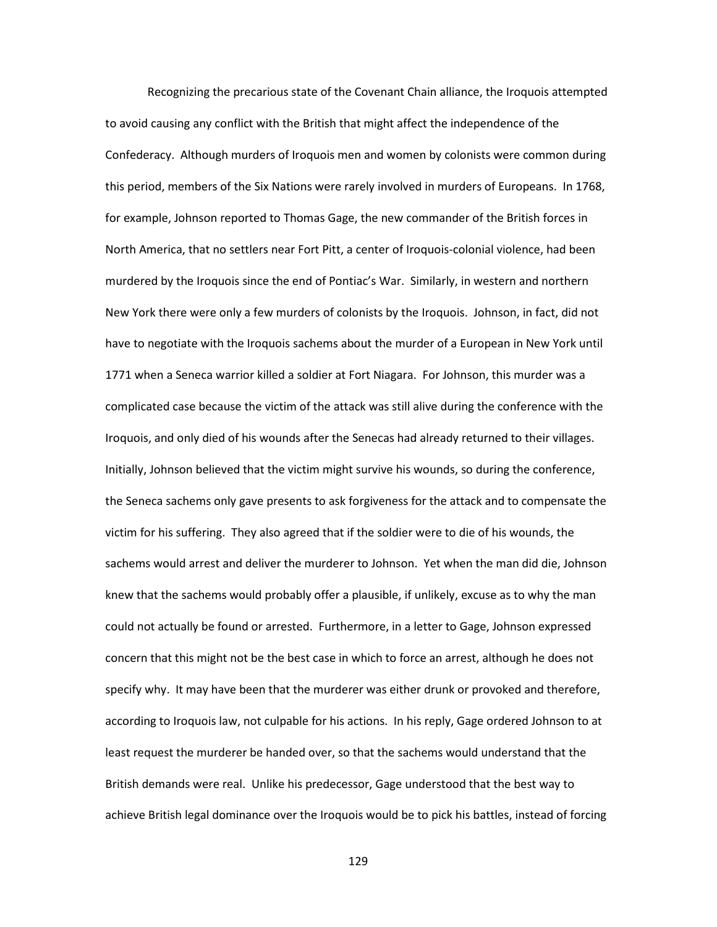Recognizing the precarious state of the Covenant Chain alliance, the Iroquois attempted to avoid causing any conflict with the British that might affect the independence of the Confederacy. Although murders of Iroquois men and women by colonists were common during this period, members of the Six Nations were rarely involved in murders of Europeans. In 1768, for example, Johnson reported to Thomas Gage, the new commander of the British forces in North America, that no settlers near Fort Pitt, a center of Iroquois-colonial violence, had been murdered by the Iroquois since the end of Pontiac's War. Similarly, in western and northern New York there were only a few murders of colonists by the Iroquois. Johnson, in fact, did not have to negotiate with the Iroquois sachems about the murder of a European in New York until 1771 when a Seneca warrior killed a soldier at Fort Niagara. For Johnson, this murder was a complicated case because the victim of the attack was still alive during the conference with the Iroquois, and only died of his wounds after the Senecas had already returned to their villages. Initially, Johnson believed that the victim might survive his wounds, so during the conference, the Seneca sachems only gave presents to ask forgiveness for the attack and to compensate the victim for his suffering. They also agreed that if the soldier were to die of his wounds, the sachems would arrest and deliver the murderer to Johnson. Yet when the man did die, Johnson knew that the sachems would probably offer a plausible, if unlikely, excuse as to why the man could not actually be found or arrested. Furthermore, in a letter to Gage, Johnson expressed concern that this might not be the best case in which to force an arrest, although he does not specify why. It may have been that the murderer was either drunk or provoked and therefore, according to Iroquois law, not culpable for his actions. In his reply, Gage ordered Johnson to at least request the murderer be handed over, so that the sachems would understand that the British demands were real. Unlike his predecessor, Gage understood that the best way to achieve British legal dominance over the Iroquois would be to pick his battles, instead of forcing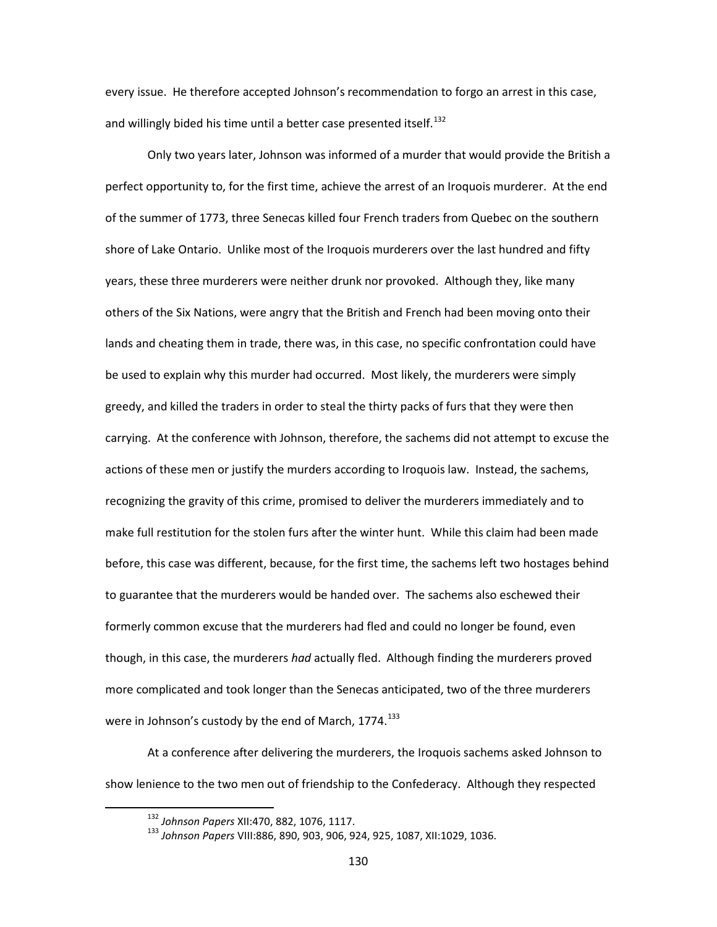every issue. He therefore accepted Johnson's recommendation to forgo an arrest in this case, and willingly bided his time until a better case presented itself.<sup>[132](#page-132-0)</sup>

Only two years later, Johnson was informed of a murder that would provide the British a perfect opportunity to, for the first time, achieve the arrest of an Iroquois murderer. At the end of the summer of 1773, three Senecas killed four French traders from Quebec on the southern shore of Lake Ontario. Unlike most of the Iroquois murderers over the last hundred and fifty years, these three murderers were neither drunk nor provoked. Although they, like many others of the Six Nations, were angry that the British and French had been moving onto their lands and cheating them in trade, there was, in this case, no specific confrontation could have be used to explain why this murder had occurred. Most likely, the murderers were simply greedy, and killed the traders in order to steal the thirty packs of furs that they were then carrying. At the conference with Johnson, therefore, the sachems did not attempt to excuse the actions of these men or justify the murders according to Iroquois law. Instead, the sachems, recognizing the gravity of this crime, promised to deliver the murderers immediately and to make full restitution for the stolen furs after the winter hunt. While this claim had been made before, this case was different, because, for the first time, the sachems left two hostages behind to guarantee that the murderers would be handed over. The sachems also eschewed their formerly common excuse that the murderers had fled and could no longer be found, even though, in this case, the murderers *had* actually fled. Although finding the murderers proved more complicated and took longer than the Senecas anticipated, two of the three murderers were in Johnson's custody by the end of March,  $1774$ .<sup>[133](#page-132-1)</sup>

<span id="page-132-1"></span><span id="page-132-0"></span>At a conference after delivering the murderers, the Iroquois sachems asked Johnson to show lenience to the two men out of friendship to the Confederacy. Although they respected

 <sup>132</sup> *Johnson Papers* XII:470, 882, 1076, 1117.

<sup>133</sup> *Johnson Papers* VIII:886, 890, 903, 906, 924, 925, 1087, XII:1029, 1036.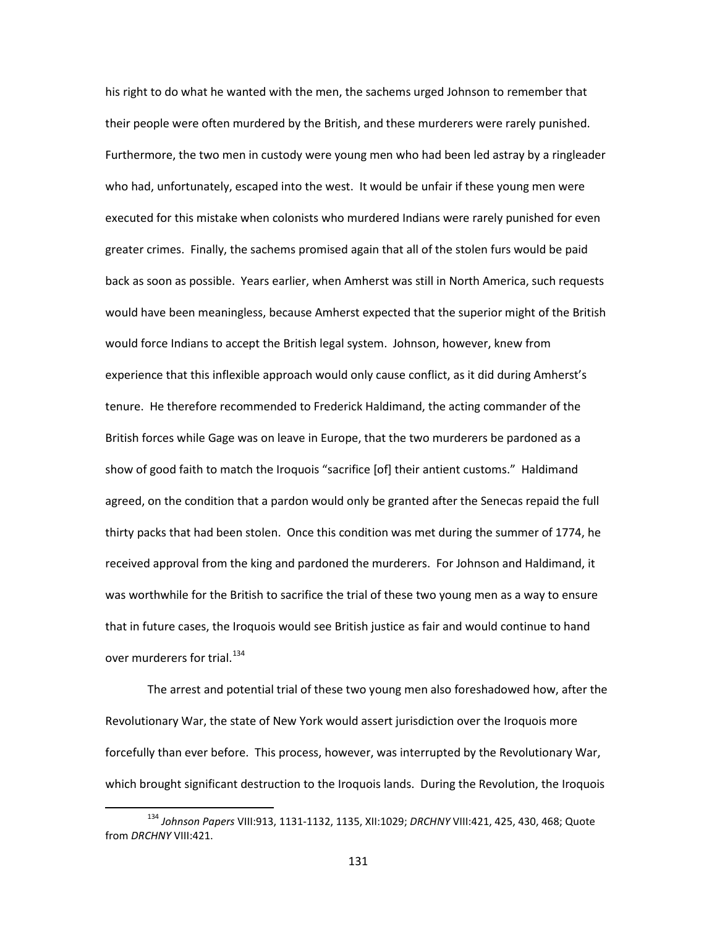his right to do what he wanted with the men, the sachems urged Johnson to remember that their people were often murdered by the British, and these murderers were rarely punished. Furthermore, the two men in custody were young men who had been led astray by a ringleader who had, unfortunately, escaped into the west. It would be unfair if these young men were executed for this mistake when colonists who murdered Indians were rarely punished for even greater crimes. Finally, the sachems promised again that all of the stolen furs would be paid back as soon as possible. Years earlier, when Amherst was still in North America, such requests would have been meaningless, because Amherst expected that the superior might of the British would force Indians to accept the British legal system. Johnson, however, knew from experience that this inflexible approach would only cause conflict, as it did during Amherst's tenure. He therefore recommended to Frederick Haldimand, the acting commander of the British forces while Gage was on leave in Europe, that the two murderers be pardoned as a show of good faith to match the Iroquois "sacrifice [of] their antient customs." Haldimand agreed, on the condition that a pardon would only be granted after the Senecas repaid the full thirty packs that had been stolen. Once this condition was met during the summer of 1774, he received approval from the king and pardoned the murderers. For Johnson and Haldimand, it was worthwhile for the British to sacrifice the trial of these two young men as a way to ensure that in future cases, the Iroquois would see British justice as fair and would continue to hand over murderers for trial.<sup>[134](#page-133-0)</sup>

The arrest and potential trial of these two young men also foreshadowed how, after the Revolutionary War, the state of New York would assert jurisdiction over the Iroquois more forcefully than ever before. This process, however, was interrupted by the Revolutionary War, which brought significant destruction to the Iroquois lands. During the Revolution, the Iroquois

<span id="page-133-0"></span> <sup>134</sup> *Johnson Papers* VIII:913, 1131-1132, 1135, XII:1029; *DRCHNY* VIII:421, 425, 430, 468; Quote from *DRCHNY* VIII:421.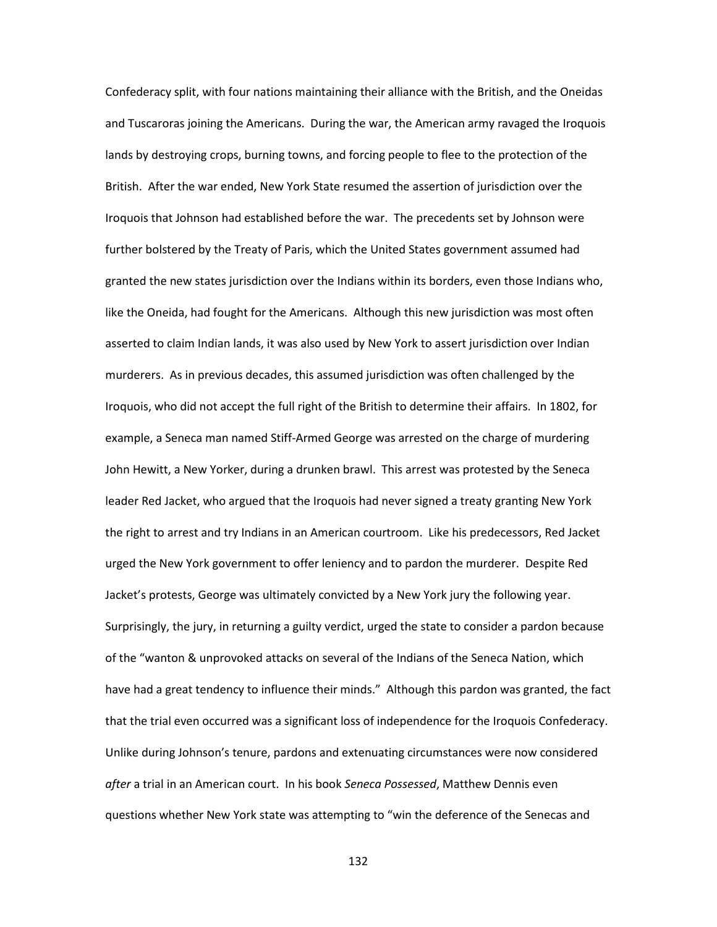Confederacy split, with four nations maintaining their alliance with the British, and the Oneidas and Tuscaroras joining the Americans. During the war, the American army ravaged the Iroquois lands by destroying crops, burning towns, and forcing people to flee to the protection of the British. After the war ended, New York State resumed the assertion of jurisdiction over the Iroquois that Johnson had established before the war. The precedents set by Johnson were further bolstered by the Treaty of Paris, which the United States government assumed had granted the new states jurisdiction over the Indians within its borders, even those Indians who, like the Oneida, had fought for the Americans. Although this new jurisdiction was most often asserted to claim Indian lands, it was also used by New York to assert jurisdiction over Indian murderers. As in previous decades, this assumed jurisdiction was often challenged by the Iroquois, who did not accept the full right of the British to determine their affairs. In 1802, for example, a Seneca man named Stiff-Armed George was arrested on the charge of murdering John Hewitt, a New Yorker, during a drunken brawl. This arrest was protested by the Seneca leader Red Jacket, who argued that the Iroquois had never signed a treaty granting New York the right to arrest and try Indians in an American courtroom. Like his predecessors, Red Jacket urged the New York government to offer leniency and to pardon the murderer. Despite Red Jacket's protests, George was ultimately convicted by a New York jury the following year. Surprisingly, the jury, in returning a guilty verdict, urged the state to consider a pardon because of the "wanton & unprovoked attacks on several of the Indians of the Seneca Nation, which have had a great tendency to influence their minds." Although this pardon was granted, the fact that the trial even occurred was a significant loss of independence for the Iroquois Confederacy. Unlike during Johnson's tenure, pardons and extenuating circumstances were now considered *after* a trial in an American court. In his book *Seneca Possessed*, Matthew Dennis even questions whether New York state was attempting to "win the deference of the Senecas and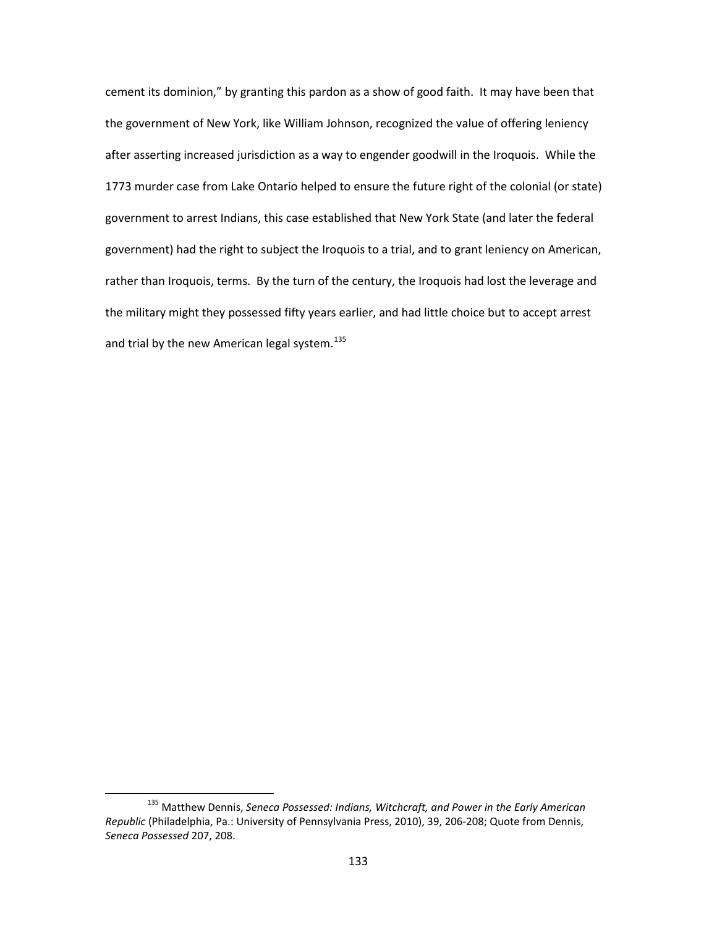cement its dominion," by granting this pardon as a show of good faith. It may have been that the government of New York, like William Johnson, recognized the value of offering leniency after asserting increased jurisdiction as a way to engender goodwill in the Iroquois. While the 1773 murder case from Lake Ontario helped to ensure the future right of the colonial (or state) government to arrest Indians, this case established that New York State (and later the federal government) had the right to subject the Iroquois to a trial, and to grant leniency on American, rather than Iroquois, terms. By the turn of the century, the Iroquois had lost the leverage and the military might they possessed fifty years earlier, and had little choice but to accept arrest and trial by the new American legal system.<sup>[135](#page-135-0)</sup>

<span id="page-135-0"></span> <sup>135</sup> Matthew Dennis, *Seneca Possessed: Indians, Witchcraft, and Power in the Early American Republic* (Philadelphia, Pa.: University of Pennsylvania Press, 2010), 39, 206-208; Quote from Dennis, *Seneca Possessed* 207, 208.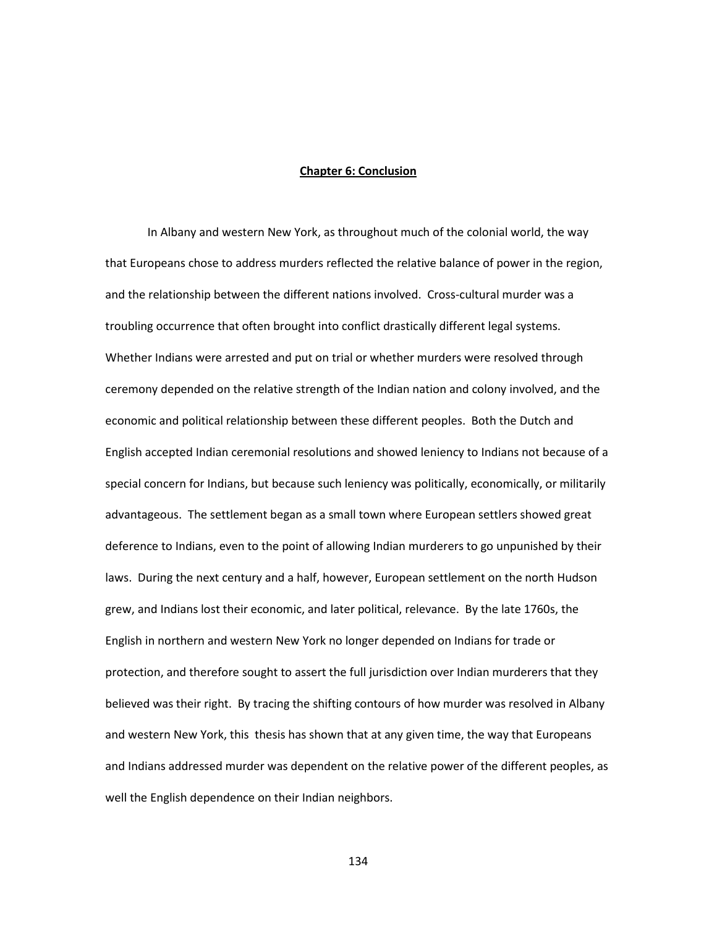# **Chapter 6: Conclusion**

In Albany and western New York, as throughout much of the colonial world, the way that Europeans chose to address murders reflected the relative balance of power in the region, and the relationship between the different nations involved. Cross-cultural murder was a troubling occurrence that often brought into conflict drastically different legal systems. Whether Indians were arrested and put on trial or whether murders were resolved through ceremony depended on the relative strength of the Indian nation and colony involved, and the economic and political relationship between these different peoples. Both the Dutch and English accepted Indian ceremonial resolutions and showed leniency to Indians not because of a special concern for Indians, but because such leniency was politically, economically, or militarily advantageous. The settlement began as a small town where European settlers showed great deference to Indians, even to the point of allowing Indian murderers to go unpunished by their laws. During the next century and a half, however, European settlement on the north Hudson grew, and Indians lost their economic, and later political, relevance. By the late 1760s, the English in northern and western New York no longer depended on Indians for trade or protection, and therefore sought to assert the full jurisdiction over Indian murderers that they believed was their right. By tracing the shifting contours of how murder was resolved in Albany and western New York, this thesis has shown that at any given time, the way that Europeans and Indians addressed murder was dependent on the relative power of the different peoples, as well the English dependence on their Indian neighbors.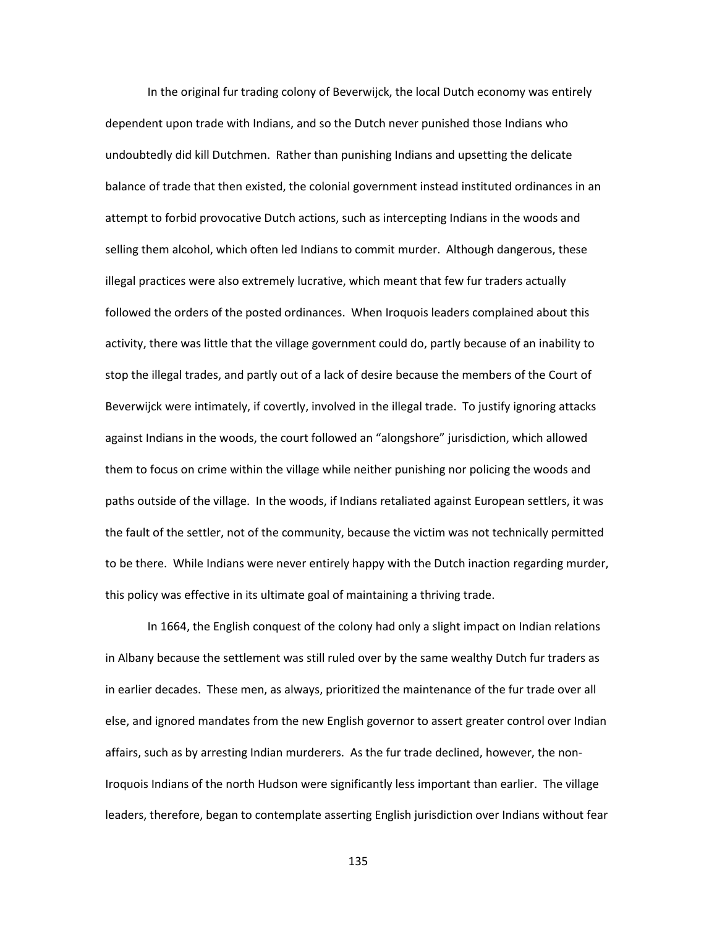In the original fur trading colony of Beverwijck, the local Dutch economy was entirely dependent upon trade with Indians, and so the Dutch never punished those Indians who undoubtedly did kill Dutchmen. Rather than punishing Indians and upsetting the delicate balance of trade that then existed, the colonial government instead instituted ordinances in an attempt to forbid provocative Dutch actions, such as intercepting Indians in the woods and selling them alcohol, which often led Indians to commit murder. Although dangerous, these illegal practices were also extremely lucrative, which meant that few fur traders actually followed the orders of the posted ordinances. When Iroquois leaders complained about this activity, there was little that the village government could do, partly because of an inability to stop the illegal trades, and partly out of a lack of desire because the members of the Court of Beverwijck were intimately, if covertly, involved in the illegal trade. To justify ignoring attacks against Indians in the woods, the court followed an "alongshore" jurisdiction, which allowed them to focus on crime within the village while neither punishing nor policing the woods and paths outside of the village. In the woods, if Indians retaliated against European settlers, it was the fault of the settler, not of the community, because the victim was not technically permitted to be there. While Indians were never entirely happy with the Dutch inaction regarding murder, this policy was effective in its ultimate goal of maintaining a thriving trade.

In 1664, the English conquest of the colony had only a slight impact on Indian relations in Albany because the settlement was still ruled over by the same wealthy Dutch fur traders as in earlier decades. These men, as always, prioritized the maintenance of the fur trade over all else, and ignored mandates from the new English governor to assert greater control over Indian affairs, such as by arresting Indian murderers. As the fur trade declined, however, the non-Iroquois Indians of the north Hudson were significantly less important than earlier. The village leaders, therefore, began to contemplate asserting English jurisdiction over Indians without fear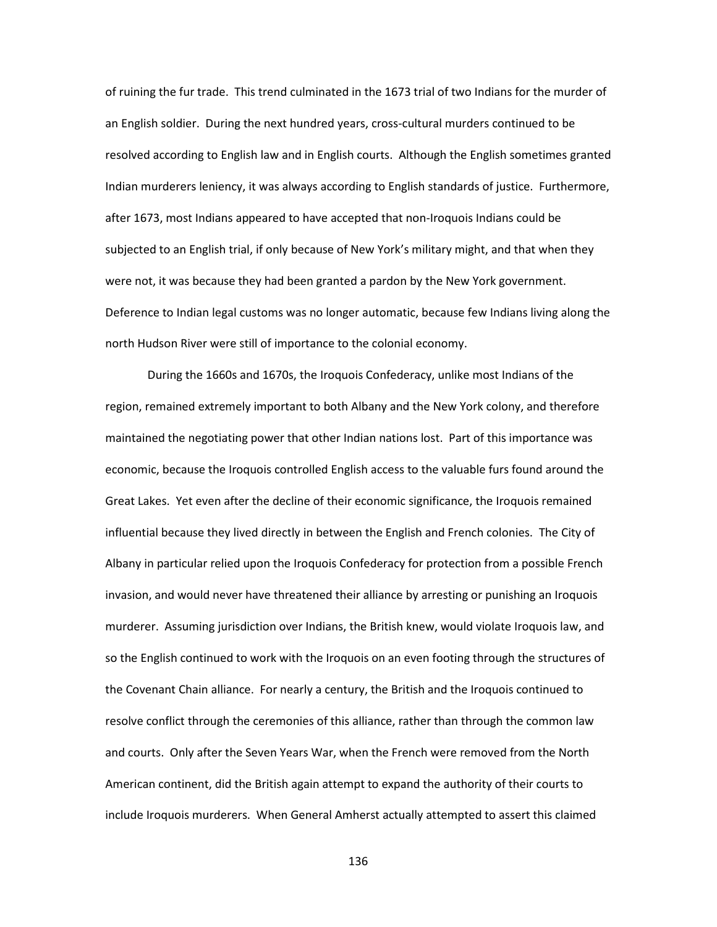of ruining the fur trade. This trend culminated in the 1673 trial of two Indians for the murder of an English soldier. During the next hundred years, cross-cultural murders continued to be resolved according to English law and in English courts. Although the English sometimes granted Indian murderers leniency, it was always according to English standards of justice. Furthermore, after 1673, most Indians appeared to have accepted that non-Iroquois Indians could be subjected to an English trial, if only because of New York's military might, and that when they were not, it was because they had been granted a pardon by the New York government. Deference to Indian legal customs was no longer automatic, because few Indians living along the north Hudson River were still of importance to the colonial economy.

During the 1660s and 1670s, the Iroquois Confederacy, unlike most Indians of the region, remained extremely important to both Albany and the New York colony, and therefore maintained the negotiating power that other Indian nations lost. Part of this importance was economic, because the Iroquois controlled English access to the valuable furs found around the Great Lakes. Yet even after the decline of their economic significance, the Iroquois remained influential because they lived directly in between the English and French colonies. The City of Albany in particular relied upon the Iroquois Confederacy for protection from a possible French invasion, and would never have threatened their alliance by arresting or punishing an Iroquois murderer. Assuming jurisdiction over Indians, the British knew, would violate Iroquois law, and so the English continued to work with the Iroquois on an even footing through the structures of the Covenant Chain alliance. For nearly a century, the British and the Iroquois continued to resolve conflict through the ceremonies of this alliance, rather than through the common law and courts. Only after the Seven Years War, when the French were removed from the North American continent, did the British again attempt to expand the authority of their courts to include Iroquois murderers. When General Amherst actually attempted to assert this claimed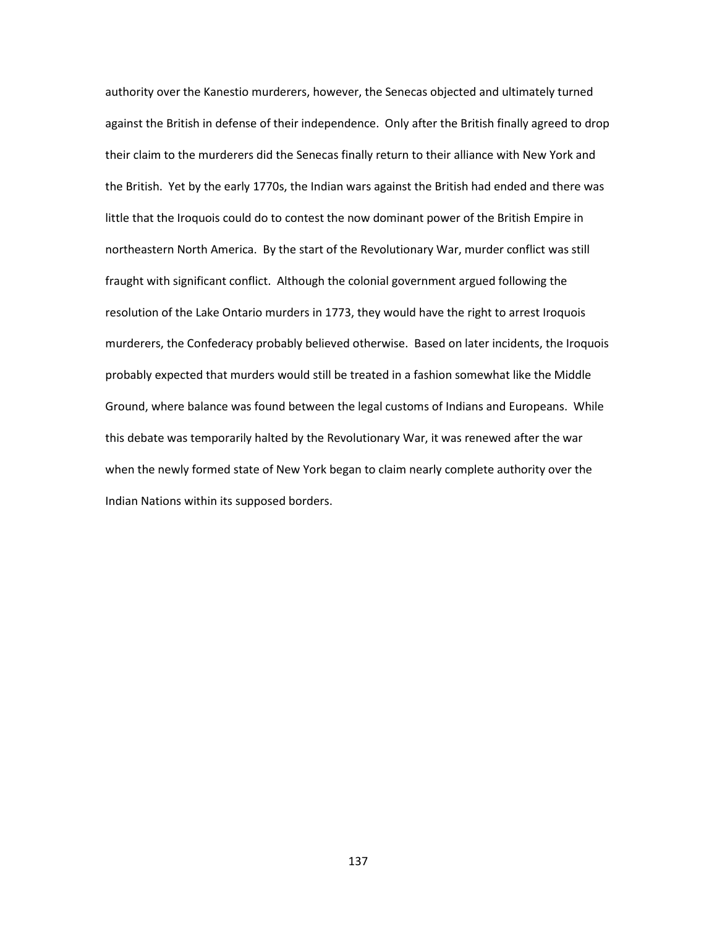authority over the Kanestio murderers, however, the Senecas objected and ultimately turned against the British in defense of their independence. Only after the British finally agreed to drop their claim to the murderers did the Senecas finally return to their alliance with New York and the British. Yet by the early 1770s, the Indian wars against the British had ended and there was little that the Iroquois could do to contest the now dominant power of the British Empire in northeastern North America. By the start of the Revolutionary War, murder conflict was still fraught with significant conflict. Although the colonial government argued following the resolution of the Lake Ontario murders in 1773, they would have the right to arrest Iroquois murderers, the Confederacy probably believed otherwise. Based on later incidents, the Iroquois probably expected that murders would still be treated in a fashion somewhat like the Middle Ground, where balance was found between the legal customs of Indians and Europeans. While this debate was temporarily halted by the Revolutionary War, it was renewed after the war when the newly formed state of New York began to claim nearly complete authority over the Indian Nations within its supposed borders.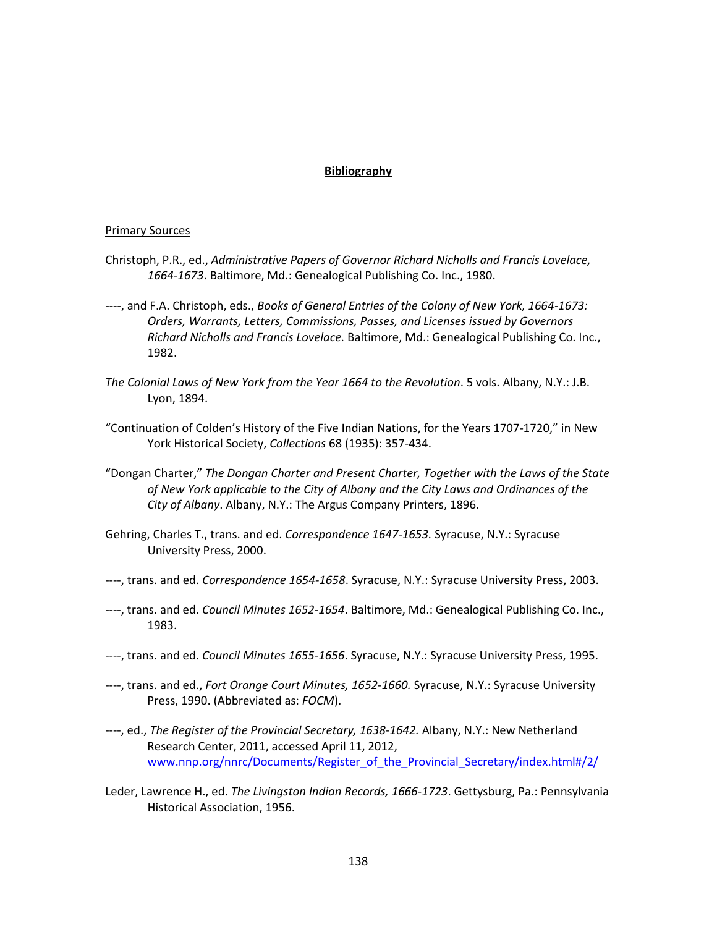# **Bibliography**

## Primary Sources

- Christoph, P.R., ed., *Administrative Papers of Governor Richard Nicholls and Francis Lovelace, 1664-1673*. Baltimore, Md.: Genealogical Publishing Co. Inc., 1980.
- ----, and F.A. Christoph, eds., *Books of General Entries of the Colony of New York, 1664-1673: Orders, Warrants, Letters, Commissions, Passes, and Licenses issued by Governors Richard Nicholls and Francis Lovelace.* Baltimore, Md.: Genealogical Publishing Co. Inc., 1982.
- *The Colonial Laws of New York from the Year 1664 to the Revolution*. 5 vols. Albany, N.Y.: J.B. Lyon, 1894.
- "Continuation of Colden's History of the Five Indian Nations, for the Years 1707-1720," in New York Historical Society, *Collections* 68 (1935): 357-434.
- "Dongan Charter," *The Dongan Charter and Present Charter, Together with the Laws of the State of New York applicable to the City of Albany and the City Laws and Ordinances of the City of Albany*. Albany, N.Y.: The Argus Company Printers, 1896.
- Gehring, Charles T., trans. and ed. *Correspondence 1647-1653.* Syracuse, N.Y.: Syracuse University Press, 2000.
- ----, trans. and ed. *Correspondence 1654-1658*. Syracuse, N.Y.: Syracuse University Press, 2003.
- ----, trans. and ed. *Council Minutes 1652-1654*. Baltimore, Md.: Genealogical Publishing Co. Inc., 1983.
- ----, trans. and ed. *Council Minutes 1655-1656*. Syracuse, N.Y.: Syracuse University Press, 1995.
- ----, trans. and ed., *Fort Orange Court Minutes, 1652-1660.* Syracuse, N.Y.: Syracuse University Press, 1990. (Abbreviated as: *FOCM*).
- ----, ed., *The Register of the Provincial Secretary, 1638-1642.* Albany, N.Y.: New Netherland Research Center, 2011, accessed April 11, 2012, [www.nnp.org/nnrc/Documents/Register\\_of\\_the\\_Provincial\\_Secretary/index.html#/2/](http://www.nnp.org/nnrc/Documents/Register_of_the_Provincial_Secretary/index.html#/2/)
- Leder, Lawrence H., ed. *The Livingston Indian Records, 1666-1723*. Gettysburg, Pa.: Pennsylvania Historical Association, 1956.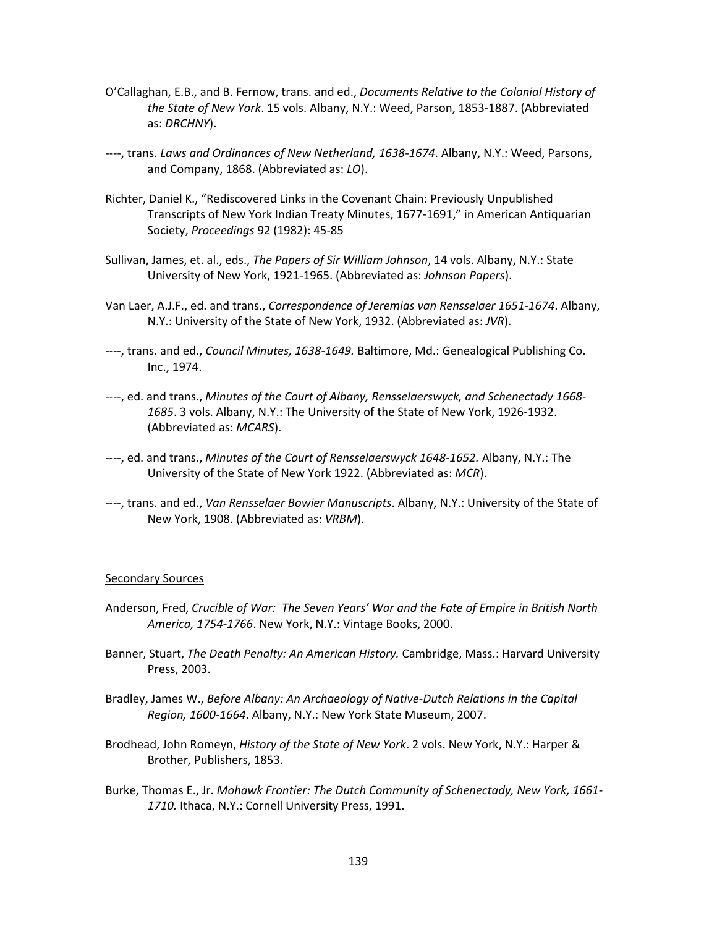- O'Callaghan, E.B., and B. Fernow, trans. and ed., *Documents Relative to the Colonial History of the State of New York*. 15 vols. Albany, N.Y.: Weed, Parson, 1853-1887. (Abbreviated as: *DRCHNY*).
- ----, trans. *Laws and Ordinances of New Netherland, 1638-1674*. Albany, N.Y.: Weed, Parsons, and Company, 1868. (Abbreviated as: *LO*).
- Richter, Daniel K., "Rediscovered Links in the Covenant Chain: Previously Unpublished Transcripts of New York Indian Treaty Minutes, 1677-1691," in American Antiquarian Society, *Proceedings* 92 (1982): 45-85
- Sullivan, James, et. al., eds., *The Papers of Sir William Johnson*, 14 vols. Albany, N.Y.: State University of New York, 1921-1965. (Abbreviated as: *Johnson Papers*).
- Van Laer, A.J.F., ed. and trans., *Correspondence of Jeremias van Rensselaer 1651-1674*. Albany, N.Y.: University of the State of New York, 1932. (Abbreviated as: *JVR*).
- ----, trans. and ed., *Council Minutes, 1638-1649.* Baltimore, Md.: Genealogical Publishing Co. Inc., 1974.
- ----, ed. and trans., *Minutes of the Court of Albany, Rensselaerswyck, and Schenectady 1668- 1685*. 3 vols. Albany, N.Y.: The University of the State of New York, 1926-1932. (Abbreviated as: *MCARS*).
- ----, ed. and trans., *Minutes of the Court of Rensselaerswyck 1648-1652.* Albany, N.Y.: The University of the State of New York 1922. (Abbreviated as: *MCR*).
- ----, trans. and ed., *Van Rensselaer Bowier Manuscripts*. Albany, N.Y.: University of the State of New York, 1908. (Abbreviated as: *VRBM*).

### Secondary Sources

- Anderson, Fred, *Crucible of War: The Seven Years' War and the Fate of Empire in British North America, 1754-1766*. New York, N.Y.: Vintage Books, 2000.
- Banner, Stuart, *The Death Penalty: An American History.* Cambridge, Mass.: Harvard University Press, 2003.
- Bradley, James W., *Before Albany: An Archaeology of Native-Dutch Relations in the Capital Region, 1600-1664*. Albany, N.Y.: New York State Museum, 2007.
- Brodhead, John Romeyn, *History of the State of New York*. 2 vols. New York, N.Y.: Harper & Brother, Publishers, 1853.
- Burke, Thomas E., Jr. *Mohawk Frontier: The Dutch Community of Schenectady, New York, 1661- 1710.* Ithaca, N.Y.: Cornell University Press, 1991.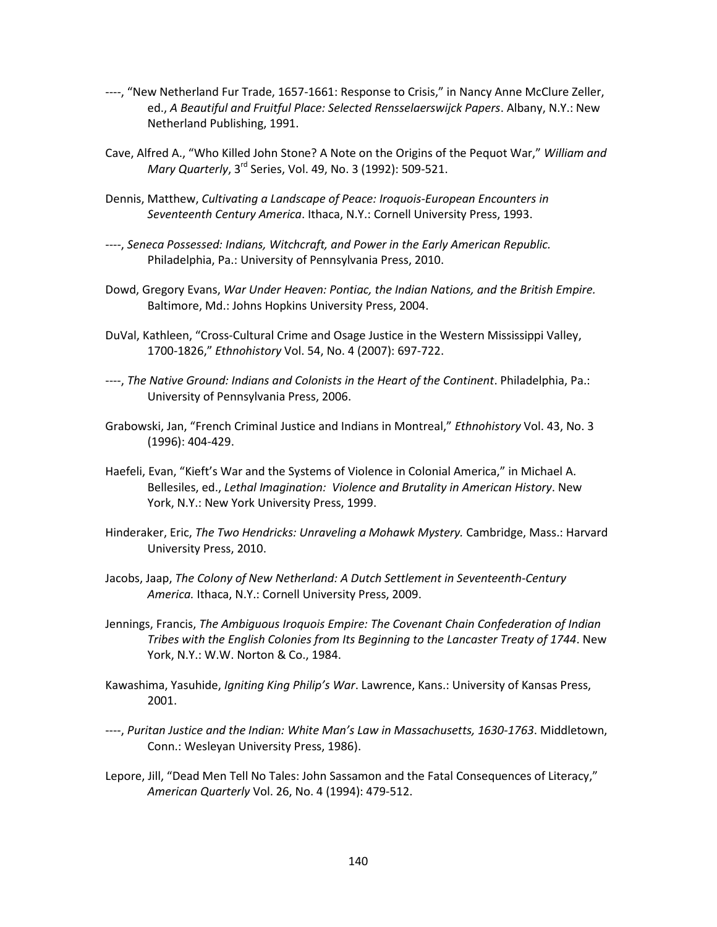- ----, "New Netherland Fur Trade, 1657-1661: Response to Crisis," in Nancy Anne McClure Zeller, ed., *A Beautiful and Fruitful Place: Selected Rensselaerswijck Papers*. Albany, N.Y.: New Netherland Publishing, 1991.
- Cave, Alfred A., "Who Killed John Stone? A Note on the Origins of the Pequot War," *William and Mary Quarterly*, 3rd Series, Vol. 49, No. 3 (1992): 509-521.
- Dennis, Matthew, *Cultivating a Landscape of Peace: Iroquois-European Encounters in Seventeenth Century America*. Ithaca, N.Y.: Cornell University Press, 1993.
- ----, *Seneca Possessed: Indians, Witchcraft, and Power in the Early American Republic.* Philadelphia, Pa.: University of Pennsylvania Press, 2010.
- Dowd, Gregory Evans, *War Under Heaven: Pontiac, the Indian Nations, and the British Empire.* Baltimore, Md.: Johns Hopkins University Press, 2004.
- DuVal, Kathleen, "Cross-Cultural Crime and Osage Justice in the Western Mississippi Valley, 1700-1826," *Ethnohistory* Vol. 54, No. 4 (2007): 697-722.
- ----, *The Native Ground: Indians and Colonists in the Heart of the Continent*. Philadelphia, Pa.: University of Pennsylvania Press, 2006.
- Grabowski, Jan, "French Criminal Justice and Indians in Montreal," *Ethnohistory* Vol. 43, No. 3 (1996): 404-429.
- Haefeli, Evan, "Kieft's War and the Systems of Violence in Colonial America," in Michael A. Bellesiles, ed., *Lethal Imagination: Violence and Brutality in American History*. New York, N.Y.: New York University Press, 1999.
- Hinderaker, Eric, *The Two Hendricks: Unraveling a Mohawk Mystery.* Cambridge, Mass.: Harvard University Press, 2010.
- Jacobs, Jaap, *The Colony of New Netherland: A Dutch Settlement in Seventeenth-Century America.* Ithaca, N.Y.: Cornell University Press, 2009.
- Jennings, Francis, *The Ambiguous Iroquois Empire: The Covenant Chain Confederation of Indian Tribes with the English Colonies from Its Beginning to the Lancaster Treaty of 1744*. New York, N.Y.: W.W. Norton & Co., 1984.
- Kawashima, Yasuhide, *Igniting King Philip's War*. Lawrence, Kans.: University of Kansas Press, 2001.
- ----, *Puritan Justice and the Indian: White Man's Law in Massachusetts, 1630-1763*. Middletown, Conn.: Wesleyan University Press, 1986).
- Lepore, Jill, "Dead Men Tell No Tales: John Sassamon and the Fatal Consequences of Literacy," *American Quarterly* Vol. 26, No. 4 (1994): 479-512.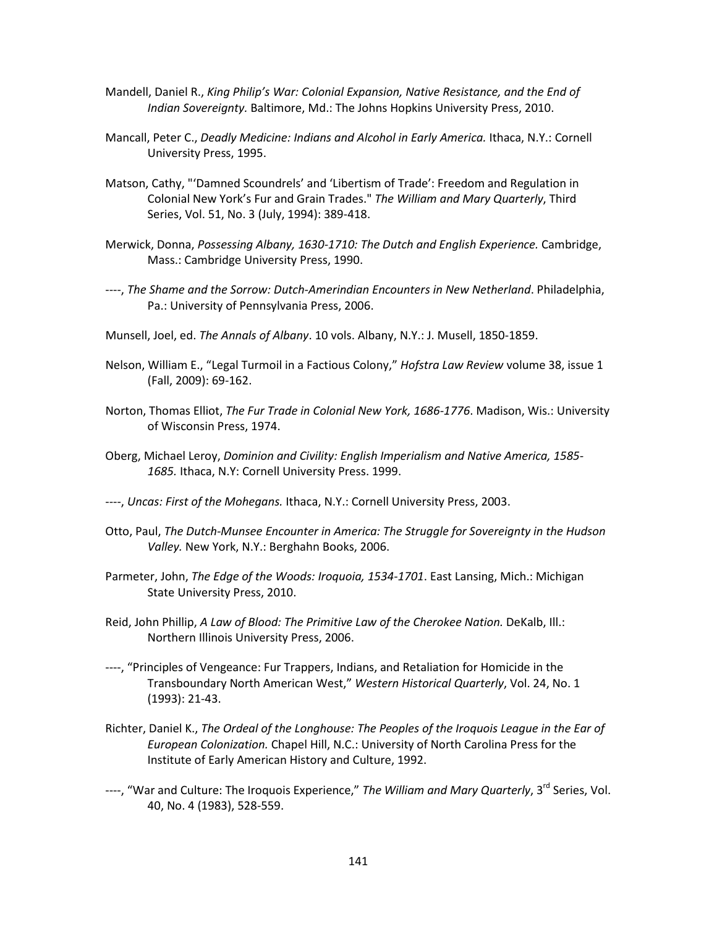- Mandell, Daniel R., *King Philip's War: Colonial Expansion, Native Resistance, and the End of Indian Sovereignty.* Baltimore, Md.: The Johns Hopkins University Press, 2010.
- Mancall, Peter C., *Deadly Medicine: Indians and Alcohol in Early America.* Ithaca, N.Y.: Cornell University Press, 1995.
- Matson, Cathy, "'Damned Scoundrels' and 'Libertism of Trade': Freedom and Regulation in Colonial New York's Fur and Grain Trades." *The William and Mary Quarterly*, Third Series, Vol. 51, No. 3 (July, 1994): 389-418.
- Merwick, Donna, *Possessing Albany, 1630-1710: The Dutch and English Experience.* Cambridge, Mass.: Cambridge University Press, 1990.
- ----, *The Shame and the Sorrow: Dutch-Amerindian Encounters in New Netherland*. Philadelphia, Pa.: University of Pennsylvania Press, 2006.
- Munsell, Joel, ed. *The Annals of Albany*. 10 vols. Albany, N.Y.: J. Musell, 1850-1859.
- Nelson, William E., "Legal Turmoil in a Factious Colony," *Hofstra Law Review* volume 38, issue 1 (Fall, 2009): 69-162.
- Norton, Thomas Elliot, *The Fur Trade in Colonial New York, 1686-1776*. Madison, Wis.: University of Wisconsin Press, 1974.
- Oberg, Michael Leroy, *Dominion and Civility: English Imperialism and Native America, 1585- 1685.* Ithaca, N.Y: Cornell University Press. 1999.
- ----, *Uncas: First of the Mohegans.* Ithaca, N.Y.: Cornell University Press, 2003.
- Otto, Paul, *The Dutch-Munsee Encounter in America: The Struggle for Sovereignty in the Hudson Valley.* New York, N.Y.: Berghahn Books, 2006.
- Parmeter, John, *The Edge of the Woods: Iroquoia, 1534-1701*. East Lansing, Mich.: Michigan State University Press, 2010.
- Reid, John Phillip, *A Law of Blood: The Primitive Law of the Cherokee Nation.* DeKalb, Ill.: Northern Illinois University Press, 2006.
- ----, "Principles of Vengeance: Fur Trappers, Indians, and Retaliation for Homicide in the Transboundary North American West," *Western Historical Quarterly*, Vol. 24, No. 1 (1993): 21-43.
- Richter, Daniel K., *The Ordeal of the Longhouse: The Peoples of the Iroquois League in the Ear of European Colonization.* Chapel Hill, N.C.: University of North Carolina Press for the Institute of Early American History and Culture, 1992.
- ----, "War and Culture: The Iroquois Experience," The William and Mary Quarterly, 3<sup>rd</sup> Series, Vol. 40, No. 4 (1983), 528-559.